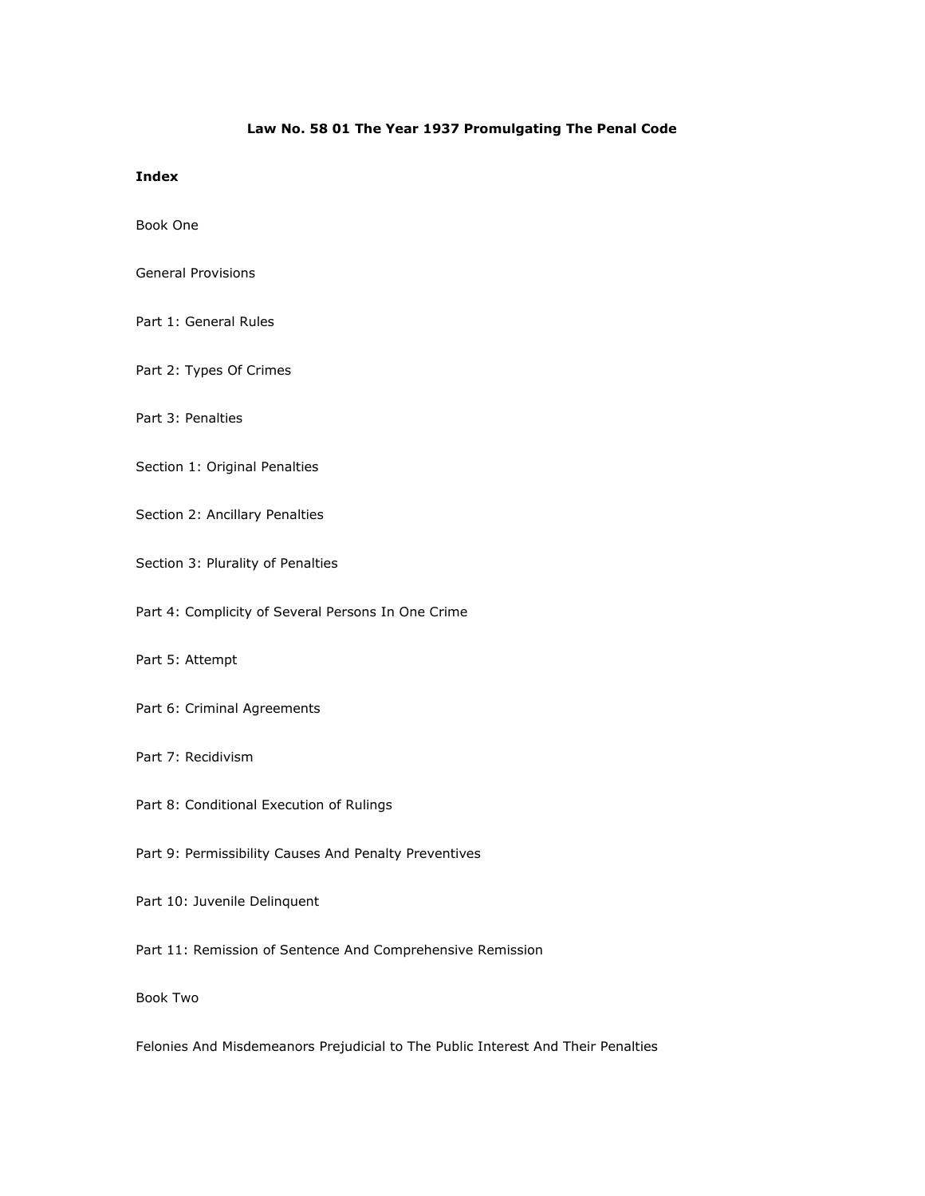## Law No. 58 01 The Year 1937 Promulgating The Penal Code

## Index

Book One

- General Provisions
- Part 1: General Rules
- Part 2: Types Of Crimes
- Part 3: Penalties
- Section 1: Original Penalties
- Section 2: Ancillary Penalties
- Section 3: Plurality of Penalties
- Part 4: Complicity of Several Persons In One Crime
- Part 5: Attempt
- Part 6: Criminal Agreements
- Part 7: Recidivism
- Part 8: Conditional Execution of Rulings
- Part 9: Permissibility Causes And Penalty Preventives
- Part 10: Juvenile Delinquent
- Part 11: Remission of Sentence And Comprehensive Remission
- Book Two

Felonies And Misdemeanors Prejudicial to The Public Interest And Their Penalties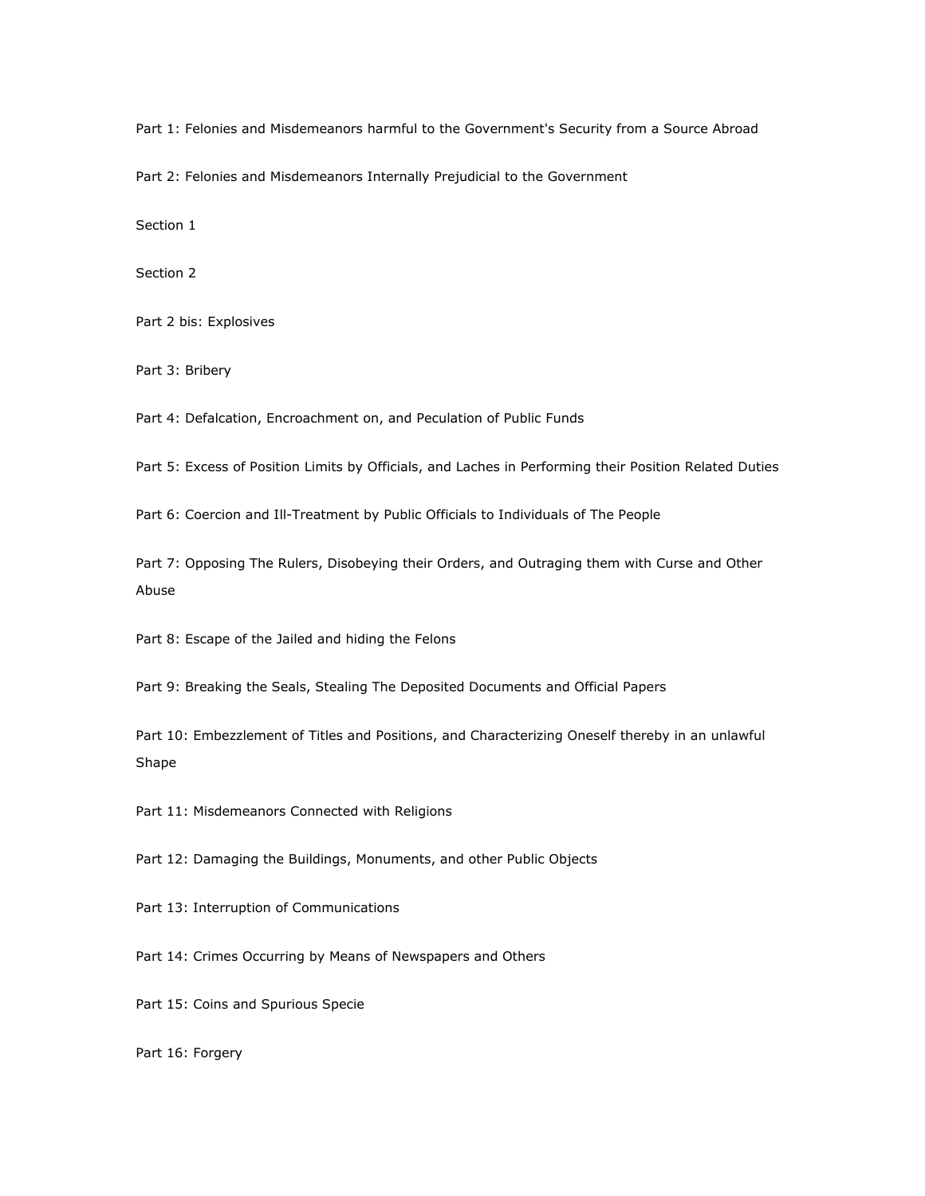Part 1: Felonies and Misdemeanors harmful to the Government's Security from a Source Abroad

Part 2: Felonies and Misdemeanors Internally Prejudicial to the Government

Section 1

Section 2

Part 2 bis: Explosives

Part 3: Bribery

Part 4: Defalcation, Encroachment on, and Peculation of Public Funds

Part 5: Excess of Position Limits by Officials, and Laches in Performing their Position Related Duties

Part 6: Coercion and Ill-Treatment by Public Officials to Individuals of The People

Part 7: Opposing The Rulers, Disobeying their Orders, and Outraging them with Curse and Other Abuse

Part 8: Escape of the Jailed and hiding the Felons

Part 9: Breaking the Seals, Stealing The Deposited Documents and Official Papers

Part 10: Embezzlement of Titles and Positions, and Characterizing Oneself thereby in an unlawful Shape

Part 11: Misdemeanors Connected with Religions

Part 12: Damaging the Buildings, Monuments, and other Public Objects

Part 13: Interruption of Communications

Part 14: Crimes Occurring by Means of Newspapers and Others

Part 15: Coins and Spurious Specie

Part 16: Forgery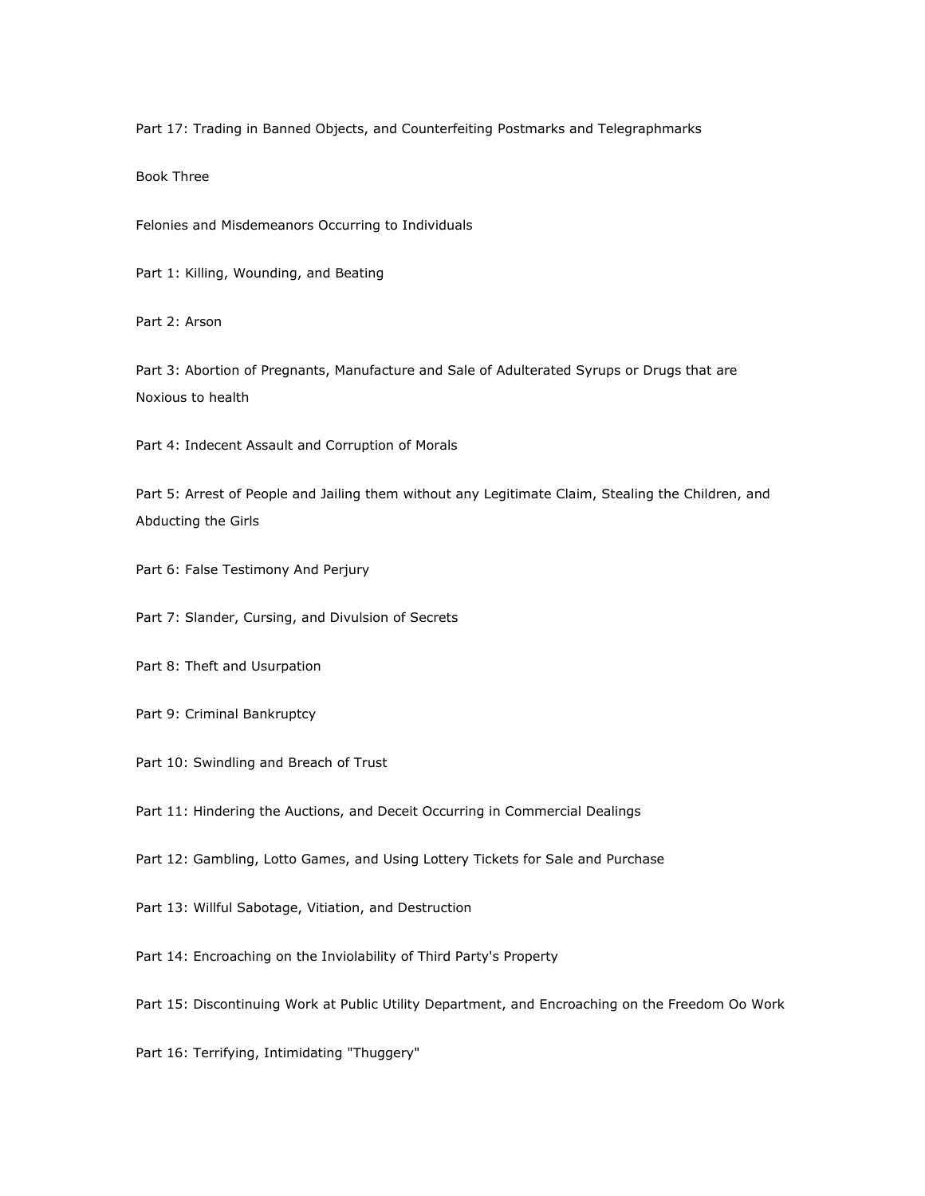Part 17: Trading in Banned Objects, and Counterfeiting Postmarks and Telegraphmarks

Book Three

Felonies and Misdemeanors Occurring to Individuals

Part 1: Killing, Wounding, and Beating

Part 2: Arson

Part 3: Abortion of Pregnants, Manufacture and Sale of Adulterated Syrups or Drugs that are Noxious to health

Part 4: Indecent Assault and Corruption of Morals

Part 5: Arrest of People and Jailing them without any Legitimate Claim, Stealing the Children, and Abducting the Girls

Part 6: False Testimony And Perjury

Part 7: Slander, Cursing, and Divulsion of Secrets

Part 8: Theft and Usurpation

Part 9: Criminal Bankruptcy

Part 10: Swindling and Breach of Trust

Part 11: Hindering the Auctions, and Deceit Occurring in Commercial Dealings

Part 12: Gambling, Lotto Games, and Using Lottery Tickets for Sale and Purchase

Part 13: Willful Sabotage, Vitiation, and Destruction

Part 14: Encroaching on the Inviolability of Third Party's Property

Part 15: Discontinuing Work at Public Utility Department, and Encroaching on the Freedom Oo Work

Part 16: Terrifying, Intimidating "Thuggery"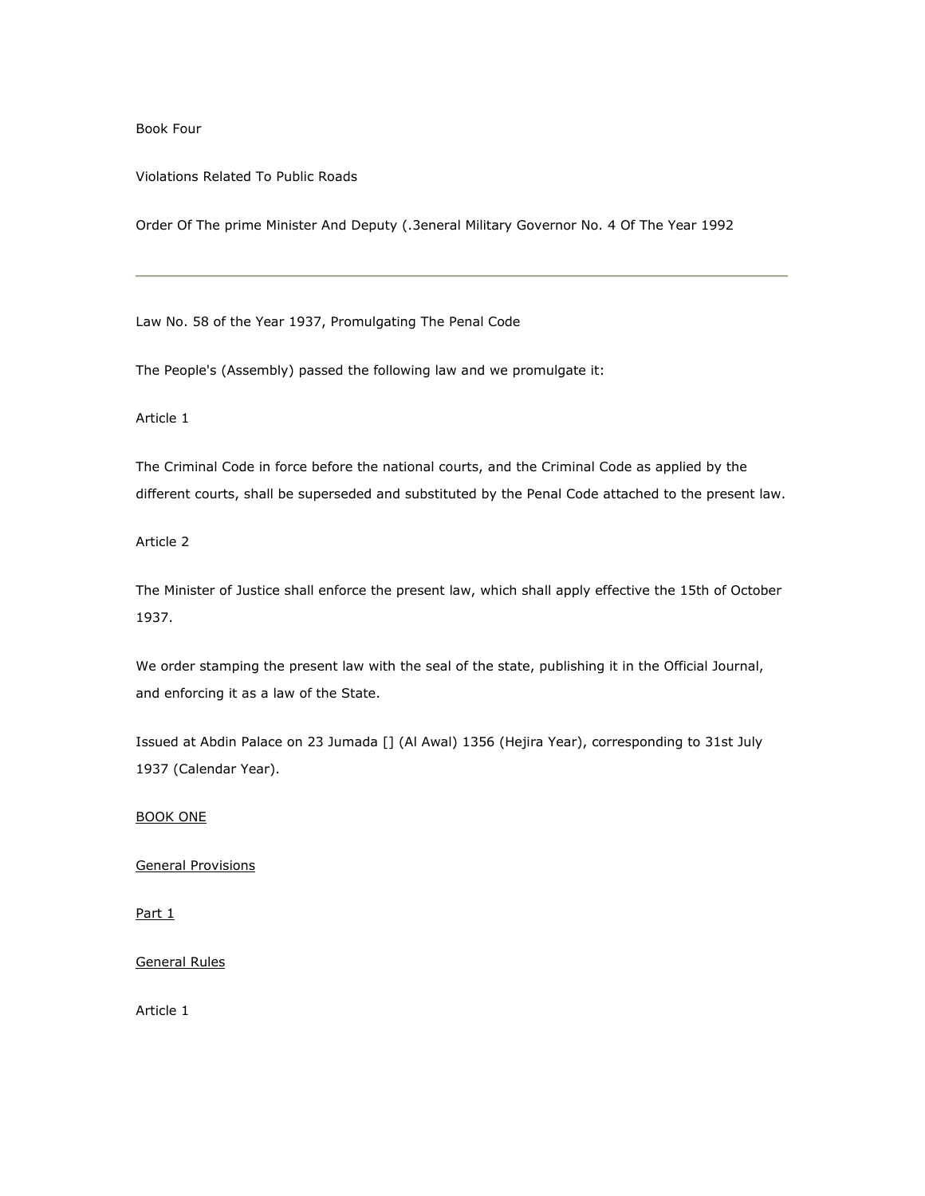Book Four

Violations Related To Public Roads

Order Of The prime Minister And Deputy (.3eneral Military Governor No. 4 Of The Year 1992

Law No. 58 of the Year 1937, Promulgating The Penal Code

The People's (Assembly) passed the following law and we promulgate it:

Article 1

The Criminal Code in force before the national courts, and the Criminal Code as applied by the different courts, shall be superseded and substituted by the Penal Code attached to the present law.

Article 2

The Minister of Justice shall enforce the present law, which shall apply effective the 15th of October 1937.

We order stamping the present law with the seal of the state, publishing it in the Official Journal, and enforcing it as a law of the State.

Issued at Abdin Palace on 23 Jumada [] (Al Awal) 1356 (Hejira Year), corresponding to 31st July 1937 (Calendar Year).

BOOK ONE

General Provisions

Part 1

General Rules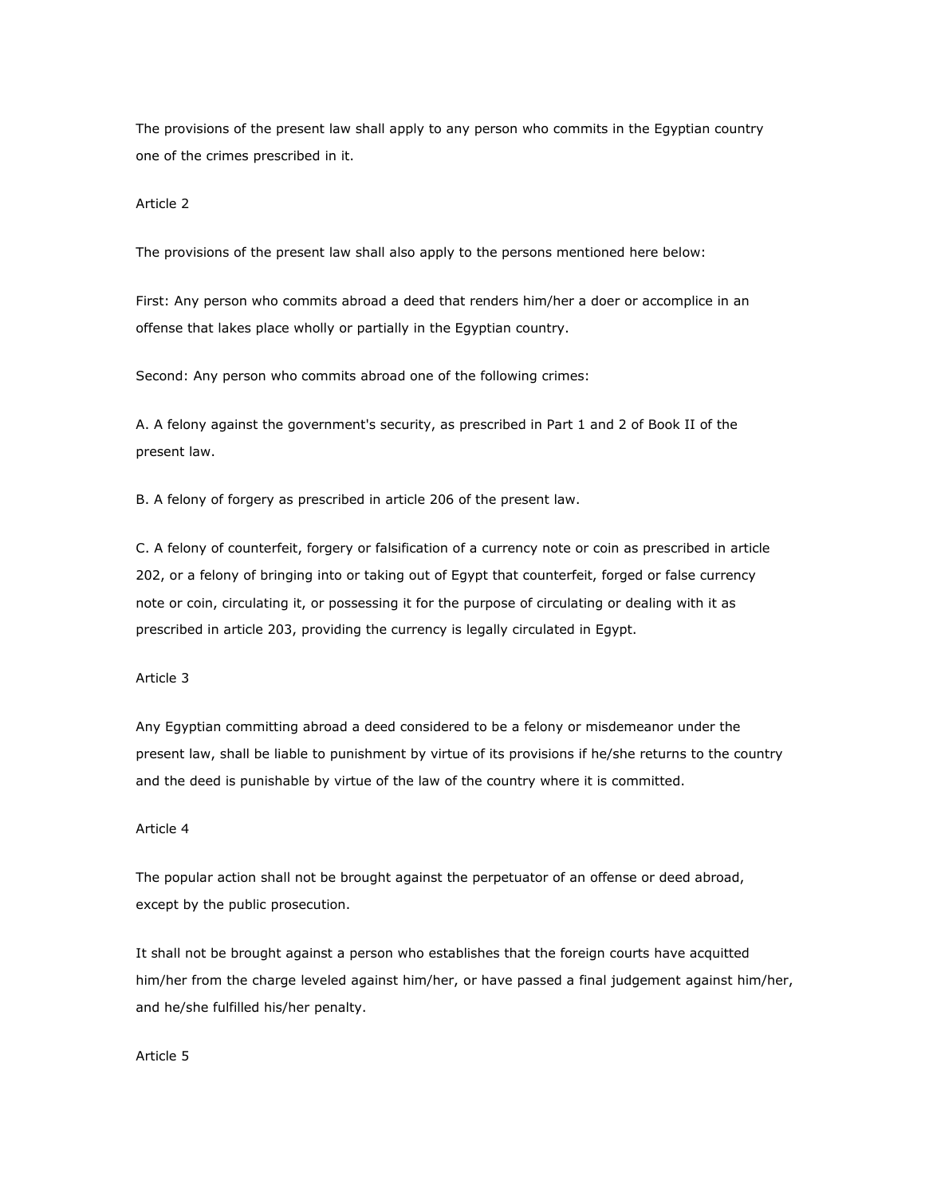The provisions of the present law shall apply to any person who commits in the Egyptian country one of the crimes prescribed in it.

### Article 2

The provisions of the present law shall also apply to the persons mentioned here below:

First: Any person who commits abroad a deed that renders him/her a doer or accomplice in an offense that lakes place wholly or partially in the Egyptian country.

Second: Any person who commits abroad one of the following crimes:

A. A felony against the government's security, as prescribed in Part 1 and 2 of Book II of the present law.

B. A felony of forgery as prescribed in article 206 of the present law.

C. A felony of counterfeit, forgery or falsification of a currency note or coin as prescribed in article 202, or a felony of bringing into or taking out of Egypt that counterfeit, forged or false currency note or coin, circulating it, or possessing it for the purpose of circulating or dealing with it as prescribed in article 203, providing the currency is legally circulated in Egypt.

## Article 3

Any Egyptian committing abroad a deed considered to be a felony or misdemeanor under the present law, shall be liable to punishment by virtue of its provisions if he/she returns to the country and the deed is punishable by virtue of the law of the country where it is committed.

### Article 4

The popular action shall not be brought against the perpetuator of an offense or deed abroad, except by the public prosecution.

It shall not be brought against a person who establishes that the foreign courts have acquitted him/her from the charge leveled against him/her, or have passed a final judgement against him/her, and he/she fulfilled his/her penalty.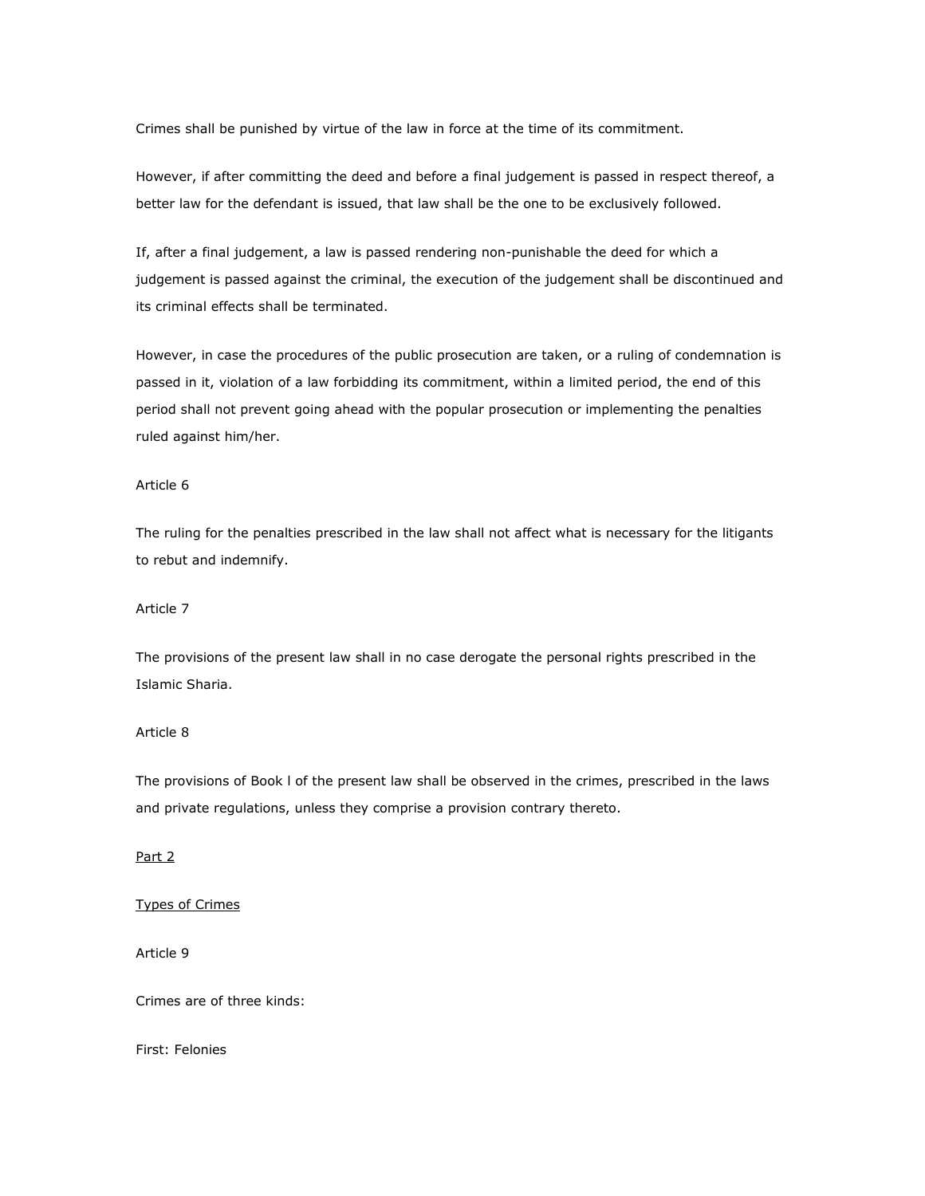Crimes shall be punished by virtue of the law in force at the time of its commitment.

However, if after committing the deed and before a final judgement is passed in respect thereof, a better law for the defendant is issued, that law shall be the one to be exclusively followed.

If, after a final judgement, a law is passed rendering non-punishable the deed for which a judgement is passed against the criminal, the execution of the judgement shall be discontinued and its criminal effects shall be terminated.

However, in case the procedures of the public prosecution are taken, or a ruling of condemnation is passed in it, violation of a law forbidding its commitment, within a limited period, the end of this period shall not prevent going ahead with the popular prosecution or implementing the penalties ruled against him/her.

## Article 6

The ruling for the penalties prescribed in the law shall not affect what is necessary for the litigants to rebut and indemnify.

#### Article 7

The provisions of the present law shall in no case derogate the personal rights prescribed in the Islamic Sharia.

## Article 8

The provisions of Book l of the present law shall be observed in the crimes, prescribed in the laws and private regulations, unless they comprise a provision contrary thereto.

# Part 2

## Types of Crimes

Article 9

Crimes are of three kinds:

First: Felonies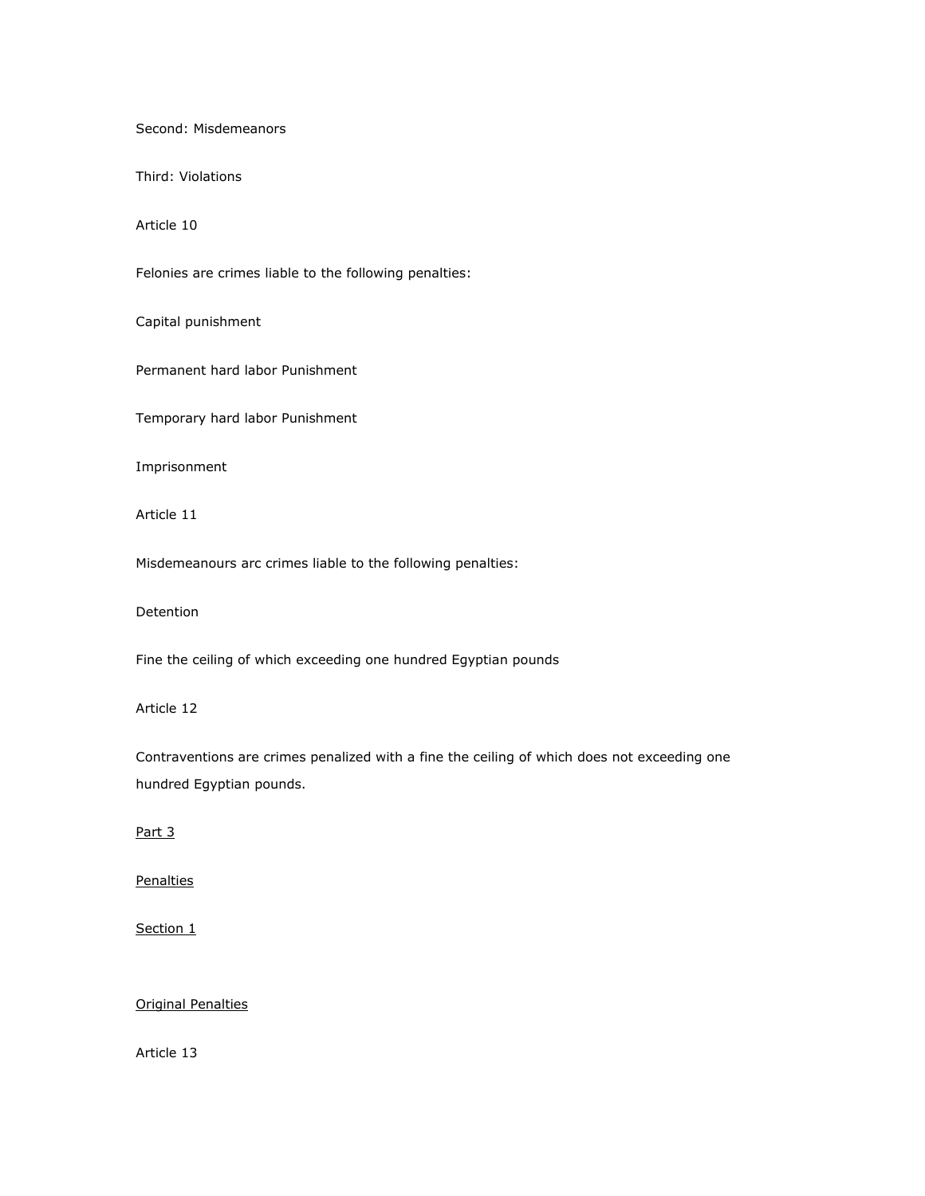Second: Misdemeanors

Third: Violations

Article 10

Felonies are crimes liable to the following penalties:

Capital punishment

Permanent hard labor Punishment

Temporary hard labor Punishment

Imprisonment

Article 11

Misdemeanours arc crimes liable to the following penalties:

Detention

Fine the ceiling of which exceeding one hundred Egyptian pounds

Article 12

Contraventions are crimes penalized with a fine the ceiling of which does not exceeding one hundred Egyptian pounds.

Part 3

**Penalties** 

Section 1

# Original Penalties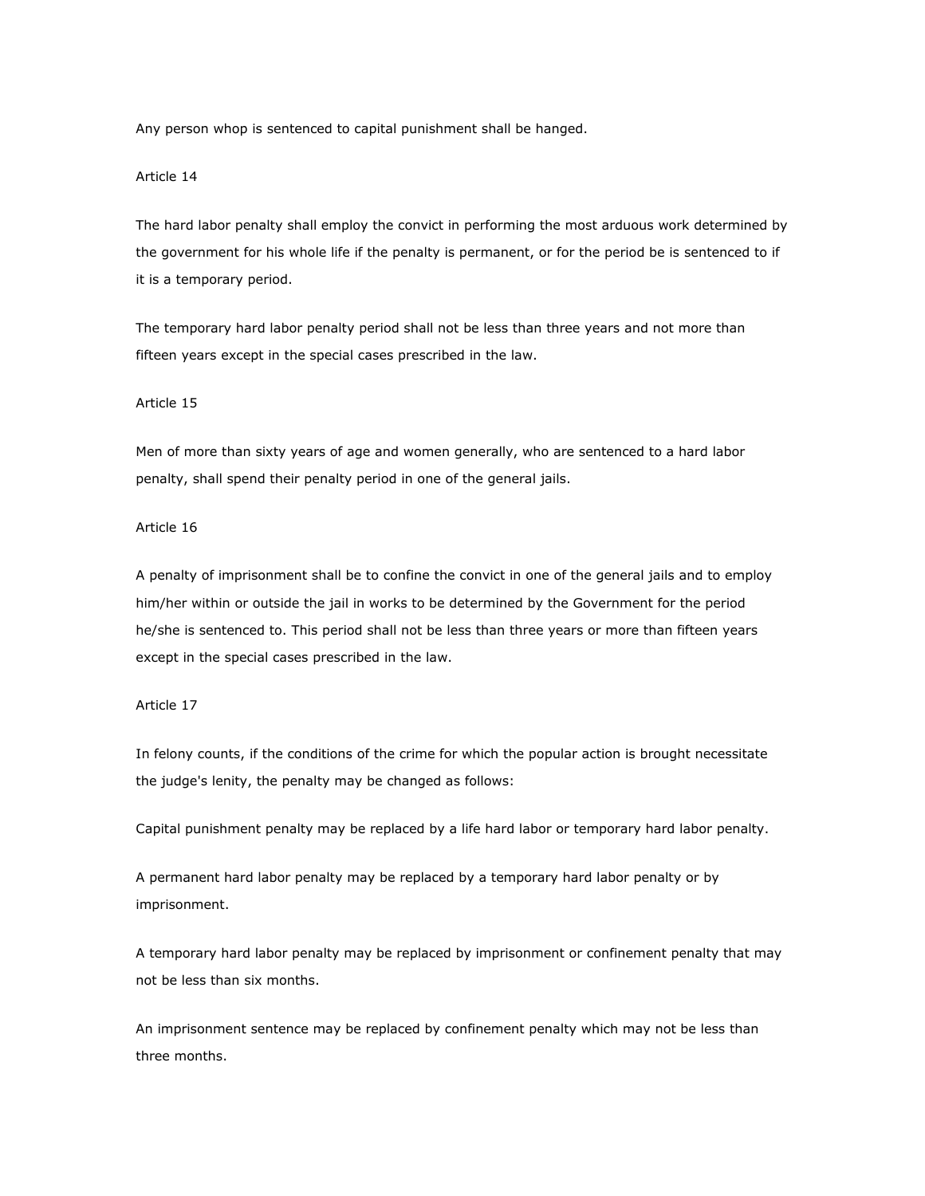Any person whop is sentenced to capital punishment shall be hanged.

## Article 14

The hard labor penalty shall employ the convict in performing the most arduous work determined by the government for his whole life if the penalty is permanent, or for the period be is sentenced to if it is a temporary period.

The temporary hard labor penalty period shall not be less than three years and not more than fifteen years except in the special cases prescribed in the law.

#### Article 15

Men of more than sixty years of age and women generally, who are sentenced to a hard labor penalty, shall spend their penalty period in one of the general jails.

# Article 16

A penalty of imprisonment shall be to confine the convict in one of the general jails and to employ him/her within or outside the jail in works to be determined by the Government for the period he/she is sentenced to. This period shall not be less than three years or more than fifteen years except in the special cases prescribed in the law.

### Article 17

In felony counts, if the conditions of the crime for which the popular action is brought necessitate the judge's lenity, the penalty may be changed as follows:

Capital punishment penalty may be replaced by a life hard labor or temporary hard labor penalty.

A permanent hard labor penalty may be replaced by a temporary hard labor penalty or by imprisonment.

A temporary hard labor penalty may be replaced by imprisonment or confinement penalty that may not be less than six months.

An imprisonment sentence may be replaced by confinement penalty which may not be less than three months.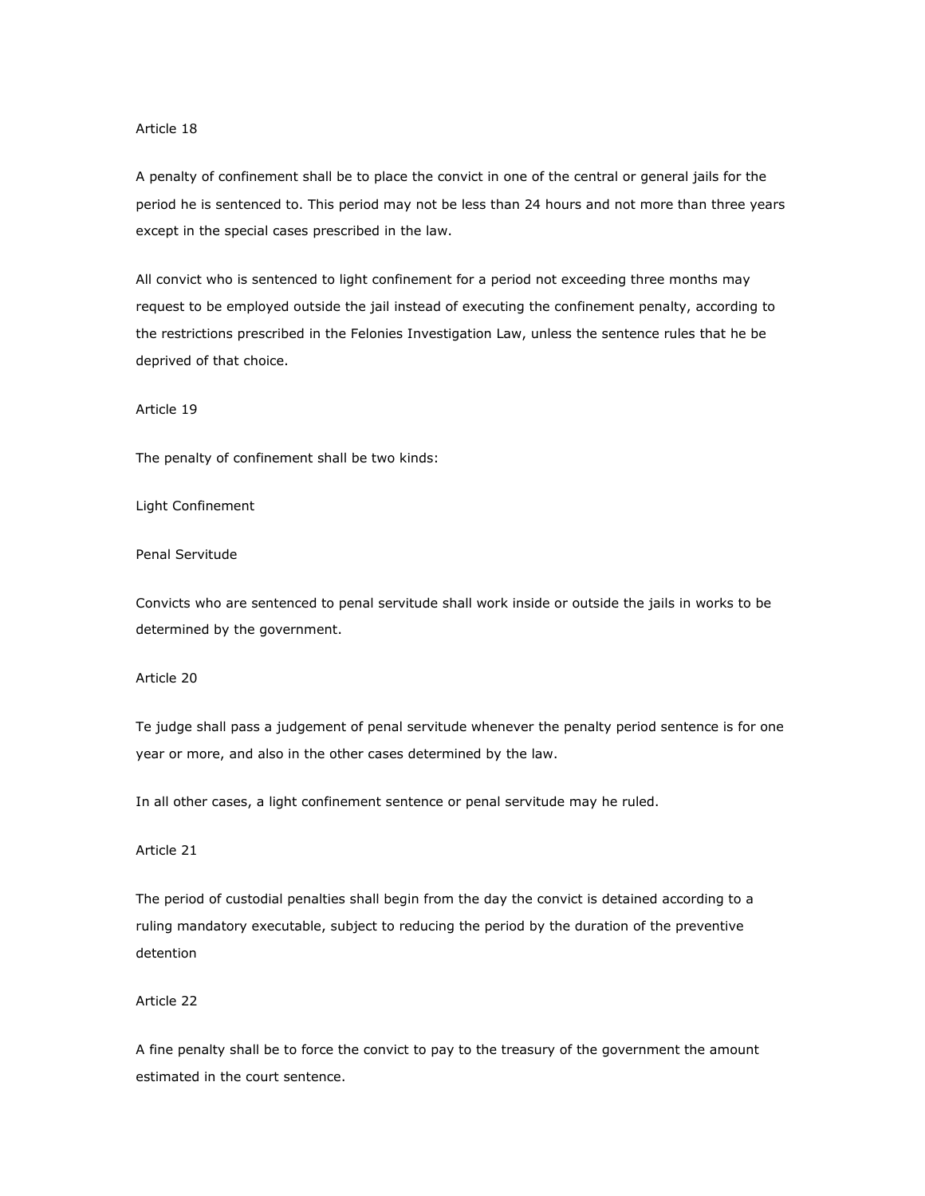## Article 18

A penalty of confinement shall be to place the convict in one of the central or general jails for the period he is sentenced to. This period may not be less than 24 hours and not more than three years except in the special cases prescribed in the law.

All convict who is sentenced to light confinement for a period not exceeding three months may request to be employed outside the jail instead of executing the confinement penalty, according to the restrictions prescribed in the Felonies Investigation Law, unless the sentence rules that he be deprived of that choice.

Article 19

The penalty of confinement shall be two kinds:

Light Confinement

Penal Servitude

Convicts who are sentenced to penal servitude shall work inside or outside the jails in works to be determined by the government.

Article 20

Te judge shall pass a judgement of penal servitude whenever the penalty period sentence is for one year or more, and also in the other cases determined by the law.

In all other cases, a light confinement sentence or penal servitude may he ruled.

Article 21

The period of custodial penalties shall begin from the day the convict is detained according to a ruling mandatory executable, subject to reducing the period by the duration of the preventive detention

Article 22

A fine penalty shall be to force the convict to pay to the treasury of the government the amount estimated in the court sentence.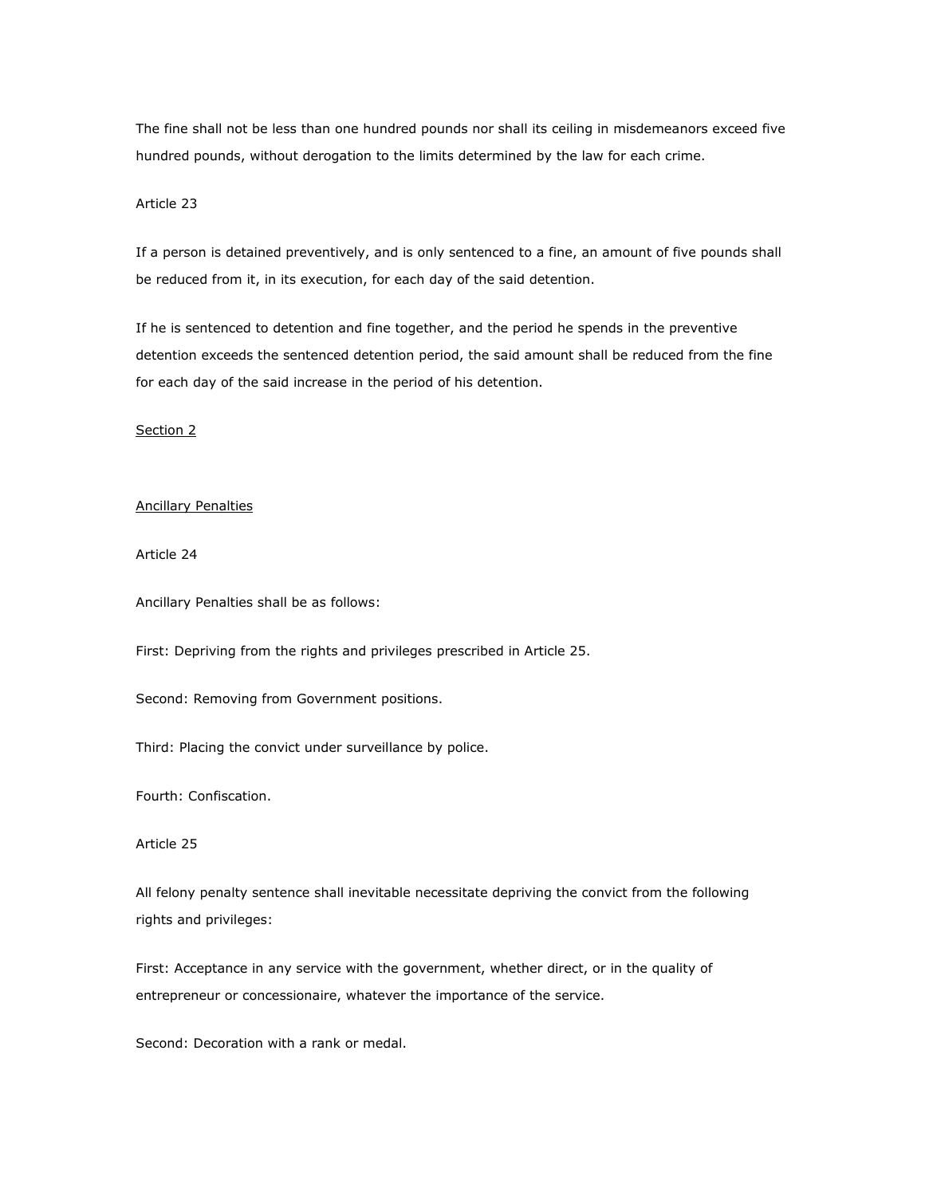The fine shall not be less than one hundred pounds nor shall its ceiling in misdemeanors exceed five hundred pounds, without derogation to the limits determined by the law for each crime.

### Article 23

If a person is detained preventively, and is only sentenced to a fine, an amount of five pounds shall be reduced from it, in its execution, for each day of the said detention.

If he is sentenced to detention and fine together, and the period he spends in the preventive detention exceeds the sentenced detention period, the said amount shall be reduced from the fine for each day of the said increase in the period of his detention.

Section 2

#### Ancillary Penalties

Article 24

Ancillary Penalties shall be as follows:

First: Depriving from the rights and privileges prescribed in Article 25.

Second: Removing from Government positions.

Third: Placing the convict under surveillance by police.

Fourth: Confiscation.

Article 25

All felony penalty sentence shall inevitable necessitate depriving the convict from the following rights and privileges:

First: Acceptance in any service with the government, whether direct, or in the quality of entrepreneur or concessionaire, whatever the importance of the service.

Second: Decoration with a rank or medal.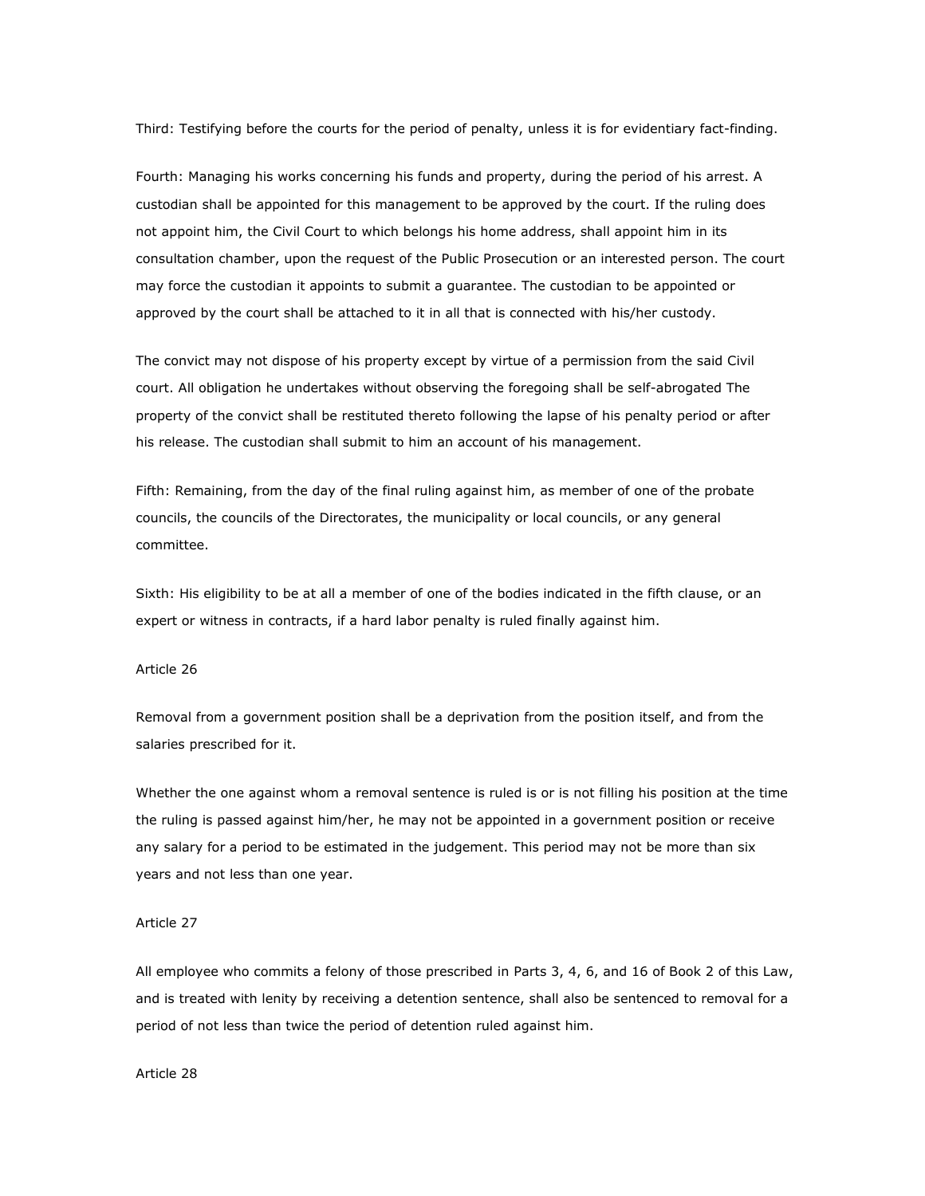Third: Testifying before the courts for the period of penalty, unless it is for evidentiary fact-finding.

Fourth: Managing his works concerning his funds and property, during the period of his arrest. A custodian shall be appointed for this management to be approved by the court. If the ruling does not appoint him, the Civil Court to which belongs his home address, shall appoint him in its consultation chamber, upon the request of the Public Prosecution or an interested person. The court may force the custodian it appoints to submit a guarantee. The custodian to be appointed or approved by the court shall be attached to it in all that is connected with his/her custody.

The convict may not dispose of his property except by virtue of a permission from the said Civil court. All obligation he undertakes without observing the foregoing shall be self-abrogated The property of the convict shall be restituted thereto following the lapse of his penalty period or after his release. The custodian shall submit to him an account of his management.

Fifth: Remaining, from the day of the final ruling against him, as member of one of the probate councils, the councils of the Directorates, the municipality or local councils, or any general committee.

Sixth: His eligibility to be at all a member of one of the bodies indicated in the fifth clause, or an expert or witness in contracts, if a hard labor penalty is ruled finally against him.

#### Article 26

Removal from a government position shall be a deprivation from the position itself, and from the salaries prescribed for it.

Whether the one against whom a removal sentence is ruled is or is not filling his position at the time the ruling is passed against him/her, he may not be appointed in a government position or receive any salary for a period to be estimated in the judgement. This period may not be more than six years and not less than one year.

## Article 27

All employee who commits a felony of those prescribed in Parts 3, 4, 6, and 16 of Book 2 of this Law, and is treated with lenity by receiving a detention sentence, shall also be sentenced to removal for a period of not less than twice the period of detention ruled against him.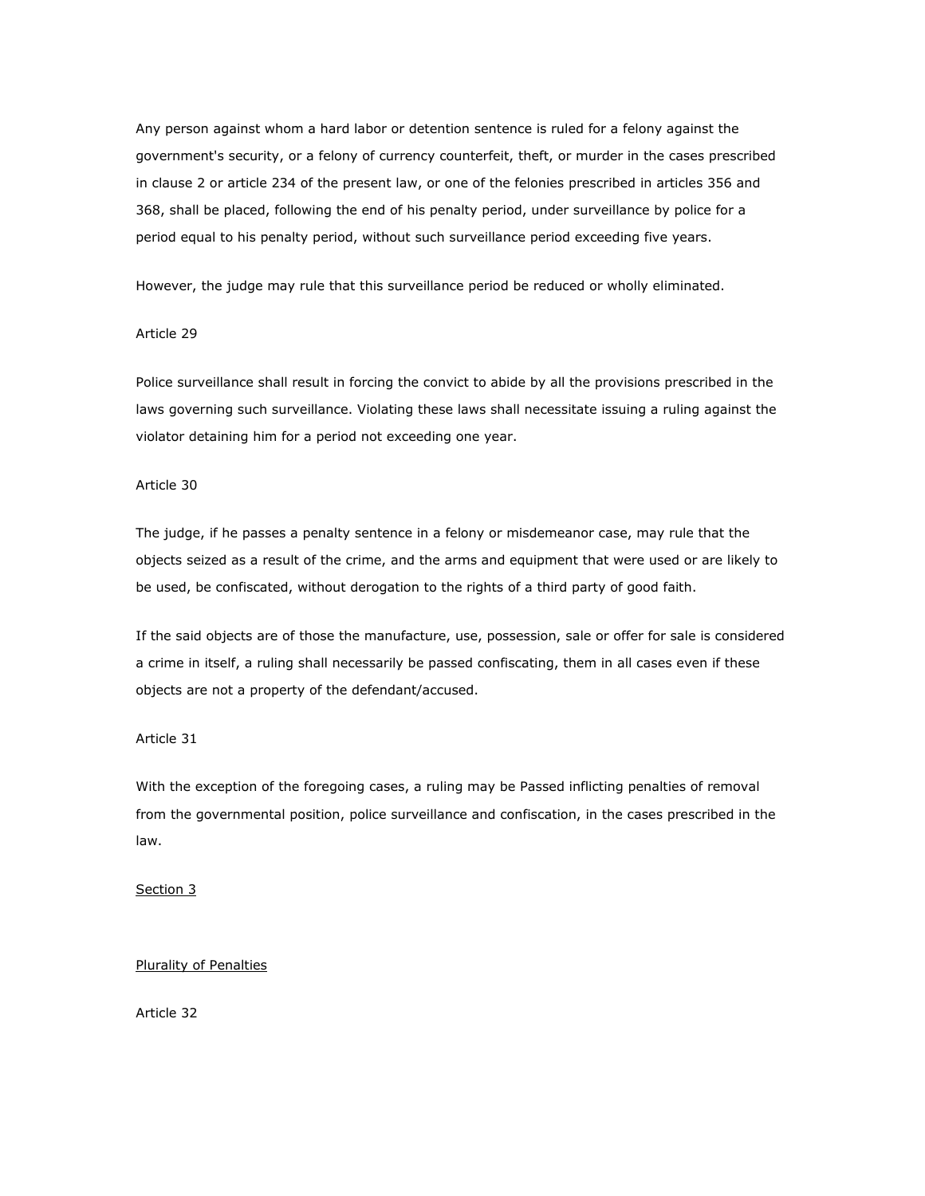Any person against whom a hard labor or detention sentence is ruled for a felony against the government's security, or a felony of currency counterfeit, theft, or murder in the cases prescribed in clause 2 or article 234 of the present law, or one of the felonies prescribed in articles 356 and 368, shall be placed, following the end of his penalty period, under surveillance by police for a period equal to his penalty period, without such surveillance period exceeding five years.

However, the judge may rule that this surveillance period be reduced or wholly eliminated.

## Article 29

Police surveillance shall result in forcing the convict to abide by all the provisions prescribed in the laws governing such surveillance. Violating these laws shall necessitate issuing a ruling against the violator detaining him for a period not exceeding one year.

## Article 30

The judge, if he passes a penalty sentence in a felony or misdemeanor case, may rule that the objects seized as a result of the crime, and the arms and equipment that were used or are likely to be used, be confiscated, without derogation to the rights of a third party of good faith.

If the said objects are of those the manufacture, use, possession, sale or offer for sale is considered a crime in itself, a ruling shall necessarily be passed confiscating, them in all cases even if these objects are not a property of the defendant/accused.

## Article 31

With the exception of the foregoing cases, a ruling may be Passed inflicting penalties of removal from the governmental position, police surveillance and confiscation, in the cases prescribed in the law.

### Section 3

Plurality of Penalties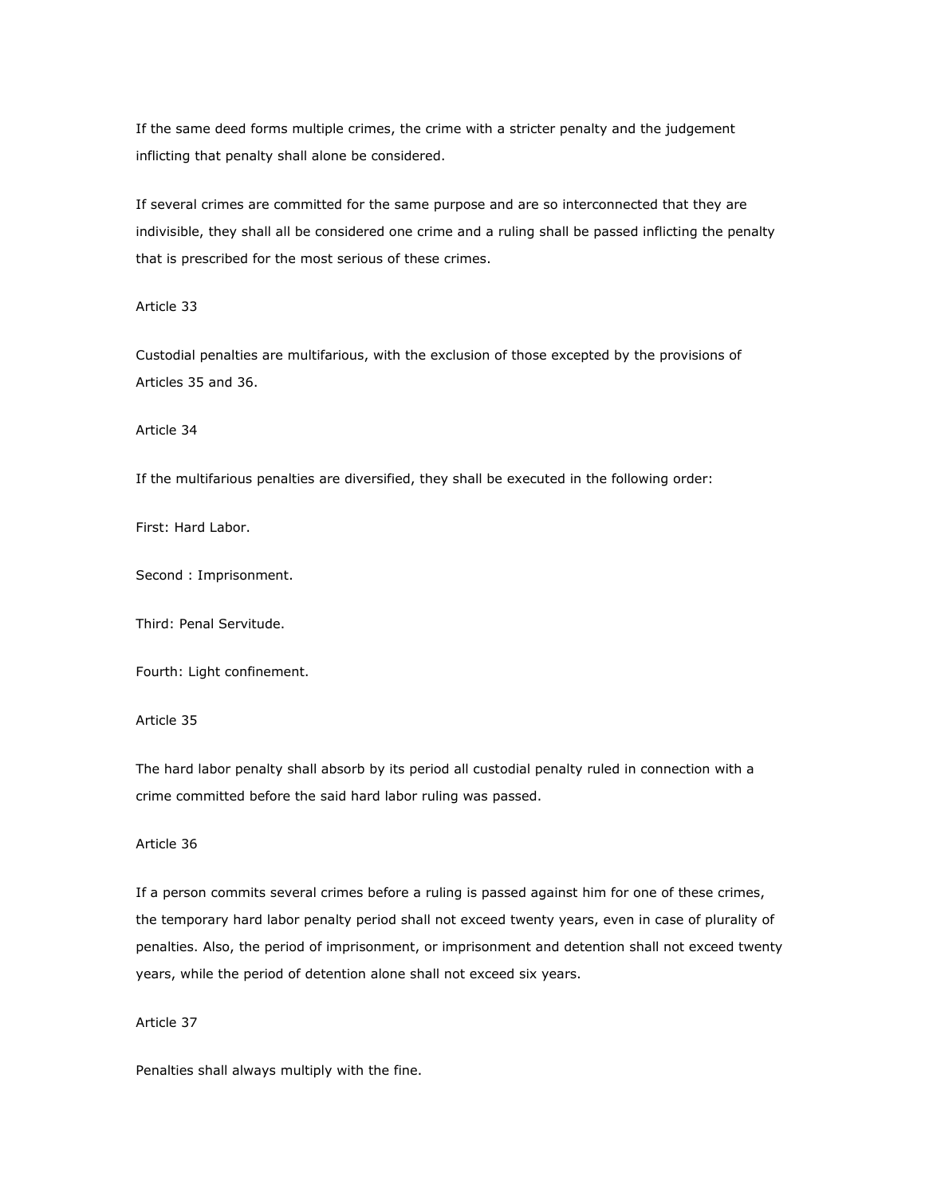If the same deed forms multiple crimes, the crime with a stricter penalty and the judgement inflicting that penalty shall alone be considered.

If several crimes are committed for the same purpose and are so interconnected that they are indivisible, they shall all be considered one crime and a ruling shall be passed inflicting the penalty that is prescribed for the most serious of these crimes.

Article 33

Custodial penalties are multifarious, with the exclusion of those excepted by the provisions of Articles 35 and 36.

Article 34

If the multifarious penalties are diversified, they shall be executed in the following order:

First: Hard Labor.

Second : Imprisonment.

Third: Penal Servitude.

Fourth: Light confinement.

Article 35

The hard labor penalty shall absorb by its period all custodial penalty ruled in connection with a crime committed before the said hard labor ruling was passed.

Article 36

If a person commits several crimes before a ruling is passed against him for one of these crimes, the temporary hard labor penalty period shall not exceed twenty years, even in case of plurality of penalties. Also, the period of imprisonment, or imprisonment and detention shall not exceed twenty years, while the period of detention alone shall not exceed six years.

Article 37

Penalties shall always multiply with the fine.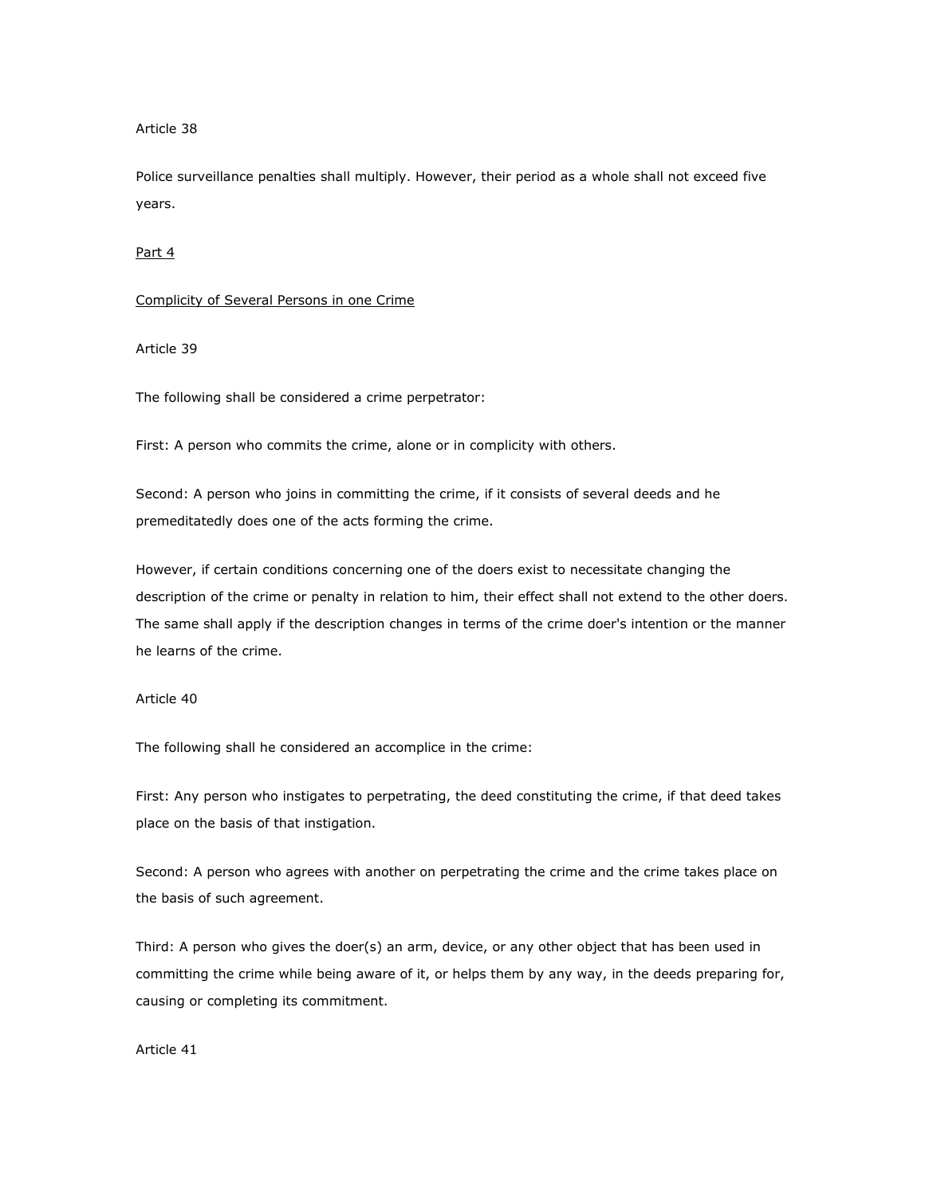#### Article 38

Police surveillance penalties shall multiply. However, their period as a whole shall not exceed five years.

### Part 4

#### Complicity of Several Persons in one Crime

## Article 39

The following shall be considered a crime perpetrator:

First: A person who commits the crime, alone or in complicity with others.

Second: A person who joins in committing the crime, if it consists of several deeds and he premeditatedly does one of the acts forming the crime.

However, if certain conditions concerning one of the doers exist to necessitate changing the description of the crime or penalty in relation to him, their effect shall not extend to the other doers. The same shall apply if the description changes in terms of the crime doer's intention or the manner he learns of the crime.

## Article 40

The following shall he considered an accomplice in the crime:

First: Any person who instigates to perpetrating, the deed constituting the crime, if that deed takes place on the basis of that instigation.

Second: A person who agrees with another on perpetrating the crime and the crime takes place on the basis of such agreement.

Third: A person who gives the doer(s) an arm, device, or any other object that has been used in committing the crime while being aware of it, or helps them by any way, in the deeds preparing for, causing or completing its commitment.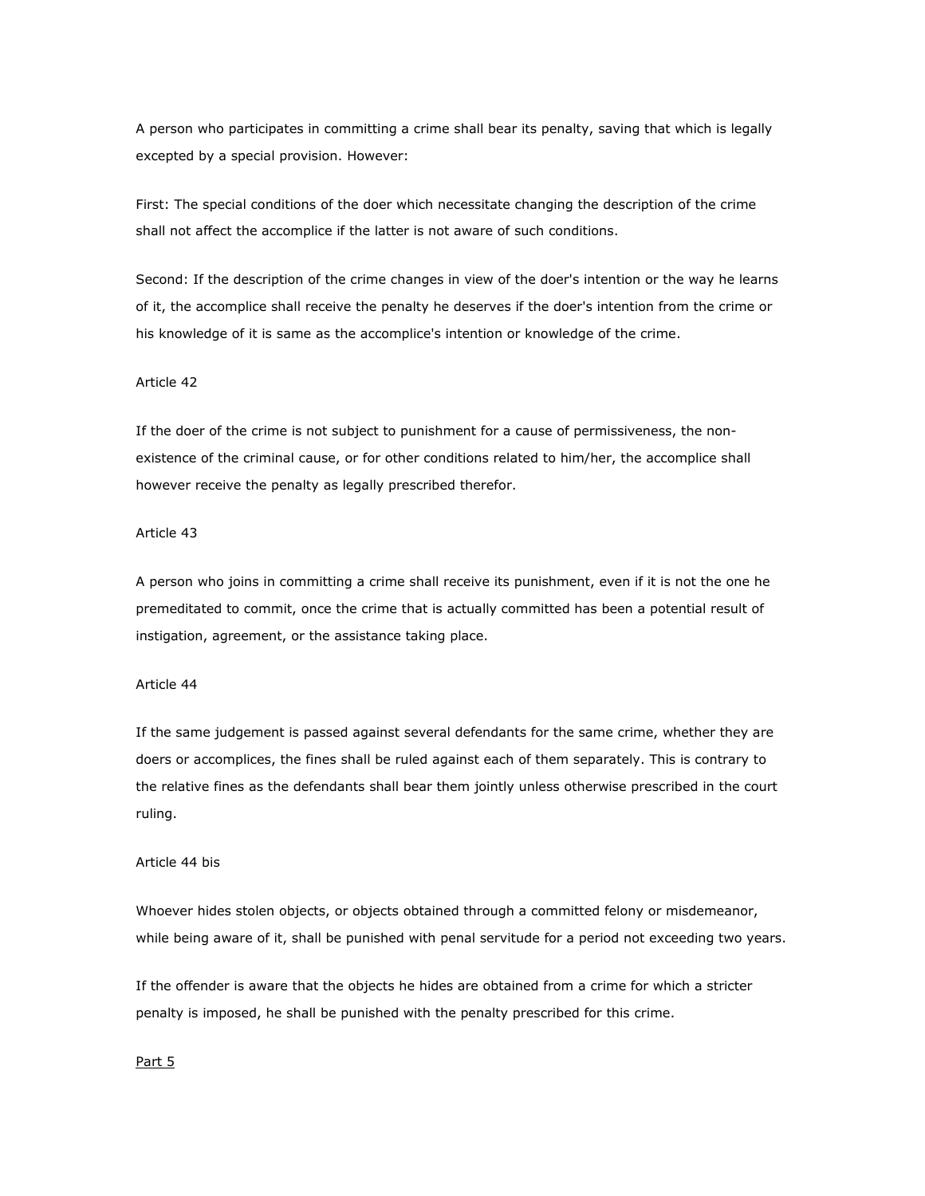A person who participates in committing a crime shall bear its penalty, saving that which is legally excepted by a special provision. However:

First: The special conditions of the doer which necessitate changing the description of the crime shall not affect the accomplice if the latter is not aware of such conditions.

Second: If the description of the crime changes in view of the doer's intention or the way he learns of it, the accomplice shall receive the penalty he deserves if the doer's intention from the crime or his knowledge of it is same as the accomplice's intention or knowledge of the crime.

### Article 42

If the doer of the crime is not subject to punishment for a cause of permissiveness, the nonexistence of the criminal cause, or for other conditions related to him/her, the accomplice shall however receive the penalty as legally prescribed therefor.

## Article 43

A person who joins in committing a crime shall receive its punishment, even if it is not the one he premeditated to commit, once the crime that is actually committed has been a potential result of instigation, agreement, or the assistance taking place.

# Article 44

If the same judgement is passed against several defendants for the same crime, whether they are doers or accomplices, the fines shall be ruled against each of them separately. This is contrary to the relative fines as the defendants shall bear them jointly unless otherwise prescribed in the court ruling.

### Article 44 bis

Whoever hides stolen objects, or objects obtained through a committed felony or misdemeanor, while being aware of it, shall be punished with penal servitude for a period not exceeding two years.

If the offender is aware that the objects he hides are obtained from a crime for which a stricter penalty is imposed, he shall be punished with the penalty prescribed for this crime.

## Part 5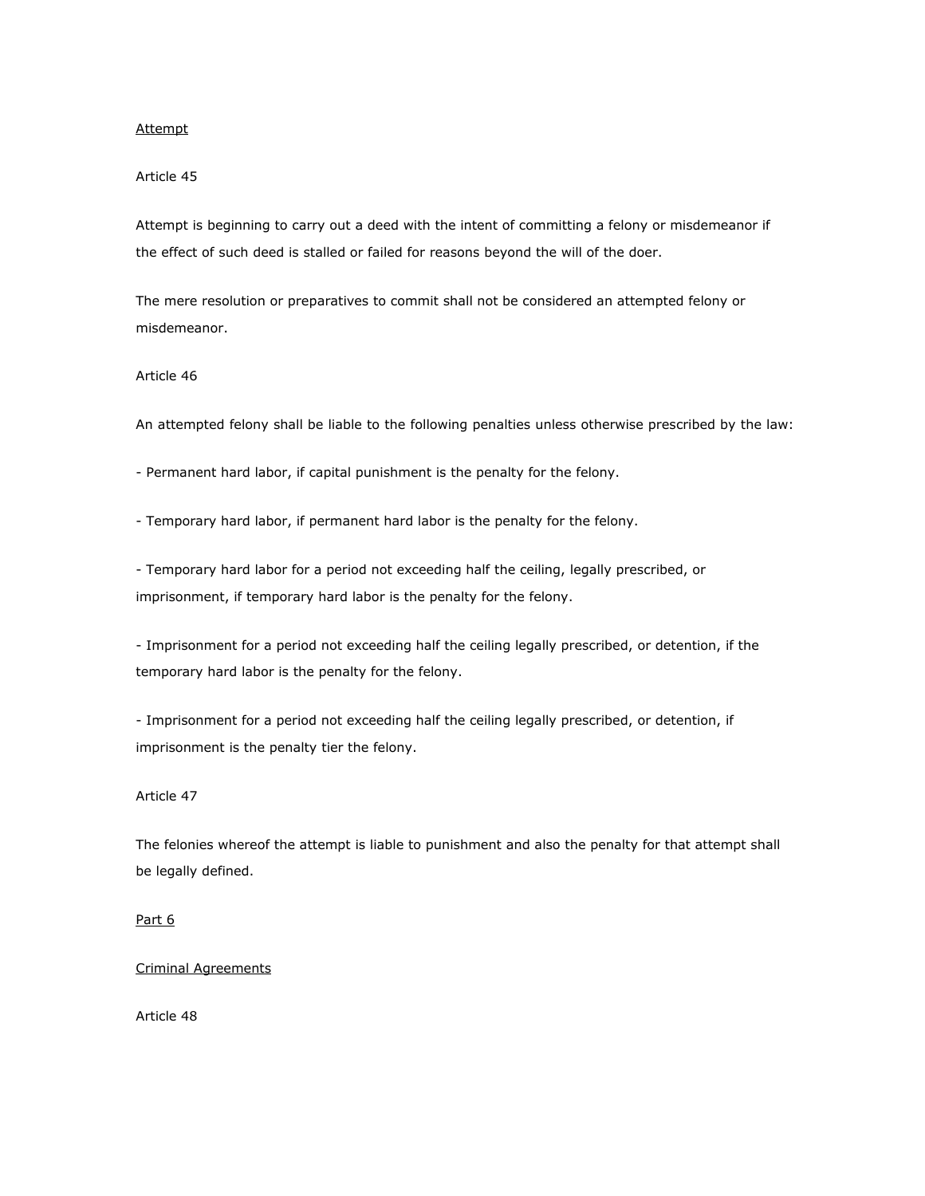### Attempt

## Article 45

Attempt is beginning to carry out a deed with the intent of committing a felony or misdemeanor if the effect of such deed is stalled or failed for reasons beyond the will of the doer.

The mere resolution or preparatives to commit shall not be considered an attempted felony or misdemeanor.

## Article 46

An attempted felony shall be liable to the following penalties unless otherwise prescribed by the law:

- Permanent hard labor, if capital punishment is the penalty for the felony.

- Temporary hard labor, if permanent hard labor is the penalty for the felony.

- Temporary hard labor for a period not exceeding half the ceiling, legally prescribed, or imprisonment, if temporary hard labor is the penalty for the felony.

- Imprisonment for a period not exceeding half the ceiling legally prescribed, or detention, if the temporary hard labor is the penalty for the felony.

- Imprisonment for a period not exceeding half the ceiling legally prescribed, or detention, if imprisonment is the penalty tier the felony.

## Article 47

The felonies whereof the attempt is liable to punishment and also the penalty for that attempt shall be legally defined.

## Part 6

## Criminal Agreements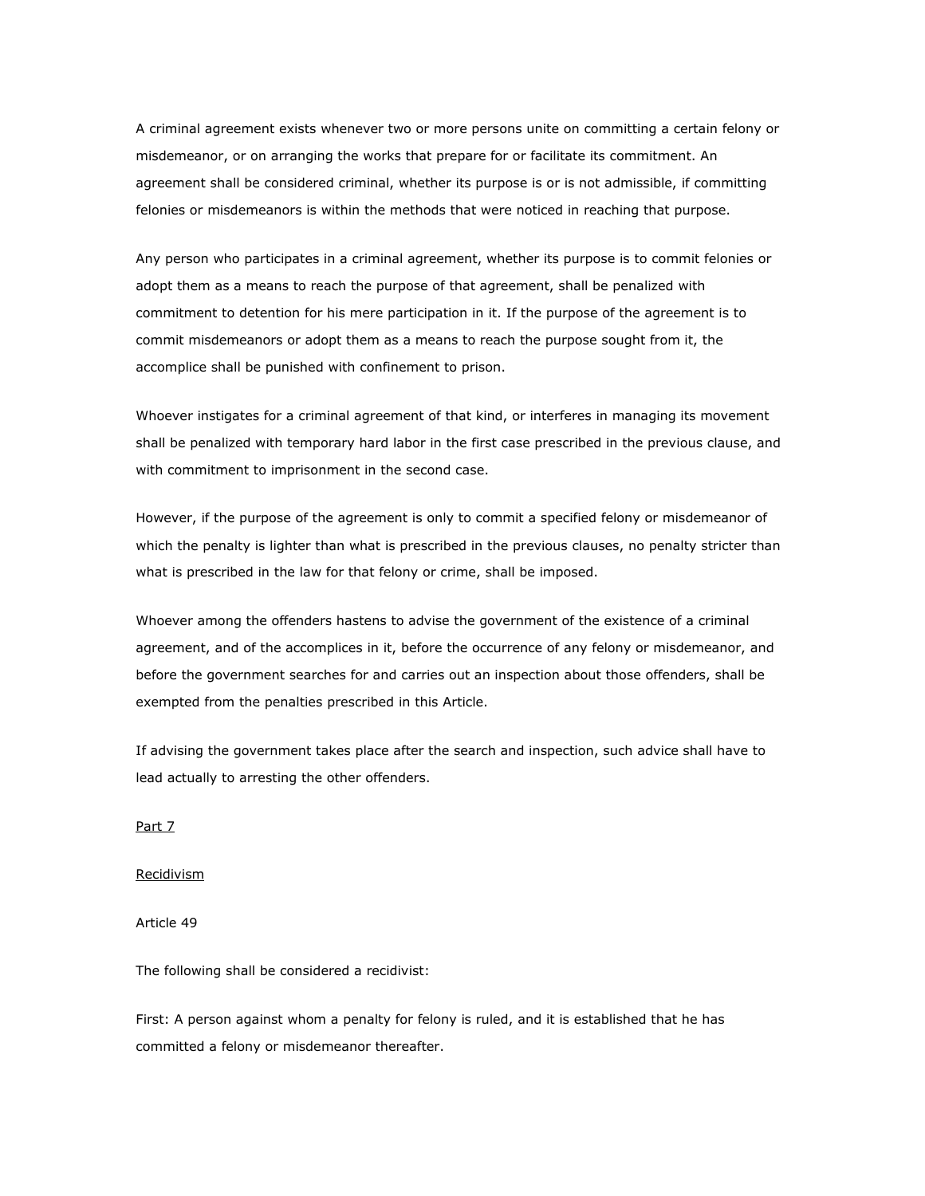A criminal agreement exists whenever two or more persons unite on committing a certain felony or misdemeanor, or on arranging the works that prepare for or facilitate its commitment. An agreement shall be considered criminal, whether its purpose is or is not admissible, if committing felonies or misdemeanors is within the methods that were noticed in reaching that purpose.

Any person who participates in a criminal agreement, whether its purpose is to commit felonies or adopt them as a means to reach the purpose of that agreement, shall be penalized with commitment to detention for his mere participation in it. If the purpose of the agreement is to commit misdemeanors or adopt them as a means to reach the purpose sought from it, the accomplice shall be punished with confinement to prison.

Whoever instigates for a criminal agreement of that kind, or interferes in managing its movement shall be penalized with temporary hard labor in the first case prescribed in the previous clause, and with commitment to imprisonment in the second case.

However, if the purpose of the agreement is only to commit a specified felony or misdemeanor of which the penalty is lighter than what is prescribed in the previous clauses, no penalty stricter than what is prescribed in the law for that felony or crime, shall be imposed.

Whoever among the offenders hastens to advise the government of the existence of a criminal agreement, and of the accomplices in it, before the occurrence of any felony or misdemeanor, and before the government searches for and carries out an inspection about those offenders, shall be exempted from the penalties prescribed in this Article.

If advising the government takes place after the search and inspection, such advice shall have to lead actually to arresting the other offenders.

Part 7

Recidivism

Article 49

The following shall be considered a recidivist:

First: A person against whom a penalty for felony is ruled, and it is established that he has committed a felony or misdemeanor thereafter.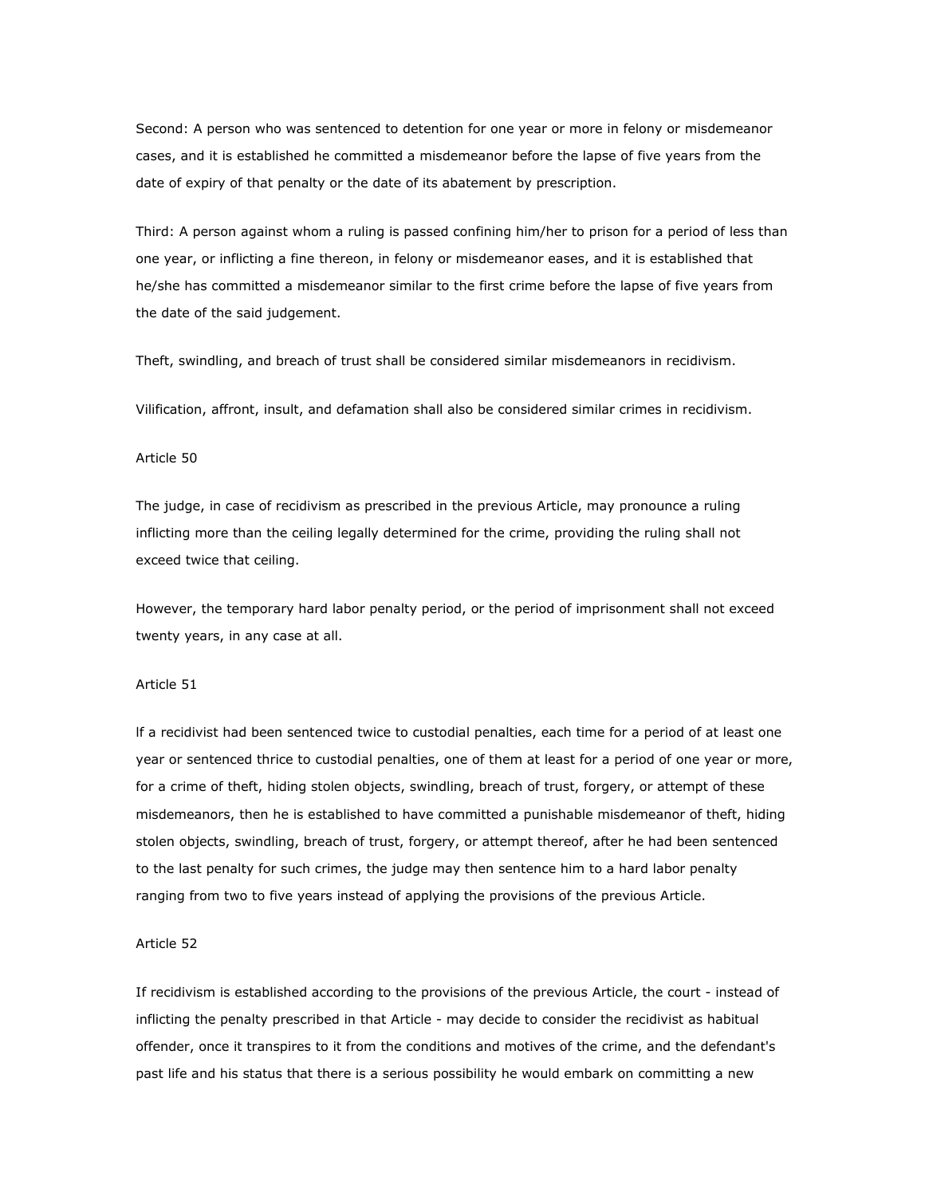Second: A person who was sentenced to detention for one year or more in felony or misdemeanor cases, and it is established he committed a misdemeanor before the lapse of five years from the date of expiry of that penalty or the date of its abatement by prescription.

Third: A person against whom a ruling is passed confining him/her to prison for a period of less than one year, or inflicting a fine thereon, in felony or misdemeanor eases, and it is established that he/she has committed a misdemeanor similar to the first crime before the lapse of five years from the date of the said judgement.

Theft, swindling, and breach of trust shall be considered similar misdemeanors in recidivism.

Vilification, affront, insult, and defamation shall also be considered similar crimes in recidivism.

### Article 50

The judge, in case of recidivism as prescribed in the previous Article, may pronounce a ruling inflicting more than the ceiling legally determined for the crime, providing the ruling shall not exceed twice that ceiling.

However, the temporary hard labor penalty period, or the period of imprisonment shall not exceed twenty years, in any case at all.

#### Article 51

lf a recidivist had been sentenced twice to custodial penalties, each time for a period of at least one year or sentenced thrice to custodial penalties, one of them at least for a period of one year or more, for a crime of theft, hiding stolen objects, swindling, breach of trust, forgery, or attempt of these misdemeanors, then he is established to have committed a punishable misdemeanor of theft, hiding stolen objects, swindling, breach of trust, forgery, or attempt thereof, after he had been sentenced to the last penalty for such crimes, the judge may then sentence him to a hard labor penalty ranging from two to five years instead of applying the provisions of the previous Article.

### Article 52

If recidivism is established according to the provisions of the previous Article, the court - instead of inflicting the penalty prescribed in that Article - may decide to consider the recidivist as habitual offender, once it transpires to it from the conditions and motives of the crime, and the defendant's past life and his status that there is a serious possibility he would embark on committing a new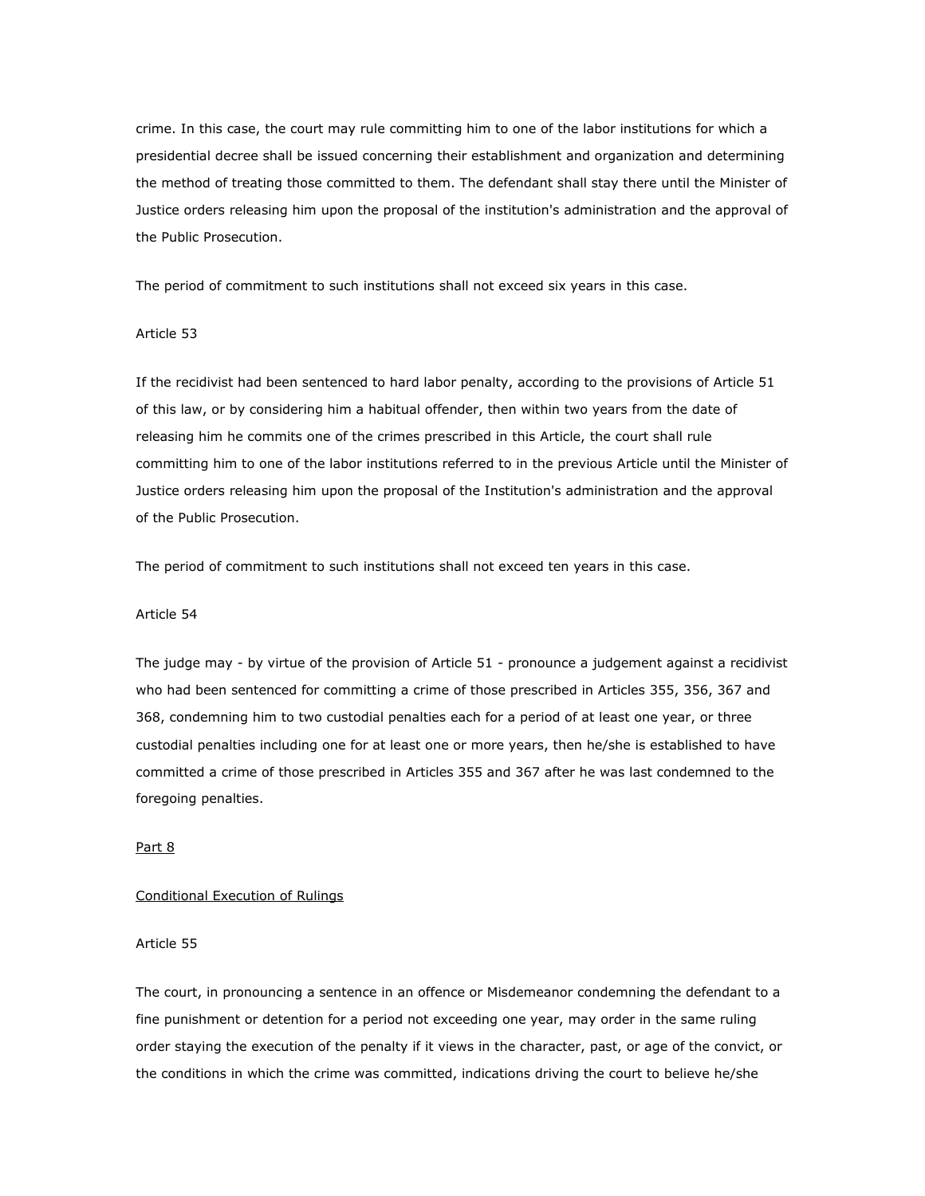crime. In this case, the court may rule committing him to one of the labor institutions for which a presidential decree shall be issued concerning their establishment and organization and determining the method of treating those committed to them. The defendant shall stay there until the Minister of Justice orders releasing him upon the proposal of the institution's administration and the approval of the Public Prosecution.

The period of commitment to such institutions shall not exceed six years in this case.

## Article 53

If the recidivist had been sentenced to hard labor penalty, according to the provisions of Article 51 of this law, or by considering him a habitual offender, then within two years from the date of releasing him he commits one of the crimes prescribed in this Article, the court shall rule committing him to one of the labor institutions referred to in the previous Article until the Minister of Justice orders releasing him upon the proposal of the Institution's administration and the approval of the Public Prosecution.

The period of commitment to such institutions shall not exceed ten years in this case.

### Article 54

The judge may - by virtue of the provision of Article 51 - pronounce a judgement against a recidivist who had been sentenced for committing a crime of those prescribed in Articles 355, 356, 367 and 368, condemning him to two custodial penalties each for a period of at least one year, or three custodial penalties including one for at least one or more years, then he/she is established to have committed a crime of those prescribed in Articles 355 and 367 after he was last condemned to the foregoing penalties.

## Part 8

### Conditional Execution of Rulings

### Article 55

The court, in pronouncing a sentence in an offence or Misdemeanor condemning the defendant to a fine punishment or detention for a period not exceeding one year, may order in the same ruling order staying the execution of the penalty if it views in the character, past, or age of the convict, or the conditions in which the crime was committed, indications driving the court to believe he/she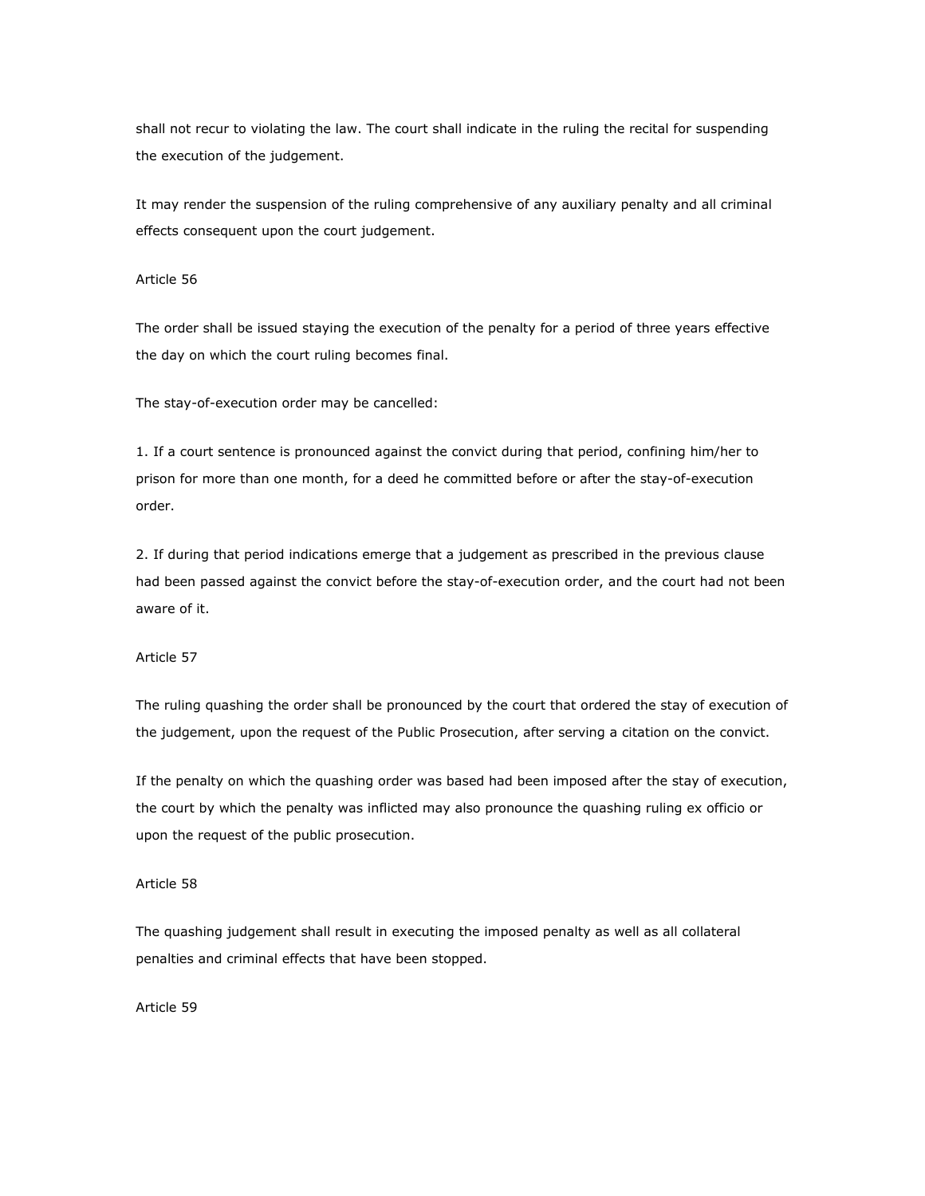shall not recur to violating the law. The court shall indicate in the ruling the recital for suspending the execution of the judgement.

It may render the suspension of the ruling comprehensive of any auxiliary penalty and all criminal effects consequent upon the court judgement.

### Article 56

The order shall be issued staying the execution of the penalty for a period of three years effective the day on which the court ruling becomes final.

The stay-of-execution order may be cancelled:

1. If a court sentence is pronounced against the convict during that period, confining him/her to prison for more than one month, for a deed he committed before or after the stay-of-execution order.

2. If during that period indications emerge that a judgement as prescribed in the previous clause had been passed against the convict before the stay-of-execution order, and the court had not been aware of it.

Article 57

The ruling quashing the order shall be pronounced by the court that ordered the stay of execution of the judgement, upon the request of the Public Prosecution, after serving a citation on the convict.

If the penalty on which the quashing order was based had been imposed after the stay of execution, the court by which the penalty was inflicted may also pronounce the quashing ruling ex officio or upon the request of the public prosecution.

## Article 58

The quashing judgement shall result in executing the imposed penalty as well as all collateral penalties and criminal effects that have been stopped.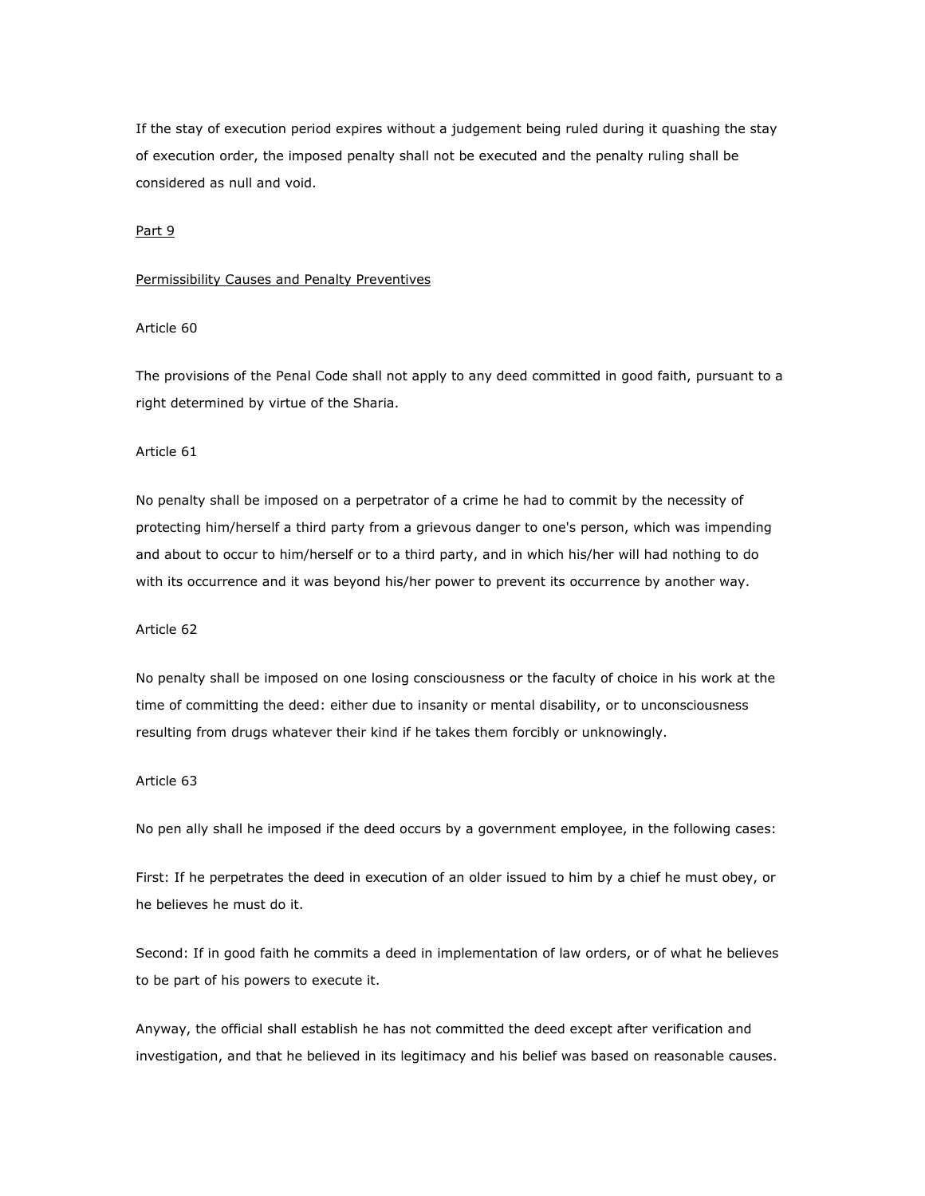If the stay of execution period expires without a judgement being ruled during it quashing the stay of execution order, the imposed penalty shall not be executed and the penalty ruling shall be considered as null and void.

### Part 9

#### Permissibility Causes and Penalty Preventives

## Article 60

The provisions of the Penal Code shall not apply to any deed committed in good faith, pursuant to a right determined by virtue of the Sharia.

## Article 61

No penalty shall be imposed on a perpetrator of a crime he had to commit by the necessity of protecting him/herself a third party from a grievous danger to one's person, which was impending and about to occur to him/herself or to a third party, and in which his/her will had nothing to do with its occurrence and it was beyond his/her power to prevent its occurrence by another way.

#### Article 62

No penalty shall be imposed on one losing consciousness or the faculty of choice in his work at the time of committing the deed: either due to insanity or mental disability, or to unconsciousness resulting from drugs whatever their kind if he takes them forcibly or unknowingly.

### Article 63

No pen ally shall he imposed if the deed occurs by a government employee, in the following cases:

First: If he perpetrates the deed in execution of an older issued to him by a chief he must obey, or he believes he must do it.

Second: If in good faith he commits a deed in implementation of law orders, or of what he believes to be part of his powers to execute it.

Anyway, the official shall establish he has not committed the deed except after verification and investigation, and that he believed in its legitimacy and his belief was based on reasonable causes.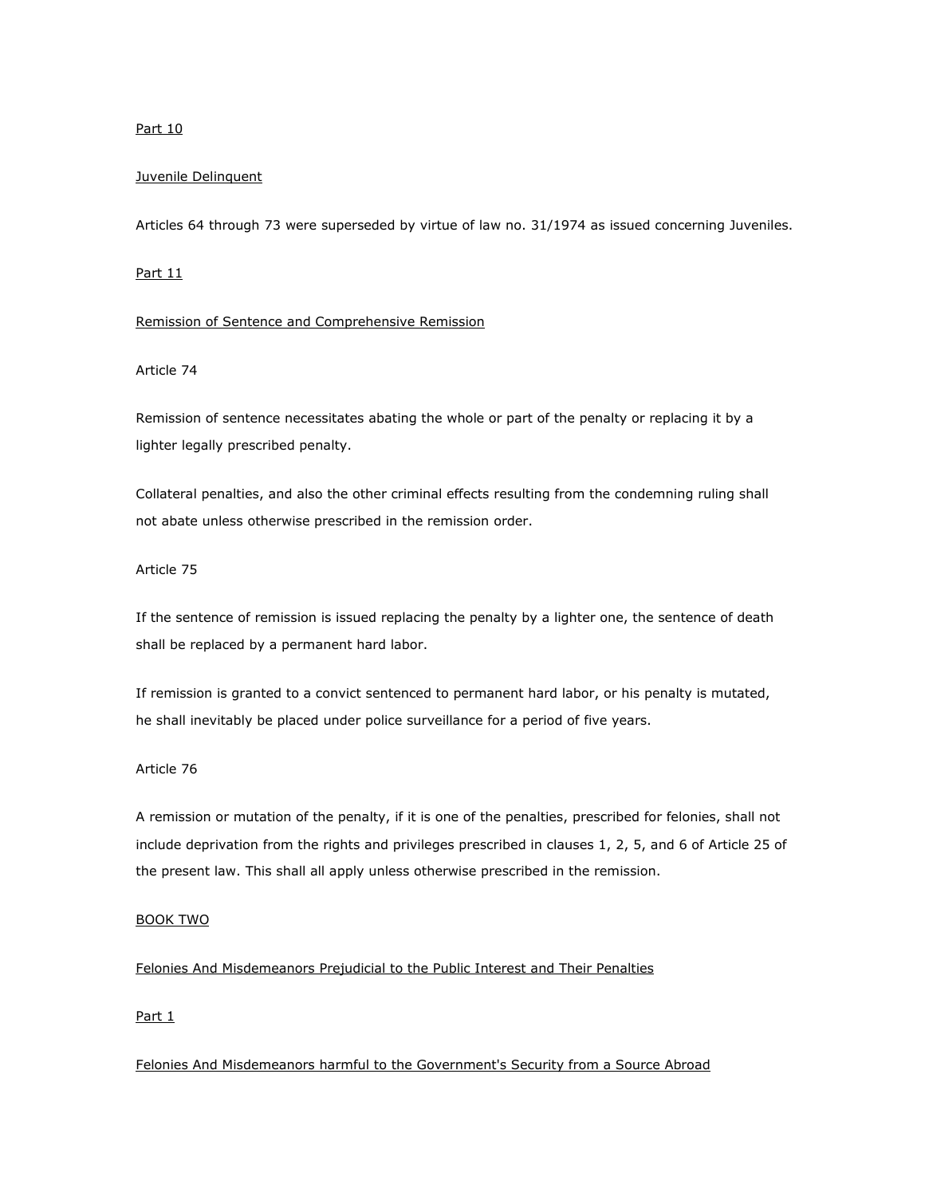### Part 10

### Juvenile Delinquent

Articles 64 through 73 were superseded by virtue of law no. 31/1974 as issued concerning Juveniles.

## Part 11

#### Remission of Sentence and Comprehensive Remission

### Article 74

Remission of sentence necessitates abating the whole or part of the penalty or replacing it by a lighter legally prescribed penalty.

Collateral penalties, and also the other criminal effects resulting from the condemning ruling shall not abate unless otherwise prescribed in the remission order.

### Article 75

If the sentence of remission is issued replacing the penalty by a lighter one, the sentence of death shall be replaced by a permanent hard labor.

If remission is granted to a convict sentenced to permanent hard labor, or his penalty is mutated, he shall inevitably be placed under police surveillance for a period of five years.

### Article 76

A remission or mutation of the penalty, if it is one of the penalties, prescribed for felonies, shall not include deprivation from the rights and privileges prescribed in clauses 1, 2, 5, and 6 of Article 25 of the present law. This shall all apply unless otherwise prescribed in the remission.

### BOOK TWO

## Felonies And Misdemeanors Prejudicial to the Public Interest and Their Penalties

### Part 1

Felonies And Misdemeanors harmful to the Government's Security from a Source Abroad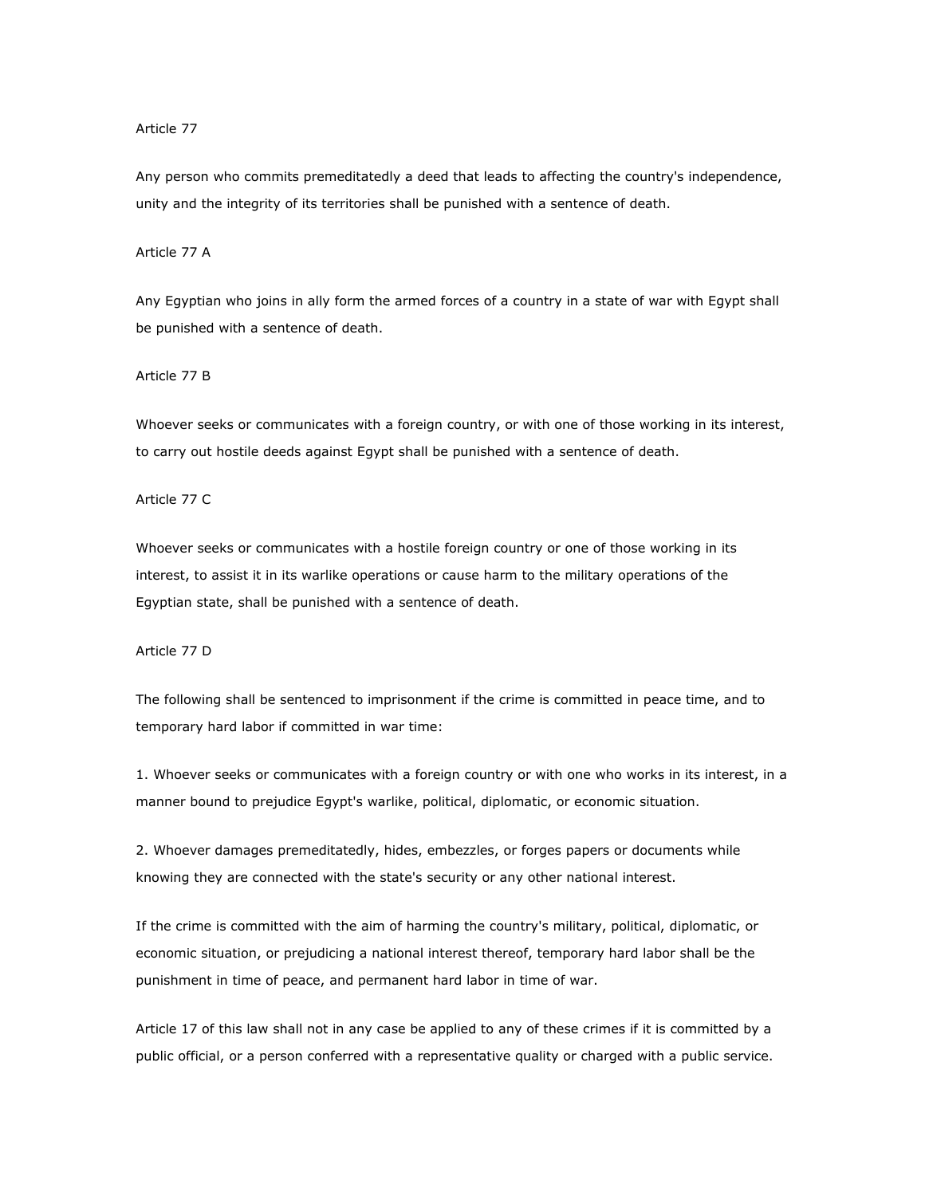#### Article 77

Any person who commits premeditatedly a deed that leads to affecting the country's independence, unity and the integrity of its territories shall be punished with a sentence of death.

## Article 77 A

Any Egyptian who joins in ally form the armed forces of a country in a state of war with Egypt shall be punished with a sentence of death.

Article 77 B

Whoever seeks or communicates with a foreign country, or with one of those working in its interest, to carry out hostile deeds against Egypt shall be punished with a sentence of death.

Article 77 C

Whoever seeks or communicates with a hostile foreign country or one of those working in its interest, to assist it in its warlike operations or cause harm to the military operations of the Egyptian state, shall be punished with a sentence of death.

Article 77 D

The following shall be sentenced to imprisonment if the crime is committed in peace time, and to temporary hard labor if committed in war time:

1. Whoever seeks or communicates with a foreign country or with one who works in its interest, in a manner bound to prejudice Egypt's warlike, political, diplomatic, or economic situation.

2. Whoever damages premeditatedly, hides, embezzles, or forges papers or documents while knowing they are connected with the state's security or any other national interest.

If the crime is committed with the aim of harming the country's military, political, diplomatic, or economic situation, or prejudicing a national interest thereof, temporary hard labor shall be the punishment in time of peace, and permanent hard labor in time of war.

Article 17 of this law shall not in any case be applied to any of these crimes if it is committed by a public official, or a person conferred with a representative quality or charged with a public service.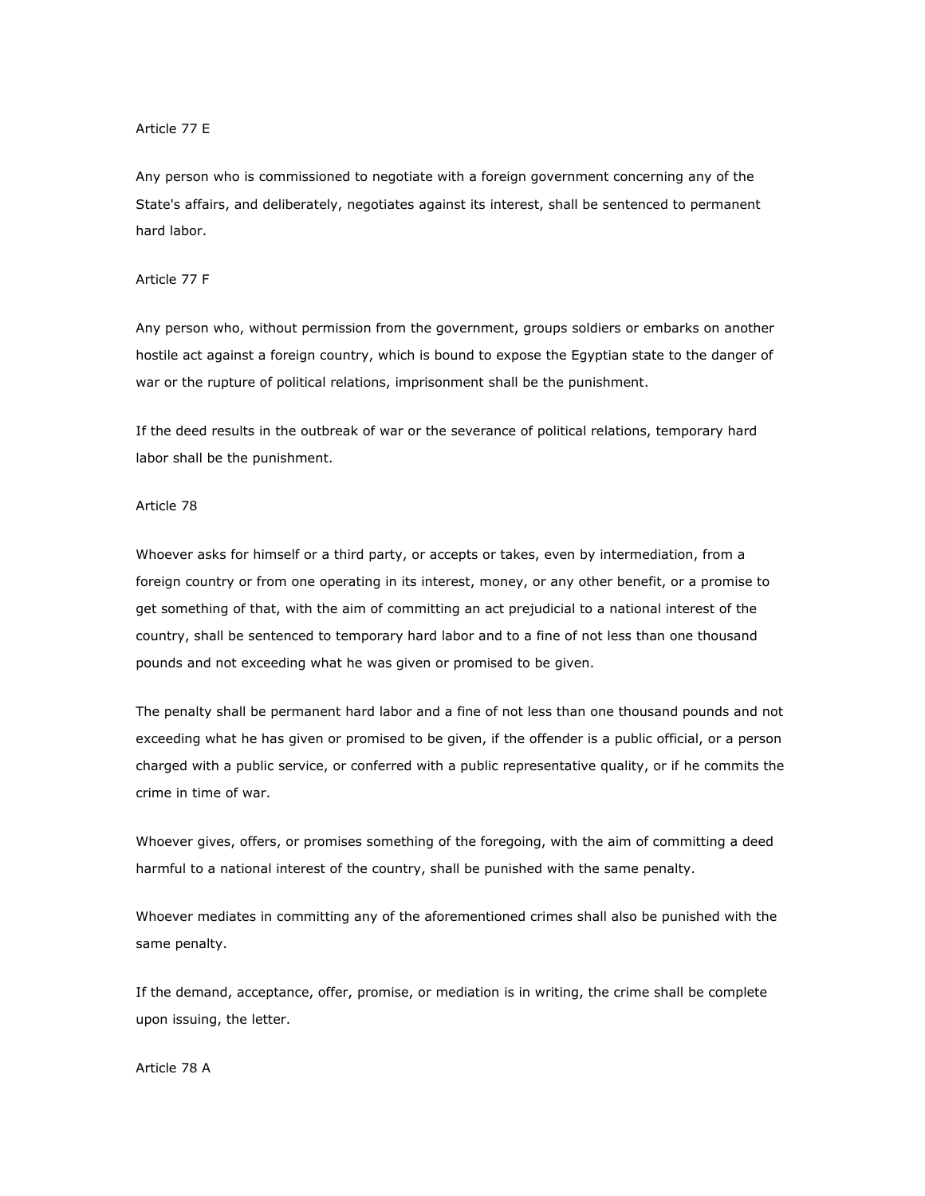### Article 77 E

Any person who is commissioned to negotiate with a foreign government concerning any of the State's affairs, and deliberately, negotiates against its interest, shall be sentenced to permanent hard labor.

#### Article 77 F

Any person who, without permission from the government, groups soldiers or embarks on another hostile act against a foreign country, which is bound to expose the Egyptian state to the danger of war or the rupture of political relations, imprisonment shall be the punishment.

If the deed results in the outbreak of war or the severance of political relations, temporary hard labor shall be the punishment.

#### Article 78

Whoever asks for himself or a third party, or accepts or takes, even by intermediation, from a foreign country or from one operating in its interest, money, or any other benefit, or a promise to get something of that, with the aim of committing an act prejudicial to a national interest of the country, shall be sentenced to temporary hard labor and to a fine of not less than one thousand pounds and not exceeding what he was given or promised to be given.

The penalty shall be permanent hard labor and a fine of not less than one thousand pounds and not exceeding what he has given or promised to be given, if the offender is a public official, or a person charged with a public service, or conferred with a public representative quality, or if he commits the crime in time of war.

Whoever gives, offers, or promises something of the foregoing, with the aim of committing a deed harmful to a national interest of the country, shall be punished with the same penalty.

Whoever mediates in committing any of the aforementioned crimes shall also be punished with the same penalty.

If the demand, acceptance, offer, promise, or mediation is in writing, the crime shall be complete upon issuing, the letter.

#### Article 78 A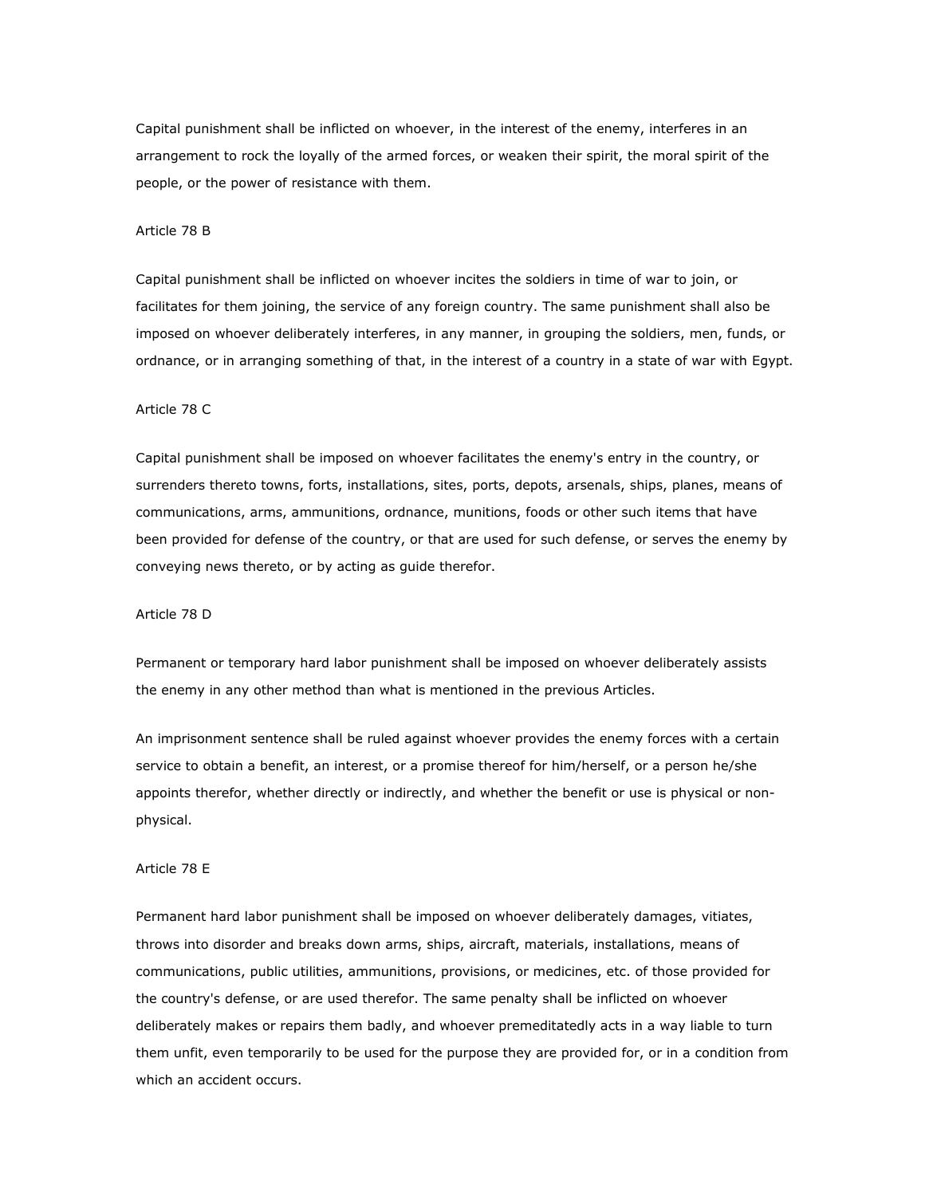Capital punishment shall be inflicted on whoever, in the interest of the enemy, interferes in an arrangement to rock the loyally of the armed forces, or weaken their spirit, the moral spirit of the people, or the power of resistance with them.

#### Article 78 B

Capital punishment shall be inflicted on whoever incites the soldiers in time of war to join, or facilitates for them joining, the service of any foreign country. The same punishment shall also be imposed on whoever deliberately interferes, in any manner, in grouping the soldiers, men, funds, or ordnance, or in arranging something of that, in the interest of a country in a state of war with Egypt.

#### Article 78 C

Capital punishment shall be imposed on whoever facilitates the enemy's entry in the country, or surrenders thereto towns, forts, installations, sites, ports, depots, arsenals, ships, planes, means of communications, arms, ammunitions, ordnance, munitions, foods or other such items that have been provided for defense of the country, or that are used for such defense, or serves the enemy by conveying news thereto, or by acting as guide therefor.

### Article 78 D

Permanent or temporary hard labor punishment shall be imposed on whoever deliberately assists the enemy in any other method than what is mentioned in the previous Articles.

An imprisonment sentence shall be ruled against whoever provides the enemy forces with a certain service to obtain a benefit, an interest, or a promise thereof for him/herself, or a person he/she appoints therefor, whether directly or indirectly, and whether the benefit or use is physical or nonphysical.

#### Article 78 E

Permanent hard labor punishment shall be imposed on whoever deliberately damages, vitiates, throws into disorder and breaks down arms, ships, aircraft, materials, installations, means of communications, public utilities, ammunitions, provisions, or medicines, etc. of those provided for the country's defense, or are used therefor. The same penalty shall be inflicted on whoever deliberately makes or repairs them badly, and whoever premeditatedly acts in a way liable to turn them unfit, even temporarily to be used for the purpose they are provided for, or in a condition from which an accident occurs.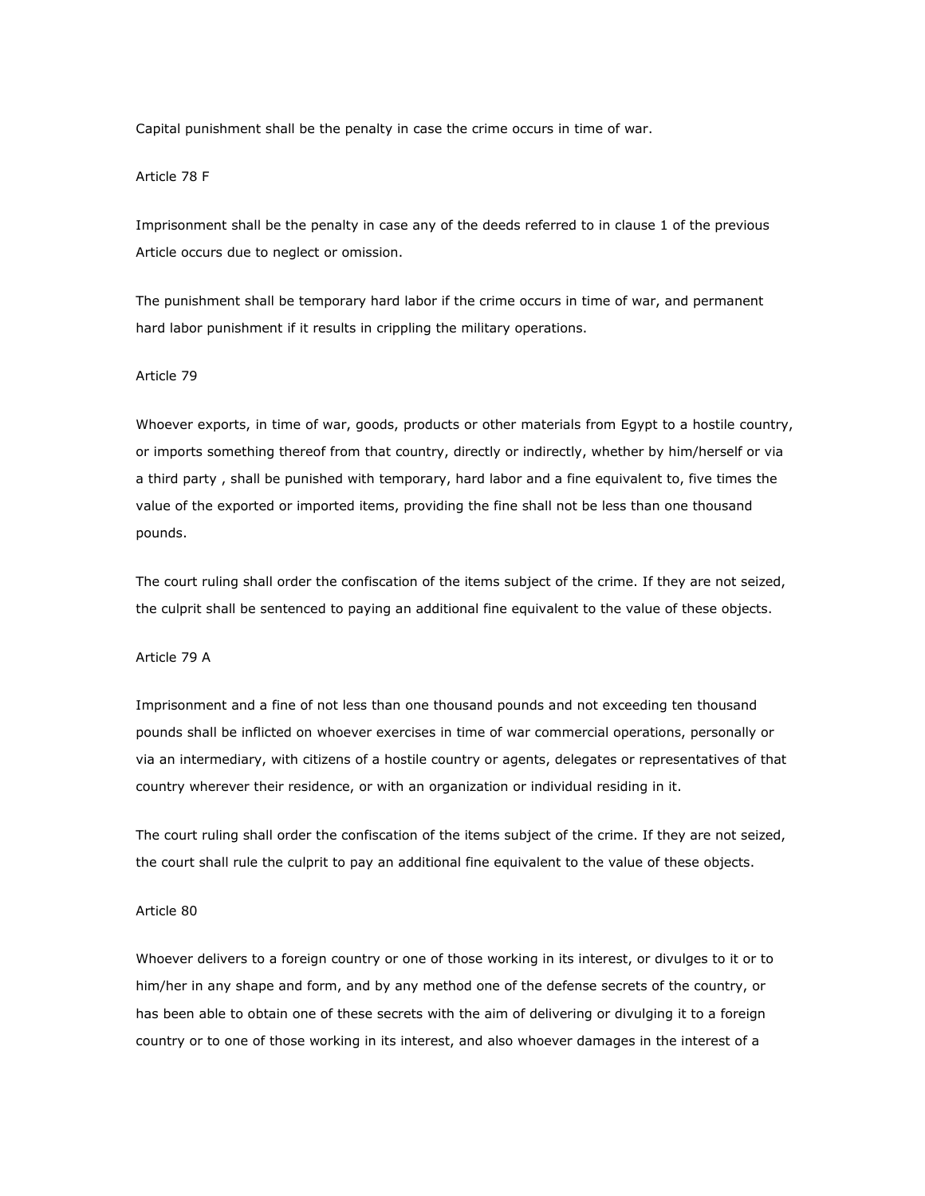Capital punishment shall be the penalty in case the crime occurs in time of war.

## Article 78 F

Imprisonment shall be the penalty in case any of the deeds referred to in clause 1 of the previous Article occurs due to neglect or omission.

The punishment shall be temporary hard labor if the crime occurs in time of war, and permanent hard labor punishment if it results in crippling the military operations.

### Article 79

Whoever exports, in time of war, goods, products or other materials from Egypt to a hostile country, or imports something thereof from that country, directly or indirectly, whether by him/herself or via a third party , shall be punished with temporary, hard labor and a fine equivalent to, five times the value of the exported or imported items, providing the fine shall not be less than one thousand pounds.

The court ruling shall order the confiscation of the items subject of the crime. If they are not seized, the culprit shall be sentenced to paying an additional fine equivalent to the value of these objects.

### Article 79 A

Imprisonment and a fine of not less than one thousand pounds and not exceeding ten thousand pounds shall be inflicted on whoever exercises in time of war commercial operations, personally or via an intermediary, with citizens of a hostile country or agents, delegates or representatives of that country wherever their residence, or with an organization or individual residing in it.

The court ruling shall order the confiscation of the items subject of the crime. If they are not seized, the court shall rule the culprit to pay an additional fine equivalent to the value of these objects.

#### Article 80

Whoever delivers to a foreign country or one of those working in its interest, or divulges to it or to him/her in any shape and form, and by any method one of the defense secrets of the country, or has been able to obtain one of these secrets with the aim of delivering or divulging it to a foreign country or to one of those working in its interest, and also whoever damages in the interest of a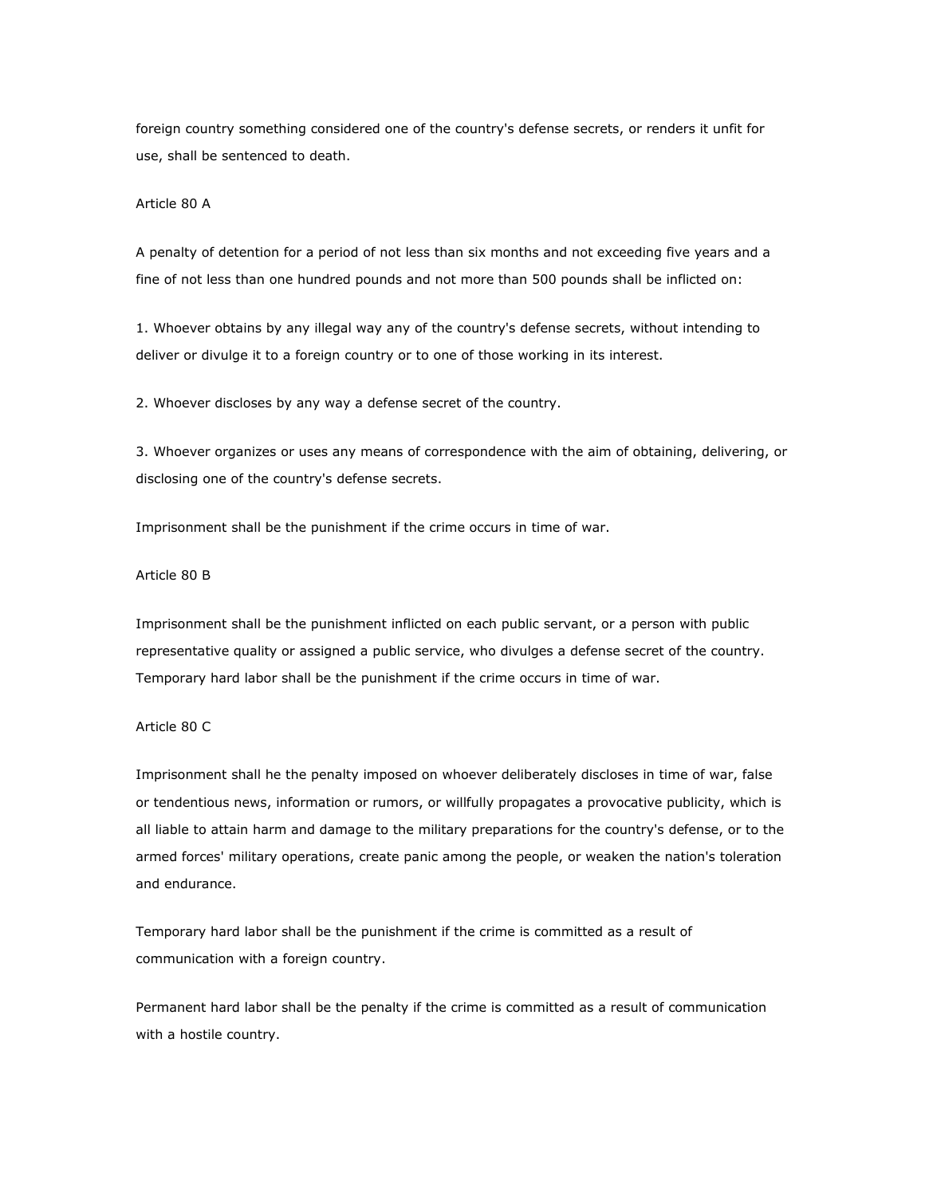foreign country something considered one of the country's defense secrets, or renders it unfit for use, shall be sentenced to death.

### Article 80 A

A penalty of detention for a period of not less than six months and not exceeding five years and a fine of not less than one hundred pounds and not more than 500 pounds shall be inflicted on:

1. Whoever obtains by any illegal way any of the country's defense secrets, without intending to deliver or divulge it to a foreign country or to one of those working in its interest.

2. Whoever discloses by any way a defense secret of the country.

3. Whoever organizes or uses any means of correspondence with the aim of obtaining, delivering, or disclosing one of the country's defense secrets.

Imprisonment shall be the punishment if the crime occurs in time of war.

## Article 80 B

Imprisonment shall be the punishment inflicted on each public servant, or a person with public representative quality or assigned a public service, who divulges a defense secret of the country. Temporary hard labor shall be the punishment if the crime occurs in time of war.

# Article 80 C

Imprisonment shall he the penalty imposed on whoever deliberately discloses in time of war, false or tendentious news, information or rumors, or willfully propagates a provocative publicity, which is all liable to attain harm and damage to the military preparations for the country's defense, or to the armed forces' military operations, create panic among the people, or weaken the nation's toleration and endurance.

Temporary hard labor shall be the punishment if the crime is committed as a result of communication with a foreign country.

Permanent hard labor shall be the penalty if the crime is committed as a result of communication with a hostile country.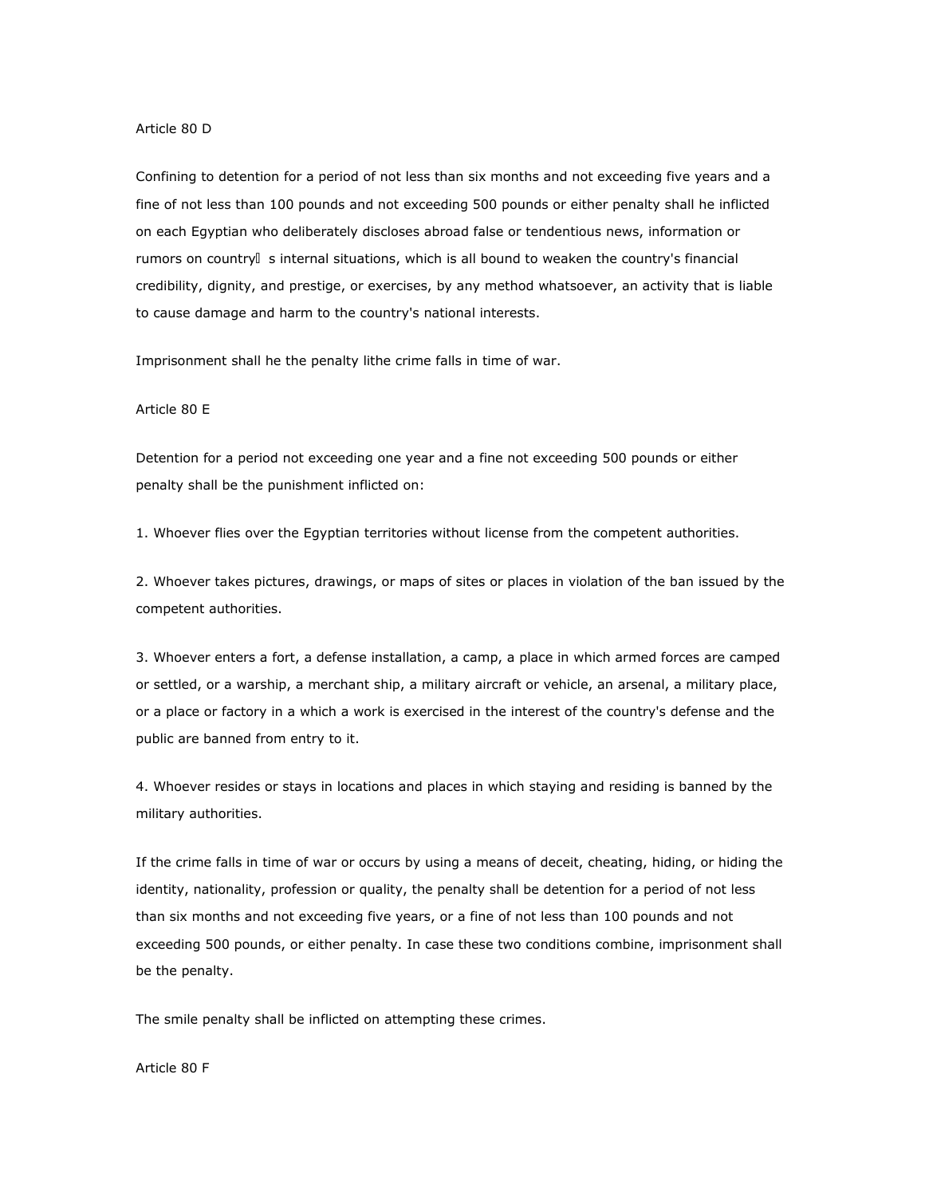#### Article 80 D

Confining to detention for a period of not less than six months and not exceeding five years and a fine of not less than 100 pounds and not exceeding 500 pounds or either penalty shall he inflicted on each Egyptian who deliberately discloses abroad false or tendentious news, information or rumors on country s internal situations, which is all bound to weaken the country's financial credibility, dignity, and prestige, or exercises, by any method whatsoever, an activity that is liable to cause damage and harm to the country's national interests.

Imprisonment shall he the penalty lithe crime falls in time of war.

#### Article 80 E

Detention for a period not exceeding one year and a fine not exceeding 500 pounds or either penalty shall be the punishment inflicted on:

1. Whoever flies over the Egyptian territories without license from the competent authorities.

2. Whoever takes pictures, drawings, or maps of sites or places in violation of the ban issued by the competent authorities.

3. Whoever enters a fort, a defense installation, a camp, a place in which armed forces are camped or settled, or a warship, a merchant ship, a military aircraft or vehicle, an arsenal, a military place, or a place or factory in a which a work is exercised in the interest of the country's defense and the public are banned from entry to it.

4. Whoever resides or stays in locations and places in which staying and residing is banned by the military authorities.

If the crime falls in time of war or occurs by using a means of deceit, cheating, hiding, or hiding the identity, nationality, profession or quality, the penalty shall be detention for a period of not less than six months and not exceeding five years, or a fine of not less than 100 pounds and not exceeding 500 pounds, or either penalty. In case these two conditions combine, imprisonment shall be the penalty.

The smile penalty shall be inflicted on attempting these crimes.

Article 80 F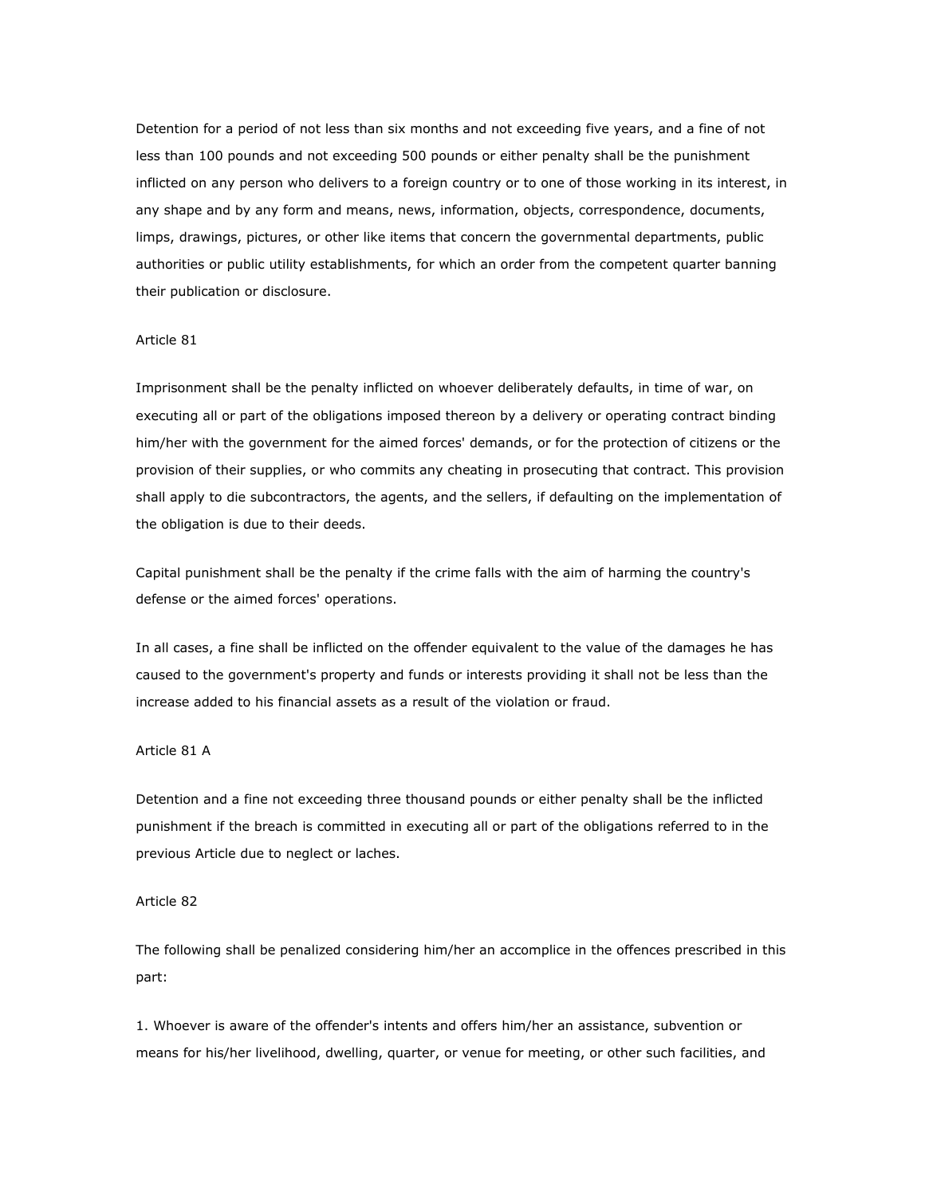Detention for a period of not less than six months and not exceeding five years, and a fine of not less than 100 pounds and not exceeding 500 pounds or either penalty shall be the punishment inflicted on any person who delivers to a foreign country or to one of those working in its interest, in any shape and by any form and means, news, information, objects, correspondence, documents, limps, drawings, pictures, or other like items that concern the governmental departments, public authorities or public utility establishments, for which an order from the competent quarter banning their publication or disclosure.

### Article 81

Imprisonment shall be the penalty inflicted on whoever deliberately defaults, in time of war, on executing all or part of the obligations imposed thereon by a delivery or operating contract binding him/her with the government for the aimed forces' demands, or for the protection of citizens or the provision of their supplies, or who commits any cheating in prosecuting that contract. This provision shall apply to die subcontractors, the agents, and the sellers, if defaulting on the implementation of the obligation is due to their deeds.

Capital punishment shall be the penalty if the crime falls with the aim of harming the country's defense or the aimed forces' operations.

In all cases, a fine shall be inflicted on the offender equivalent to the value of the damages he has caused to the government's property and funds or interests providing it shall not be less than the increase added to his financial assets as a result of the violation or fraud.

### Article 81 A

Detention and a fine not exceeding three thousand pounds or either penalty shall be the inflicted punishment if the breach is committed in executing all or part of the obligations referred to in the previous Article due to neglect or laches.

## Article 82

The following shall be penalized considering him/her an accomplice in the offences prescribed in this part:

1. Whoever is aware of the offender's intents and offers him/her an assistance, subvention or means for his/her livelihood, dwelling, quarter, or venue for meeting, or other such facilities, and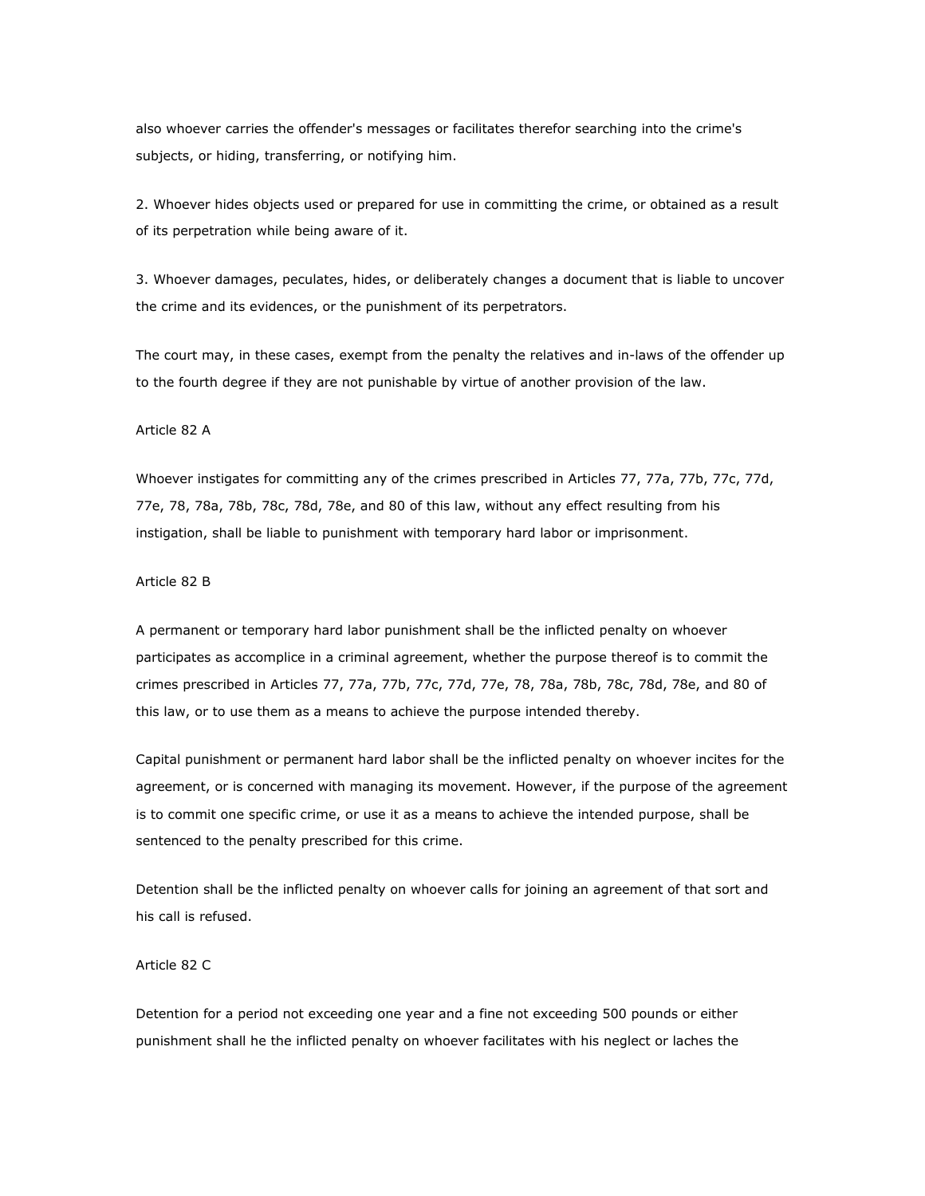also whoever carries the offender's messages or facilitates therefor searching into the crime's subjects, or hiding, transferring, or notifying him.

2. Whoever hides objects used or prepared for use in committing the crime, or obtained as a result of its perpetration while being aware of it.

3. Whoever damages, peculates, hides, or deliberately changes a document that is liable to uncover the crime and its evidences, or the punishment of its perpetrators.

The court may, in these cases, exempt from the penalty the relatives and in-laws of the offender up to the fourth degree if they are not punishable by virtue of another provision of the law.

### Article 82 A

Whoever instigates for committing any of the crimes prescribed in Articles 77, 77a, 77b, 77c, 77d, 77e, 78, 78a, 78b, 78c, 78d, 78e, and 80 of this law, without any effect resulting from his instigation, shall be liable to punishment with temporary hard labor or imprisonment.

### Article 82 B

A permanent or temporary hard labor punishment shall be the inflicted penalty on whoever participates as accomplice in a criminal agreement, whether the purpose thereof is to commit the crimes prescribed in Articles 77, 77a, 77b, 77c, 77d, 77e, 78, 78a, 78b, 78c, 78d, 78e, and 80 of this law, or to use them as a means to achieve the purpose intended thereby.

Capital punishment or permanent hard labor shall be the inflicted penalty on whoever incites for the agreement, or is concerned with managing its movement. However, if the purpose of the agreement is to commit one specific crime, or use it as a means to achieve the intended purpose, shall be sentenced to the penalty prescribed for this crime.

Detention shall be the inflicted penalty on whoever calls for joining an agreement of that sort and his call is refused.

### Article 82 C

Detention for a period not exceeding one year and a fine not exceeding 500 pounds or either punishment shall he the inflicted penalty on whoever facilitates with his neglect or laches the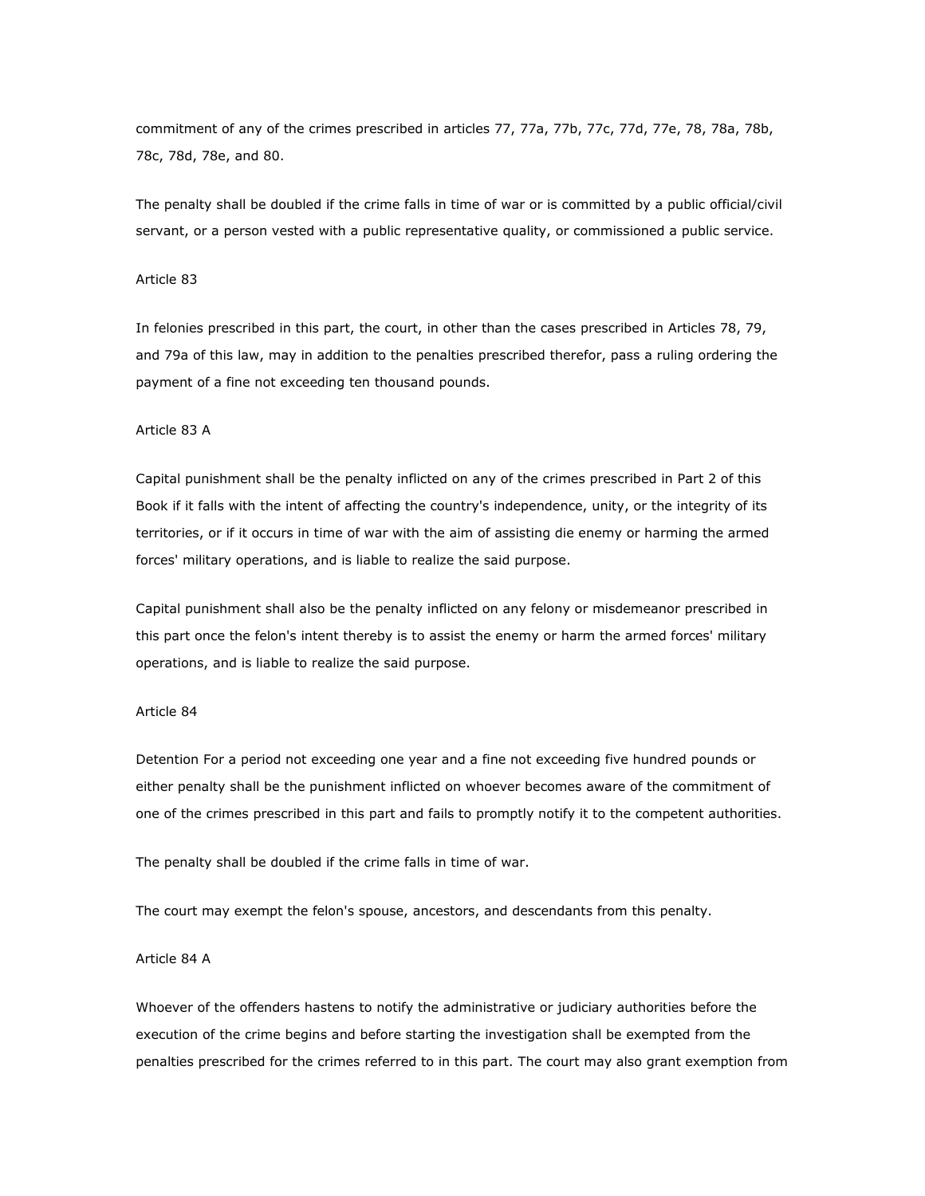commitment of any of the crimes prescribed in articles 77, 77a, 77b, 77c, 77d, 77e, 78, 78a, 78b, 78c, 78d, 78e, and 80.

The penalty shall be doubled if the crime falls in time of war or is committed by a public official/civil servant, or a person vested with a public representative quality, or commissioned a public service.

#### Article 83

In felonies prescribed in this part, the court, in other than the cases prescribed in Articles 78, 79, and 79a of this law, may in addition to the penalties prescribed therefor, pass a ruling ordering the payment of a fine not exceeding ten thousand pounds.

#### Article 83 A

Capital punishment shall be the penalty inflicted on any of the crimes prescribed in Part 2 of this Book if it falls with the intent of affecting the country's independence, unity, or the integrity of its territories, or if it occurs in time of war with the aim of assisting die enemy or harming the armed forces' military operations, and is liable to realize the said purpose.

Capital punishment shall also be the penalty inflicted on any felony or misdemeanor prescribed in this part once the felon's intent thereby is to assist the enemy or harm the armed forces' military operations, and is liable to realize the said purpose.

#### Article 84

Detention For a period not exceeding one year and a fine not exceeding five hundred pounds or either penalty shall be the punishment inflicted on whoever becomes aware of the commitment of one of the crimes prescribed in this part and fails to promptly notify it to the competent authorities.

The penalty shall be doubled if the crime falls in time of war.

The court may exempt the felon's spouse, ancestors, and descendants from this penalty.

#### Article 84 A

Whoever of the offenders hastens to notify the administrative or judiciary authorities before the execution of the crime begins and before starting the investigation shall be exempted from the penalties prescribed for the crimes referred to in this part. The court may also grant exemption from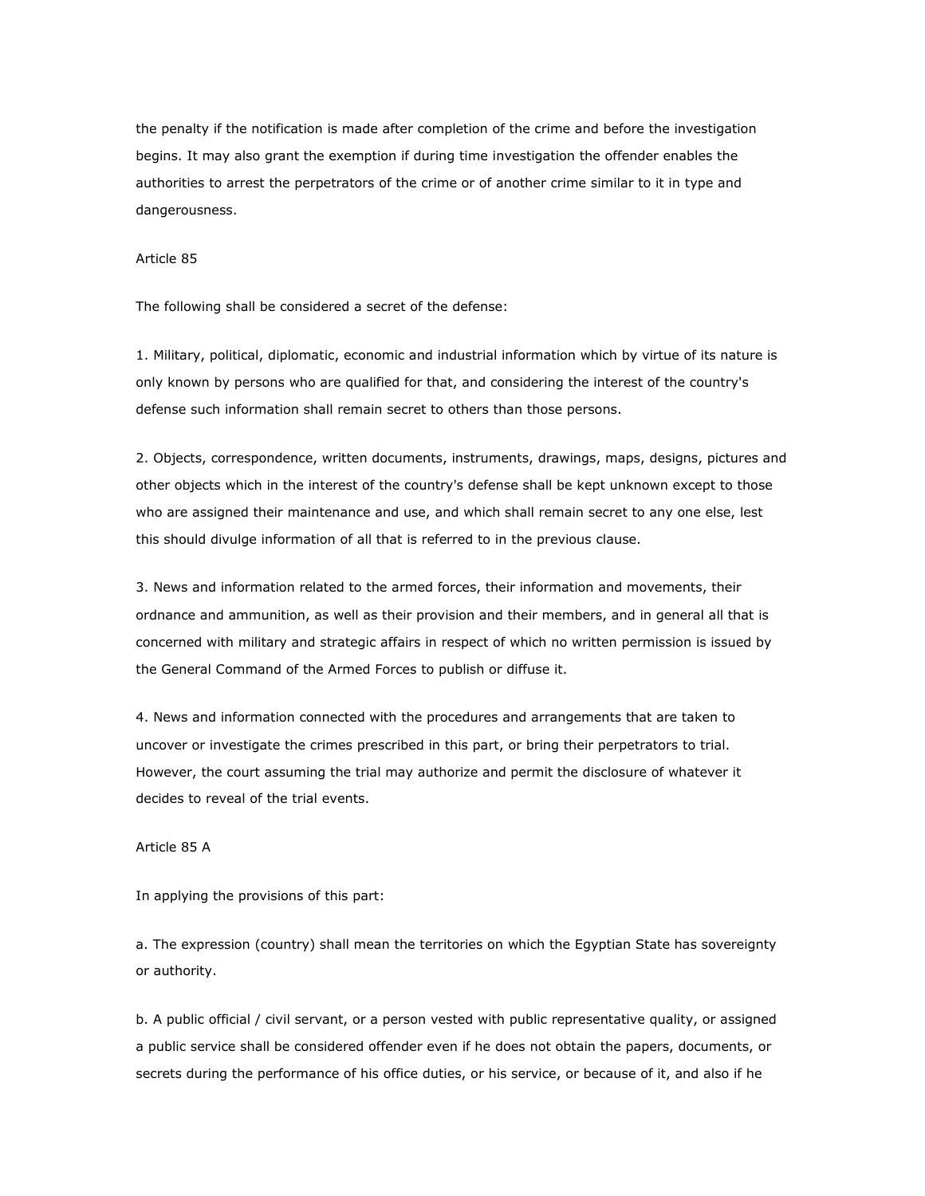the penalty if the notification is made after completion of the crime and before the investigation begins. It may also grant the exemption if during time investigation the offender enables the authorities to arrest the perpetrators of the crime or of another crime similar to it in type and dangerousness.

### Article 85

The following shall be considered a secret of the defense:

1. Military, political, diplomatic, economic and industrial information which by virtue of its nature is only known by persons who are qualified for that, and considering the interest of the country's defense such information shall remain secret to others than those persons.

2. Objects, correspondence, written documents, instruments, drawings, maps, designs, pictures and other objects which in the interest of the country's defense shall be kept unknown except to those who are assigned their maintenance and use, and which shall remain secret to any one else, lest this should divulge information of all that is referred to in the previous clause.

3. News and information related to the armed forces, their information and movements, their ordnance and ammunition, as well as their provision and their members, and in general all that is concerned with military and strategic affairs in respect of which no written permission is issued by the General Command of the Armed Forces to publish or diffuse it.

4. News and information connected with the procedures and arrangements that are taken to uncover or investigate the crimes prescribed in this part, or bring their perpetrators to trial. However, the court assuming the trial may authorize and permit the disclosure of whatever it decides to reveal of the trial events.

## Article 85 A

In applying the provisions of this part:

a. The expression (country) shall mean the territories on which the Egyptian State has sovereignty or authority.

b. A public official / civil servant, or a person vested with public representative quality, or assigned a public service shall be considered offender even if he does not obtain the papers, documents, or secrets during the performance of his office duties, or his service, or because of it, and also if he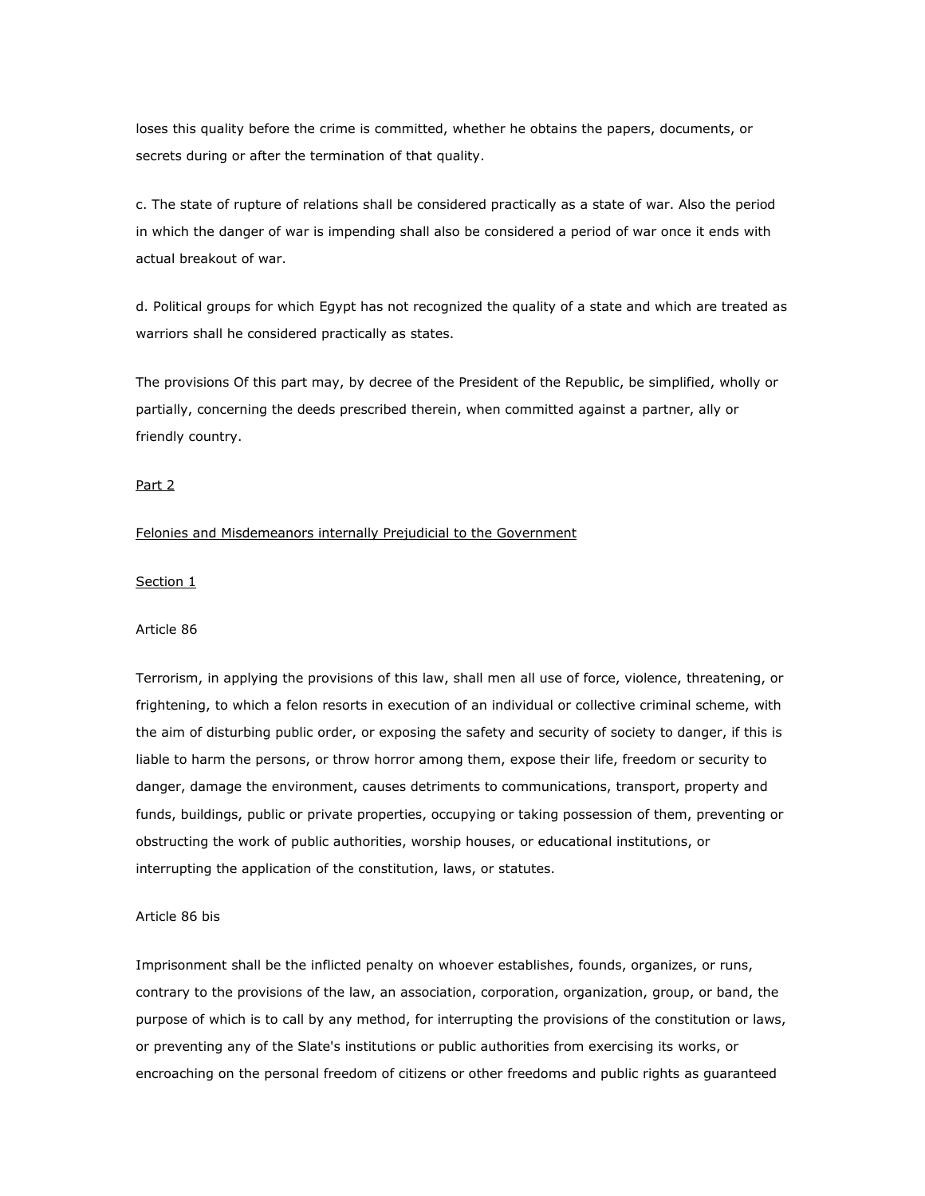loses this quality before the crime is committed, whether he obtains the papers, documents, or secrets during or after the termination of that quality.

c. The state of rupture of relations shall be considered practically as a state of war. Also the period in which the danger of war is impending shall also be considered a period of war once it ends with actual breakout of war.

d. Political groups for which Egypt has not recognized the quality of a state and which are treated as warriors shall he considered practically as states.

The provisions Of this part may, by decree of the President of the Republic, be simplified, wholly or partially, concerning the deeds prescribed therein, when committed against a partner, ally or friendly country.

## Part 2

### Felonies and Misdemeanors internally Prejudicial to the Government

### Section 1

#### Article 86

Terrorism, in applying the provisions of this law, shall men all use of force, violence, threatening, or frightening, to which a felon resorts in execution of an individual or collective criminal scheme, with the aim of disturbing public order, or exposing the safety and security of society to danger, if this is liable to harm the persons, or throw horror among them, expose their life, freedom or security to danger, damage the environment, causes detriments to communications, transport, property and funds, buildings, public or private properties, occupying or taking possession of them, preventing or obstructing the work of public authorities, worship houses, or educational institutions, or interrupting the application of the constitution, laws, or statutes.

#### Article 86 bis

Imprisonment shall be the inflicted penalty on whoever establishes, founds, organizes, or runs, contrary to the provisions of the law, an association, corporation, organization, group, or band, the purpose of which is to call by any method, for interrupting the provisions of the constitution or laws, or preventing any of the Slate's institutions or public authorities from exercising its works, or encroaching on the personal freedom of citizens or other freedoms and public rights as guaranteed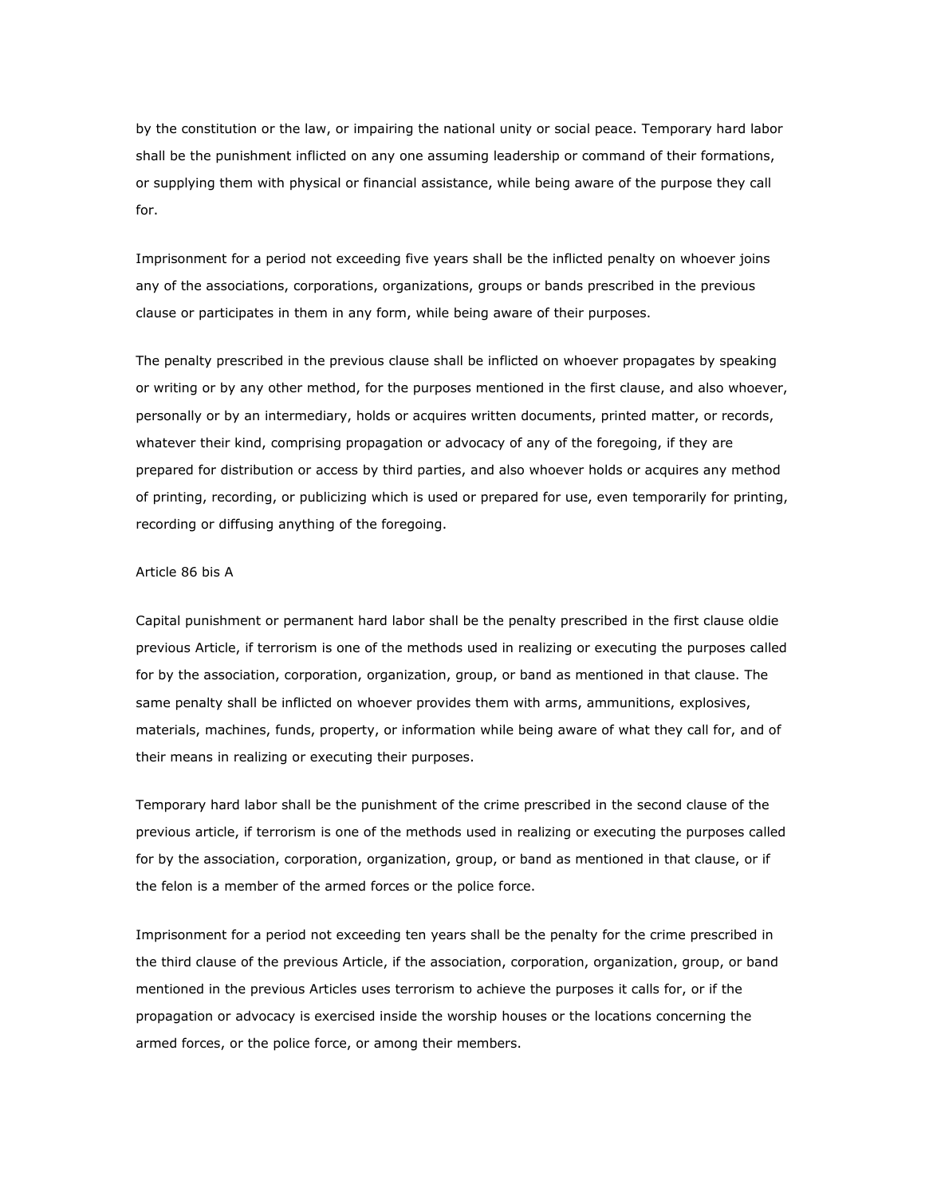by the constitution or the law, or impairing the national unity or social peace. Temporary hard labor shall be the punishment inflicted on any one assuming leadership or command of their formations, or supplying them with physical or financial assistance, while being aware of the purpose they call for.

Imprisonment for a period not exceeding five years shall be the inflicted penalty on whoever joins any of the associations, corporations, organizations, groups or bands prescribed in the previous clause or participates in them in any form, while being aware of their purposes.

The penalty prescribed in the previous clause shall be inflicted on whoever propagates by speaking or writing or by any other method, for the purposes mentioned in the first clause, and also whoever, personally or by an intermediary, holds or acquires written documents, printed matter, or records, whatever their kind, comprising propagation or advocacy of any of the foregoing, if they are prepared for distribution or access by third parties, and also whoever holds or acquires any method of printing, recording, or publicizing which is used or prepared for use, even temporarily for printing, recording or diffusing anything of the foregoing.

### Article 86 bis A

Capital punishment or permanent hard labor shall be the penalty prescribed in the first clause oldie previous Article, if terrorism is one of the methods used in realizing or executing the purposes called for by the association, corporation, organization, group, or band as mentioned in that clause. The same penalty shall be inflicted on whoever provides them with arms, ammunitions, explosives, materials, machines, funds, property, or information while being aware of what they call for, and of their means in realizing or executing their purposes.

Temporary hard labor shall be the punishment of the crime prescribed in the second clause of the previous article, if terrorism is one of the methods used in realizing or executing the purposes called for by the association, corporation, organization, group, or band as mentioned in that clause, or if the felon is a member of the armed forces or the police force.

Imprisonment for a period not exceeding ten years shall be the penalty for the crime prescribed in the third clause of the previous Article, if the association, corporation, organization, group, or band mentioned in the previous Articles uses terrorism to achieve the purposes it calls for, or if the propagation or advocacy is exercised inside the worship houses or the locations concerning the armed forces, or the police force, or among their members.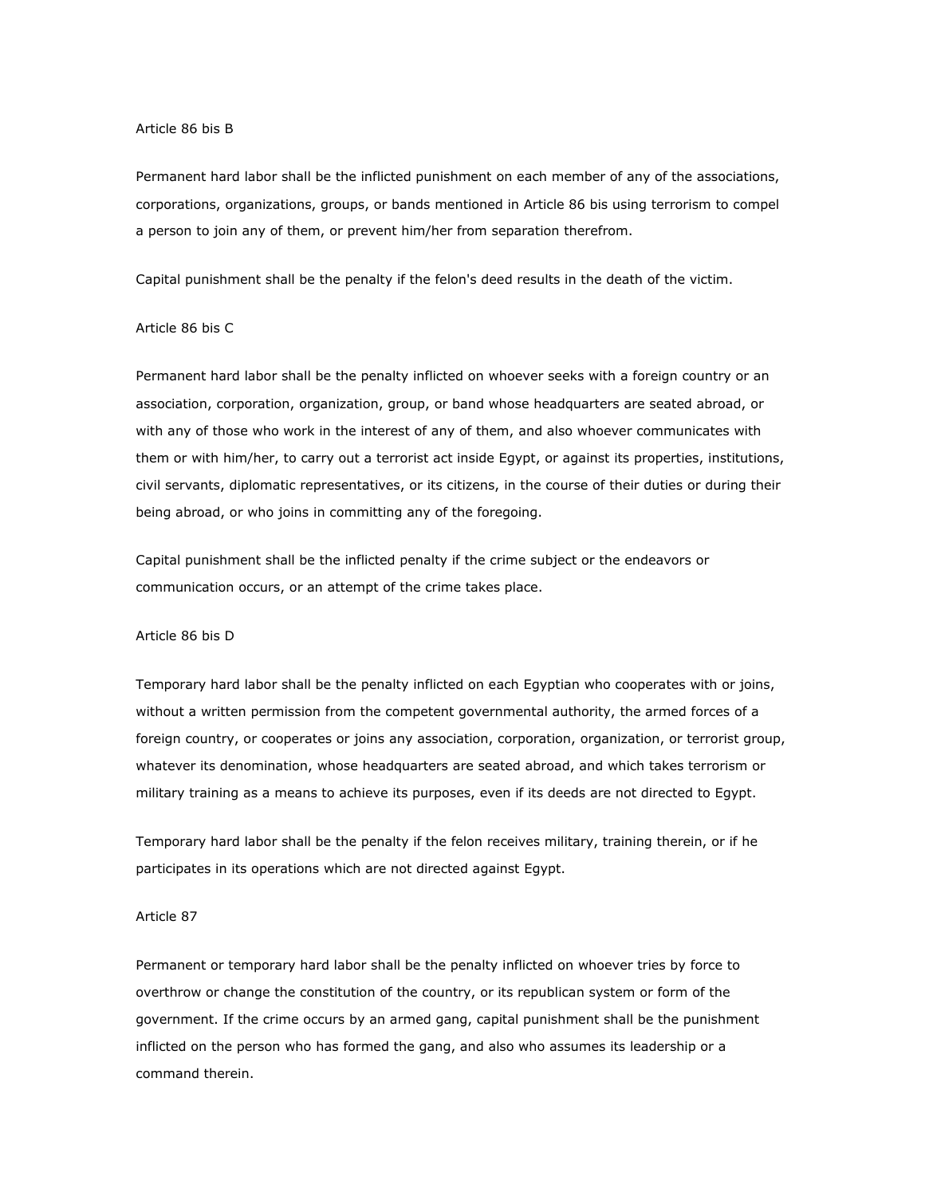#### Article 86 bis B

Permanent hard labor shall be the inflicted punishment on each member of any of the associations, corporations, organizations, groups, or bands mentioned in Article 86 bis using terrorism to compel a person to join any of them, or prevent him/her from separation therefrom.

Capital punishment shall be the penalty if the felon's deed results in the death of the victim.

## Article 86 bis C

Permanent hard labor shall be the penalty inflicted on whoever seeks with a foreign country or an association, corporation, organization, group, or band whose headquarters are seated abroad, or with any of those who work in the interest of any of them, and also whoever communicates with them or with him/her, to carry out a terrorist act inside Egypt, or against its properties, institutions, civil servants, diplomatic representatives, or its citizens, in the course of their duties or during their being abroad, or who joins in committing any of the foregoing.

Capital punishment shall be the inflicted penalty if the crime subject or the endeavors or communication occurs, or an attempt of the crime takes place.

#### Article 86 bis D

Temporary hard labor shall be the penalty inflicted on each Egyptian who cooperates with or joins, without a written permission from the competent governmental authority, the armed forces of a foreign country, or cooperates or joins any association, corporation, organization, or terrorist group, whatever its denomination, whose headquarters are seated abroad, and which takes terrorism or military training as a means to achieve its purposes, even if its deeds are not directed to Egypt.

Temporary hard labor shall be the penalty if the felon receives military, training therein, or if he participates in its operations which are not directed against Egypt.

### Article 87

Permanent or temporary hard labor shall be the penalty inflicted on whoever tries by force to overthrow or change the constitution of the country, or its republican system or form of the government. If the crime occurs by an armed gang, capital punishment shall be the punishment inflicted on the person who has formed the gang, and also who assumes its leadership or a command therein.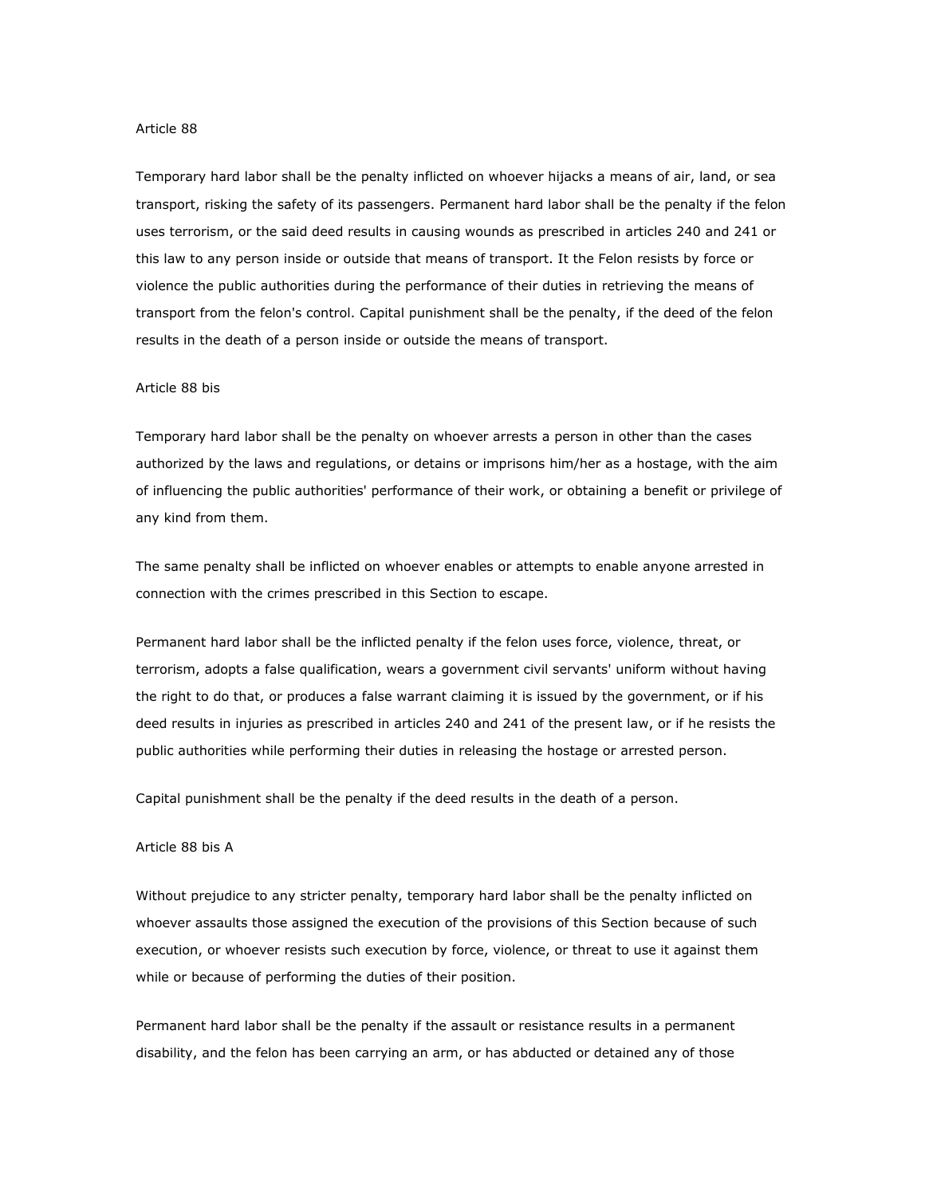#### Article 88

Temporary hard labor shall be the penalty inflicted on whoever hijacks a means of air, land, or sea transport, risking the safety of its passengers. Permanent hard labor shall be the penalty if the felon uses terrorism, or the said deed results in causing wounds as prescribed in articles 240 and 241 or this law to any person inside or outside that means of transport. It the Felon resists by force or violence the public authorities during the performance of their duties in retrieving the means of transport from the felon's control. Capital punishment shall be the penalty, if the deed of the felon results in the death of a person inside or outside the means of transport.

#### Article 88 bis

Temporary hard labor shall be the penalty on whoever arrests a person in other than the cases authorized by the laws and regulations, or detains or imprisons him/her as a hostage, with the aim of influencing the public authorities' performance of their work, or obtaining a benefit or privilege of any kind from them.

The same penalty shall be inflicted on whoever enables or attempts to enable anyone arrested in connection with the crimes prescribed in this Section to escape.

Permanent hard labor shall be the inflicted penalty if the felon uses force, violence, threat, or terrorism, adopts a false qualification, wears a government civil servants' uniform without having the right to do that, or produces a false warrant claiming it is issued by the government, or if his deed results in injuries as prescribed in articles 240 and 241 of the present law, or if he resists the public authorities while performing their duties in releasing the hostage or arrested person.

Capital punishment shall be the penalty if the deed results in the death of a person.

## Article 88 bis A

Without prejudice to any stricter penalty, temporary hard labor shall be the penalty inflicted on whoever assaults those assigned the execution of the provisions of this Section because of such execution, or whoever resists such execution by force, violence, or threat to use it against them while or because of performing the duties of their position.

Permanent hard labor shall be the penalty if the assault or resistance results in a permanent disability, and the felon has been carrying an arm, or has abducted or detained any of those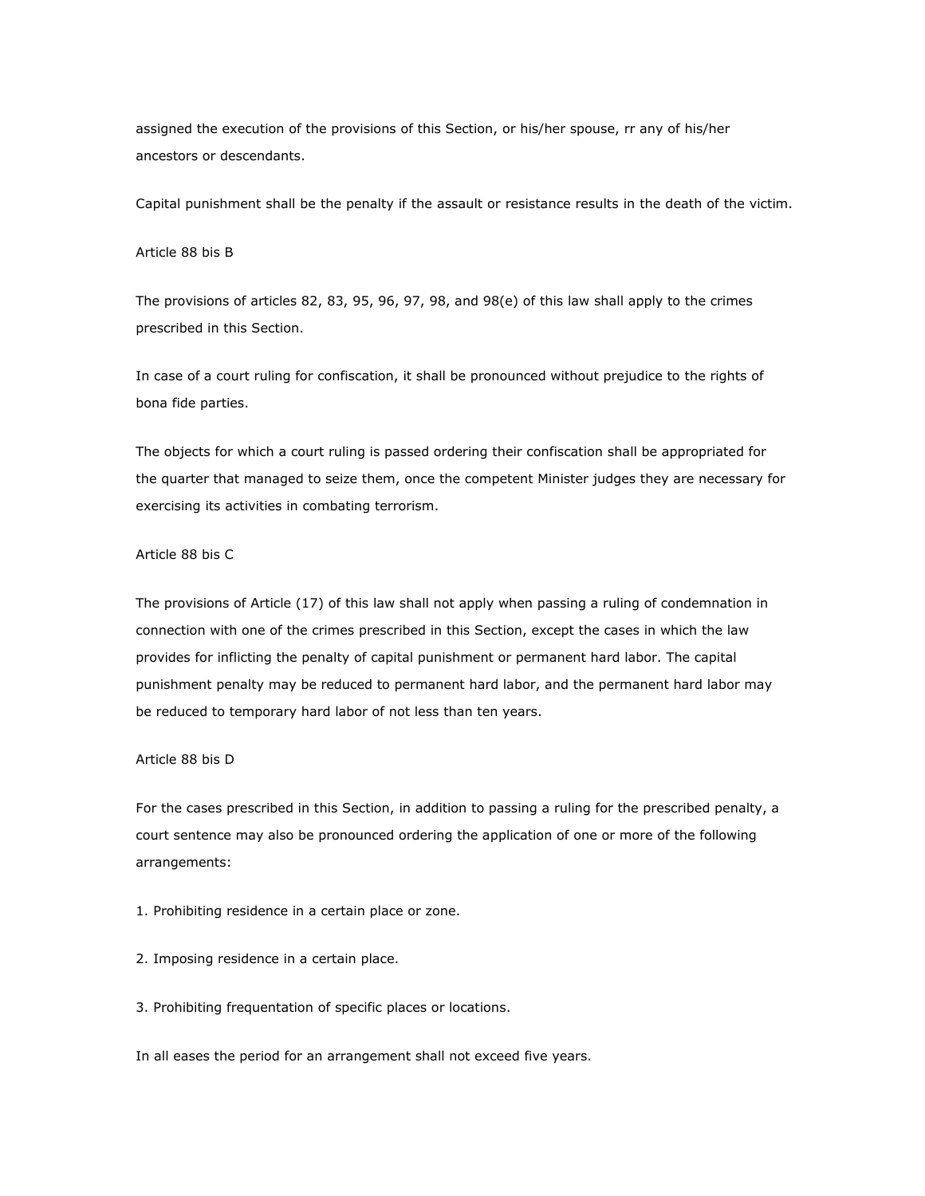assigned the execution of the provisions of this Section, or his/her spouse, rr any of his/her ancestors or descendants.

Capital punishment shall be the penalty if the assault or resistance results in the death of the victim.

# Article 88 bis B

The provisions of articles 82, 83, 95, 96, 97, 98, and 98(e) of this law shall apply to the crimes prescribed in this Section.

In case of a court ruling for confiscation, it shall be pronounced without prejudice to the rights of bona fide parties.

The objects for which a court ruling is passed ordering their confiscation shall be appropriated for the quarter that managed to seize them, once the competent Minister judges they are necessary for exercising its activities in combating terrorism.

# Article 88 bis C

The provisions of Article (17) of this law shall not apply when passing a ruling of condemnation in connection with one of the crimes prescribed in this Section, except the cases in which the law provides for inflicting the penalty of capital punishment or permanent hard labor. The capital punishment penalty may be reduced to permanent hard labor, and the permanent hard labor may be reduced to temporary hard labor of not less than ten years.

# Article 88 bis D

For the cases prescribed in this Section, in addition to passing a ruling for the prescribed penalty, a court sentence may also be pronounced ordering the application of one or more of the following arrangements:

1. Prohibiting residence in a certain place or zone.

- 2. Imposing residence in a certain place.
- 3. Prohibiting frequentation of specific places or locations.

In all eases the period for an arrangement shall not exceed five years.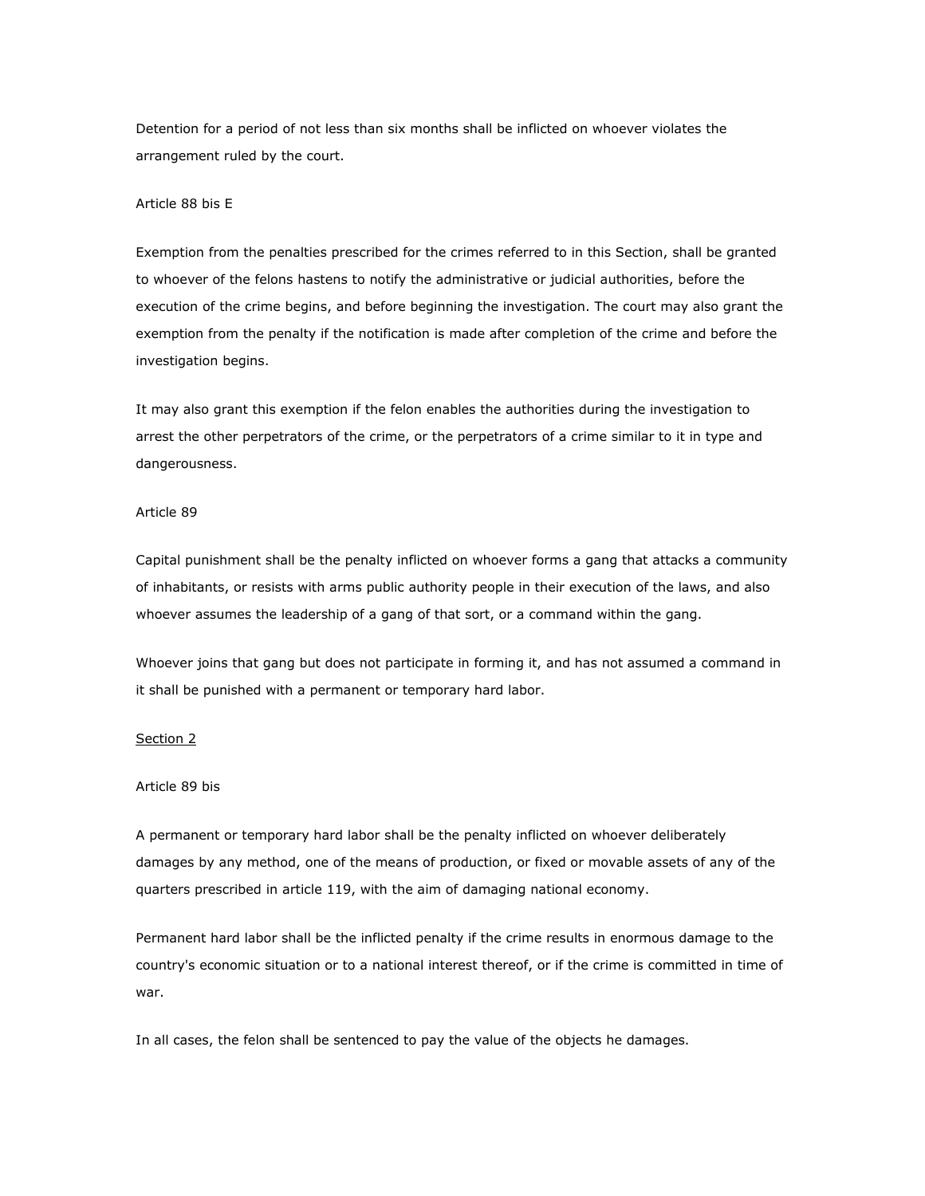Detention for a period of not less than six months shall be inflicted on whoever violates the arrangement ruled by the court.

# Article 88 bis E

Exemption from the penalties prescribed for the crimes referred to in this Section, shall be granted to whoever of the felons hastens to notify the administrative or judicial authorities, before the execution of the crime begins, and before beginning the investigation. The court may also grant the exemption from the penalty if the notification is made after completion of the crime and before the investigation begins.

It may also grant this exemption if the felon enables the authorities during the investigation to arrest the other perpetrators of the crime, or the perpetrators of a crime similar to it in type and dangerousness.

#### Article 89

Capital punishment shall be the penalty inflicted on whoever forms a gang that attacks a community of inhabitants, or resists with arms public authority people in their execution of the laws, and also whoever assumes the leadership of a gang of that sort, or a command within the gang.

Whoever joins that gang but does not participate in forming it, and has not assumed a command in it shall be punished with a permanent or temporary hard labor.

### Section 2

#### Article 89 bis

A permanent or temporary hard labor shall be the penalty inflicted on whoever deliberately damages by any method, one of the means of production, or fixed or movable assets of any of the quarters prescribed in article 119, with the aim of damaging national economy.

Permanent hard labor shall be the inflicted penalty if the crime results in enormous damage to the country's economic situation or to a national interest thereof, or if the crime is committed in time of war.

In all cases, the felon shall be sentenced to pay the value of the objects he damages.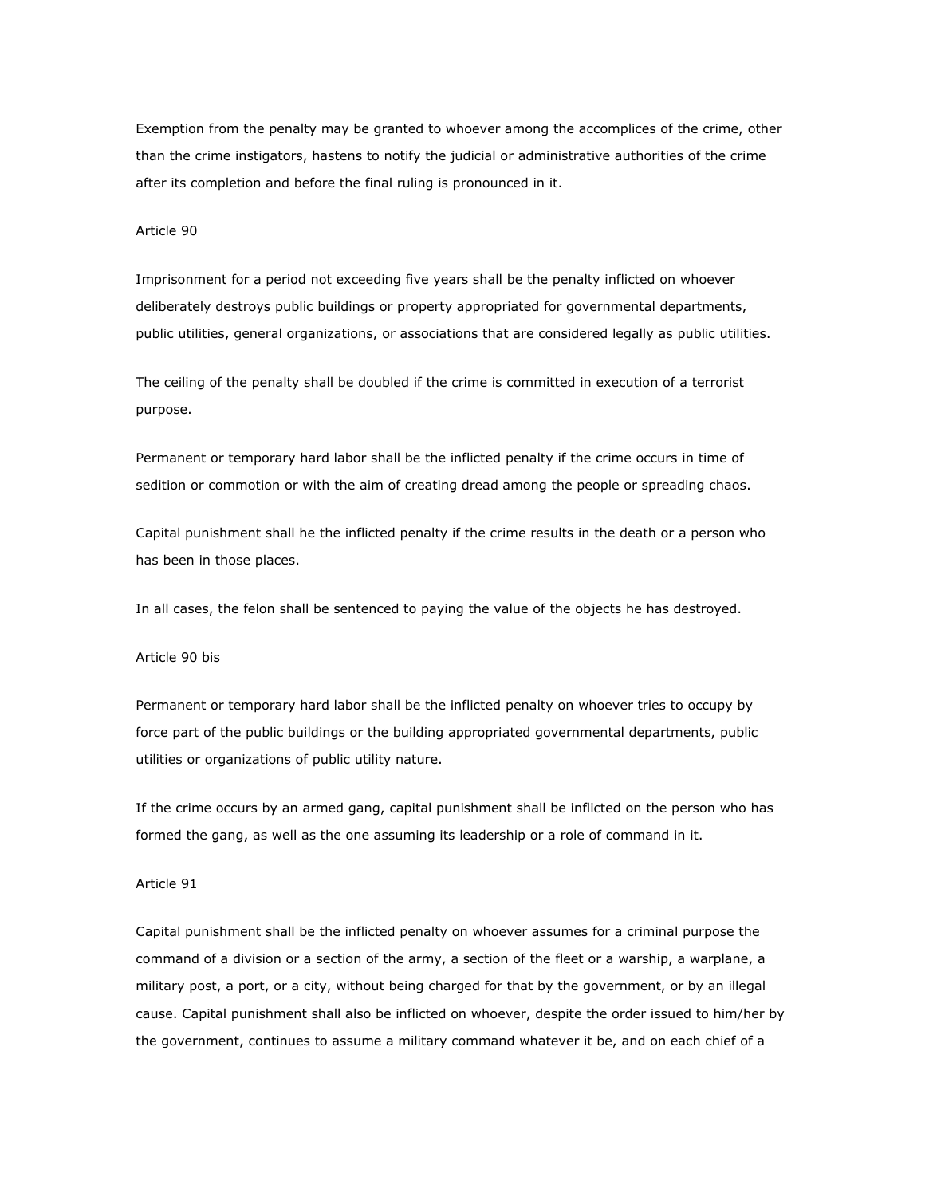Exemption from the penalty may be granted to whoever among the accomplices of the crime, other than the crime instigators, hastens to notify the judicial or administrative authorities of the crime after its completion and before the final ruling is pronounced in it.

### Article 90

Imprisonment for a period not exceeding five years shall be the penalty inflicted on whoever deliberately destroys public buildings or property appropriated for governmental departments, public utilities, general organizations, or associations that are considered legally as public utilities.

The ceiling of the penalty shall be doubled if the crime is committed in execution of a terrorist purpose.

Permanent or temporary hard labor shall be the inflicted penalty if the crime occurs in time of sedition or commotion or with the aim of creating dread among the people or spreading chaos.

Capital punishment shall he the inflicted penalty if the crime results in the death or a person who has been in those places.

In all cases, the felon shall be sentenced to paying the value of the objects he has destroyed.

# Article 90 bis

Permanent or temporary hard labor shall be the inflicted penalty on whoever tries to occupy by force part of the public buildings or the building appropriated governmental departments, public utilities or organizations of public utility nature.

If the crime occurs by an armed gang, capital punishment shall be inflicted on the person who has formed the gang, as well as the one assuming its leadership or a role of command in it.

## Article 91

Capital punishment shall be the inflicted penalty on whoever assumes for a criminal purpose the command of a division or a section of the army, a section of the fleet or a warship, a warplane, a military post, a port, or a city, without being charged for that by the government, or by an illegal cause. Capital punishment shall also be inflicted on whoever, despite the order issued to him/her by the government, continues to assume a military command whatever it be, and on each chief of a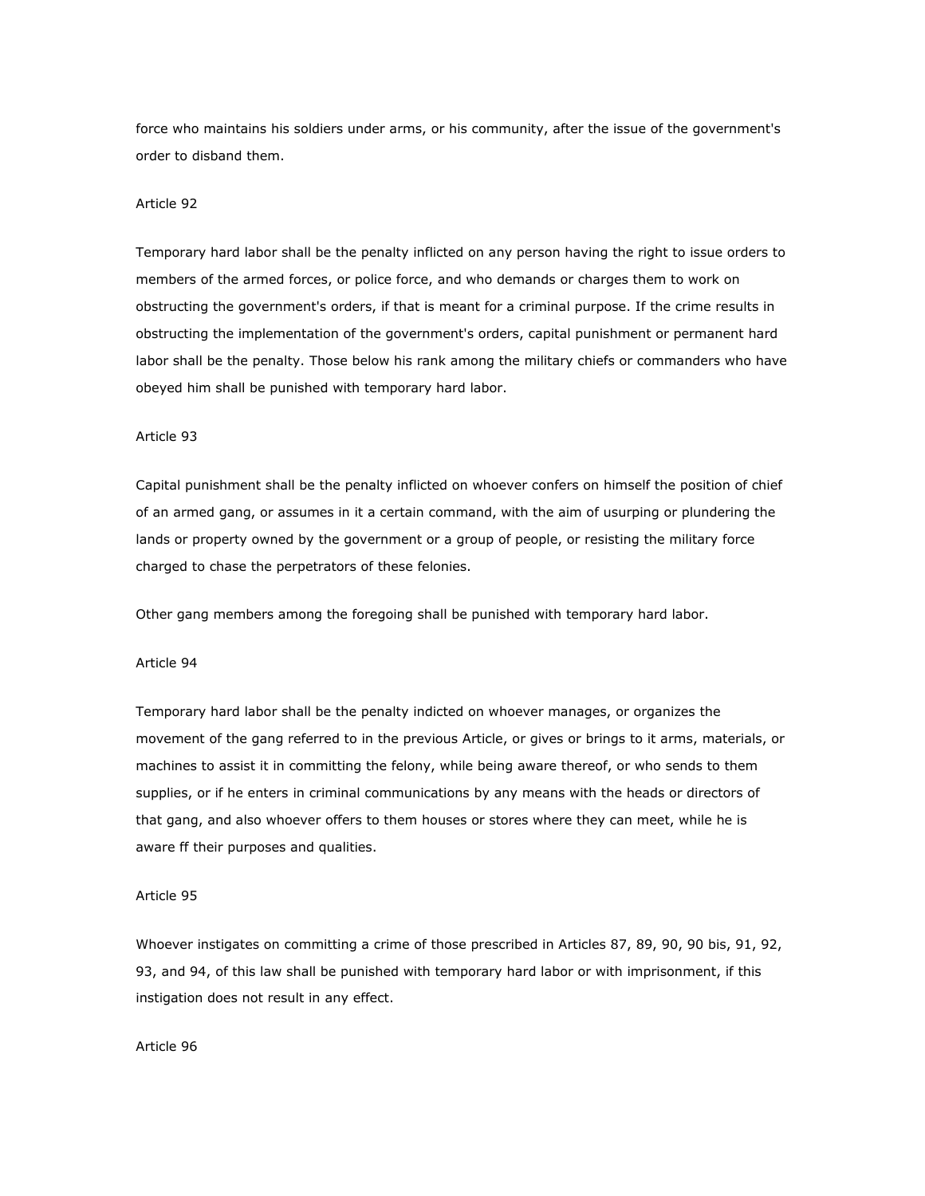force who maintains his soldiers under arms, or his community, after the issue of the government's order to disband them.

## Article 92

Temporary hard labor shall be the penalty inflicted on any person having the right to issue orders to members of the armed forces, or police force, and who demands or charges them to work on obstructing the government's orders, if that is meant for a criminal purpose. If the crime results in obstructing the implementation of the government's orders, capital punishment or permanent hard labor shall be the penalty. Those below his rank among the military chiefs or commanders who have obeyed him shall be punished with temporary hard labor.

#### Article 93

Capital punishment shall be the penalty inflicted on whoever confers on himself the position of chief of an armed gang, or assumes in it a certain command, with the aim of usurping or plundering the lands or property owned by the government or a group of people, or resisting the military force charged to chase the perpetrators of these felonies.

Other gang members among the foregoing shall be punished with temporary hard labor.

# Article 94

Temporary hard labor shall be the penalty indicted on whoever manages, or organizes the movement of the gang referred to in the previous Article, or gives or brings to it arms, materials, or machines to assist it in committing the felony, while being aware thereof, or who sends to them supplies, or if he enters in criminal communications by any means with the heads or directors of that gang, and also whoever offers to them houses or stores where they can meet, while he is aware ff their purposes and qualities.

## Article 95

Whoever instigates on committing a crime of those prescribed in Articles 87, 89, 90, 90 bis, 91, 92, 93, and 94, of this law shall be punished with temporary hard labor or with imprisonment, if this instigation does not result in any effect.

## Article 96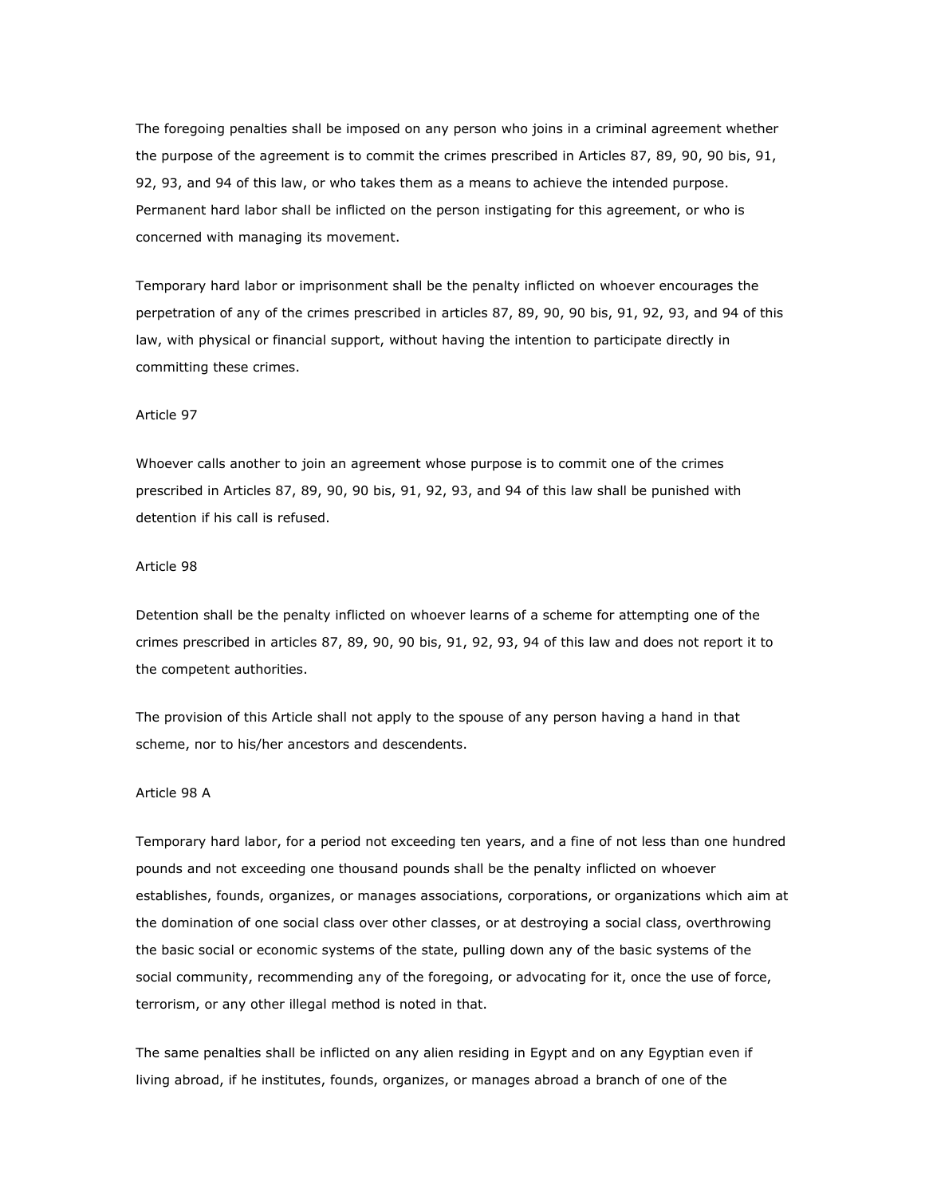The foregoing penalties shall be imposed on any person who joins in a criminal agreement whether the purpose of the agreement is to commit the crimes prescribed in Articles 87, 89, 90, 90 bis, 91, 92, 93, and 94 of this law, or who takes them as a means to achieve the intended purpose. Permanent hard labor shall be inflicted on the person instigating for this agreement, or who is concerned with managing its movement.

Temporary hard labor or imprisonment shall be the penalty inflicted on whoever encourages the perpetration of any of the crimes prescribed in articles 87, 89, 90, 90 bis, 91, 92, 93, and 94 of this law, with physical or financial support, without having the intention to participate directly in committing these crimes.

## Article 97

Whoever calls another to join an agreement whose purpose is to commit one of the crimes prescribed in Articles 87, 89, 90, 90 bis, 91, 92, 93, and 94 of this law shall be punished with detention if his call is refused.

## Article 98

Detention shall be the penalty inflicted on whoever learns of a scheme for attempting one of the crimes prescribed in articles 87, 89, 90, 90 bis, 91, 92, 93, 94 of this law and does not report it to the competent authorities.

The provision of this Article shall not apply to the spouse of any person having a hand in that scheme, nor to his/her ancestors and descendents.

## Article 98 A

Temporary hard labor, for a period not exceeding ten years, and a fine of not less than one hundred pounds and not exceeding one thousand pounds shall be the penalty inflicted on whoever establishes, founds, organizes, or manages associations, corporations, or organizations which aim at the domination of one social class over other classes, or at destroying a social class, overthrowing the basic social or economic systems of the state, pulling down any of the basic systems of the social community, recommending any of the foregoing, or advocating for it, once the use of force, terrorism, or any other illegal method is noted in that.

The same penalties shall be inflicted on any alien residing in Egypt and on any Egyptian even if living abroad, if he institutes, founds, organizes, or manages abroad a branch of one of the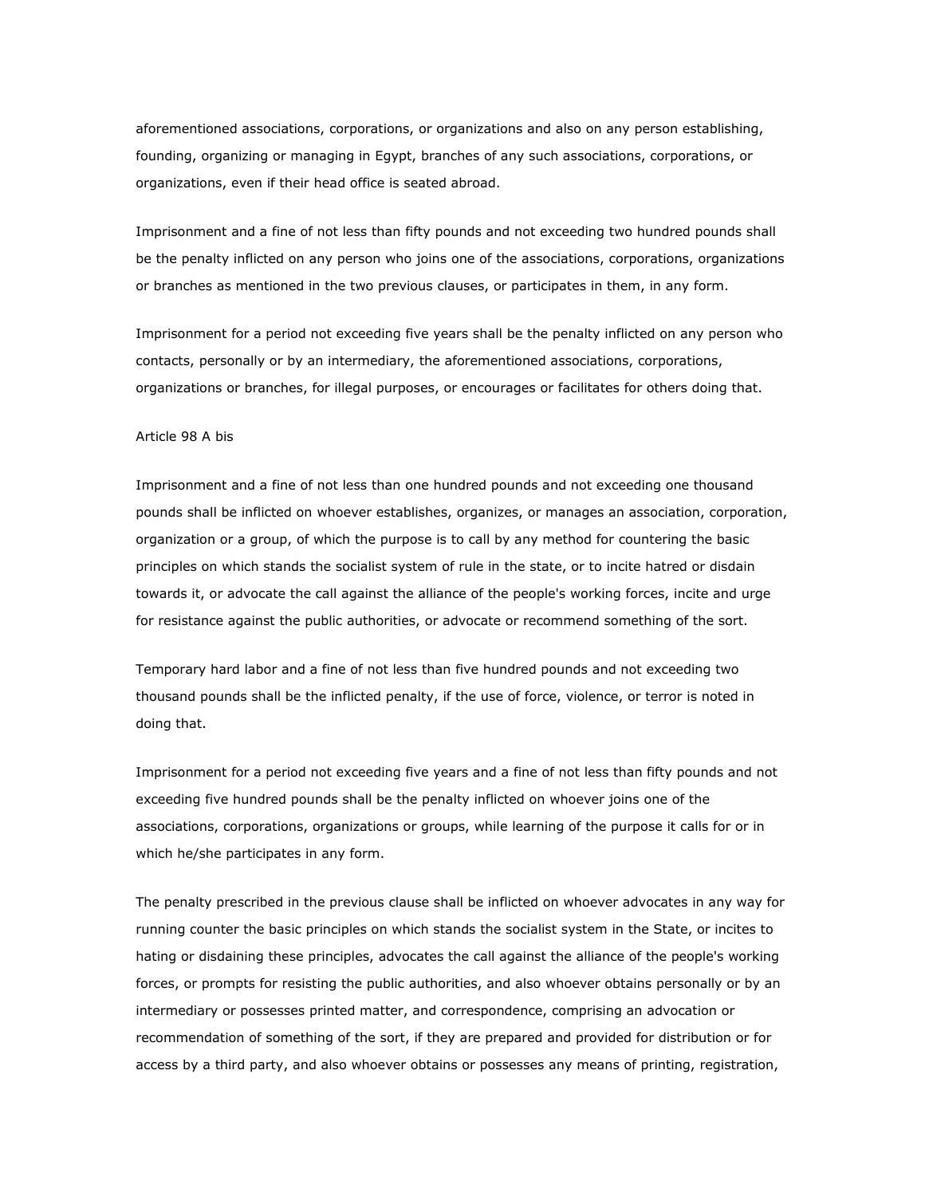aforementioned associations, corporations, or organizations and also on any person establishing, founding, organizing or managing in Egypt, branches of any such associations, corporations, or organizations, even if their head office is seated abroad.

Imprisonment and a fine of not less than fifty pounds and not exceeding two hundred pounds shall be the penalty inflicted on any person who joins one of the associations, corporations, organizations or branches as mentioned in the two previous clauses, or participates in them, in any form.

Imprisonment for a period not exceeding five years shall be the penalty inflicted on any person who contacts, personally or by an intermediary, the aforementioned associations, corporations, organizations or branches, for illegal purposes, or encourages or facilitates for others doing that.

#### Article 98 A bis

Imprisonment and a fine of not less than one hundred pounds and not exceeding one thousand pounds shall be inflicted on whoever establishes, organizes, or manages an association, corporation, organization or a group, of which the purpose is to call by any method for countering the basic principles on which stands the socialist system of rule in the state, or to incite hatred or disdain towards it, or advocate the call against the alliance of the people's working forces, incite and urge for resistance against the public authorities, or advocate or recommend something of the sort.

Temporary hard labor and a fine of not less than five hundred pounds and not exceeding two thousand pounds shall be the inflicted penalty, if the use of force, violence, or terror is noted in doing that.

Imprisonment for a period not exceeding five years and a fine of not less than fifty pounds and not exceeding five hundred pounds shall be the penalty inflicted on whoever joins one of the associations, corporations, organizations or groups, while learning of the purpose it calls for or in which he/she participates in any form.

The penalty prescribed in the previous clause shall be inflicted on whoever advocates in any way for running counter the basic principles on which stands the socialist system in the State, or incites to hating or disdaining these principles, advocates the call against the alliance of the people's working forces, or prompts for resisting the public authorities, and also whoever obtains personally or by an intermediary or possesses printed matter, and correspondence, comprising an advocation or recommendation of something of the sort, if they are prepared and provided for distribution or for access by a third party, and also whoever obtains or possesses any means of printing, registration,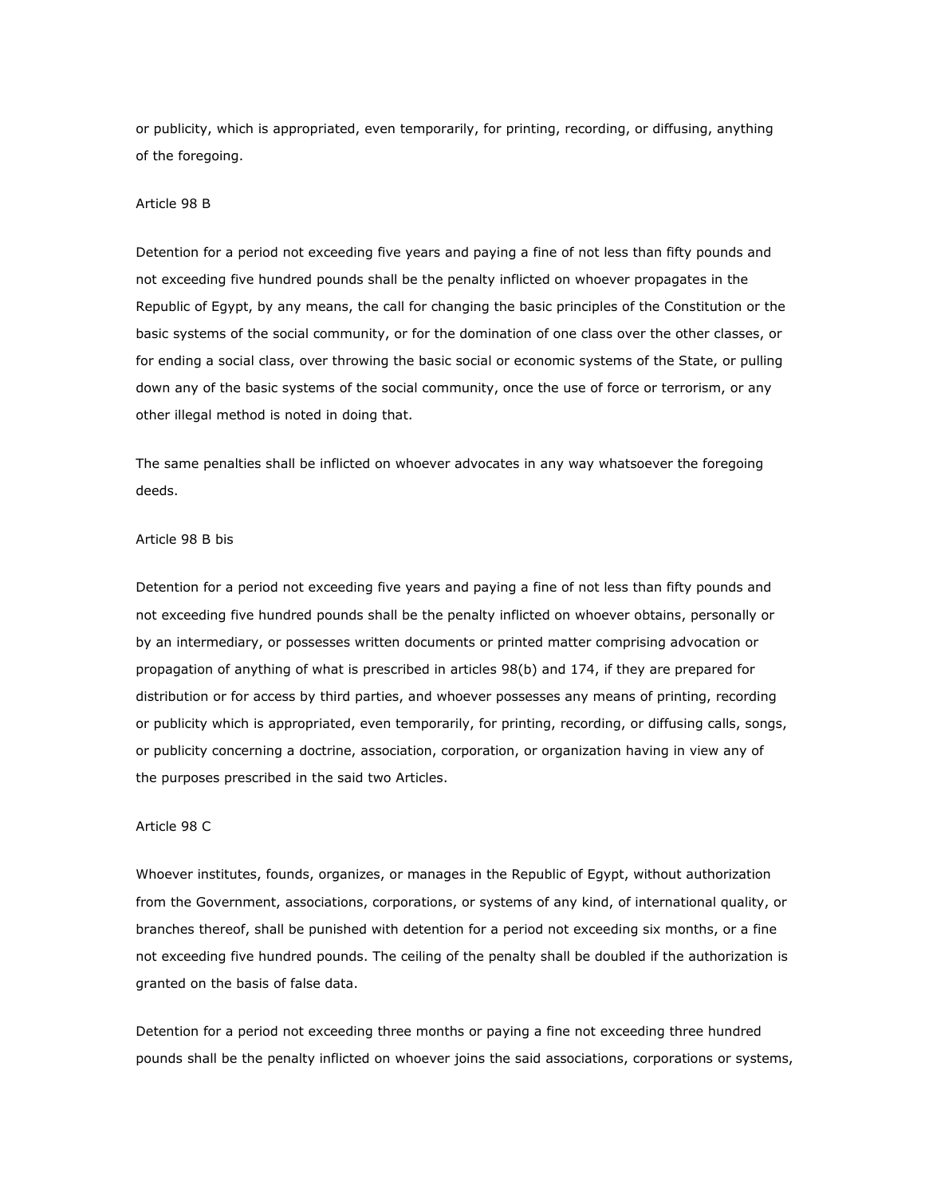or publicity, which is appropriated, even temporarily, for printing, recording, or diffusing, anything of the foregoing.

## Article 98 B

Detention for a period not exceeding five years and paying a fine of not less than fifty pounds and not exceeding five hundred pounds shall be the penalty inflicted on whoever propagates in the Republic of Egypt, by any means, the call for changing the basic principles of the Constitution or the basic systems of the social community, or for the domination of one class over the other classes, or for ending a social class, over throwing the basic social or economic systems of the State, or pulling down any of the basic systems of the social community, once the use of force or terrorism, or any other illegal method is noted in doing that.

The same penalties shall be inflicted on whoever advocates in any way whatsoever the foregoing deeds.

## Article 98 B bis

Detention for a period not exceeding five years and paying a fine of not less than fifty pounds and not exceeding five hundred pounds shall be the penalty inflicted on whoever obtains, personally or by an intermediary, or possesses written documents or printed matter comprising advocation or propagation of anything of what is prescribed in articles 98(b) and 174, if they are prepared for distribution or for access by third parties, and whoever possesses any means of printing, recording or publicity which is appropriated, even temporarily, for printing, recording, or diffusing calls, songs, or publicity concerning a doctrine, association, corporation, or organization having in view any of the purposes prescribed in the said two Articles.

## Article 98 C

Whoever institutes, founds, organizes, or manages in the Republic of Egypt, without authorization from the Government, associations, corporations, or systems of any kind, of international quality, or branches thereof, shall be punished with detention for a period not exceeding six months, or a fine not exceeding five hundred pounds. The ceiling of the penalty shall be doubled if the authorization is granted on the basis of false data.

Detention for a period not exceeding three months or paying a fine not exceeding three hundred pounds shall be the penalty inflicted on whoever joins the said associations, corporations or systems,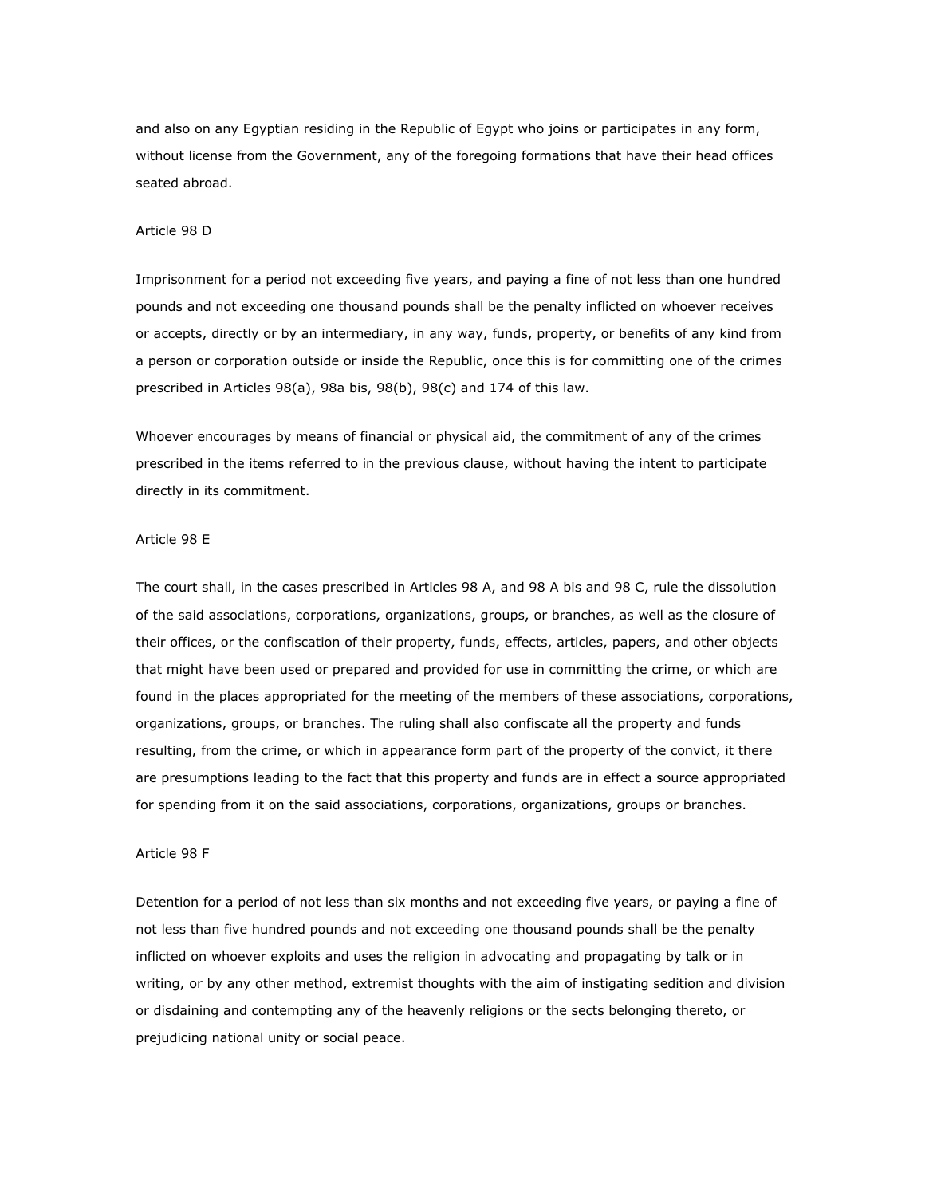and also on any Egyptian residing in the Republic of Egypt who joins or participates in any form, without license from the Government, any of the foregoing formations that have their head offices seated abroad.

### Article 98 D

Imprisonment for a period not exceeding five years, and paying a fine of not less than one hundred pounds and not exceeding one thousand pounds shall be the penalty inflicted on whoever receives or accepts, directly or by an intermediary, in any way, funds, property, or benefits of any kind from a person or corporation outside or inside the Republic, once this is for committing one of the crimes prescribed in Articles 98(a), 98a bis, 98(b), 98(c) and 174 of this law.

Whoever encourages by means of financial or physical aid, the commitment of any of the crimes prescribed in the items referred to in the previous clause, without having the intent to participate directly in its commitment.

## Article 98 E

The court shall, in the cases prescribed in Articles 98 A, and 98 A bis and 98 C, rule the dissolution of the said associations, corporations, organizations, groups, or branches, as well as the closure of their offices, or the confiscation of their property, funds, effects, articles, papers, and other objects that might have been used or prepared and provided for use in committing the crime, or which are found in the places appropriated for the meeting of the members of these associations, corporations, organizations, groups, or branches. The ruling shall also confiscate all the property and funds resulting, from the crime, or which in appearance form part of the property of the convict, it there are presumptions leading to the fact that this property and funds are in effect a source appropriated for spending from it on the said associations, corporations, organizations, groups or branches.

### Article 98 F

Detention for a period of not less than six months and not exceeding five years, or paying a fine of not less than five hundred pounds and not exceeding one thousand pounds shall be the penalty inflicted on whoever exploits and uses the religion in advocating and propagating by talk or in writing, or by any other method, extremist thoughts with the aim of instigating sedition and division or disdaining and contempting any of the heavenly religions or the sects belonging thereto, or prejudicing national unity or social peace.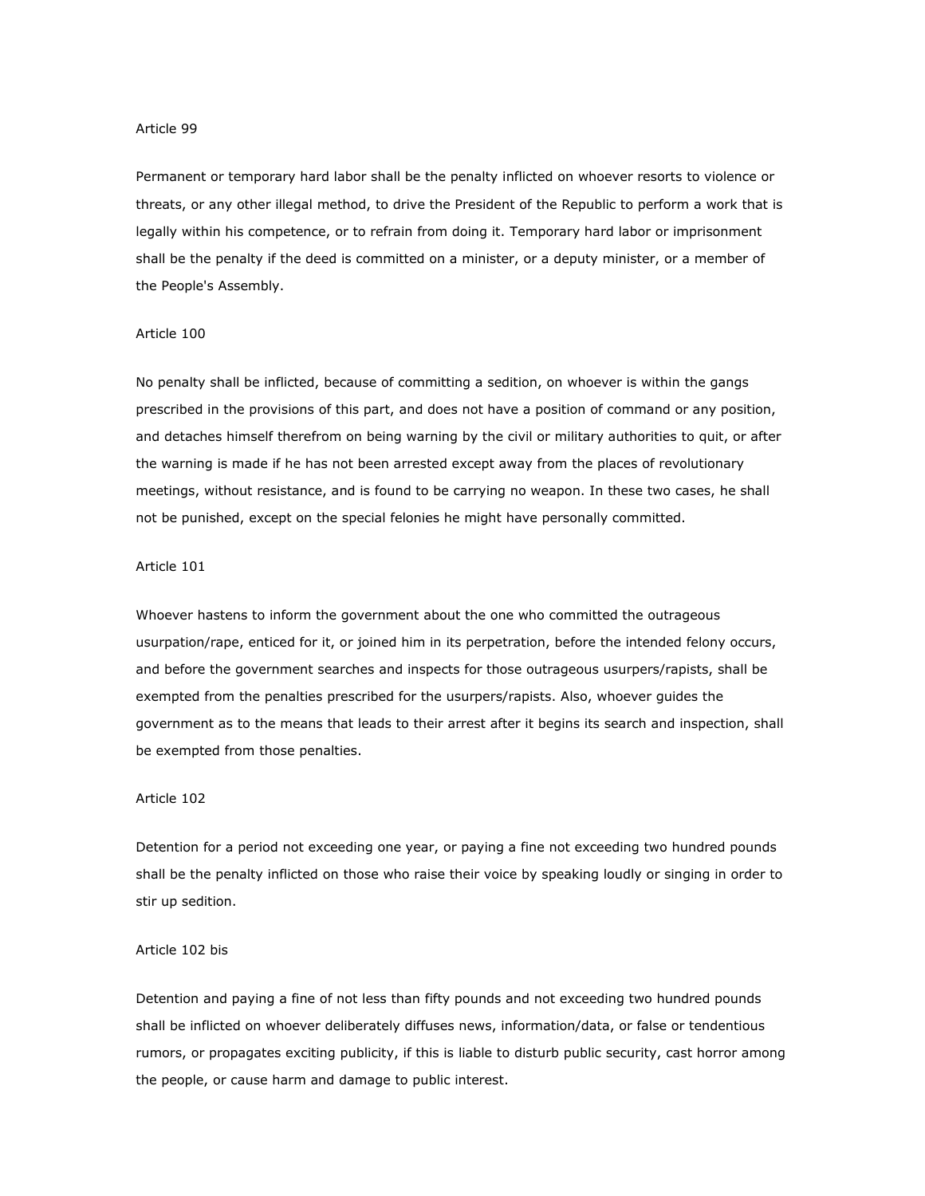Permanent or temporary hard labor shall be the penalty inflicted on whoever resorts to violence or threats, or any other illegal method, to drive the President of the Republic to perform a work that is legally within his competence, or to refrain from doing it. Temporary hard labor or imprisonment shall be the penalty if the deed is committed on a minister, or a deputy minister, or a member of the People's Assembly.

## Article 100

No penalty shall be inflicted, because of committing a sedition, on whoever is within the gangs prescribed in the provisions of this part, and does not have a position of command or any position, and detaches himself therefrom on being warning by the civil or military authorities to quit, or after the warning is made if he has not been arrested except away from the places of revolutionary meetings, without resistance, and is found to be carrying no weapon. In these two cases, he shall not be punished, except on the special felonies he might have personally committed.

## Article 101

Whoever hastens to inform the government about the one who committed the outrageous usurpation/rape, enticed for it, or joined him in its perpetration, before the intended felony occurs, and before the government searches and inspects for those outrageous usurpers/rapists, shall be exempted from the penalties prescribed for the usurpers/rapists. Also, whoever guides the government as to the means that leads to their arrest after it begins its search and inspection, shall be exempted from those penalties.

## Article 102

Detention for a period not exceeding one year, or paying a fine not exceeding two hundred pounds shall be the penalty inflicted on those who raise their voice by speaking loudly or singing in order to stir up sedition.

## Article 102 bis

Detention and paying a fine of not less than fifty pounds and not exceeding two hundred pounds shall be inflicted on whoever deliberately diffuses news, information/data, or false or tendentious rumors, or propagates exciting publicity, if this is liable to disturb public security, cast horror among the people, or cause harm and damage to public interest.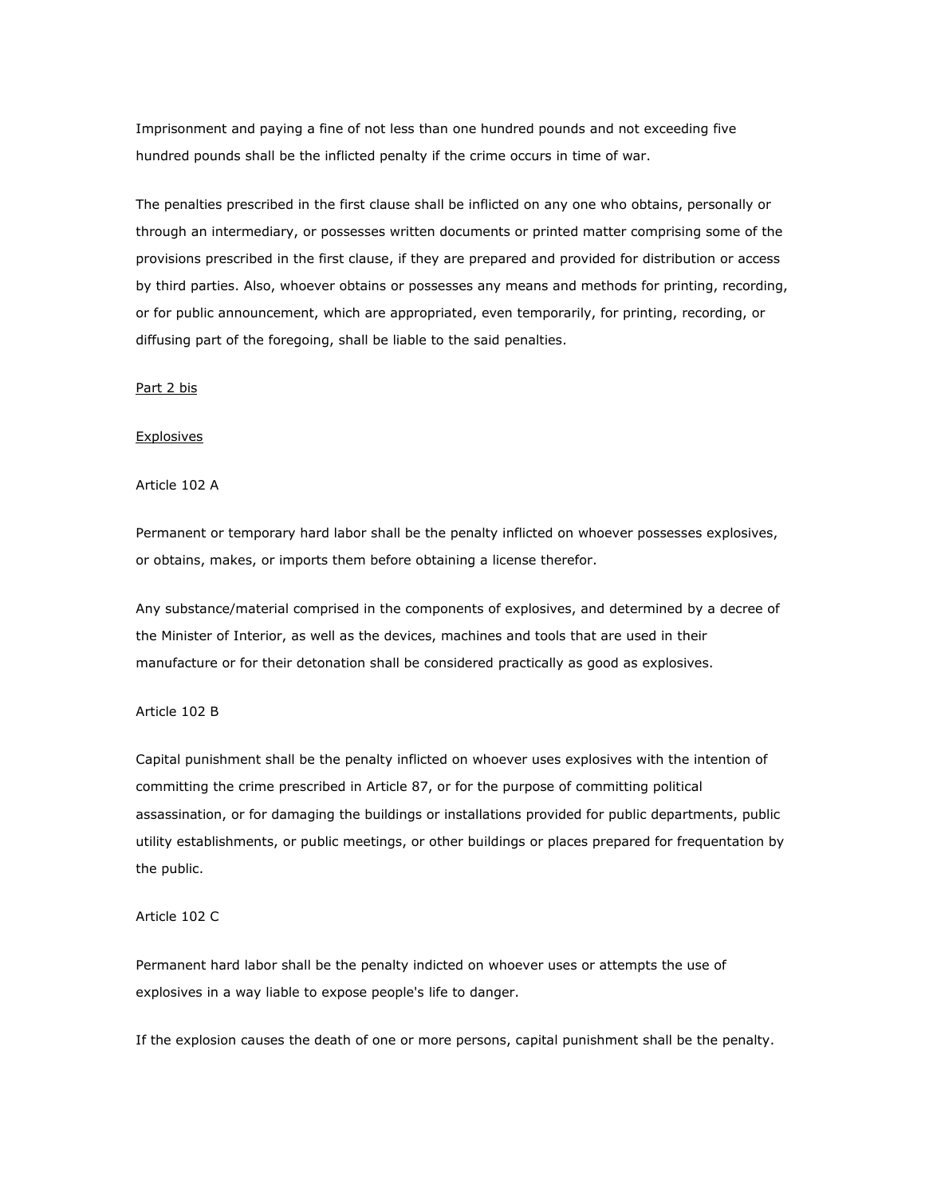Imprisonment and paying a fine of not less than one hundred pounds and not exceeding five hundred pounds shall be the inflicted penalty if the crime occurs in time of war.

The penalties prescribed in the first clause shall be inflicted on any one who obtains, personally or through an intermediary, or possesses written documents or printed matter comprising some of the provisions prescribed in the first clause, if they are prepared and provided for distribution or access by third parties. Also, whoever obtains or possesses any means and methods for printing, recording, or for public announcement, which are appropriated, even temporarily, for printing, recording, or diffusing part of the foregoing, shall be liable to the said penalties.

### Part 2 bis

### **Explosives**

Article 102 A

Permanent or temporary hard labor shall be the penalty inflicted on whoever possesses explosives, or obtains, makes, or imports them before obtaining a license therefor.

Any substance/material comprised in the components of explosives, and determined by a decree of the Minister of Interior, as well as the devices, machines and tools that are used in their manufacture or for their detonation shall be considered practically as good as explosives.

## Article 102 B

Capital punishment shall be the penalty inflicted on whoever uses explosives with the intention of committing the crime prescribed in Article 87, or for the purpose of committing political assassination, or for damaging the buildings or installations provided for public departments, public utility establishments, or public meetings, or other buildings or places prepared for frequentation by the public.

#### Article 102 C

Permanent hard labor shall be the penalty indicted on whoever uses or attempts the use of explosives in a way liable to expose people's life to danger.

If the explosion causes the death of one or more persons, capital punishment shall be the penalty.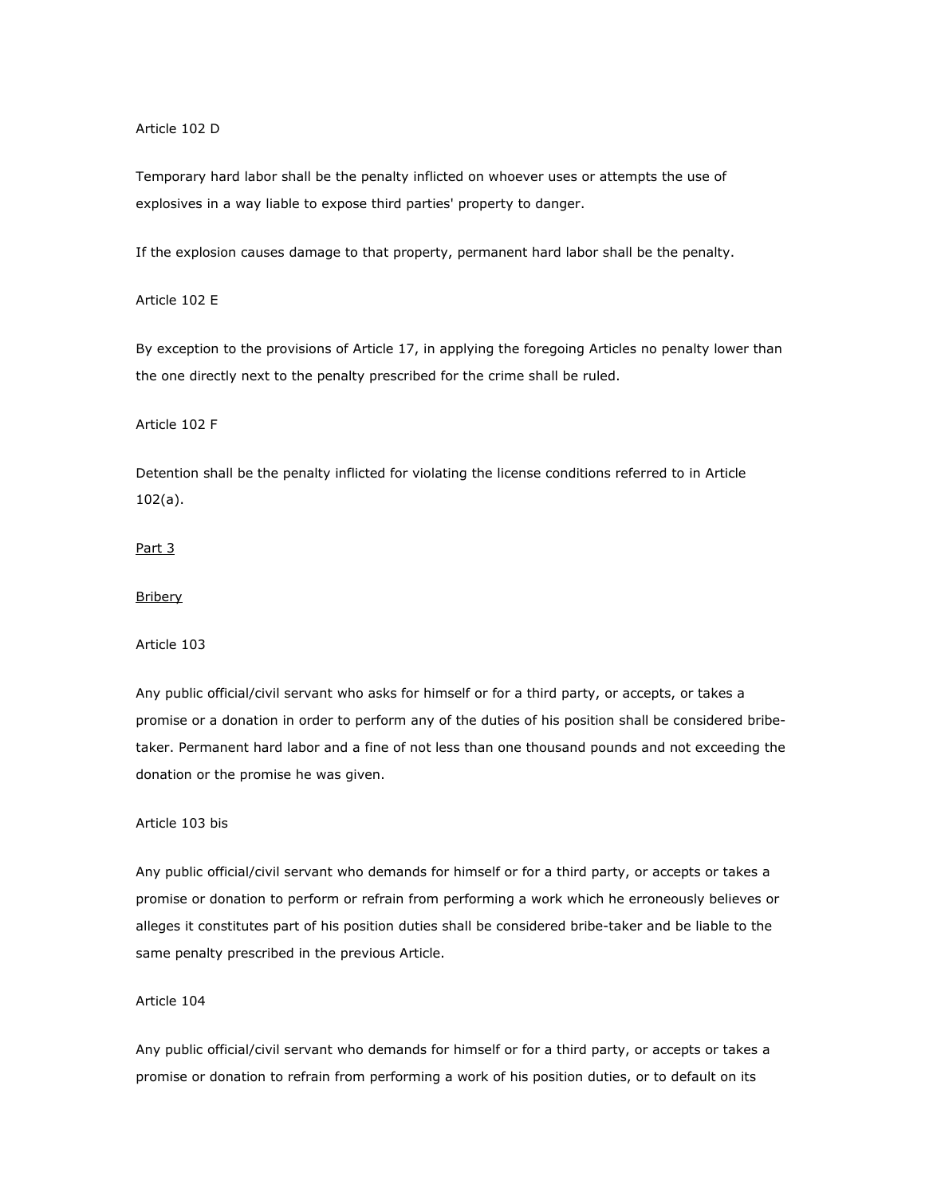Article 102 D

Temporary hard labor shall be the penalty inflicted on whoever uses or attempts the use of explosives in a way liable to expose third parties' property to danger.

If the explosion causes damage to that property, permanent hard labor shall be the penalty.

Article 102 E

By exception to the provisions of Article 17, in applying the foregoing Articles no penalty lower than the one directly next to the penalty prescribed for the crime shall be ruled.

Article 102 F

Detention shall be the penalty inflicted for violating the license conditions referred to in Article 102(a).

# Part 3

#### **Bribery**

### Article 103

Any public official/civil servant who asks for himself or for a third party, or accepts, or takes a promise or a donation in order to perform any of the duties of his position shall be considered bribetaker. Permanent hard labor and a fine of not less than one thousand pounds and not exceeding the donation or the promise he was given.

# Article 103 bis

Any public official/civil servant who demands for himself or for a third party, or accepts or takes a promise or donation to perform or refrain from performing a work which he erroneously believes or alleges it constitutes part of his position duties shall be considered bribe-taker and be liable to the same penalty prescribed in the previous Article.

## Article 104

Any public official/civil servant who demands for himself or for a third party, or accepts or takes a promise or donation to refrain from performing a work of his position duties, or to default on its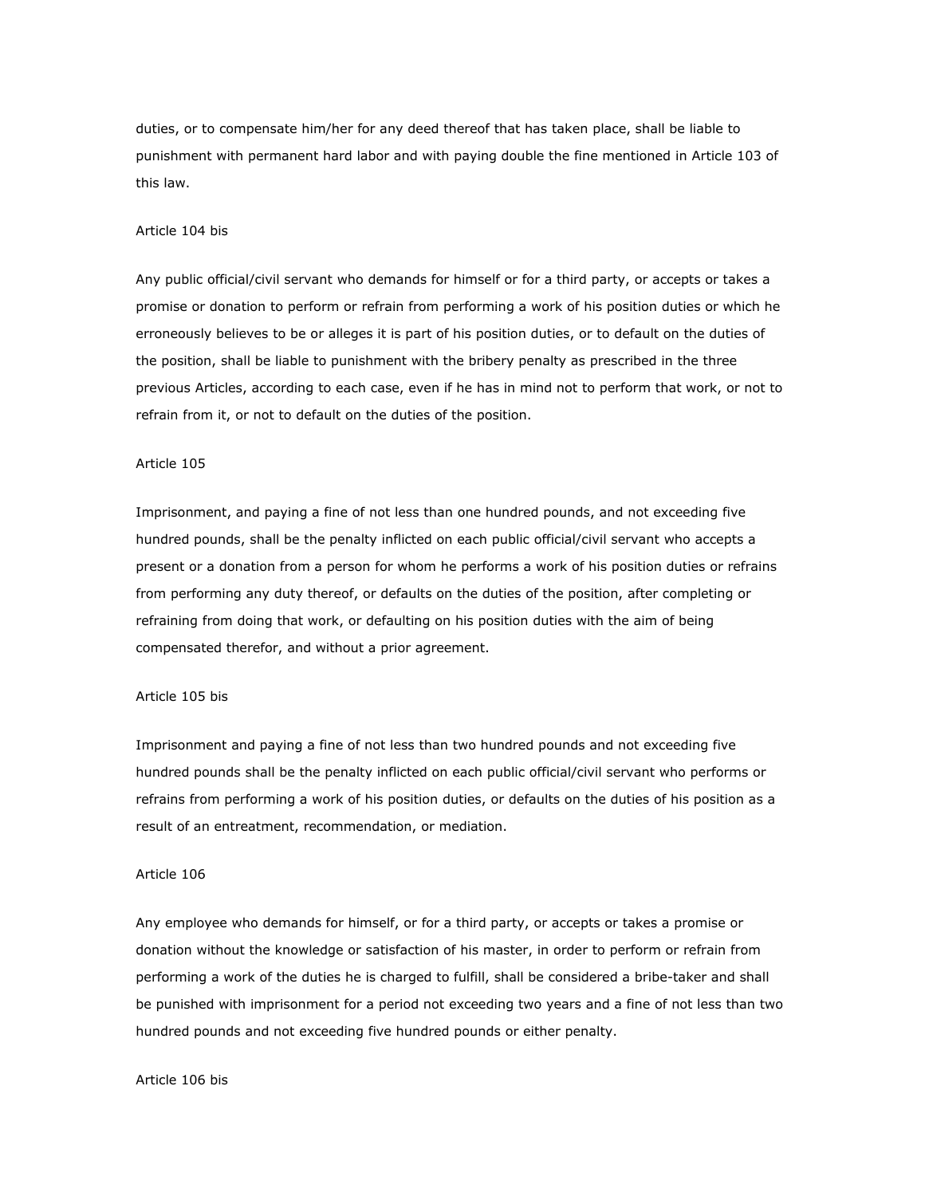duties, or to compensate him/her for any deed thereof that has taken place, shall be liable to punishment with permanent hard labor and with paying double the fine mentioned in Article 103 of this law.

#### Article 104 bis

Any public official/civil servant who demands for himself or for a third party, or accepts or takes a promise or donation to perform or refrain from performing a work of his position duties or which he erroneously believes to be or alleges it is part of his position duties, or to default on the duties of the position, shall be liable to punishment with the bribery penalty as prescribed in the three previous Articles, according to each case, even if he has in mind not to perform that work, or not to refrain from it, or not to default on the duties of the position.

## Article 105

Imprisonment, and paying a fine of not less than one hundred pounds, and not exceeding five hundred pounds, shall be the penalty inflicted on each public official/civil servant who accepts a present or a donation from a person for whom he performs a work of his position duties or refrains from performing any duty thereof, or defaults on the duties of the position, after completing or refraining from doing that work, or defaulting on his position duties with the aim of being compensated therefor, and without a prior agreement.

#### Article 105 bis

Imprisonment and paying a fine of not less than two hundred pounds and not exceeding five hundred pounds shall be the penalty inflicted on each public official/civil servant who performs or refrains from performing a work of his position duties, or defaults on the duties of his position as a result of an entreatment, recommendation, or mediation.

#### Article 106

Any employee who demands for himself, or for a third party, or accepts or takes a promise or donation without the knowledge or satisfaction of his master, in order to perform or refrain from performing a work of the duties he is charged to fulfill, shall be considered a bribe-taker and shall be punished with imprisonment for a period not exceeding two years and a fine of not less than two hundred pounds and not exceeding five hundred pounds or either penalty.

#### Article 106 bis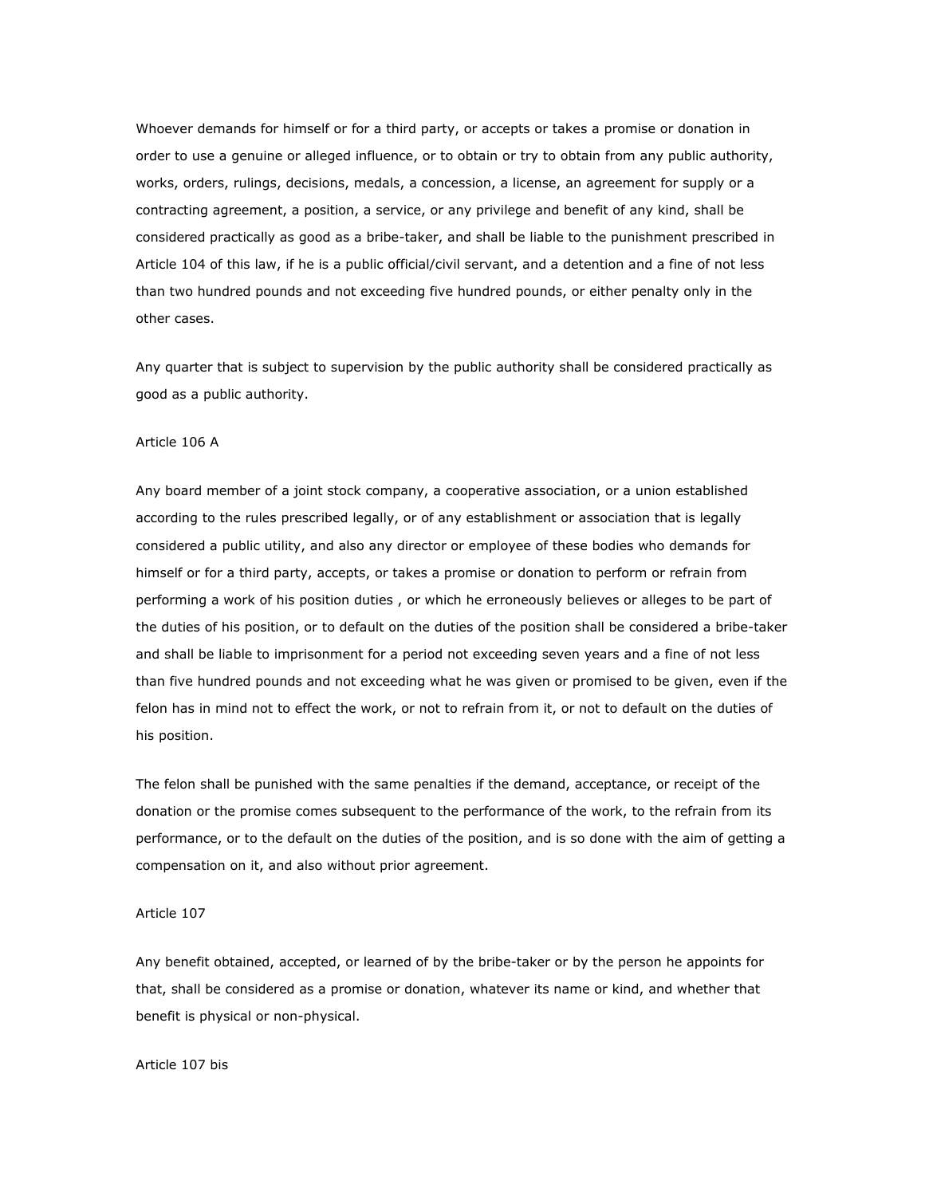Whoever demands for himself or for a third party, or accepts or takes a promise or donation in order to use a genuine or alleged influence, or to obtain or try to obtain from any public authority, works, orders, rulings, decisions, medals, a concession, a license, an agreement for supply or a contracting agreement, a position, a service, or any privilege and benefit of any kind, shall be considered practically as good as a bribe-taker, and shall be liable to the punishment prescribed in Article 104 of this law, if he is a public official/civil servant, and a detention and a fine of not less than two hundred pounds and not exceeding five hundred pounds, or either penalty only in the other cases.

Any quarter that is subject to supervision by the public authority shall be considered practically as good as a public authority.

### Article 106 A

Any board member of a joint stock company, a cooperative association, or a union established according to the rules prescribed legally, or of any establishment or association that is legally considered a public utility, and also any director or employee of these bodies who demands for himself or for a third party, accepts, or takes a promise or donation to perform or refrain from performing a work of his position duties , or which he erroneously believes or alleges to be part of the duties of his position, or to default on the duties of the position shall be considered a bribe-taker and shall be liable to imprisonment for a period not exceeding seven years and a fine of not less than five hundred pounds and not exceeding what he was given or promised to be given, even if the felon has in mind not to effect the work, or not to refrain from it, or not to default on the duties of his position.

The felon shall be punished with the same penalties if the demand, acceptance, or receipt of the donation or the promise comes subsequent to the performance of the work, to the refrain from its performance, or to the default on the duties of the position, and is so done with the aim of getting a compensation on it, and also without prior agreement.

## Article 107

Any benefit obtained, accepted, or learned of by the bribe-taker or by the person he appoints for that, shall be considered as a promise or donation, whatever its name or kind, and whether that benefit is physical or non-physical.

#### Article 107 bis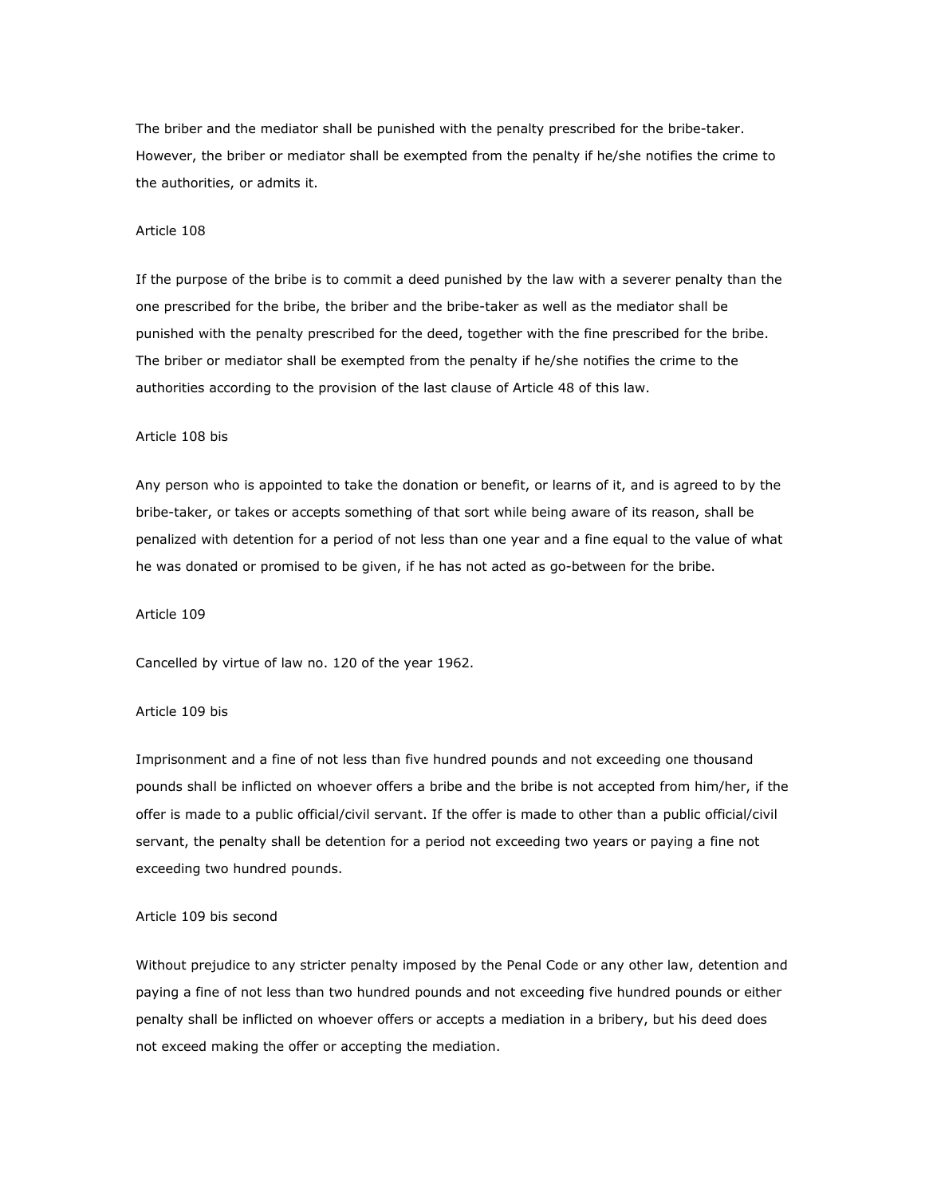The briber and the mediator shall be punished with the penalty prescribed for the bribe-taker. However, the briber or mediator shall be exempted from the penalty if he/she notifies the crime to the authorities, or admits it.

#### Article 108

If the purpose of the bribe is to commit a deed punished by the law with a severer penalty than the one prescribed for the bribe, the briber and the bribe-taker as well as the mediator shall be punished with the penalty prescribed for the deed, together with the fine prescribed for the bribe. The briber or mediator shall be exempted from the penalty if he/she notifies the crime to the authorities according to the provision of the last clause of Article 48 of this law.

#### Article 108 bis

Any person who is appointed to take the donation or benefit, or learns of it, and is agreed to by the bribe-taker, or takes or accepts something of that sort while being aware of its reason, shall be penalized with detention for a period of not less than one year and a fine equal to the value of what he was donated or promised to be given, if he has not acted as go-between for the bribe.

## Article 109

Cancelled by virtue of law no. 120 of the year 1962.

#### Article 109 bis

Imprisonment and a fine of not less than five hundred pounds and not exceeding one thousand pounds shall be inflicted on whoever offers a bribe and the bribe is not accepted from him/her, if the offer is made to a public official/civil servant. If the offer is made to other than a public official/civil servant, the penalty shall be detention for a period not exceeding two years or paying a fine not exceeding two hundred pounds.

#### Article 109 bis second

Without prejudice to any stricter penalty imposed by the Penal Code or any other law, detention and paying a fine of not less than two hundred pounds and not exceeding five hundred pounds or either penalty shall be inflicted on whoever offers or accepts a mediation in a bribery, but his deed does not exceed making the offer or accepting the mediation.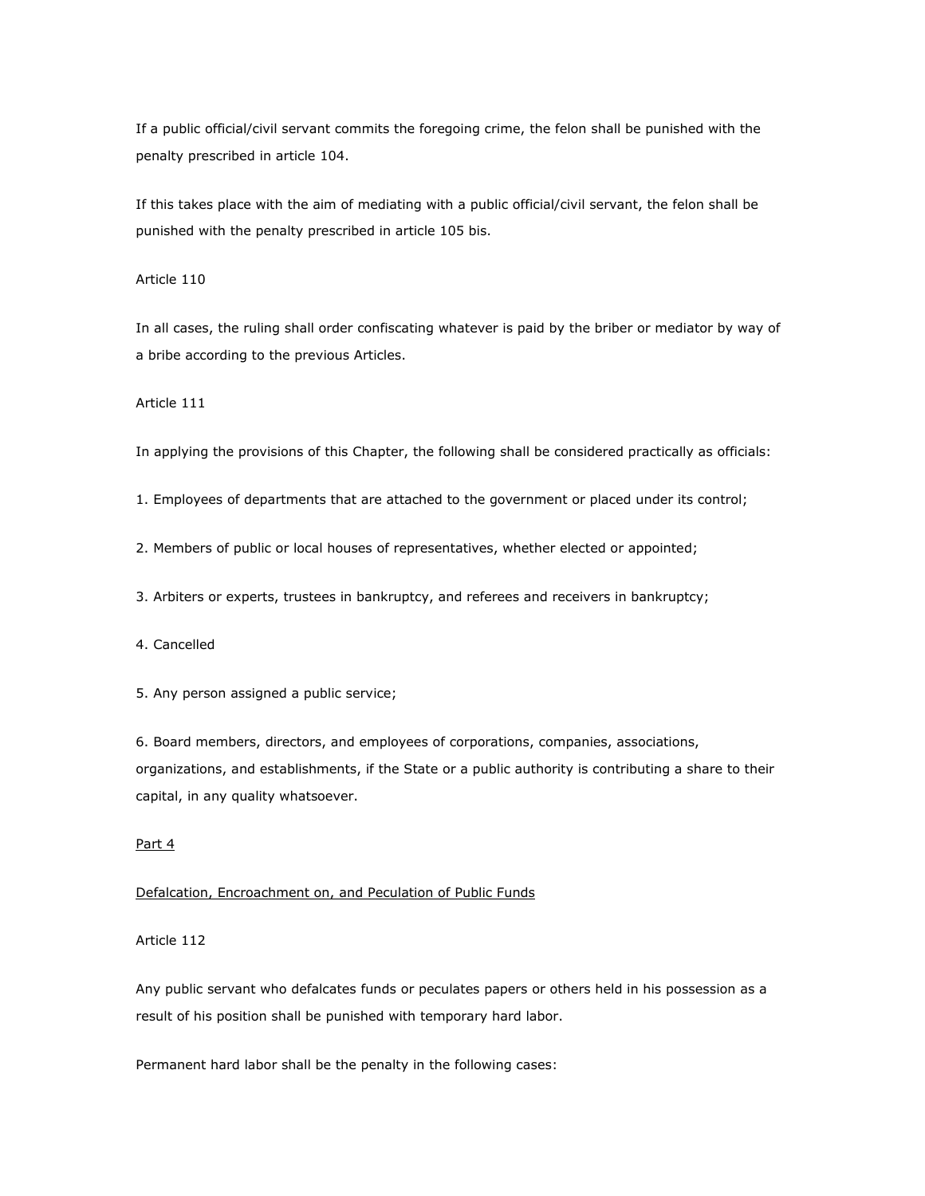If a public official/civil servant commits the foregoing crime, the felon shall be punished with the penalty prescribed in article 104.

If this takes place with the aim of mediating with a public official/civil servant, the felon shall be punished with the penalty prescribed in article 105 bis.

## Article 110

In all cases, the ruling shall order confiscating whatever is paid by the briber or mediator by way of a bribe according to the previous Articles.

## Article 111

In applying the provisions of this Chapter, the following shall be considered practically as officials:

1. Employees of departments that are attached to the government or placed under its control;

2. Members of public or local houses of representatives, whether elected or appointed;

3. Arbiters or experts, trustees in bankruptcy, and referees and receivers in bankruptcy;

4. Cancelled

5. Any person assigned a public service;

6. Board members, directors, and employees of corporations, companies, associations, organizations, and establishments, if the State or a public authority is contributing a share to their capital, in any quality whatsoever.

# Part 4

### Defalcation, Encroachment on, and Peculation of Public Funds

## Article 112

Any public servant who defalcates funds or peculates papers or others held in his possession as a result of his position shall be punished with temporary hard labor.

Permanent hard labor shall be the penalty in the following cases: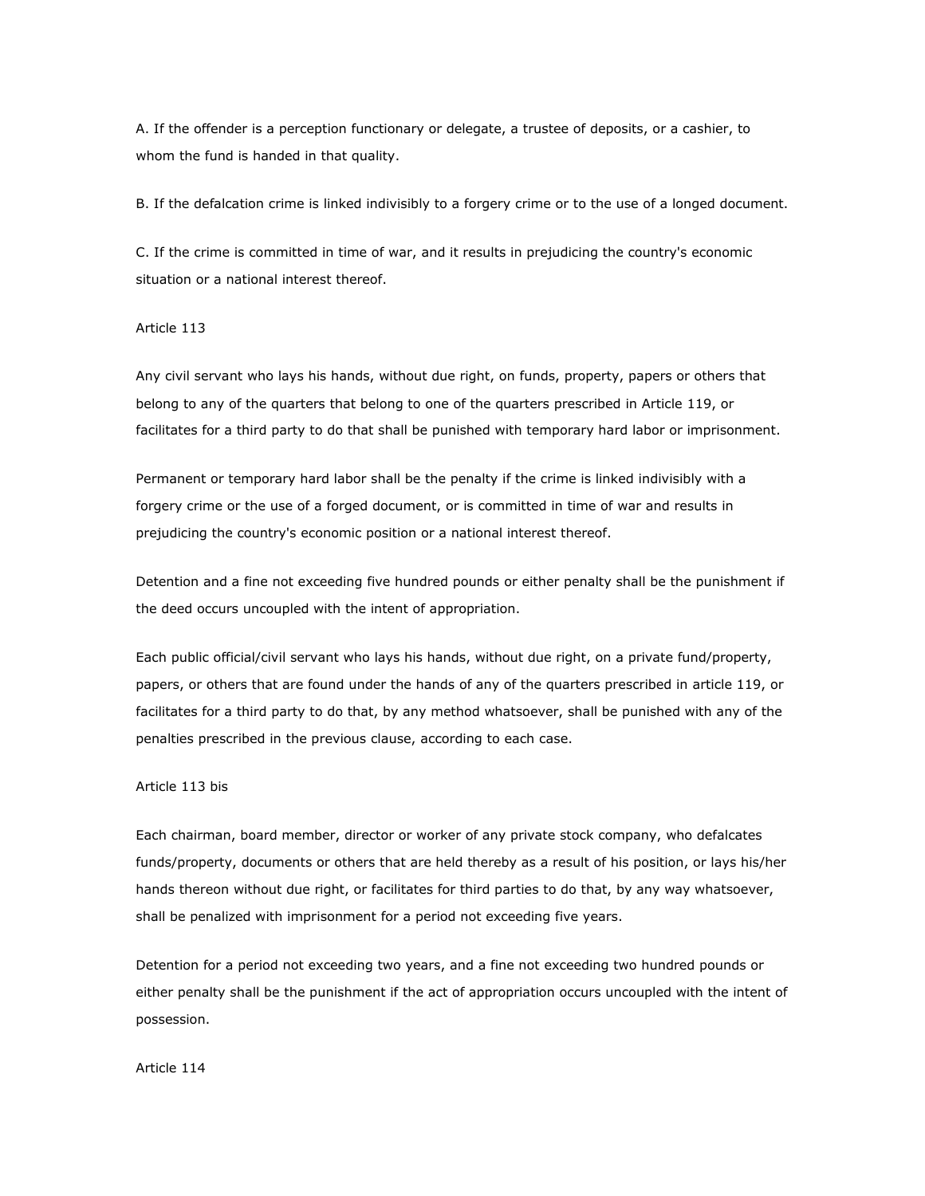A. If the offender is a perception functionary or delegate, a trustee of deposits, or a cashier, to whom the fund is handed in that quality.

B. If the defalcation crime is linked indivisibly to a forgery crime or to the use of a longed document.

C. If the crime is committed in time of war, and it results in prejudicing the country's economic situation or a national interest thereof.

## Article 113

Any civil servant who lays his hands, without due right, on funds, property, papers or others that belong to any of the quarters that belong to one of the quarters prescribed in Article 119, or facilitates for a third party to do that shall be punished with temporary hard labor or imprisonment.

Permanent or temporary hard labor shall be the penalty if the crime is linked indivisibly with a forgery crime or the use of a forged document, or is committed in time of war and results in prejudicing the country's economic position or a national interest thereof.

Detention and a fine not exceeding five hundred pounds or either penalty shall be the punishment if the deed occurs uncoupled with the intent of appropriation.

Each public official/civil servant who lays his hands, without due right, on a private fund/property, papers, or others that are found under the hands of any of the quarters prescribed in article 119, or facilitates for a third party to do that, by any method whatsoever, shall be punished with any of the penalties prescribed in the previous clause, according to each case.

# Article 113 bis

Each chairman, board member, director or worker of any private stock company, who defalcates funds/property, documents or others that are held thereby as a result of his position, or lays his/her hands thereon without due right, or facilitates for third parties to do that, by any way whatsoever, shall be penalized with imprisonment for a period not exceeding five years.

Detention for a period not exceeding two years, and a fine not exceeding two hundred pounds or either penalty shall be the punishment if the act of appropriation occurs uncoupled with the intent of possession.

#### Article 114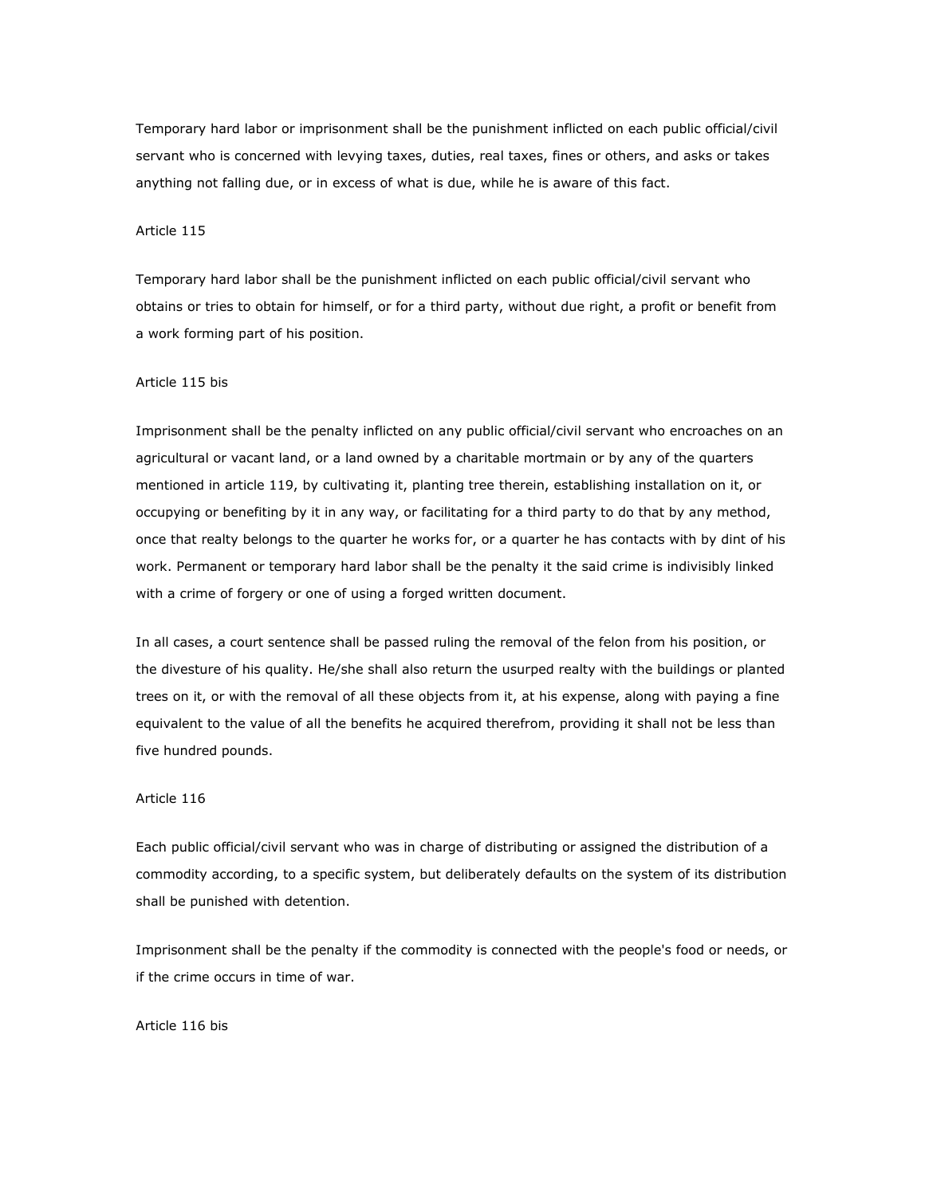Temporary hard labor or imprisonment shall be the punishment inflicted on each public official/civil servant who is concerned with levying taxes, duties, real taxes, fines or others, and asks or takes anything not falling due, or in excess of what is due, while he is aware of this fact.

## Article 115

Temporary hard labor shall be the punishment inflicted on each public official/civil servant who obtains or tries to obtain for himself, or for a third party, without due right, a profit or benefit from a work forming part of his position.

## Article 115 bis

Imprisonment shall be the penalty inflicted on any public official/civil servant who encroaches on an agricultural or vacant land, or a land owned by a charitable mortmain or by any of the quarters mentioned in article 119, by cultivating it, planting tree therein, establishing installation on it, or occupying or benefiting by it in any way, or facilitating for a third party to do that by any method, once that realty belongs to the quarter he works for, or a quarter he has contacts with by dint of his work. Permanent or temporary hard labor shall be the penalty it the said crime is indivisibly linked with a crime of forgery or one of using a forged written document.

In all cases, a court sentence shall be passed ruling the removal of the felon from his position, or the divesture of his quality. He/she shall also return the usurped realty with the buildings or planted trees on it, or with the removal of all these objects from it, at his expense, along with paying a fine equivalent to the value of all the benefits he acquired therefrom, providing it shall not be less than five hundred pounds.

### Article 116

Each public official/civil servant who was in charge of distributing or assigned the distribution of a commodity according, to a specific system, but deliberately defaults on the system of its distribution shall be punished with detention.

Imprisonment shall be the penalty if the commodity is connected with the people's food or needs, or if the crime occurs in time of war.

Article 116 bis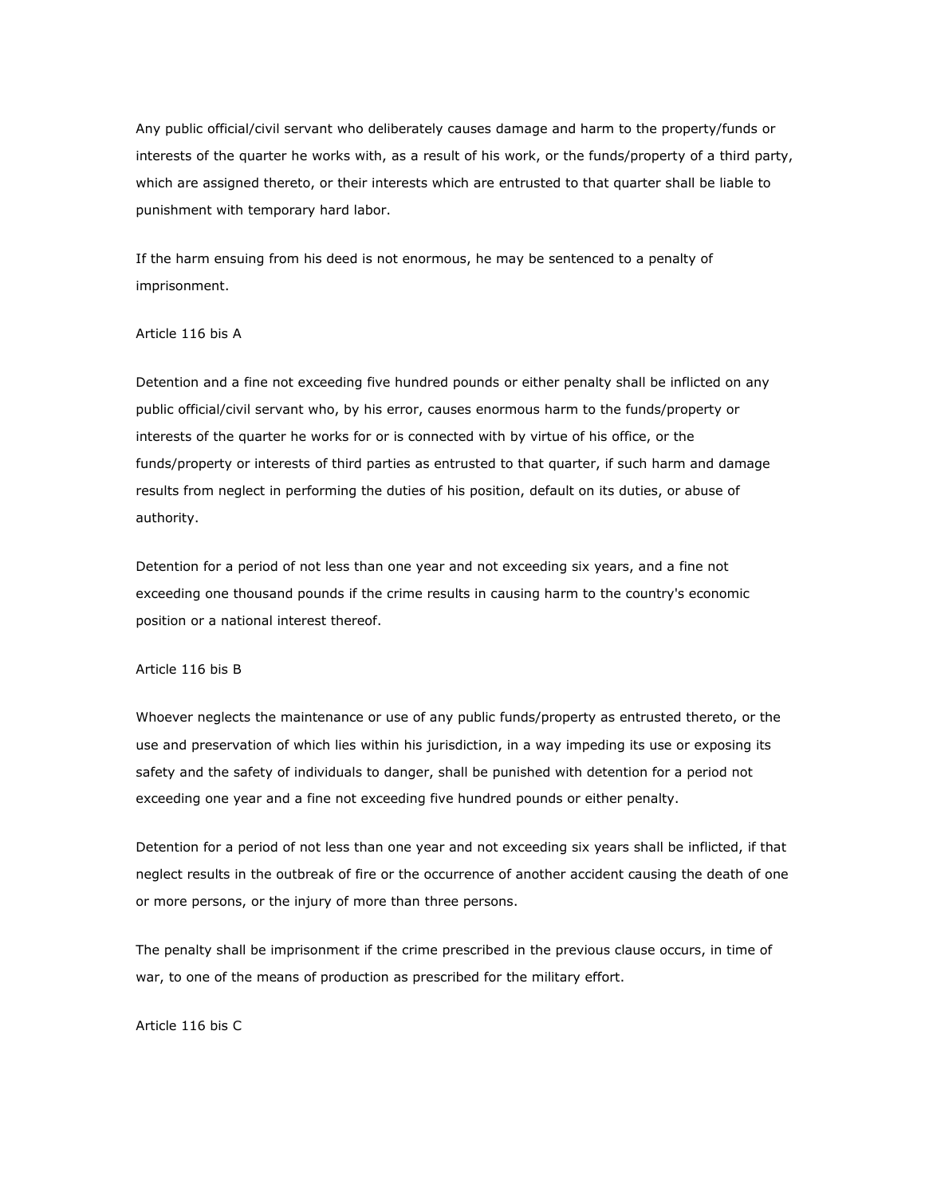Any public official/civil servant who deliberately causes damage and harm to the property/funds or interests of the quarter he works with, as a result of his work, or the funds/property of a third party, which are assigned thereto, or their interests which are entrusted to that quarter shall be liable to punishment with temporary hard labor.

If the harm ensuing from his deed is not enormous, he may be sentenced to a penalty of imprisonment.

## Article 116 bis A

Detention and a fine not exceeding five hundred pounds or either penalty shall be inflicted on any public official/civil servant who, by his error, causes enormous harm to the funds/property or interests of the quarter he works for or is connected with by virtue of his office, or the funds/property or interests of third parties as entrusted to that quarter, if such harm and damage results from neglect in performing the duties of his position, default on its duties, or abuse of authority.

Detention for a period of not less than one year and not exceeding six years, and a fine not exceeding one thousand pounds if the crime results in causing harm to the country's economic position or a national interest thereof.

#### Article 116 bis B

Whoever neglects the maintenance or use of any public funds/property as entrusted thereto, or the use and preservation of which lies within his jurisdiction, in a way impeding its use or exposing its safety and the safety of individuals to danger, shall be punished with detention for a period not exceeding one year and a fine not exceeding five hundred pounds or either penalty.

Detention for a period of not less than one year and not exceeding six years shall be inflicted, if that neglect results in the outbreak of fire or the occurrence of another accident causing the death of one or more persons, or the injury of more than three persons.

The penalty shall be imprisonment if the crime prescribed in the previous clause occurs, in time of war, to one of the means of production as prescribed for the military effort.

Article 116 bis C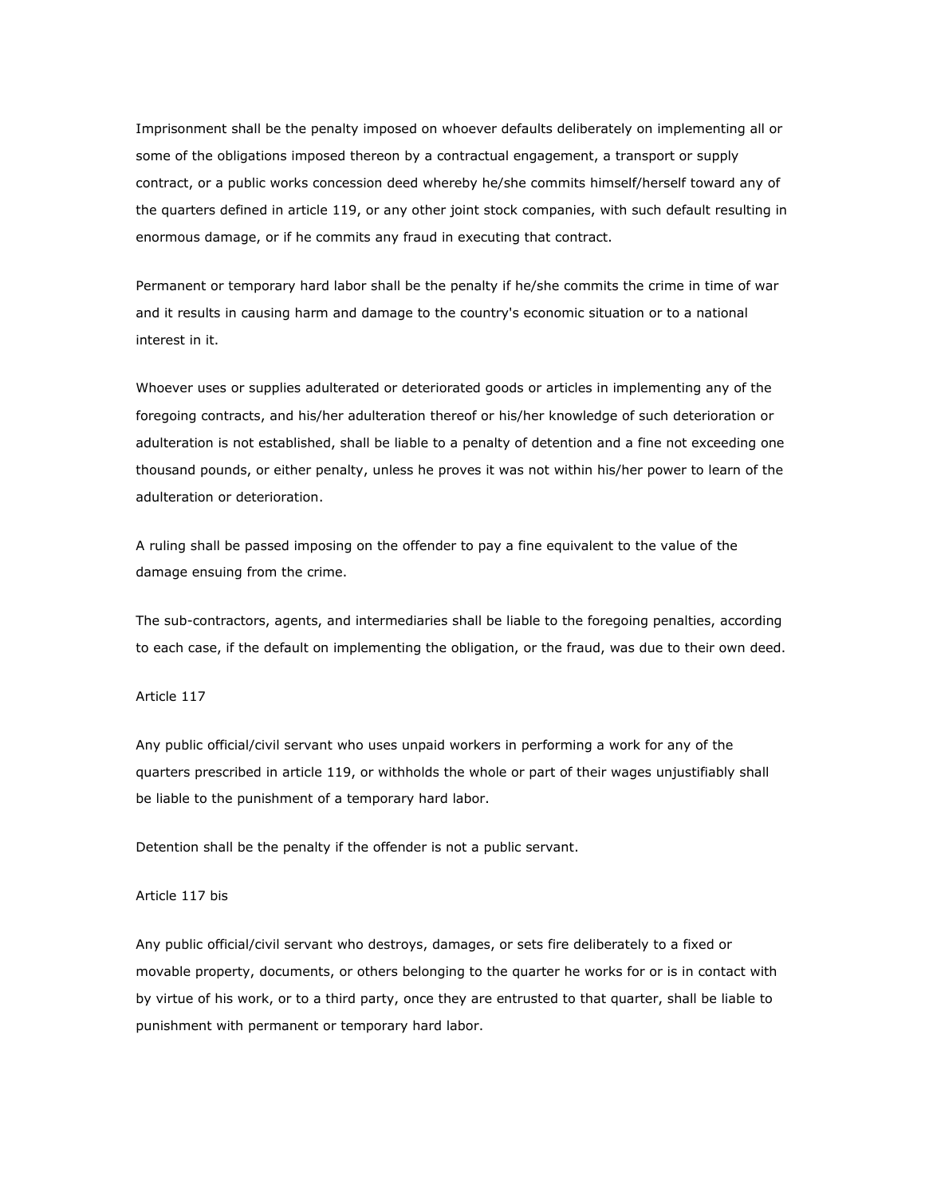Imprisonment shall be the penalty imposed on whoever defaults deliberately on implementing all or some of the obligations imposed thereon by a contractual engagement, a transport or supply contract, or a public works concession deed whereby he/she commits himself/herself toward any of the quarters defined in article 119, or any other joint stock companies, with such default resulting in enormous damage, or if he commits any fraud in executing that contract.

Permanent or temporary hard labor shall be the penalty if he/she commits the crime in time of war and it results in causing harm and damage to the country's economic situation or to a national interest in it.

Whoever uses or supplies adulterated or deteriorated goods or articles in implementing any of the foregoing contracts, and his/her adulteration thereof or his/her knowledge of such deterioration or adulteration is not established, shall be liable to a penalty of detention and a fine not exceeding one thousand pounds, or either penalty, unless he proves it was not within his/her power to learn of the adulteration or deterioration.

A ruling shall be passed imposing on the offender to pay a fine equivalent to the value of the damage ensuing from the crime.

The sub-contractors, agents, and intermediaries shall be liable to the foregoing penalties, according to each case, if the default on implementing the obligation, or the fraud, was due to their own deed.

## Article 117

Any public official/civil servant who uses unpaid workers in performing a work for any of the quarters prescribed in article 119, or withholds the whole or part of their wages unjustifiably shall be liable to the punishment of a temporary hard labor.

Detention shall be the penalty if the offender is not a public servant.

#### Article 117 bis

Any public official/civil servant who destroys, damages, or sets fire deliberately to a fixed or movable property, documents, or others belonging to the quarter he works for or is in contact with by virtue of his work, or to a third party, once they are entrusted to that quarter, shall be liable to punishment with permanent or temporary hard labor.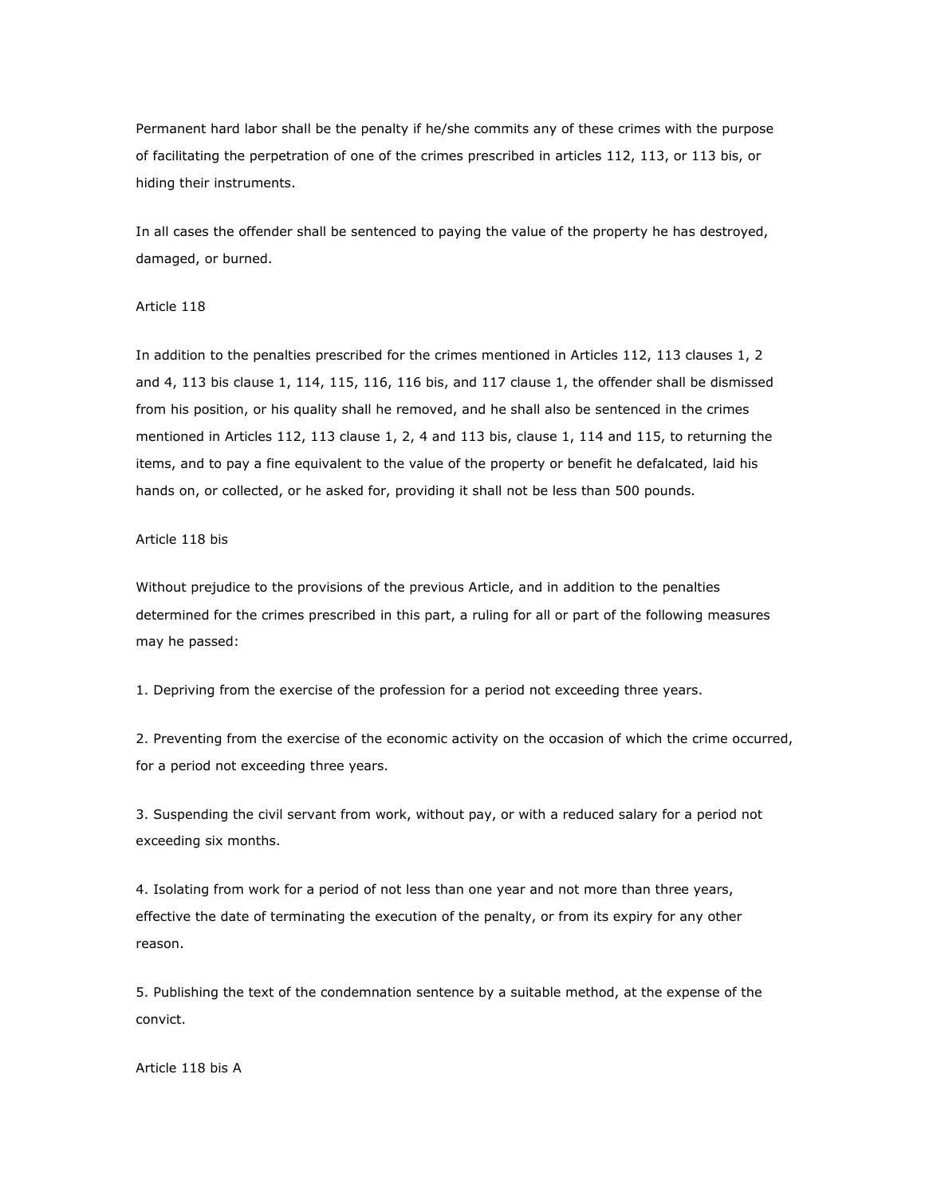Permanent hard labor shall be the penalty if he/she commits any of these crimes with the purpose of facilitating the perpetration of one of the crimes prescribed in articles 112, 113, or 113 bis, or hiding their instruments.

In all cases the offender shall be sentenced to paying the value of the property he has destroyed, damaged, or burned.

### Article 118

In addition to the penalties prescribed for the crimes mentioned in Articles 112, 113 clauses 1, 2 and 4, 113 bis clause 1, 114, 115, 116, 116 bis, and 117 clause 1, the offender shall be dismissed from his position, or his quality shall he removed, and he shall also be sentenced in the crimes mentioned in Articles 112, 113 clause 1, 2, 4 and 113 bis, clause 1, 114 and 115, to returning the items, and to pay a fine equivalent to the value of the property or benefit he defalcated, laid his hands on, or collected, or he asked for, providing it shall not be less than 500 pounds.

# Article 118 bis

Without prejudice to the provisions of the previous Article, and in addition to the penalties determined for the crimes prescribed in this part, a ruling for all or part of the following measures may he passed:

1. Depriving from the exercise of the profession for a period not exceeding three years.

2. Preventing from the exercise of the economic activity on the occasion of which the crime occurred, for a period not exceeding three years.

3. Suspending the civil servant from work, without pay, or with a reduced salary for a period not exceeding six months.

4. Isolating from work for a period of not less than one year and not more than three years, effective the date of terminating the execution of the penalty, or from its expiry for any other reason.

5. Publishing the text of the condemnation sentence by a suitable method, at the expense of the convict.

Article 118 bis A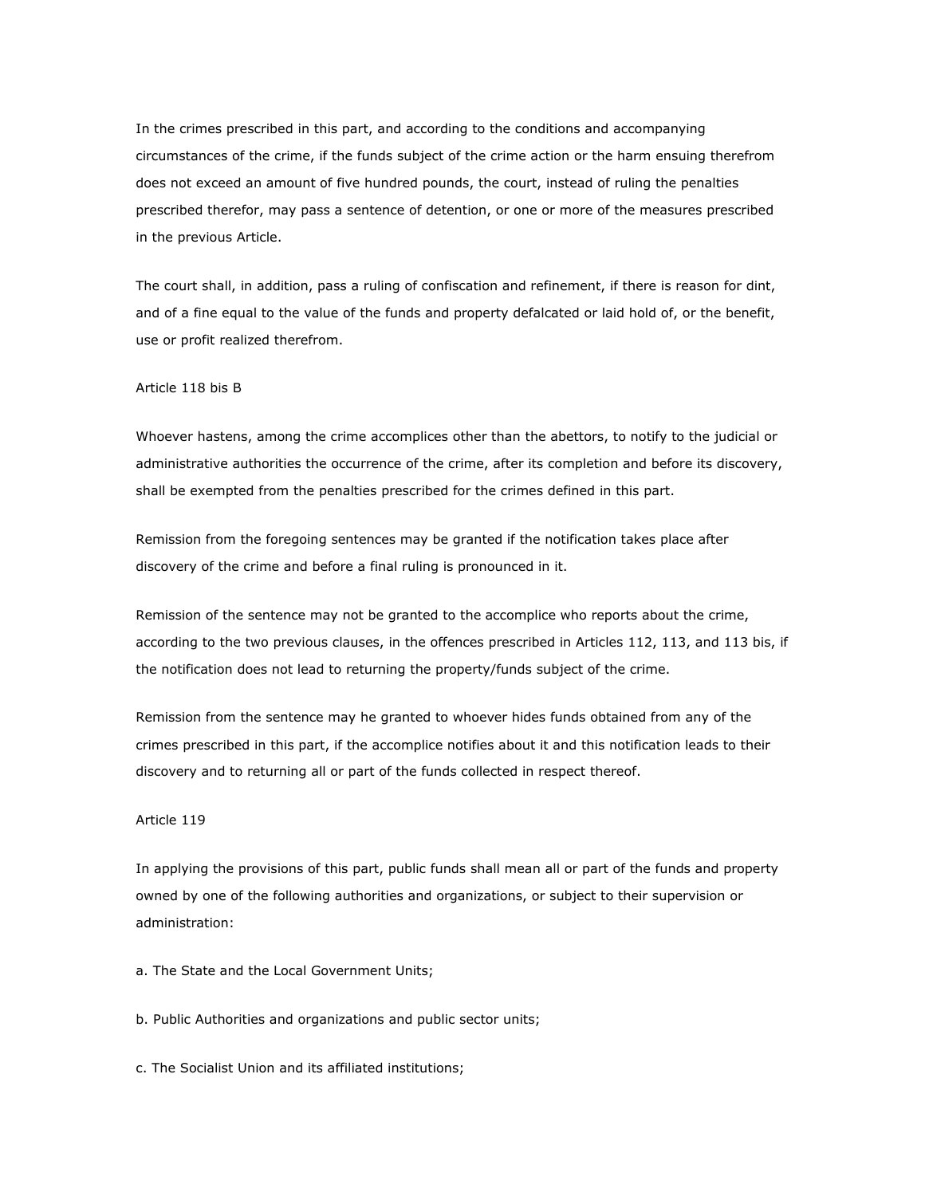In the crimes prescribed in this part, and according to the conditions and accompanying circumstances of the crime, if the funds subject of the crime action or the harm ensuing therefrom does not exceed an amount of five hundred pounds, the court, instead of ruling the penalties prescribed therefor, may pass a sentence of detention, or one or more of the measures prescribed in the previous Article.

The court shall, in addition, pass a ruling of confiscation and refinement, if there is reason for dint, and of a fine equal to the value of the funds and property defalcated or laid hold of, or the benefit, use or profit realized therefrom.

## Article 118 bis B

Whoever hastens, among the crime accomplices other than the abettors, to notify to the judicial or administrative authorities the occurrence of the crime, after its completion and before its discovery, shall be exempted from the penalties prescribed for the crimes defined in this part.

Remission from the foregoing sentences may be granted if the notification takes place after discovery of the crime and before a final ruling is pronounced in it.

Remission of the sentence may not be granted to the accomplice who reports about the crime, according to the two previous clauses, in the offences prescribed in Articles 112, 113, and 113 bis, if the notification does not lead to returning the property/funds subject of the crime.

Remission from the sentence may he granted to whoever hides funds obtained from any of the crimes prescribed in this part, if the accomplice notifies about it and this notification leads to their discovery and to returning all or part of the funds collected in respect thereof.

## Article 119

In applying the provisions of this part, public funds shall mean all or part of the funds and property owned by one of the following authorities and organizations, or subject to their supervision or administration:

- a. The State and the Local Government Units;
- b. Public Authorities and organizations and public sector units;
- c. The Socialist Union and its affiliated institutions;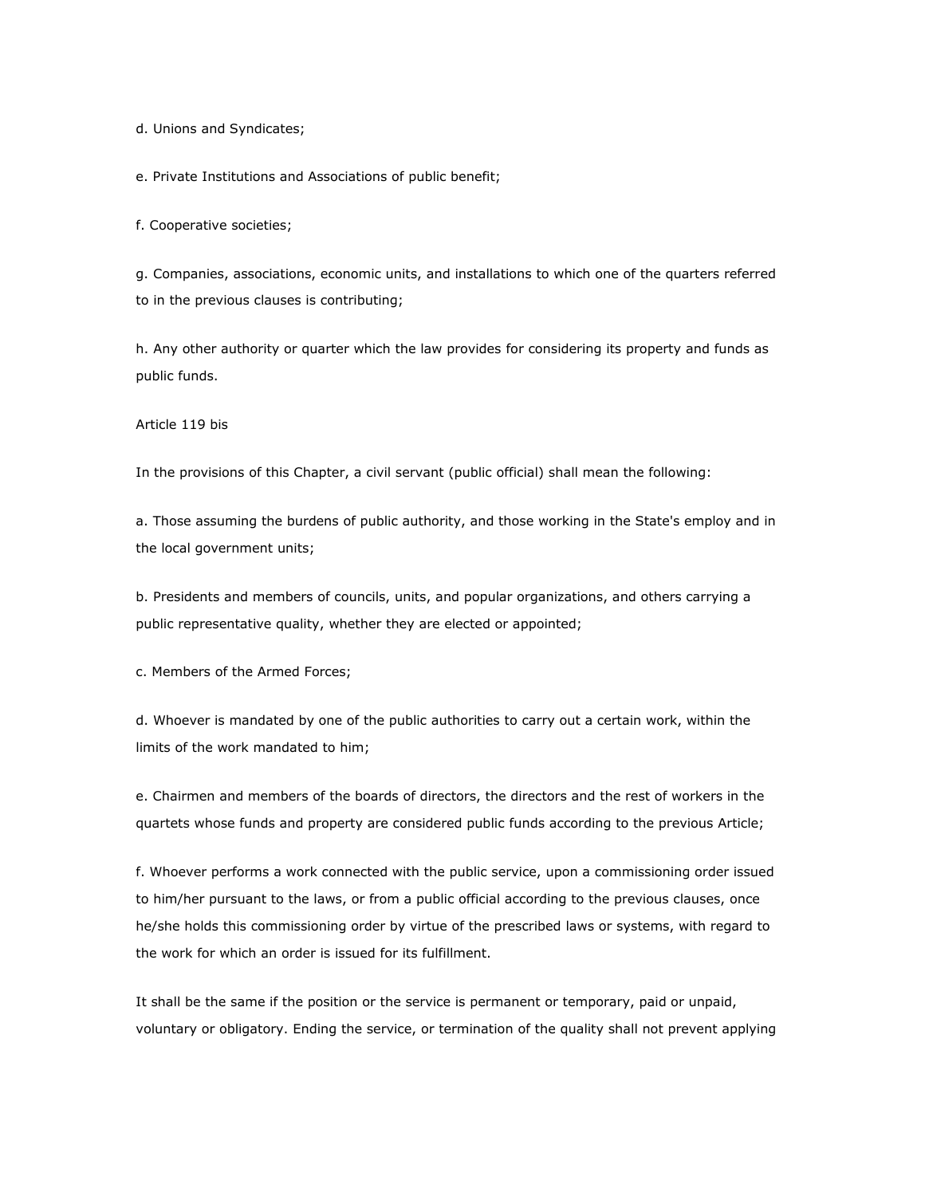d. Unions and Syndicates;

e. Private Institutions and Associations of public benefit;

f. Cooperative societies;

g. Companies, associations, economic units, and installations to which one of the quarters referred to in the previous clauses is contributing;

h. Any other authority or quarter which the law provides for considering its property and funds as public funds.

Article 119 bis

In the provisions of this Chapter, a civil servant (public official) shall mean the following:

a. Those assuming the burdens of public authority, and those working in the State's employ and in the local government units;

b. Presidents and members of councils, units, and popular organizations, and others carrying a public representative quality, whether they are elected or appointed;

c. Members of the Armed Forces;

d. Whoever is mandated by one of the public authorities to carry out a certain work, within the limits of the work mandated to him;

e. Chairmen and members of the boards of directors, the directors and the rest of workers in the quartets whose funds and property are considered public funds according to the previous Article;

f. Whoever performs a work connected with the public service, upon a commissioning order issued to him/her pursuant to the laws, or from a public official according to the previous clauses, once he/she holds this commissioning order by virtue of the prescribed laws or systems, with regard to the work for which an order is issued for its fulfillment.

It shall be the same if the position or the service is permanent or temporary, paid or unpaid, voluntary or obligatory. Ending the service, or termination of the quality shall not prevent applying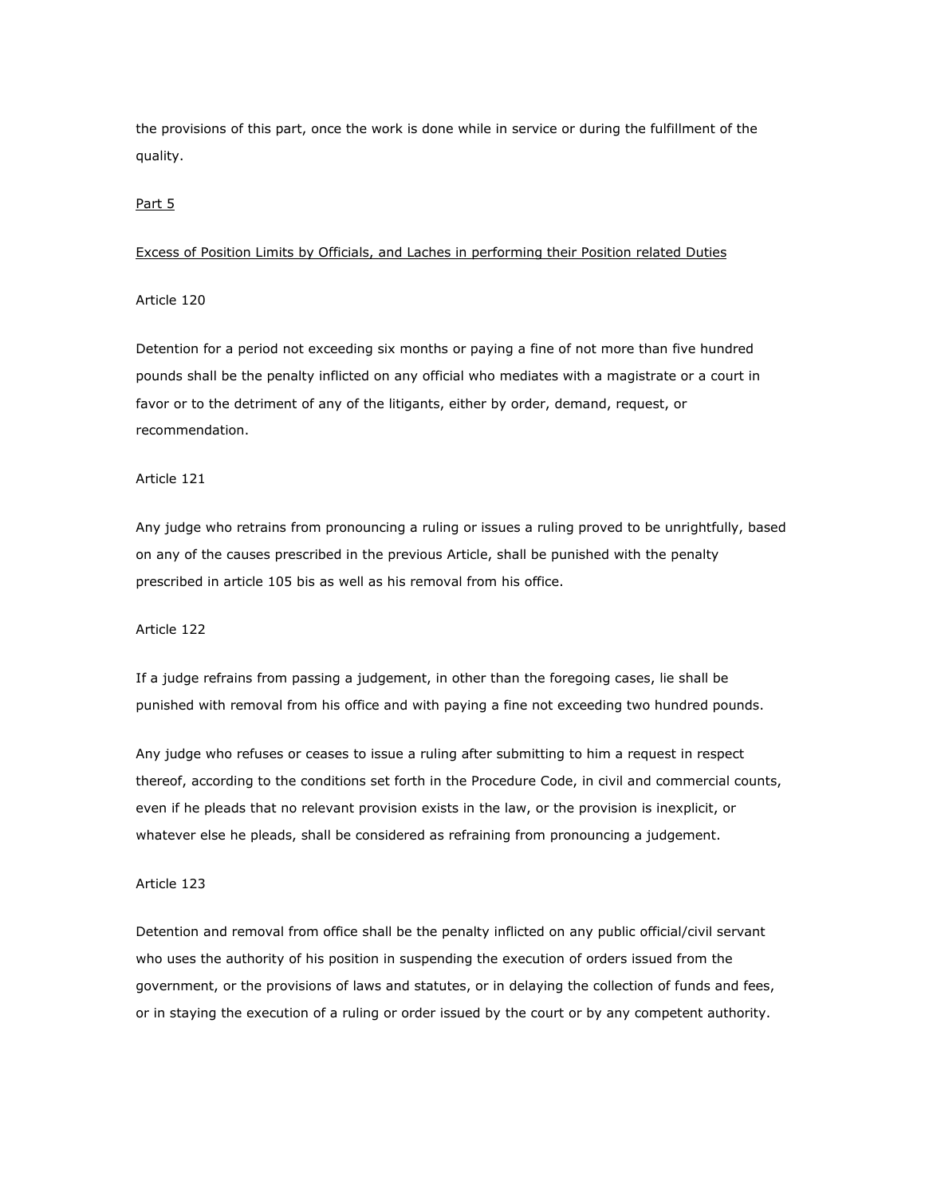the provisions of this part, once the work is done while in service or during the fulfillment of the quality.

# Part 5

## Excess of Position Limits by Officials, and Laches in performing their Position related Duties

# Article 120

Detention for a period not exceeding six months or paying a fine of not more than five hundred pounds shall be the penalty inflicted on any official who mediates with a magistrate or a court in favor or to the detriment of any of the litigants, either by order, demand, request, or recommendation.

# Article 121

Any judge who retrains from pronouncing a ruling or issues a ruling proved to be unrightfully, based on any of the causes prescribed in the previous Article, shall be punished with the penalty prescribed in article 105 bis as well as his removal from his office.

### Article 122

If a judge refrains from passing a judgement, in other than the foregoing cases, lie shall be punished with removal from his office and with paying a fine not exceeding two hundred pounds.

Any judge who refuses or ceases to issue a ruling after submitting to him a request in respect thereof, according to the conditions set forth in the Procedure Code, in civil and commercial counts, even if he pleads that no relevant provision exists in the law, or the provision is inexplicit, or whatever else he pleads, shall be considered as refraining from pronouncing a judgement.

# Article 123

Detention and removal from office shall be the penalty inflicted on any public official/civil servant who uses the authority of his position in suspending the execution of orders issued from the government, or the provisions of laws and statutes, or in delaying the collection of funds and fees, or in staying the execution of a ruling or order issued by the court or by any competent authority.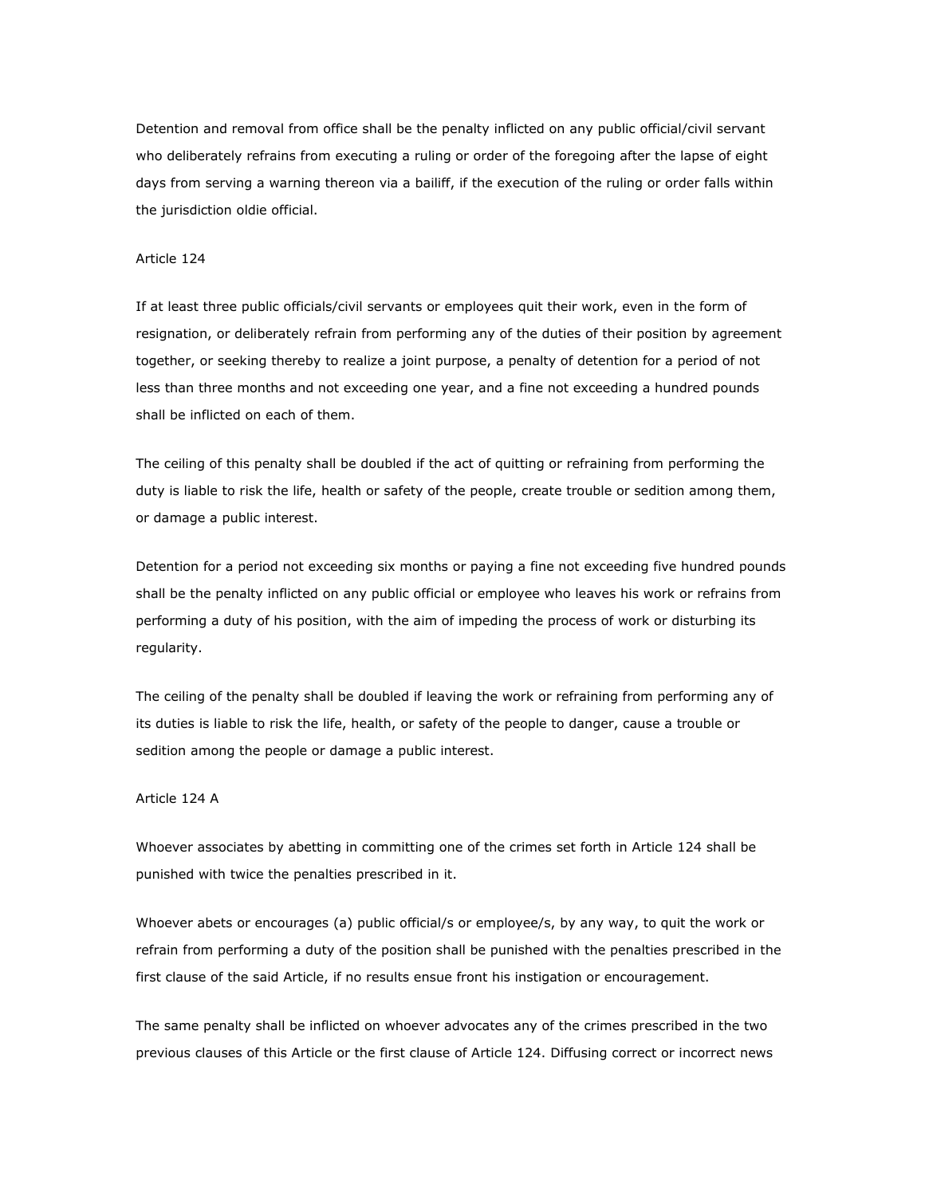Detention and removal from office shall be the penalty inflicted on any public official/civil servant who deliberately refrains from executing a ruling or order of the foregoing after the lapse of eight days from serving a warning thereon via a bailiff, if the execution of the ruling or order falls within the jurisdiction oldie official.

## Article 124

If at least three public officials/civil servants or employees quit their work, even in the form of resignation, or deliberately refrain from performing any of the duties of their position by agreement together, or seeking thereby to realize a joint purpose, a penalty of detention for a period of not less than three months and not exceeding one year, and a fine not exceeding a hundred pounds shall be inflicted on each of them.

The ceiling of this penalty shall be doubled if the act of quitting or refraining from performing the duty is liable to risk the life, health or safety of the people, create trouble or sedition among them, or damage a public interest.

Detention for a period not exceeding six months or paying a fine not exceeding five hundred pounds shall be the penalty inflicted on any public official or employee who leaves his work or refrains from performing a duty of his position, with the aim of impeding the process of work or disturbing its regularity.

The ceiling of the penalty shall be doubled if leaving the work or refraining from performing any of its duties is liable to risk the life, health, or safety of the people to danger, cause a trouble or sedition among the people or damage a public interest.

### Article 124 A

Whoever associates by abetting in committing one of the crimes set forth in Article 124 shall be punished with twice the penalties prescribed in it.

Whoever abets or encourages (a) public official/s or employee/s, by any way, to quit the work or refrain from performing a duty of the position shall be punished with the penalties prescribed in the first clause of the said Article, if no results ensue front his instigation or encouragement.

The same penalty shall be inflicted on whoever advocates any of the crimes prescribed in the two previous clauses of this Article or the first clause of Article 124. Diffusing correct or incorrect news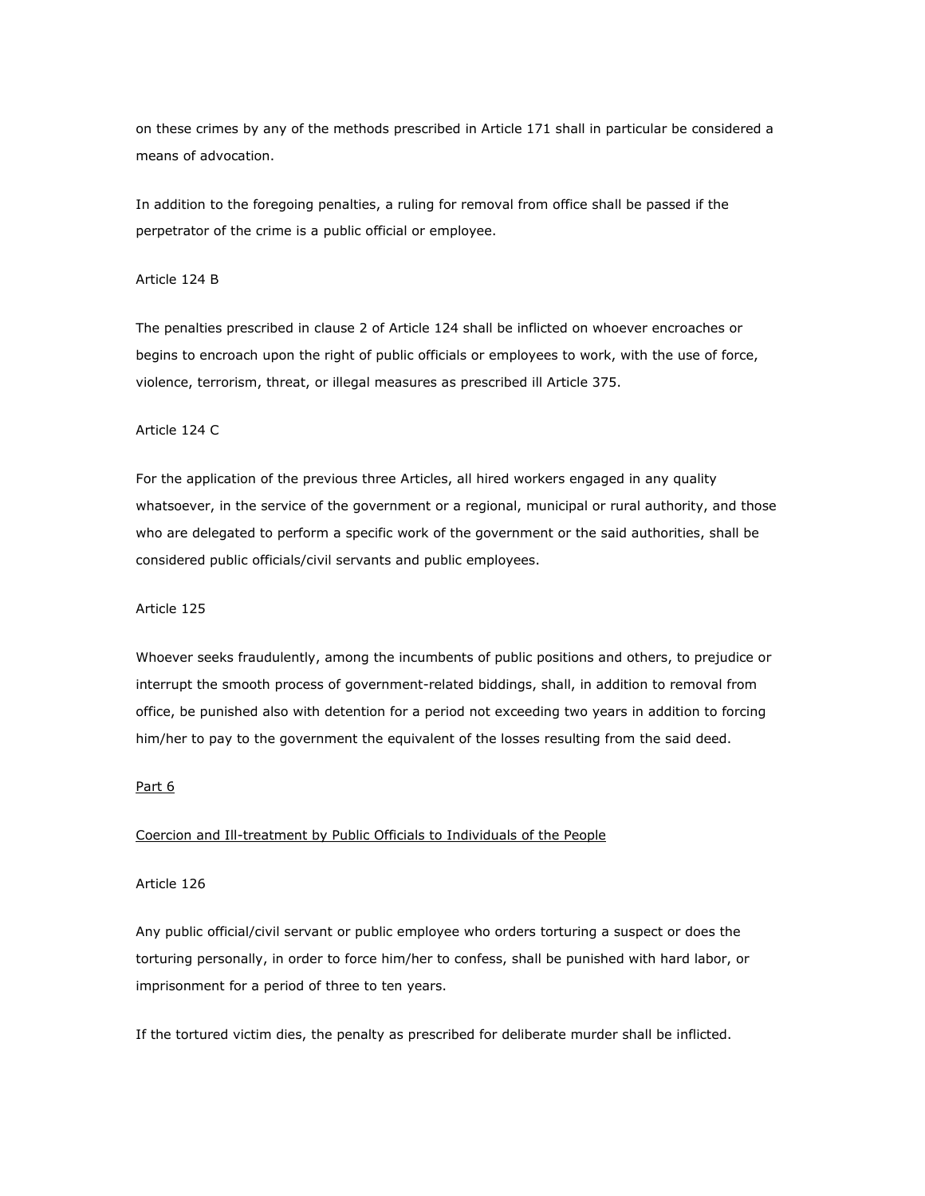on these crimes by any of the methods prescribed in Article 171 shall in particular be considered a means of advocation.

In addition to the foregoing penalties, a ruling for removal from office shall be passed if the perpetrator of the crime is a public official or employee.

## Article 124 B

The penalties prescribed in clause 2 of Article 124 shall be inflicted on whoever encroaches or begins to encroach upon the right of public officials or employees to work, with the use of force, violence, terrorism, threat, or illegal measures as prescribed ill Article 375.

### Article 124 C

For the application of the previous three Articles, all hired workers engaged in any quality whatsoever, in the service of the government or a regional, municipal or rural authority, and those who are delegated to perform a specific work of the government or the said authorities, shall be considered public officials/civil servants and public employees.

#### Article 125

Whoever seeks fraudulently, among the incumbents of public positions and others, to prejudice or interrupt the smooth process of government-related biddings, shall, in addition to removal from office, be punished also with detention for a period not exceeding two years in addition to forcing him/her to pay to the government the equivalent of the losses resulting from the said deed.

## Part 6

## Coercion and Ill-treatment by Public Officials to Individuals of the People

## Article 126

Any public official/civil servant or public employee who orders torturing a suspect or does the torturing personally, in order to force him/her to confess, shall be punished with hard labor, or imprisonment for a period of three to ten years.

If the tortured victim dies, the penalty as prescribed for deliberate murder shall be inflicted.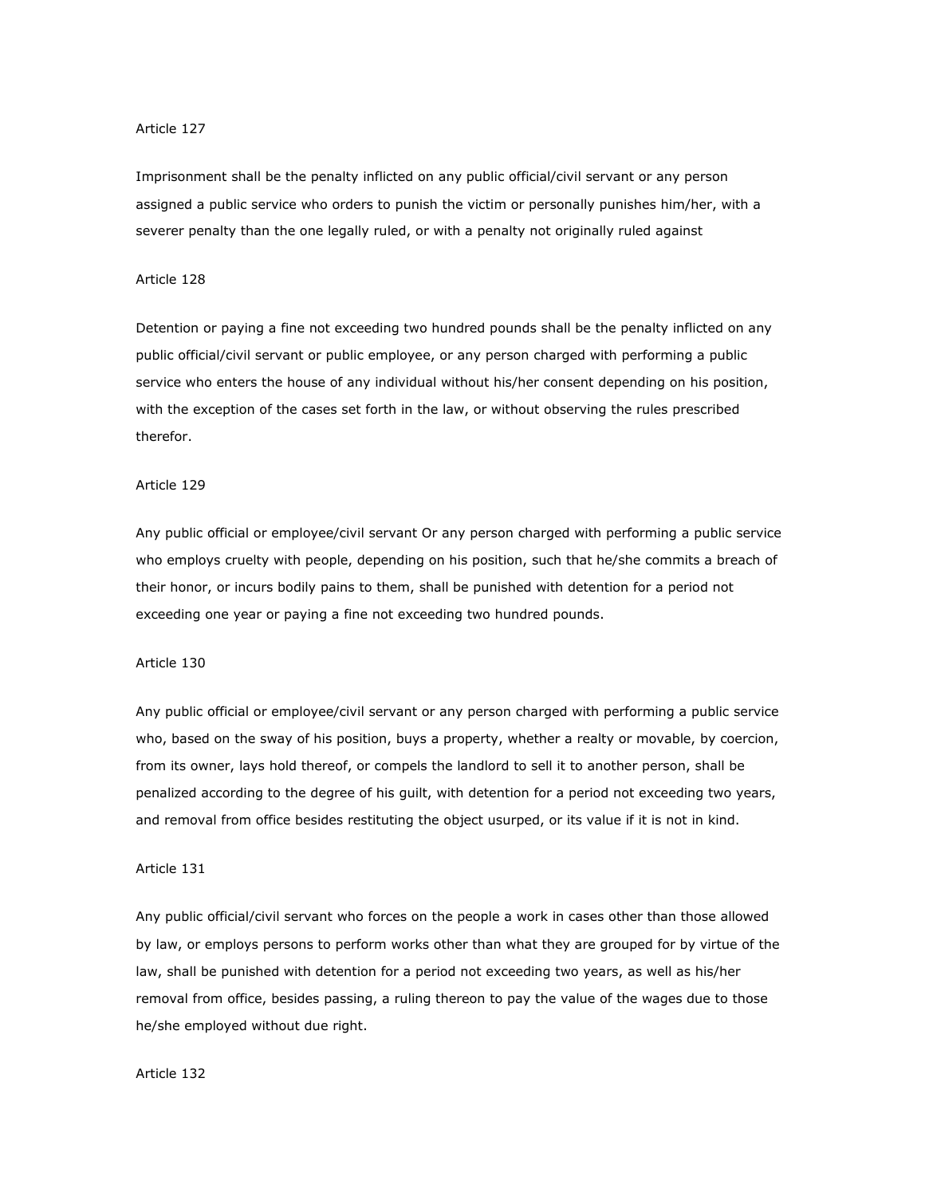Imprisonment shall be the penalty inflicted on any public official/civil servant or any person assigned a public service who orders to punish the victim or personally punishes him/her, with a severer penalty than the one legally ruled, or with a penalty not originally ruled against

## Article 128

Detention or paying a fine not exceeding two hundred pounds shall be the penalty inflicted on any public official/civil servant or public employee, or any person charged with performing a public service who enters the house of any individual without his/her consent depending on his position, with the exception of the cases set forth in the law, or without observing the rules prescribed therefor.

# Article 129

Any public official or employee/civil servant Or any person charged with performing a public service who employs cruelty with people, depending on his position, such that he/she commits a breach of their honor, or incurs bodily pains to them, shall be punished with detention for a period not exceeding one year or paying a fine not exceeding two hundred pounds.

# Article 130

Any public official or employee/civil servant or any person charged with performing a public service who, based on the sway of his position, buys a property, whether a realty or movable, by coercion, from its owner, lays hold thereof, or compels the landlord to sell it to another person, shall be penalized according to the degree of his guilt, with detention for a period not exceeding two years, and removal from office besides restituting the object usurped, or its value if it is not in kind.

### Article 131

Any public official/civil servant who forces on the people a work in cases other than those allowed by law, or employs persons to perform works other than what they are grouped for by virtue of the law, shall be punished with detention for a period not exceeding two years, as well as his/her removal from office, besides passing, a ruling thereon to pay the value of the wages due to those he/she employed without due right.

#### Article 132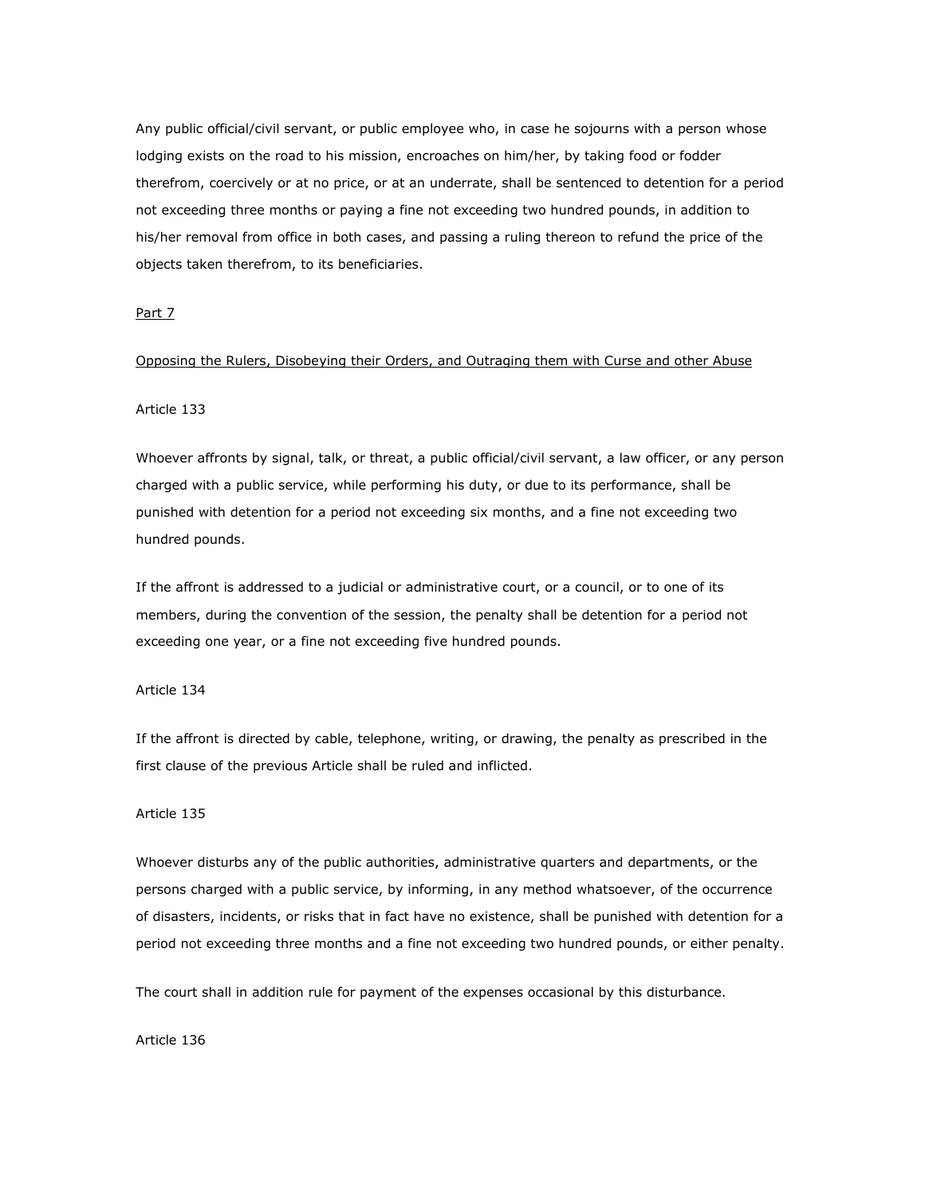Any public official/civil servant, or public employee who, in case he sojourns with a person whose lodging exists on the road to his mission, encroaches on him/her, by taking food or fodder therefrom, coercively or at no price, or at an underrate, shall be sentenced to detention for a period not exceeding three months or paying a fine not exceeding two hundred pounds, in addition to his/her removal from office in both cases, and passing a ruling thereon to refund the price of the objects taken therefrom, to its beneficiaries.

### Part 7

## Opposing the Rulers, Disobeying their Orders, and Outraging them with Curse and other Abuse

### Article 133

Whoever affronts by signal, talk, or threat, a public official/civil servant, a law officer, or any person charged with a public service, while performing his duty, or due to its performance, shall be punished with detention for a period not exceeding six months, and a fine not exceeding two hundred pounds.

If the affront is addressed to a judicial or administrative court, or a council, or to one of its members, during the convention of the session, the penalty shall be detention for a period not exceeding one year, or a fine not exceeding five hundred pounds.

# Article 134

If the affront is directed by cable, telephone, writing, or drawing, the penalty as prescribed in the first clause of the previous Article shall be ruled and inflicted.

### Article 135

Whoever disturbs any of the public authorities, administrative quarters and departments, or the persons charged with a public service, by informing, in any method whatsoever, of the occurrence of disasters, incidents, or risks that in fact have no existence, shall be punished with detention for a period not exceeding three months and a fine not exceeding two hundred pounds, or either penalty.

The court shall in addition rule for payment of the expenses occasional by this disturbance.

Article 136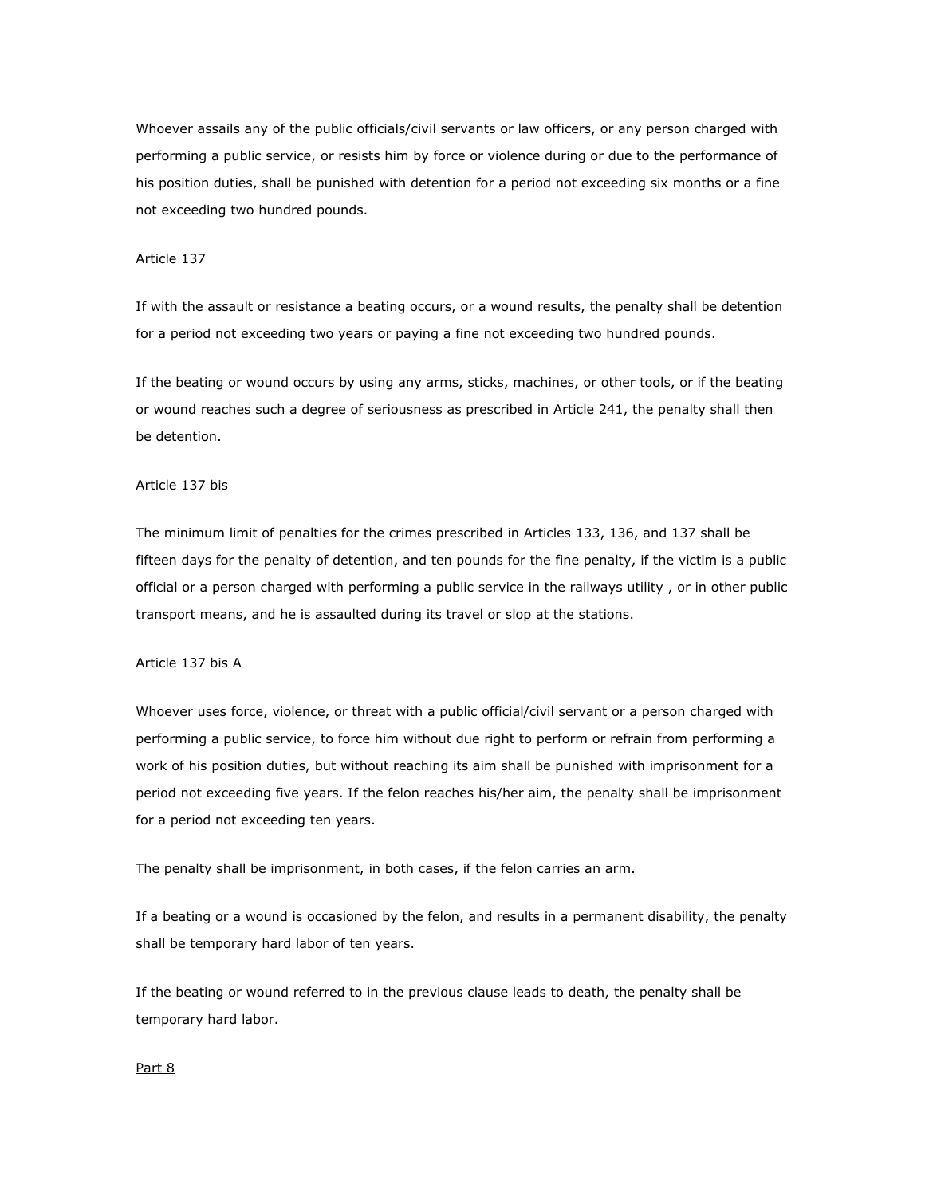Whoever assails any of the public officials/civil servants or law officers, or any person charged with performing a public service, or resists him by force or violence during or due to the performance of his position duties, shall be punished with detention for a period not exceeding six months or a fine not exceeding two hundred pounds.

## Article 137

If with the assault or resistance a beating occurs, or a wound results, the penalty shall be detention for a period not exceeding two years or paying a fine not exceeding two hundred pounds.

If the beating or wound occurs by using any arms, sticks, machines, or other tools, or if the beating or wound reaches such a degree of seriousness as prescribed in Article 241, the penalty shall then be detention.

#### Article 137 bis

The minimum limit of penalties for the crimes prescribed in Articles 133, 136, and 137 shall be fifteen days for the penalty of detention, and ten pounds for the fine penalty, if the victim is a public official or a person charged with performing a public service in the railways utility , or in other public transport means, and he is assaulted during its travel or slop at the stations.

# Article 137 bis A

Whoever uses force, violence, or threat with a public official/civil servant or a person charged with performing a public service, to force him without due right to perform or refrain from performing a work of his position duties, but without reaching its aim shall be punished with imprisonment for a period not exceeding five years. If the felon reaches his/her aim, the penalty shall be imprisonment for a period not exceeding ten years.

The penalty shall be imprisonment, in both cases, if the felon carries an arm.

If a beating or a wound is occasioned by the felon, and results in a permanent disability, the penalty shall be temporary hard labor of ten years.

If the beating or wound referred to in the previous clause leads to death, the penalty shall be temporary hard labor.

### Part 8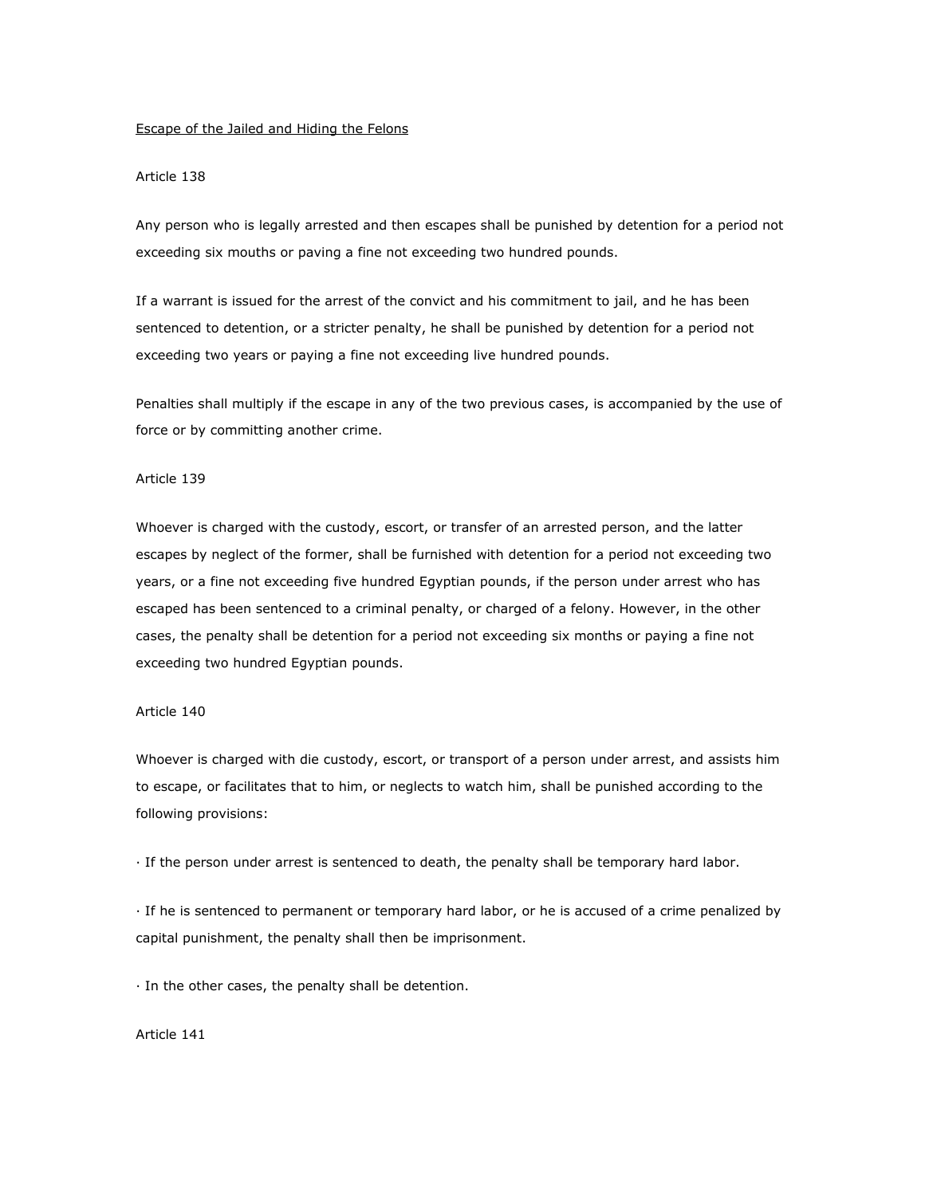## Escape of the Jailed and Hiding the Felons

# Article 138

Any person who is legally arrested and then escapes shall be punished by detention for a period not exceeding six mouths or paving a fine not exceeding two hundred pounds.

If a warrant is issued for the arrest of the convict and his commitment to jail, and he has been sentenced to detention, or a stricter penalty, he shall be punished by detention for a period not exceeding two years or paying a fine not exceeding live hundred pounds.

Penalties shall multiply if the escape in any of the two previous cases, is accompanied by the use of force or by committing another crime.

## Article 139

Whoever is charged with the custody, escort, or transfer of an arrested person, and the latter escapes by neglect of the former, shall be furnished with detention for a period not exceeding two years, or a fine not exceeding five hundred Egyptian pounds, if the person under arrest who has escaped has been sentenced to a criminal penalty, or charged of a felony. However, in the other cases, the penalty shall be detention for a period not exceeding six months or paying a fine not exceeding two hundred Egyptian pounds.

# Article 140

Whoever is charged with die custody, escort, or transport of a person under arrest, and assists him to escape, or facilitates that to him, or neglects to watch him, shall be punished according to the following provisions:

· If the person under arrest is sentenced to death, the penalty shall be temporary hard labor.

· If he is sentenced to permanent or temporary hard labor, or he is accused of a crime penalized by capital punishment, the penalty shall then be imprisonment.

· In the other cases, the penalty shall be detention.

## Article 141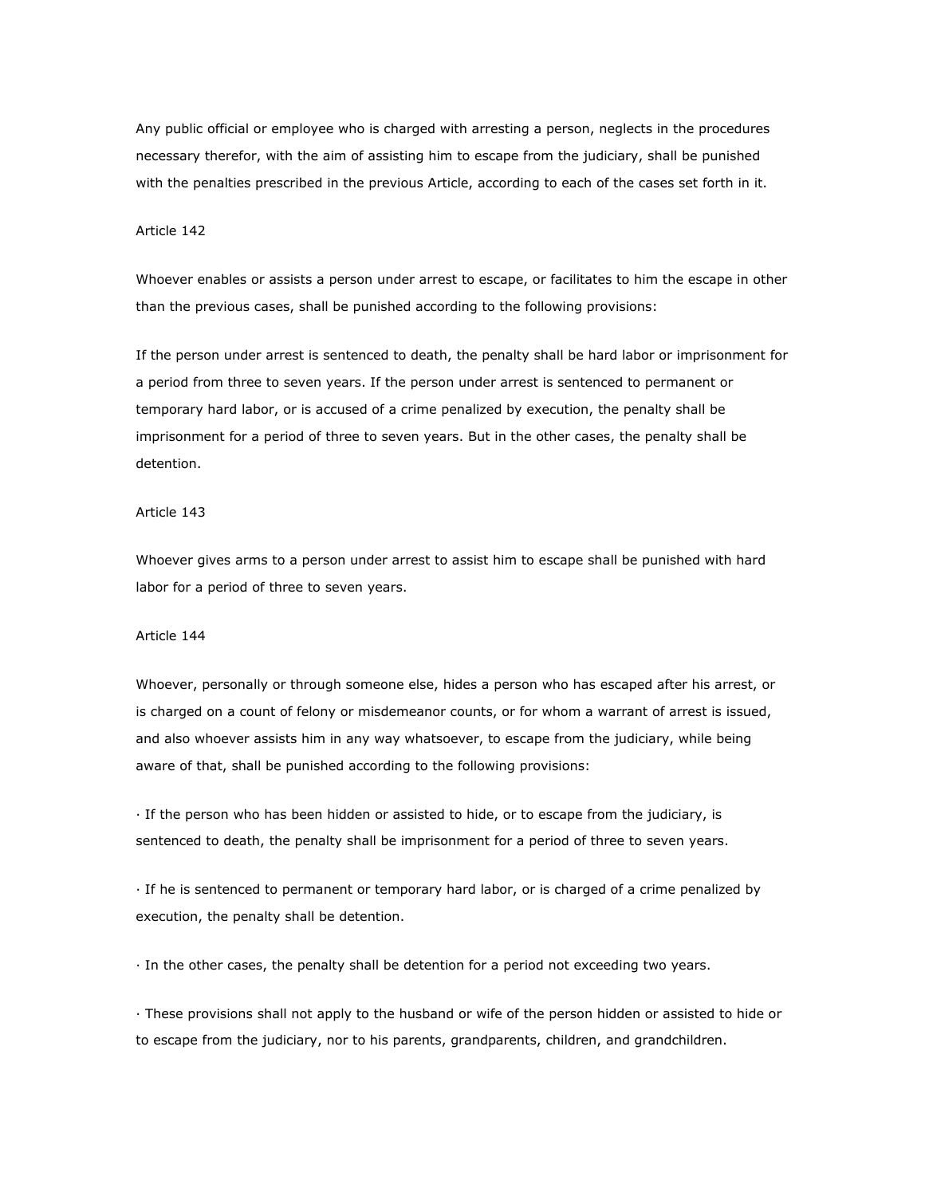Any public official or employee who is charged with arresting a person, neglects in the procedures necessary therefor, with the aim of assisting him to escape from the judiciary, shall be punished with the penalties prescribed in the previous Article, according to each of the cases set forth in it.

## Article 142

Whoever enables or assists a person under arrest to escape, or facilitates to him the escape in other than the previous cases, shall be punished according to the following provisions:

If the person under arrest is sentenced to death, the penalty shall be hard labor or imprisonment for a period from three to seven years. If the person under arrest is sentenced to permanent or temporary hard labor, or is accused of a crime penalized by execution, the penalty shall be imprisonment for a period of three to seven years. But in the other cases, the penalty shall be detention.

### Article 143

Whoever gives arms to a person under arrest to assist him to escape shall be punished with hard labor for a period of three to seven years.

#### Article 144

Whoever, personally or through someone else, hides a person who has escaped after his arrest, or is charged on a count of felony or misdemeanor counts, or for whom a warrant of arrest is issued, and also whoever assists him in any way whatsoever, to escape from the judiciary, while being aware of that, shall be punished according to the following provisions:

· If the person who has been hidden or assisted to hide, or to escape from the judiciary, is sentenced to death, the penalty shall be imprisonment for a period of three to seven years.

· If he is sentenced to permanent or temporary hard labor, or is charged of a crime penalized by execution, the penalty shall be detention.

· In the other cases, the penalty shall be detention for a period not exceeding two years.

· These provisions shall not apply to the husband or wife of the person hidden or assisted to hide or to escape from the judiciary, nor to his parents, grandparents, children, and grandchildren.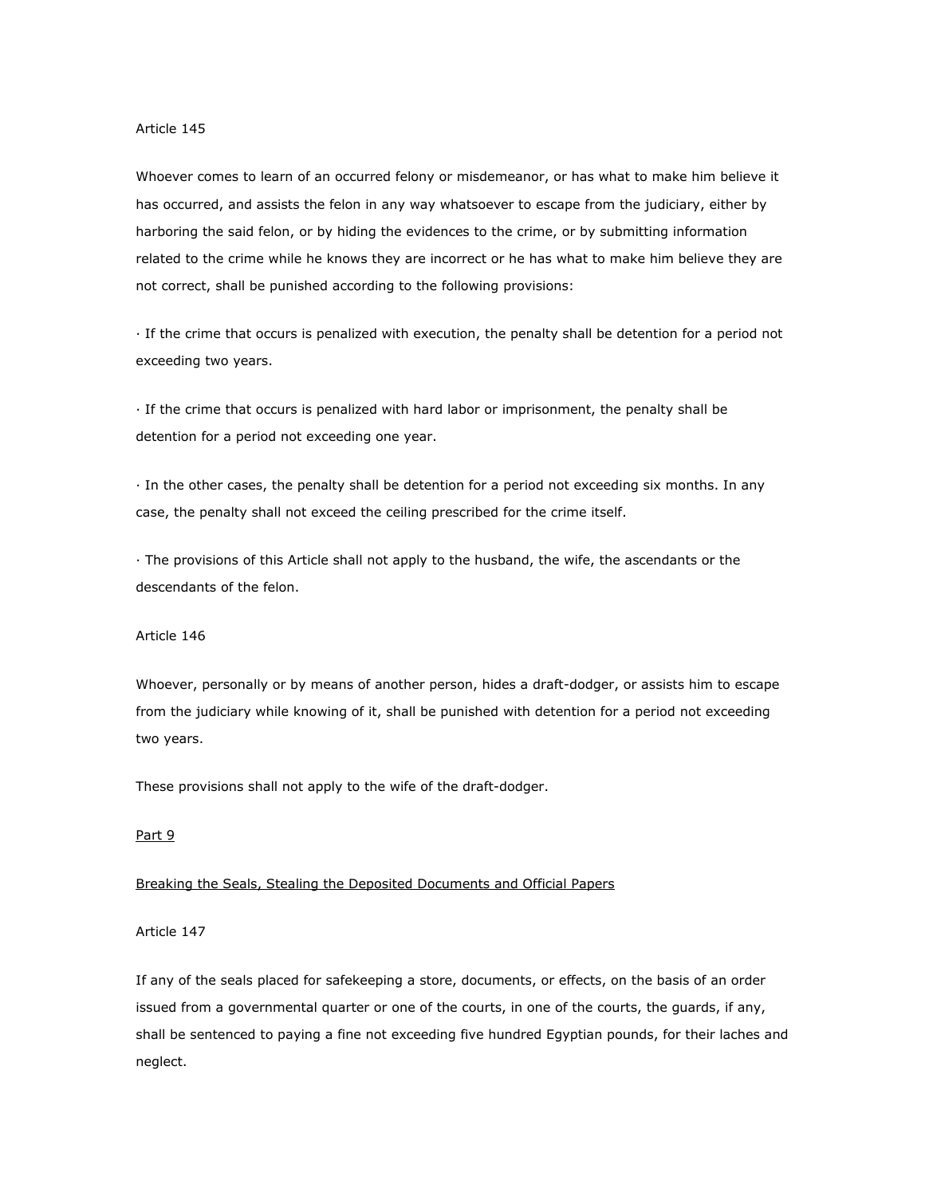Whoever comes to learn of an occurred felony or misdemeanor, or has what to make him believe it has occurred, and assists the felon in any way whatsoever to escape from the judiciary, either by harboring the said felon, or by hiding the evidences to the crime, or by submitting information related to the crime while he knows they are incorrect or he has what to make him believe they are not correct, shall be punished according to the following provisions:

· If the crime that occurs is penalized with execution, the penalty shall be detention for a period not exceeding two years.

· If the crime that occurs is penalized with hard labor or imprisonment, the penalty shall be detention for a period not exceeding one year.

· In the other cases, the penalty shall be detention for a period not exceeding six months. In any case, the penalty shall not exceed the ceiling prescribed for the crime itself.

· The provisions of this Article shall not apply to the husband, the wife, the ascendants or the descendants of the felon.

#### Article 146

Whoever, personally or by means of another person, hides a draft-dodger, or assists him to escape from the judiciary while knowing of it, shall be punished with detention for a period not exceeding two years.

These provisions shall not apply to the wife of the draft-dodger.

# Part 9

## Breaking the Seals, Stealing the Deposited Documents and Official Papers

Article 147

If any of the seals placed for safekeeping a store, documents, or effects, on the basis of an order issued from a governmental quarter or one of the courts, in one of the courts, the guards, if any, shall be sentenced to paying a fine not exceeding five hundred Egyptian pounds, for their laches and neglect.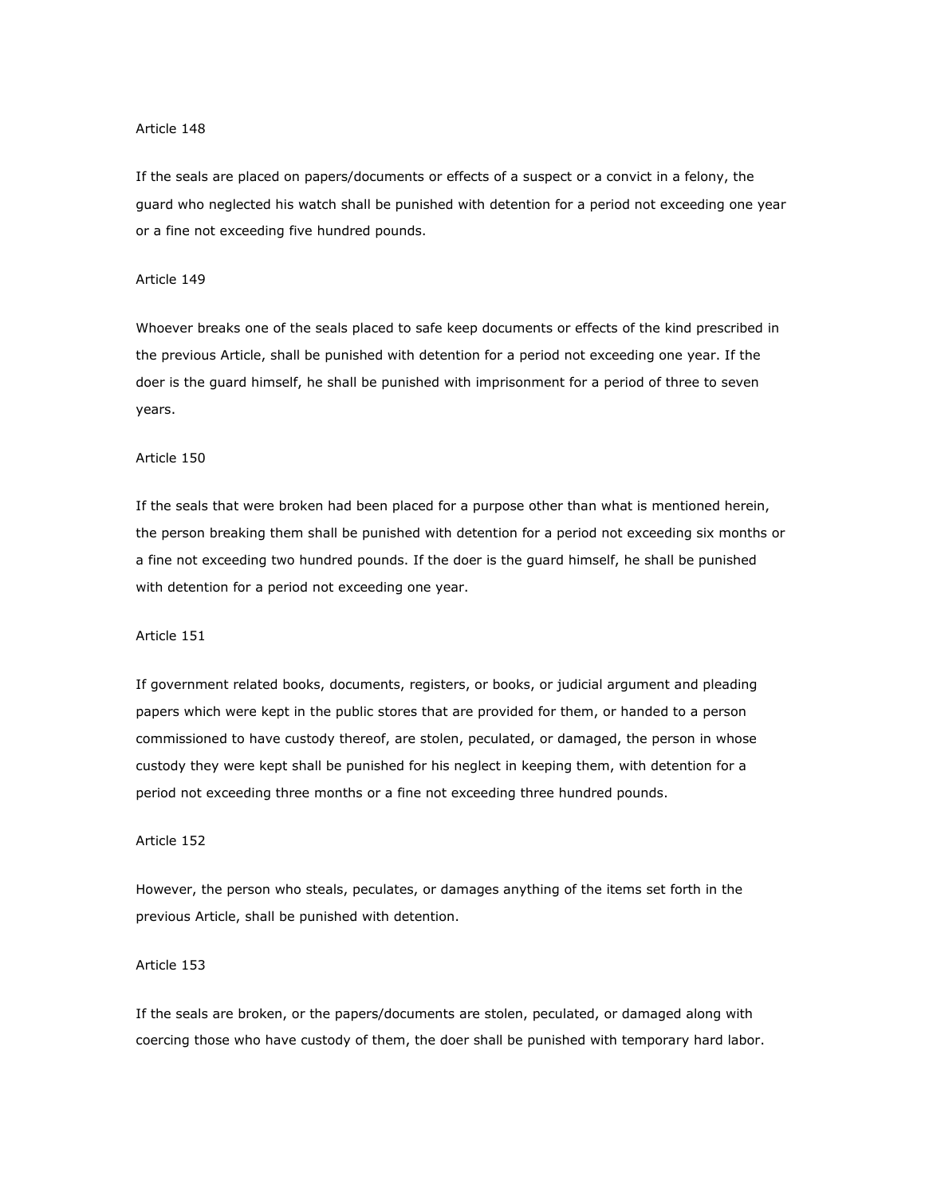If the seals are placed on papers/documents or effects of a suspect or a convict in a felony, the guard who neglected his watch shall be punished with detention for a period not exceeding one year or a fine not exceeding five hundred pounds.

## Article 149

Whoever breaks one of the seals placed to safe keep documents or effects of the kind prescribed in the previous Article, shall be punished with detention for a period not exceeding one year. If the doer is the guard himself, he shall be punished with imprisonment for a period of three to seven years.

## Article 150

If the seals that were broken had been placed for a purpose other than what is mentioned herein, the person breaking them shall be punished with detention for a period not exceeding six months or a fine not exceeding two hundred pounds. If the doer is the guard himself, he shall be punished with detention for a period not exceeding one year.

#### Article 151

If government related books, documents, registers, or books, or judicial argument and pleading papers which were kept in the public stores that are provided for them, or handed to a person commissioned to have custody thereof, are stolen, peculated, or damaged, the person in whose custody they were kept shall be punished for his neglect in keeping them, with detention for a period not exceeding three months or a fine not exceeding three hundred pounds.

#### Article 152

However, the person who steals, peculates, or damages anything of the items set forth in the previous Article, shall be punished with detention.

## Article 153

If the seals are broken, or the papers/documents are stolen, peculated, or damaged along with coercing those who have custody of them, the doer shall be punished with temporary hard labor.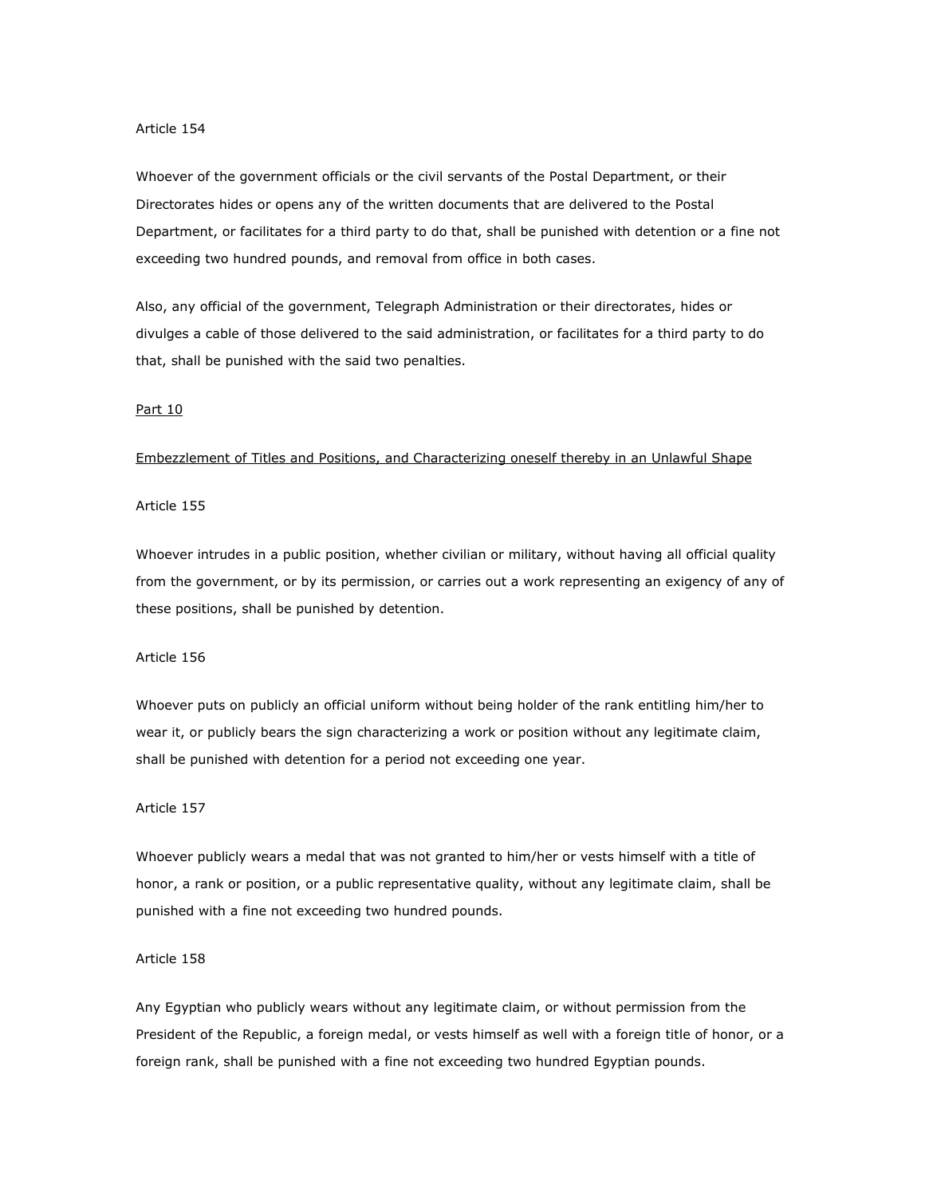Whoever of the government officials or the civil servants of the Postal Department, or their Directorates hides or opens any of the written documents that are delivered to the Postal Department, or facilitates for a third party to do that, shall be punished with detention or a fine not exceeding two hundred pounds, and removal from office in both cases.

Also, any official of the government, Telegraph Administration or their directorates, hides or divulges a cable of those delivered to the said administration, or facilitates for a third party to do that, shall be punished with the said two penalties.

#### Part 10

## Embezzlement of Titles and Positions, and Characterizing oneself thereby in an Unlawful Shape

## Article 155

Whoever intrudes in a public position, whether civilian or military, without having all official quality from the government, or by its permission, or carries out a work representing an exigency of any of these positions, shall be punished by detention.

## Article 156

Whoever puts on publicly an official uniform without being holder of the rank entitling him/her to wear it, or publicly bears the sign characterizing a work or position without any legitimate claim, shall be punished with detention for a period not exceeding one year.

### Article 157

Whoever publicly wears a medal that was not granted to him/her or vests himself with a title of honor, a rank or position, or a public representative quality, without any legitimate claim, shall be punished with a fine not exceeding two hundred pounds.

## Article 158

Any Egyptian who publicly wears without any legitimate claim, or without permission from the President of the Republic, a foreign medal, or vests himself as well with a foreign title of honor, or a foreign rank, shall be punished with a fine not exceeding two hundred Egyptian pounds.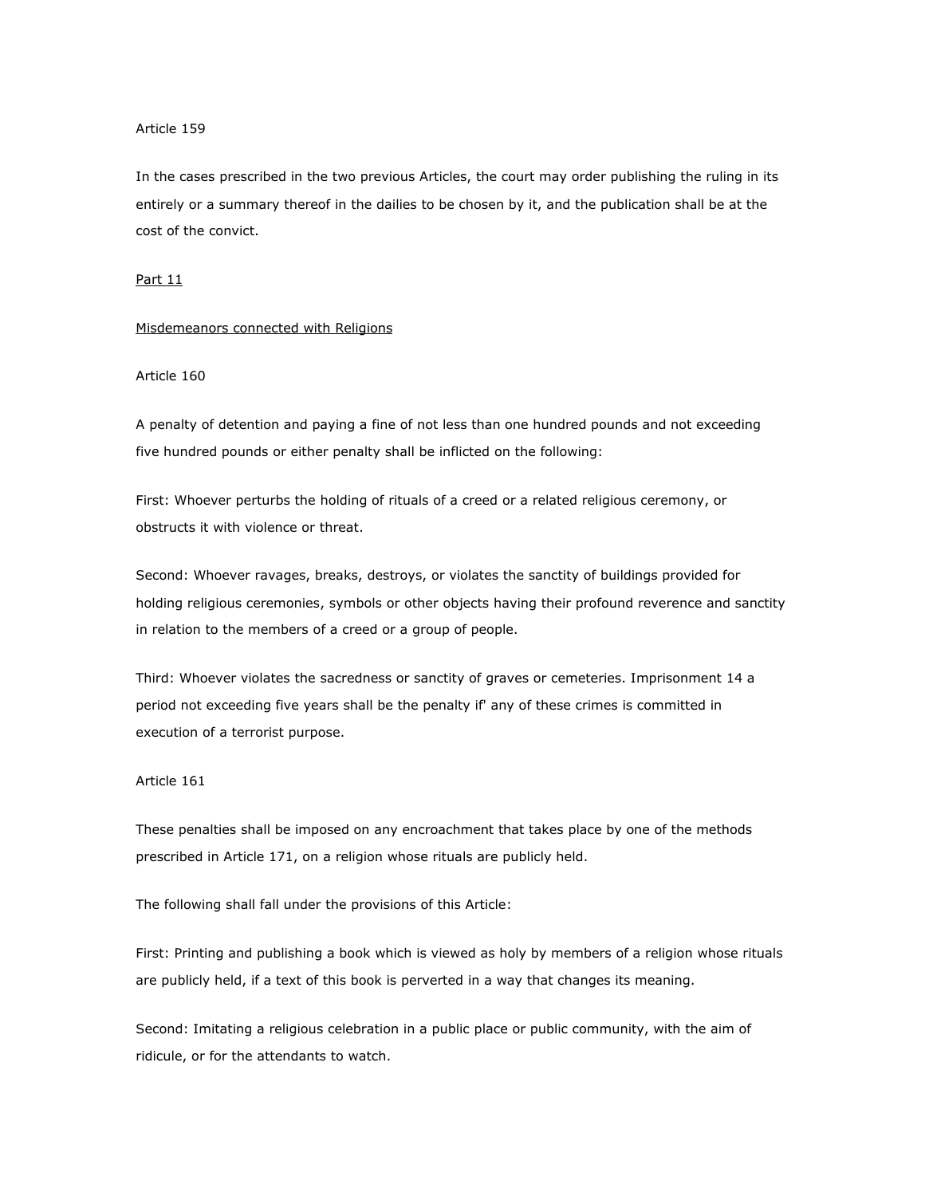In the cases prescribed in the two previous Articles, the court may order publishing the ruling in its entirely or a summary thereof in the dailies to be chosen by it, and the publication shall be at the cost of the convict.

#### Part 11

## Misdemeanors connected with Religions

# Article 160

A penalty of detention and paying a fine of not less than one hundred pounds and not exceeding five hundred pounds or either penalty shall be inflicted on the following:

First: Whoever perturbs the holding of rituals of a creed or a related religious ceremony, or obstructs it with violence or threat.

Second: Whoever ravages, breaks, destroys, or violates the sanctity of buildings provided for holding religious ceremonies, symbols or other objects having their profound reverence and sanctity in relation to the members of a creed or a group of people.

Third: Whoever violates the sacredness or sanctity of graves or cemeteries. Imprisonment 14 a period not exceeding five years shall be the penalty if' any of these crimes is committed in execution of a terrorist purpose.

## Article 161

These penalties shall be imposed on any encroachment that takes place by one of the methods prescribed in Article 171, on a religion whose rituals are publicly held.

The following shall fall under the provisions of this Article:

First: Printing and publishing a book which is viewed as holy by members of a religion whose rituals are publicly held, if a text of this book is perverted in a way that changes its meaning.

Second: Imitating a religious celebration in a public place or public community, with the aim of ridicule, or for the attendants to watch.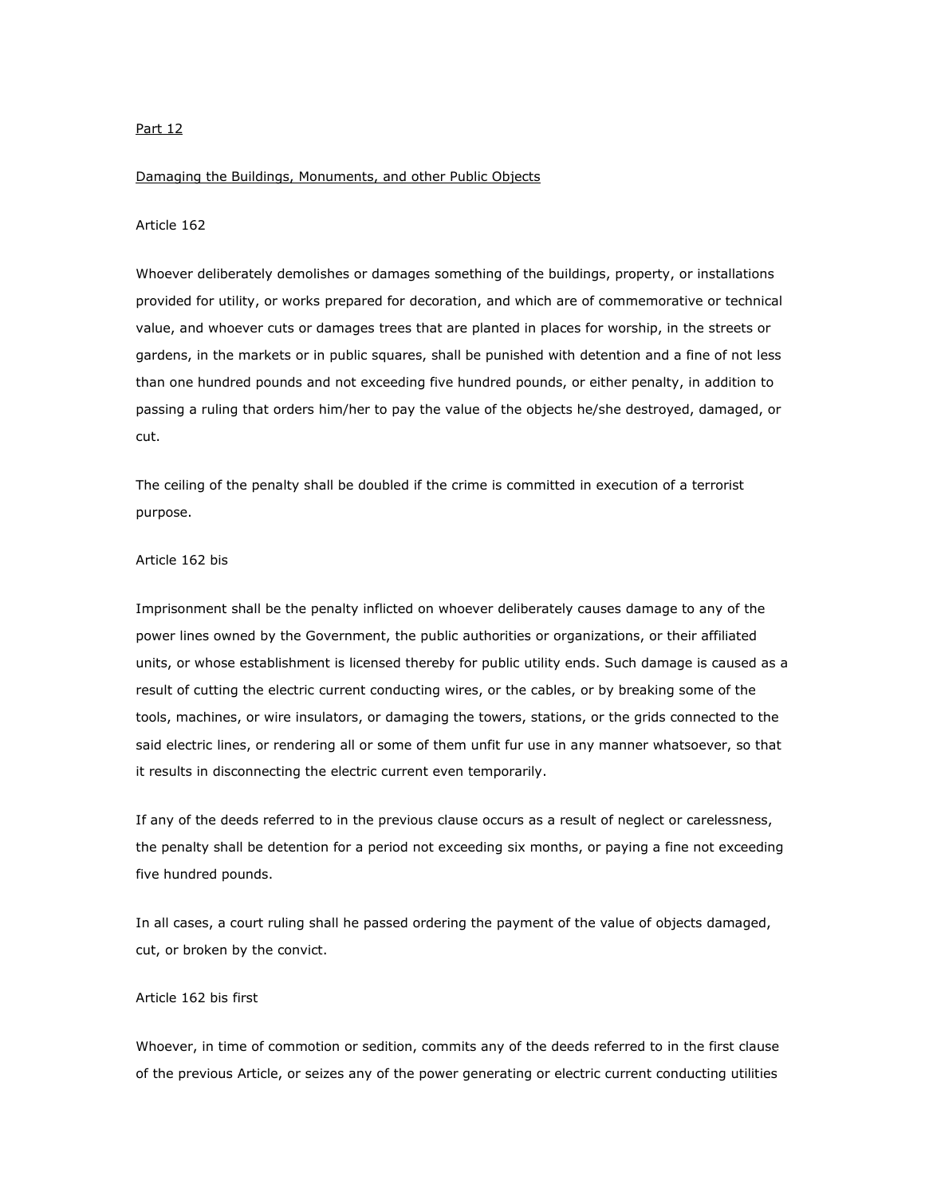## Part 12

#### Damaging the Buildings, Monuments, and other Public Objects

# Article 162

Whoever deliberately demolishes or damages something of the buildings, property, or installations provided for utility, or works prepared for decoration, and which are of commemorative or technical value, and whoever cuts or damages trees that are planted in places for worship, in the streets or gardens, in the markets or in public squares, shall be punished with detention and a fine of not less than one hundred pounds and not exceeding five hundred pounds, or either penalty, in addition to passing a ruling that orders him/her to pay the value of the objects he/she destroyed, damaged, or cut.

The ceiling of the penalty shall be doubled if the crime is committed in execution of a terrorist purpose.

### Article 162 bis

Imprisonment shall be the penalty inflicted on whoever deliberately causes damage to any of the power lines owned by the Government, the public authorities or organizations, or their affiliated units, or whose establishment is licensed thereby for public utility ends. Such damage is caused as a result of cutting the electric current conducting wires, or the cables, or by breaking some of the tools, machines, or wire insulators, or damaging the towers, stations, or the grids connected to the said electric lines, or rendering all or some of them unfit fur use in any manner whatsoever, so that it results in disconnecting the electric current even temporarily.

If any of the deeds referred to in the previous clause occurs as a result of neglect or carelessness, the penalty shall be detention for a period not exceeding six months, or paying a fine not exceeding five hundred pounds.

In all cases, a court ruling shall he passed ordering the payment of the value of objects damaged, cut, or broken by the convict.

# Article 162 bis first

Whoever, in time of commotion or sedition, commits any of the deeds referred to in the first clause of the previous Article, or seizes any of the power generating or electric current conducting utilities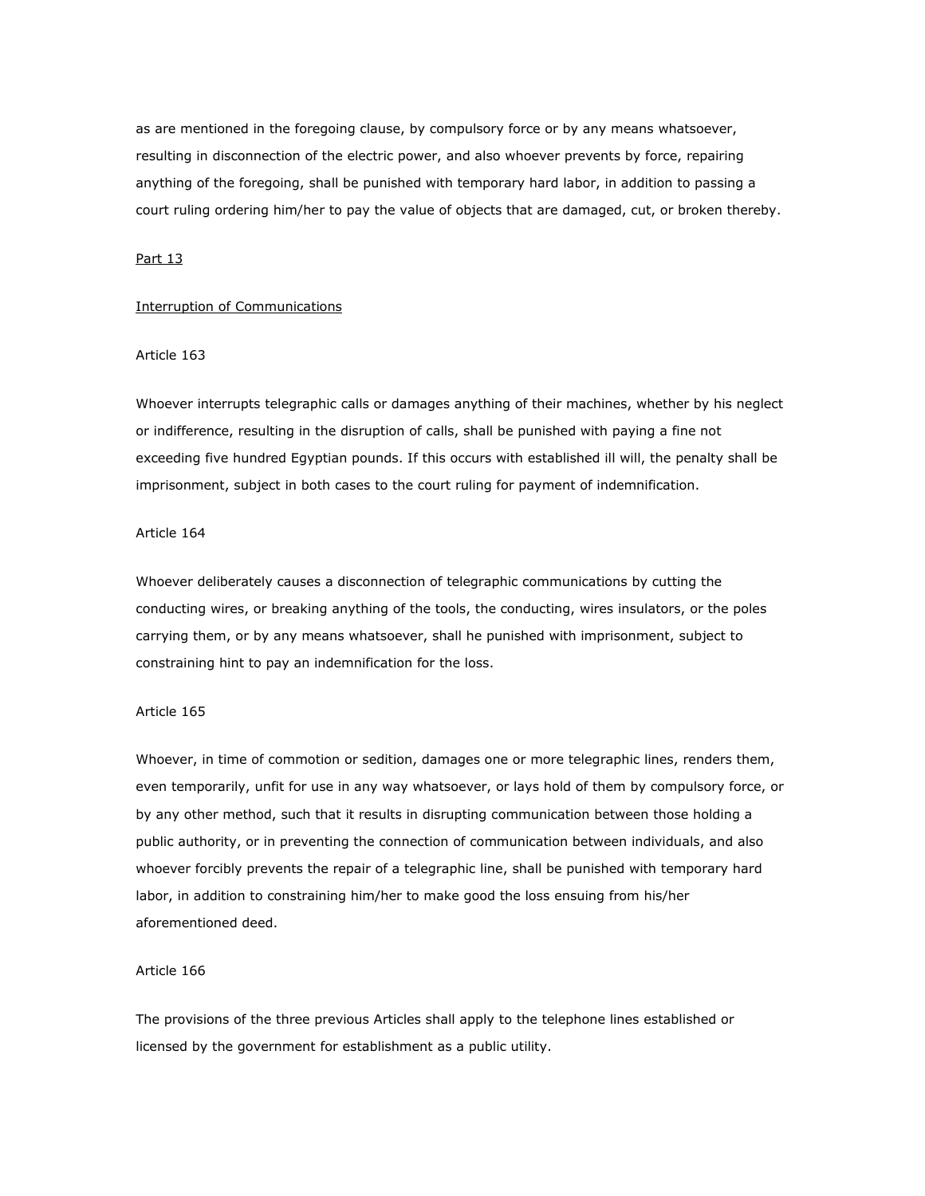as are mentioned in the foregoing clause, by compulsory force or by any means whatsoever, resulting in disconnection of the electric power, and also whoever prevents by force, repairing anything of the foregoing, shall be punished with temporary hard labor, in addition to passing a court ruling ordering him/her to pay the value of objects that are damaged, cut, or broken thereby.

# Part 13

## Interruption of Communications

## Article 163

Whoever interrupts telegraphic calls or damages anything of their machines, whether by his neglect or indifference, resulting in the disruption of calls, shall be punished with paying a fine not exceeding five hundred Egyptian pounds. If this occurs with established ill will, the penalty shall be imprisonment, subject in both cases to the court ruling for payment of indemnification.

## Article 164

Whoever deliberately causes a disconnection of telegraphic communications by cutting the conducting wires, or breaking anything of the tools, the conducting, wires insulators, or the poles carrying them, or by any means whatsoever, shall he punished with imprisonment, subject to constraining hint to pay an indemnification for the loss.

## Article 165

Whoever, in time of commotion or sedition, damages one or more telegraphic lines, renders them, even temporarily, unfit for use in any way whatsoever, or lays hold of them by compulsory force, or by any other method, such that it results in disrupting communication between those holding a public authority, or in preventing the connection of communication between individuals, and also whoever forcibly prevents the repair of a telegraphic line, shall be punished with temporary hard labor, in addition to constraining him/her to make good the loss ensuing from his/her aforementioned deed.

## Article 166

The provisions of the three previous Articles shall apply to the telephone lines established or licensed by the government for establishment as a public utility.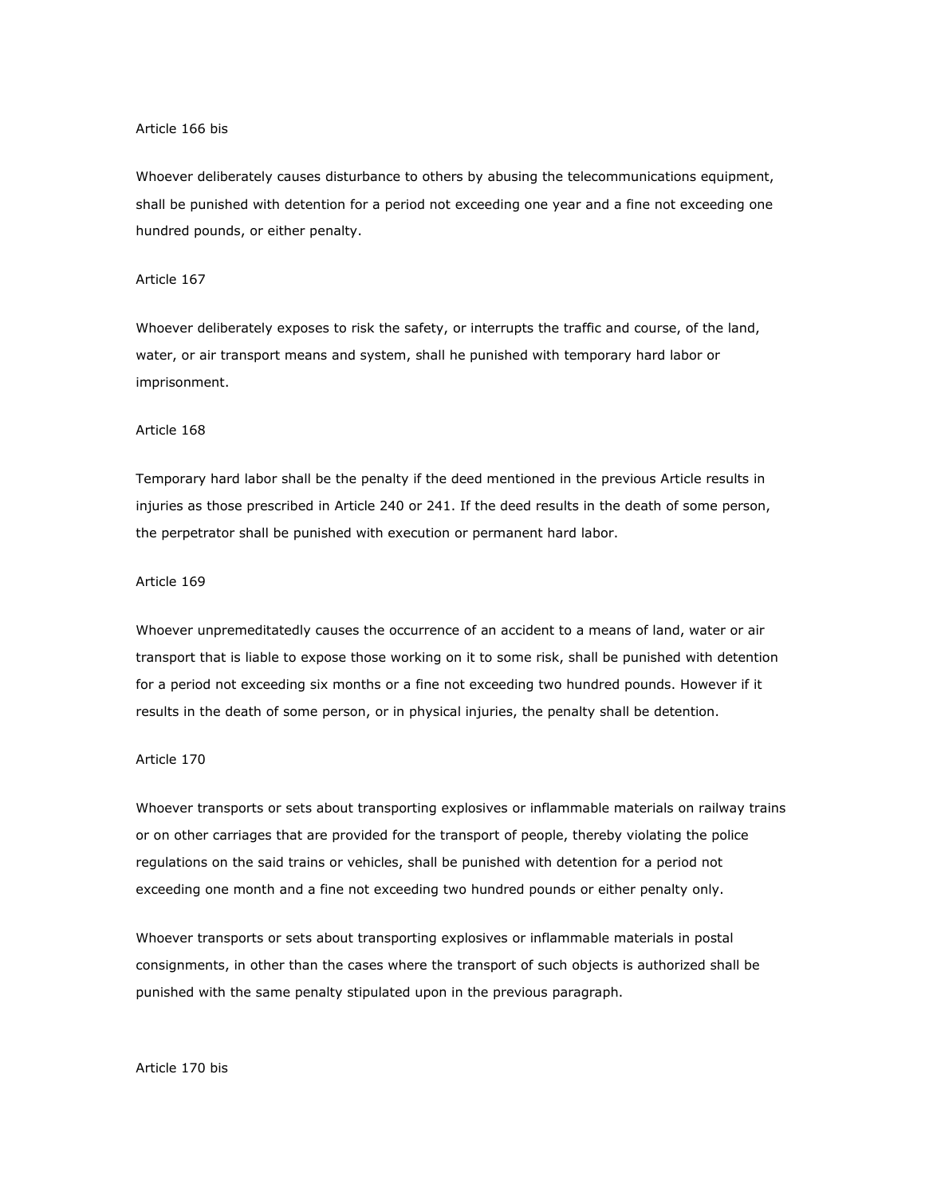### Article 166 bis

Whoever deliberately causes disturbance to others by abusing the telecommunications equipment, shall be punished with detention for a period not exceeding one year and a fine not exceeding one hundred pounds, or either penalty.

## Article 167

Whoever deliberately exposes to risk the safety, or interrupts the traffic and course, of the land, water, or air transport means and system, shall he punished with temporary hard labor or imprisonment.

#### Article 168

Temporary hard labor shall be the penalty if the deed mentioned in the previous Article results in injuries as those prescribed in Article 240 or 241. If the deed results in the death of some person, the perpetrator shall be punished with execution or permanent hard labor.

#### Article 169

Whoever unpremeditatedly causes the occurrence of an accident to a means of land, water or air transport that is liable to expose those working on it to some risk, shall be punished with detention for a period not exceeding six months or a fine not exceeding two hundred pounds. However if it results in the death of some person, or in physical injuries, the penalty shall be detention.

# Article 170

Whoever transports or sets about transporting explosives or inflammable materials on railway trains or on other carriages that are provided for the transport of people, thereby violating the police regulations on the said trains or vehicles, shall be punished with detention for a period not exceeding one month and a fine not exceeding two hundred pounds or either penalty only.

Whoever transports or sets about transporting explosives or inflammable materials in postal consignments, in other than the cases where the transport of such objects is authorized shall be punished with the same penalty stipulated upon in the previous paragraph.

#### Article 170 bis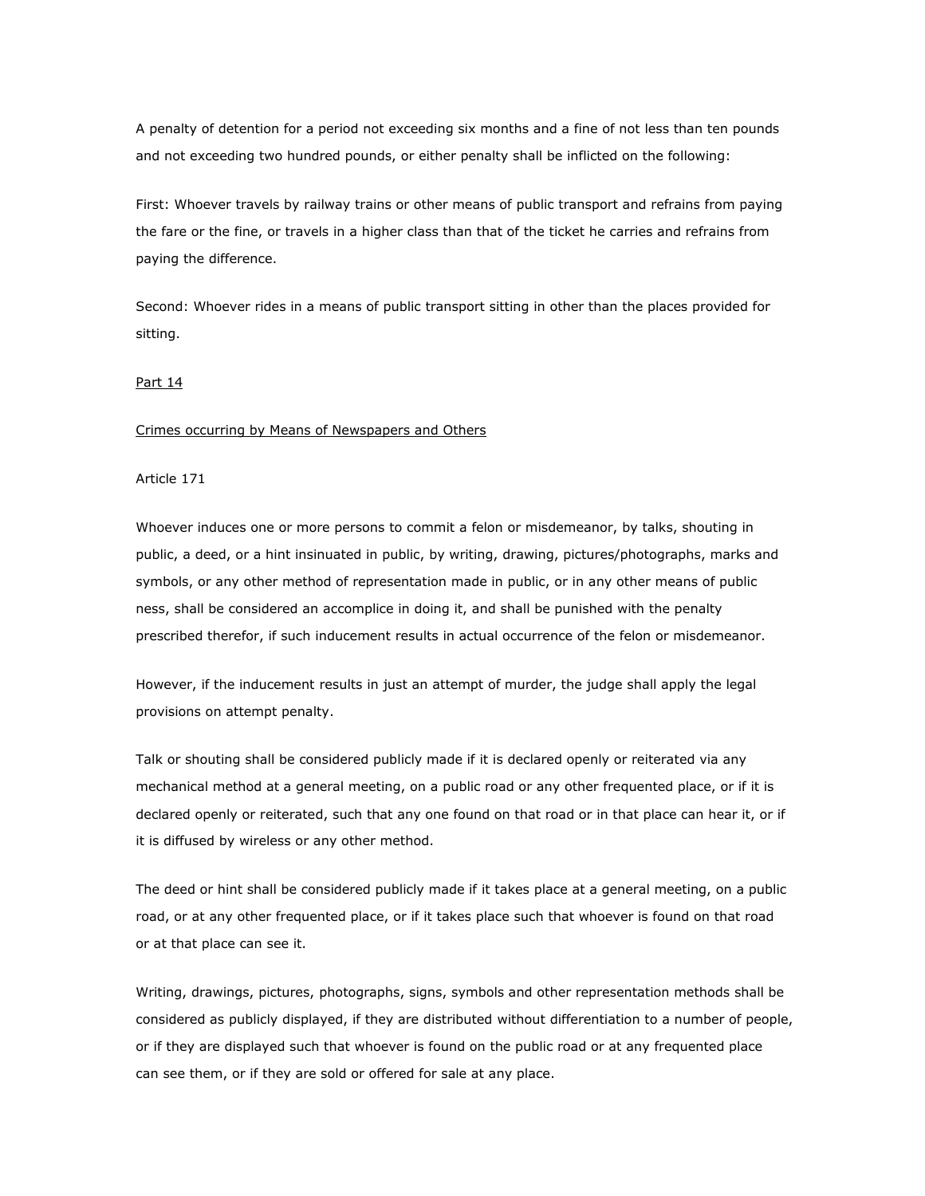A penalty of detention for a period not exceeding six months and a fine of not less than ten pounds and not exceeding two hundred pounds, or either penalty shall be inflicted on the following:

First: Whoever travels by railway trains or other means of public transport and refrains from paying the fare or the fine, or travels in a higher class than that of the ticket he carries and refrains from paying the difference.

Second: Whoever rides in a means of public transport sitting in other than the places provided for sitting.

#### Part 14

#### Crimes occurring by Means of Newspapers and Others

## Article 171

Whoever induces one or more persons to commit a felon or misdemeanor, by talks, shouting in public, a deed, or a hint insinuated in public, by writing, drawing, pictures/photographs, marks and symbols, or any other method of representation made in public, or in any other means of public ness, shall be considered an accomplice in doing it, and shall be punished with the penalty prescribed therefor, if such inducement results in actual occurrence of the felon or misdemeanor.

However, if the inducement results in just an attempt of murder, the judge shall apply the legal provisions on attempt penalty.

Talk or shouting shall be considered publicly made if it is declared openly or reiterated via any mechanical method at a general meeting, on a public road or any other frequented place, or if it is declared openly or reiterated, such that any one found on that road or in that place can hear it, or if it is diffused by wireless or any other method.

The deed or hint shall be considered publicly made if it takes place at a general meeting, on a public road, or at any other frequented place, or if it takes place such that whoever is found on that road or at that place can see it.

Writing, drawings, pictures, photographs, signs, symbols and other representation methods shall be considered as publicly displayed, if they are distributed without differentiation to a number of people, or if they are displayed such that whoever is found on the public road or at any frequented place can see them, or if they are sold or offered for sale at any place.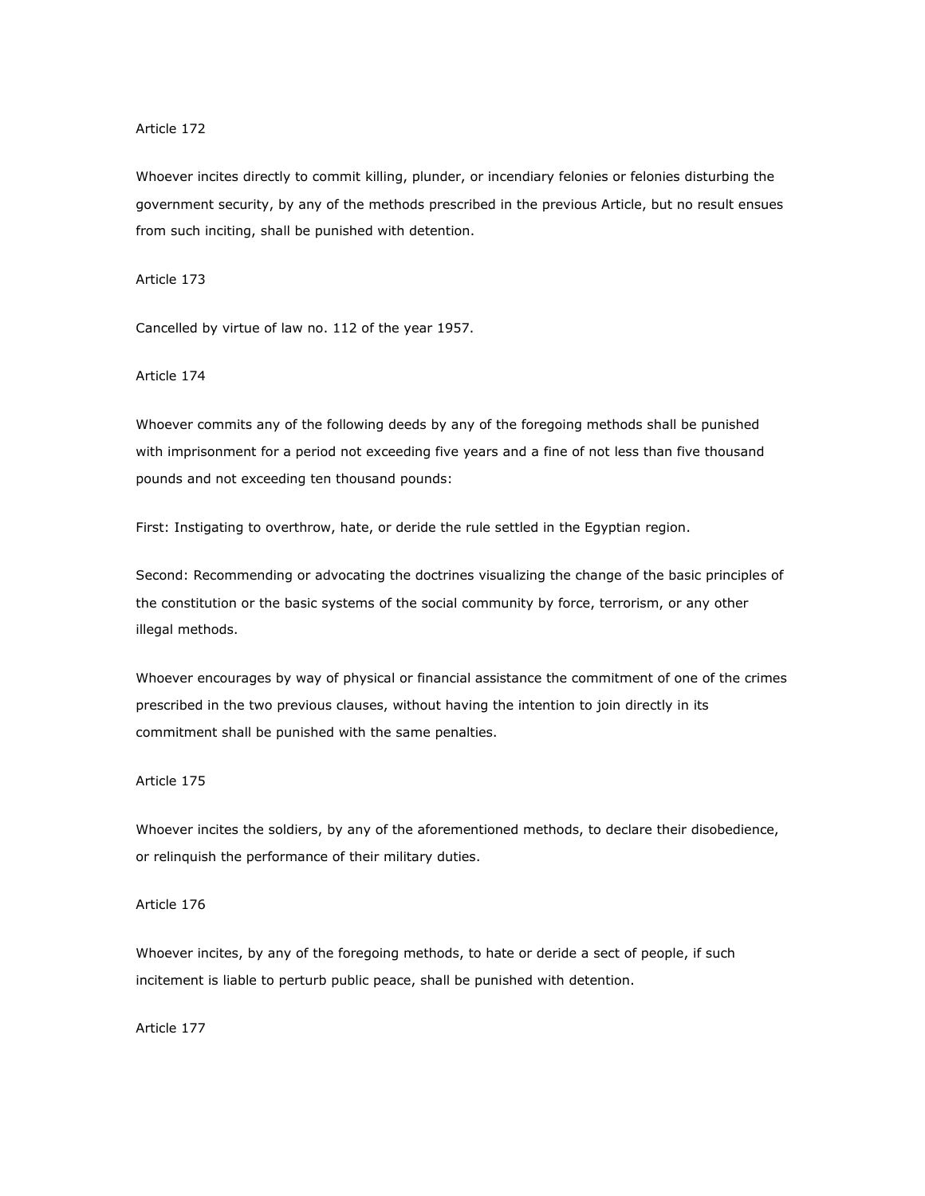Whoever incites directly to commit killing, plunder, or incendiary felonies or felonies disturbing the government security, by any of the methods prescribed in the previous Article, but no result ensues from such inciting, shall be punished with detention.

Article 173

Cancelled by virtue of law no. 112 of the year 1957.

Article 174

Whoever commits any of the following deeds by any of the foregoing methods shall be punished with imprisonment for a period not exceeding five years and a fine of not less than five thousand pounds and not exceeding ten thousand pounds:

First: Instigating to overthrow, hate, or deride the rule settled in the Egyptian region.

Second: Recommending or advocating the doctrines visualizing the change of the basic principles of the constitution or the basic systems of the social community by force, terrorism, or any other illegal methods.

Whoever encourages by way of physical or financial assistance the commitment of one of the crimes prescribed in the two previous clauses, without having the intention to join directly in its commitment shall be punished with the same penalties.

## Article 175

Whoever incites the soldiers, by any of the aforementioned methods, to declare their disobedience, or relinquish the performance of their military duties.

Article 176

Whoever incites, by any of the foregoing methods, to hate or deride a sect of people, if such incitement is liable to perturb public peace, shall be punished with detention.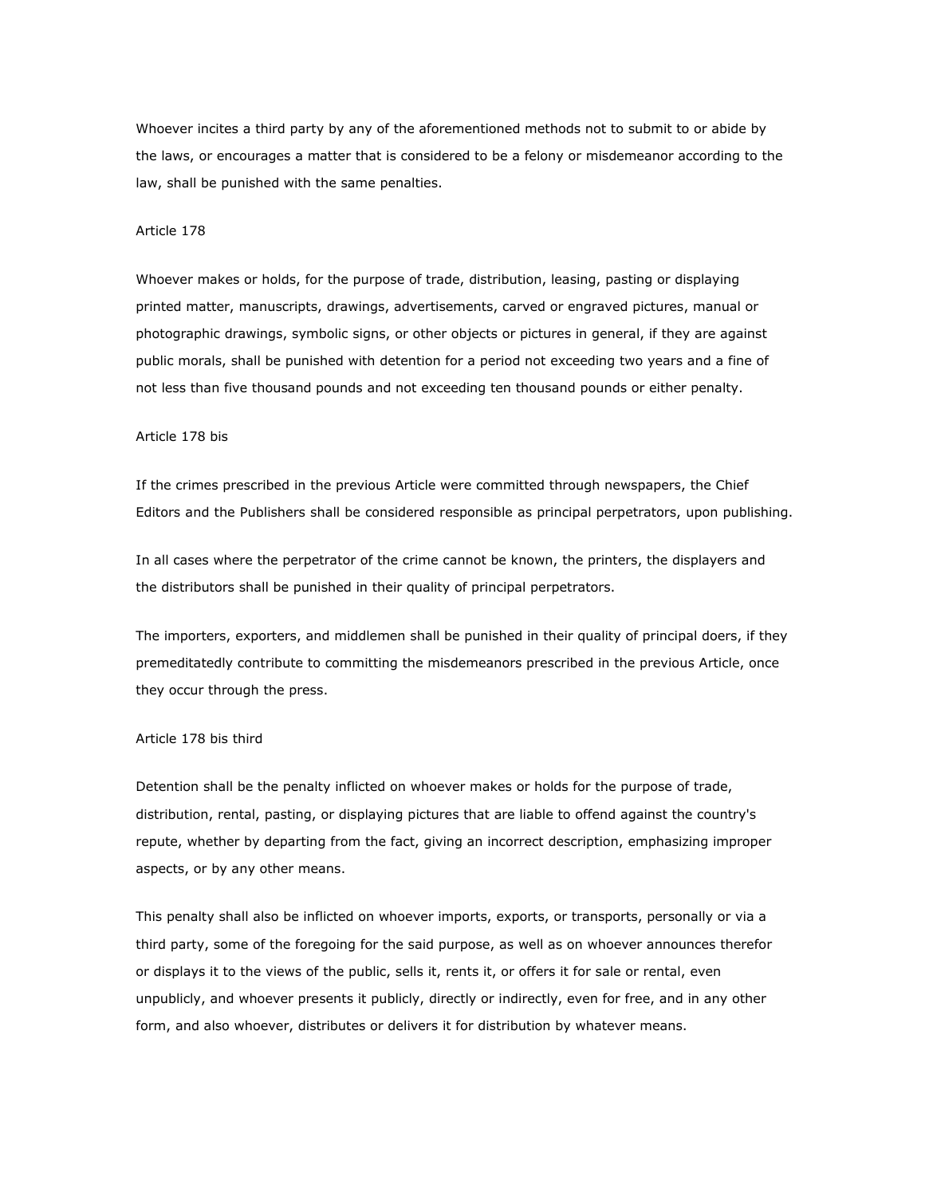Whoever incites a third party by any of the aforementioned methods not to submit to or abide by the laws, or encourages a matter that is considered to be a felony or misdemeanor according to the law, shall be punished with the same penalties.

#### Article 178

Whoever makes or holds, for the purpose of trade, distribution, leasing, pasting or displaying printed matter, manuscripts, drawings, advertisements, carved or engraved pictures, manual or photographic drawings, symbolic signs, or other objects or pictures in general, if they are against public morals, shall be punished with detention for a period not exceeding two years and a fine of not less than five thousand pounds and not exceeding ten thousand pounds or either penalty.

#### Article 178 bis

If the crimes prescribed in the previous Article were committed through newspapers, the Chief Editors and the Publishers shall be considered responsible as principal perpetrators, upon publishing.

In all cases where the perpetrator of the crime cannot be known, the printers, the displayers and the distributors shall be punished in their quality of principal perpetrators.

The importers, exporters, and middlemen shall be punished in their quality of principal doers, if they premeditatedly contribute to committing the misdemeanors prescribed in the previous Article, once they occur through the press.

# Article 178 bis third

Detention shall be the penalty inflicted on whoever makes or holds for the purpose of trade, distribution, rental, pasting, or displaying pictures that are liable to offend against the country's repute, whether by departing from the fact, giving an incorrect description, emphasizing improper aspects, or by any other means.

This penalty shall also be inflicted on whoever imports, exports, or transports, personally or via a third party, some of the foregoing for the said purpose, as well as on whoever announces therefor or displays it to the views of the public, sells it, rents it, or offers it for sale or rental, even unpublicly, and whoever presents it publicly, directly or indirectly, even for free, and in any other form, and also whoever, distributes or delivers it for distribution by whatever means.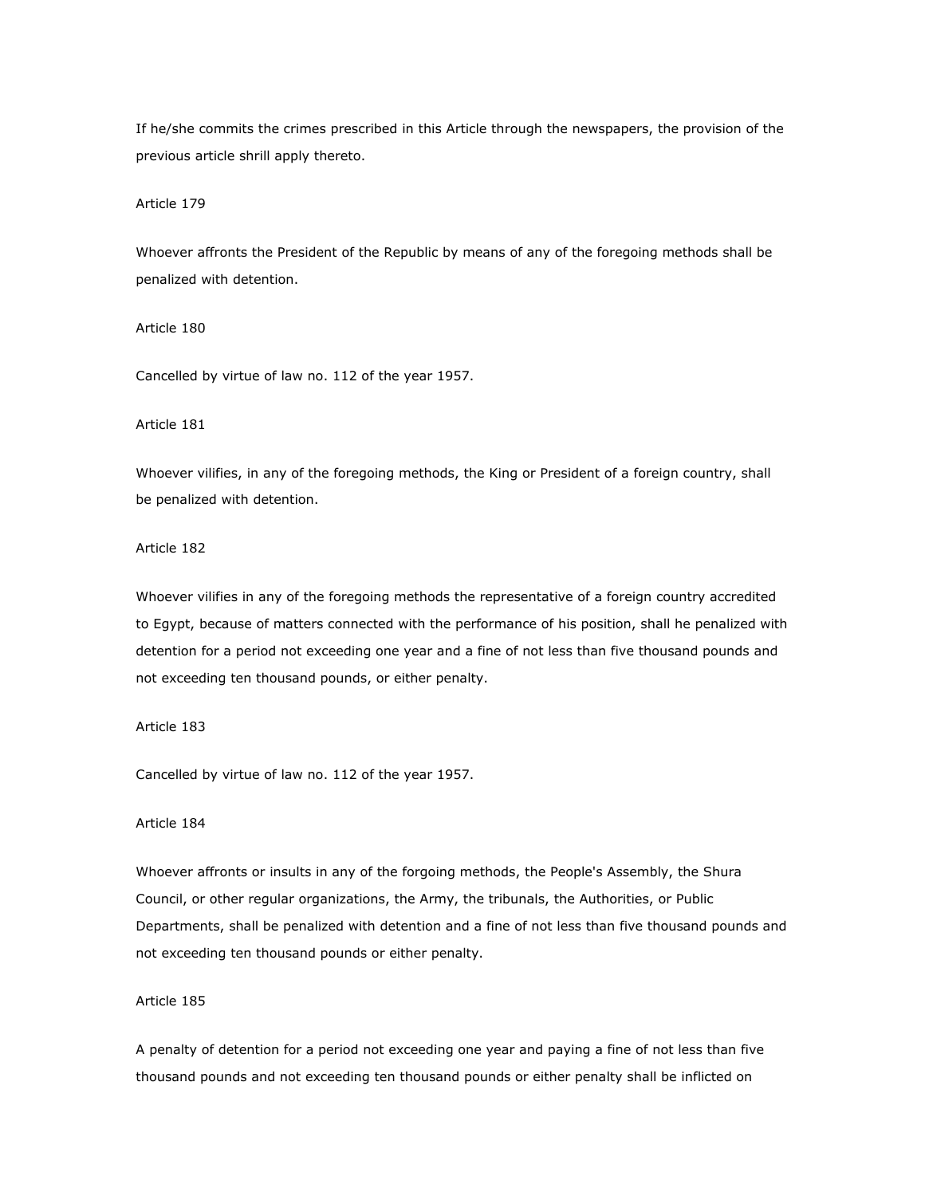If he/she commits the crimes prescribed in this Article through the newspapers, the provision of the previous article shrill apply thereto.

Article 179

Whoever affronts the President of the Republic by means of any of the foregoing methods shall be penalized with detention.

Article 180

Cancelled by virtue of law no. 112 of the year 1957.

Article 181

Whoever vilifies, in any of the foregoing methods, the King or President of a foreign country, shall be penalized with detention.

# Article 182

Whoever vilifies in any of the foregoing methods the representative of a foreign country accredited to Egypt, because of matters connected with the performance of his position, shall he penalized with detention for a period not exceeding one year and a fine of not less than five thousand pounds and not exceeding ten thousand pounds, or either penalty.

Article 183

Cancelled by virtue of law no. 112 of the year 1957.

# Article 184

Whoever affronts or insults in any of the forgoing methods, the People's Assembly, the Shura Council, or other regular organizations, the Army, the tribunals, the Authorities, or Public Departments, shall be penalized with detention and a fine of not less than five thousand pounds and not exceeding ten thousand pounds or either penalty.

# Article 185

A penalty of detention for a period not exceeding one year and paying a fine of not less than five thousand pounds and not exceeding ten thousand pounds or either penalty shall be inflicted on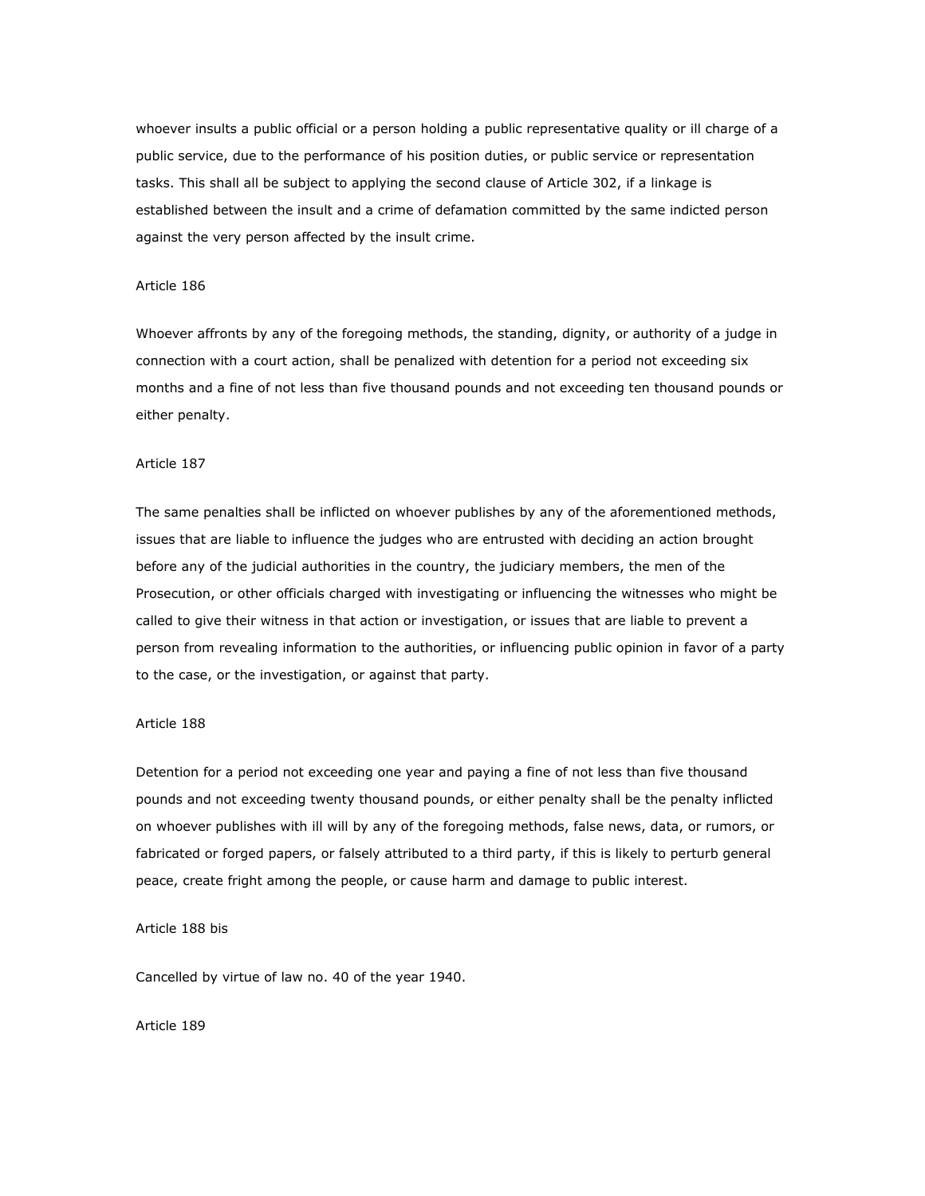whoever insults a public official or a person holding a public representative quality or ill charge of a public service, due to the performance of his position duties, or public service or representation tasks. This shall all be subject to applying the second clause of Article 302, if a linkage is established between the insult and a crime of defamation committed by the same indicted person against the very person affected by the insult crime.

## Article 186

Whoever affronts by any of the foregoing methods, the standing, dignity, or authority of a judge in connection with a court action, shall be penalized with detention for a period not exceeding six months and a fine of not less than five thousand pounds and not exceeding ten thousand pounds or either penalty.

# Article 187

The same penalties shall be inflicted on whoever publishes by any of the aforementioned methods, issues that are liable to influence the judges who are entrusted with deciding an action brought before any of the judicial authorities in the country, the judiciary members, the men of the Prosecution, or other officials charged with investigating or influencing the witnesses who might be called to give their witness in that action or investigation, or issues that are liable to prevent a person from revealing information to the authorities, or influencing public opinion in favor of a party to the case, or the investigation, or against that party.

## Article 188

Detention for a period not exceeding one year and paying a fine of not less than five thousand pounds and not exceeding twenty thousand pounds, or either penalty shall be the penalty inflicted on whoever publishes with ill will by any of the foregoing methods, false news, data, or rumors, or fabricated or forged papers, or falsely attributed to a third party, if this is likely to perturb general peace, create fright among the people, or cause harm and damage to public interest.

### Article 188 bis

Cancelled by virtue of law no. 40 of the year 1940.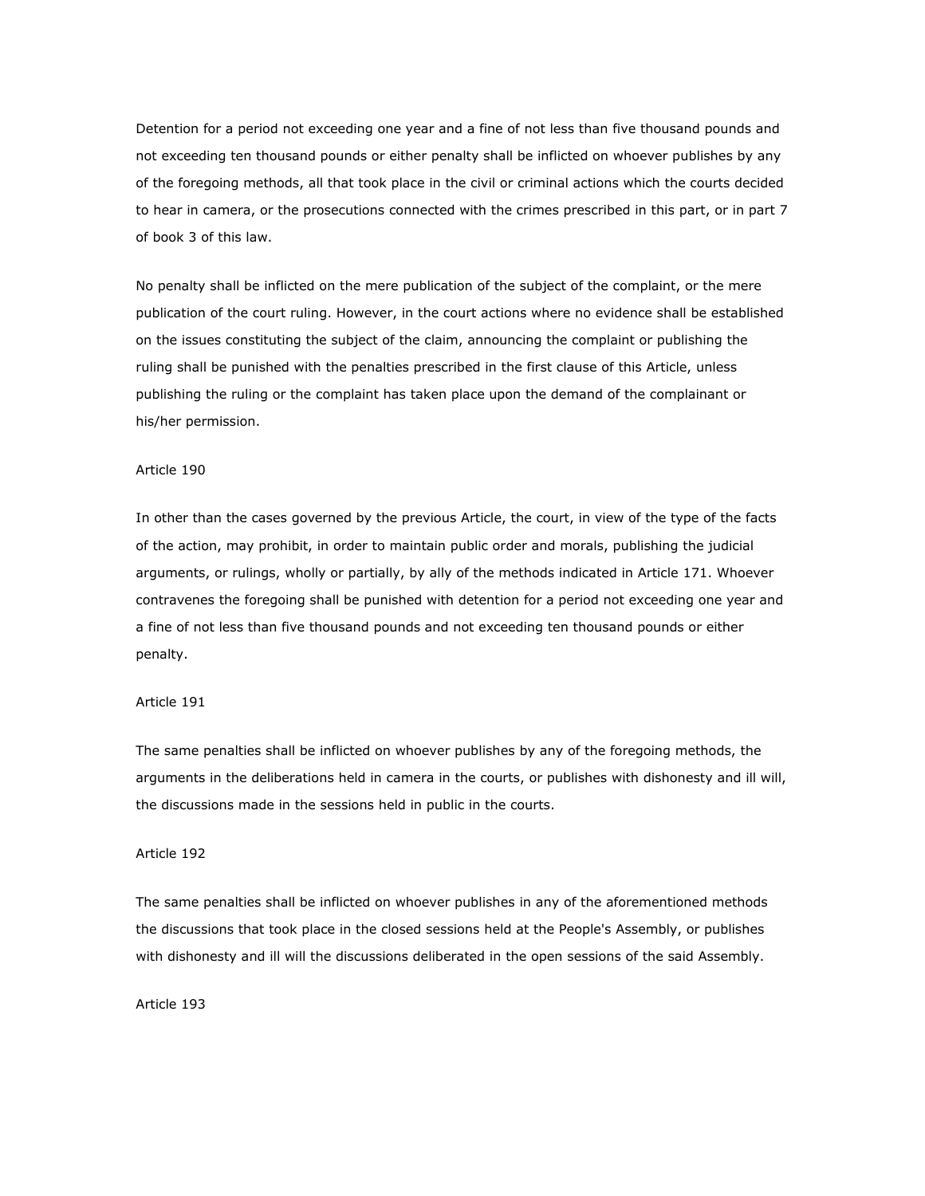Detention for a period not exceeding one year and a fine of not less than five thousand pounds and not exceeding ten thousand pounds or either penalty shall be inflicted on whoever publishes by any of the foregoing methods, all that took place in the civil or criminal actions which the courts decided to hear in camera, or the prosecutions connected with the crimes prescribed in this part, or in part 7 of book 3 of this law.

No penalty shall be inflicted on the mere publication of the subject of the complaint, or the mere publication of the court ruling. However, in the court actions where no evidence shall be established on the issues constituting the subject of the claim, announcing the complaint or publishing the ruling shall be punished with the penalties prescribed in the first clause of this Article, unless publishing the ruling or the complaint has taken place upon the demand of the complainant or his/her permission.

#### Article 190

In other than the cases governed by the previous Article, the court, in view of the type of the facts of the action, may prohibit, in order to maintain public order and morals, publishing the judicial arguments, or rulings, wholly or partially, by ally of the methods indicated in Article 171. Whoever contravenes the foregoing shall be punished with detention for a period not exceeding one year and a fine of not less than five thousand pounds and not exceeding ten thousand pounds or either penalty.

## Article 191

The same penalties shall be inflicted on whoever publishes by any of the foregoing methods, the arguments in the deliberations held in camera in the courts, or publishes with dishonesty and ill will, the discussions made in the sessions held in public in the courts.

### Article 192

The same penalties shall be inflicted on whoever publishes in any of the aforementioned methods the discussions that took place in the closed sessions held at the People's Assembly, or publishes with dishonesty and ill will the discussions deliberated in the open sessions of the said Assembly.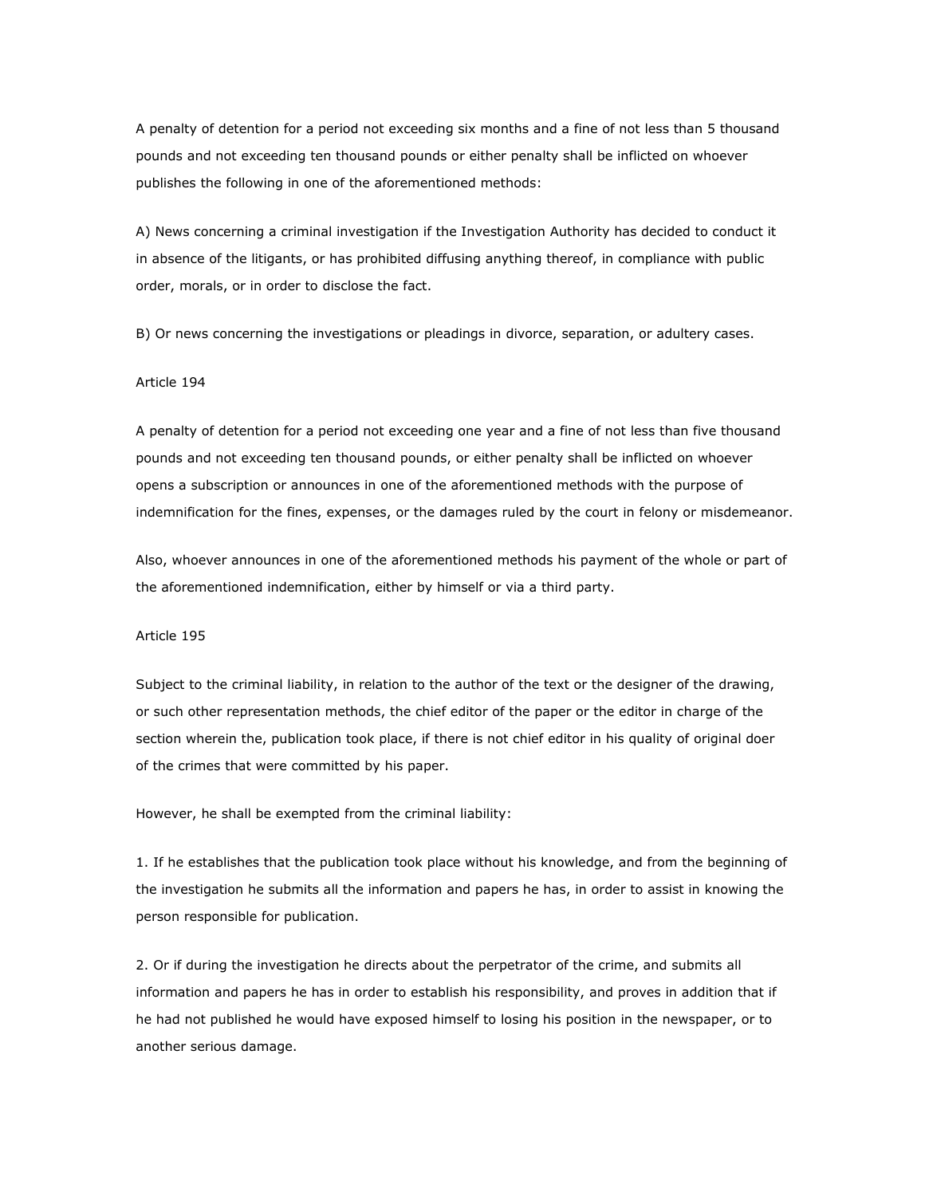A penalty of detention for a period not exceeding six months and a fine of not less than 5 thousand pounds and not exceeding ten thousand pounds or either penalty shall be inflicted on whoever publishes the following in one of the aforementioned methods:

A) News concerning a criminal investigation if the Investigation Authority has decided to conduct it in absence of the litigants, or has prohibited diffusing anything thereof, in compliance with public order, morals, or in order to disclose the fact.

B) Or news concerning the investigations or pleadings in divorce, separation, or adultery cases.

## Article 194

A penalty of detention for a period not exceeding one year and a fine of not less than five thousand pounds and not exceeding ten thousand pounds, or either penalty shall be inflicted on whoever opens a subscription or announces in one of the aforementioned methods with the purpose of indemnification for the fines, expenses, or the damages ruled by the court in felony or misdemeanor.

Also, whoever announces in one of the aforementioned methods his payment of the whole or part of the aforementioned indemnification, either by himself or via a third party.

#### Article 195

Subject to the criminal liability, in relation to the author of the text or the designer of the drawing, or such other representation methods, the chief editor of the paper or the editor in charge of the section wherein the, publication took place, if there is not chief editor in his quality of original doer of the crimes that were committed by his paper.

However, he shall be exempted from the criminal liability:

1. If he establishes that the publication took place without his knowledge, and from the beginning of the investigation he submits all the information and papers he has, in order to assist in knowing the person responsible for publication.

2. Or if during the investigation he directs about the perpetrator of the crime, and submits all information and papers he has in order to establish his responsibility, and proves in addition that if he had not published he would have exposed himself to losing his position in the newspaper, or to another serious damage.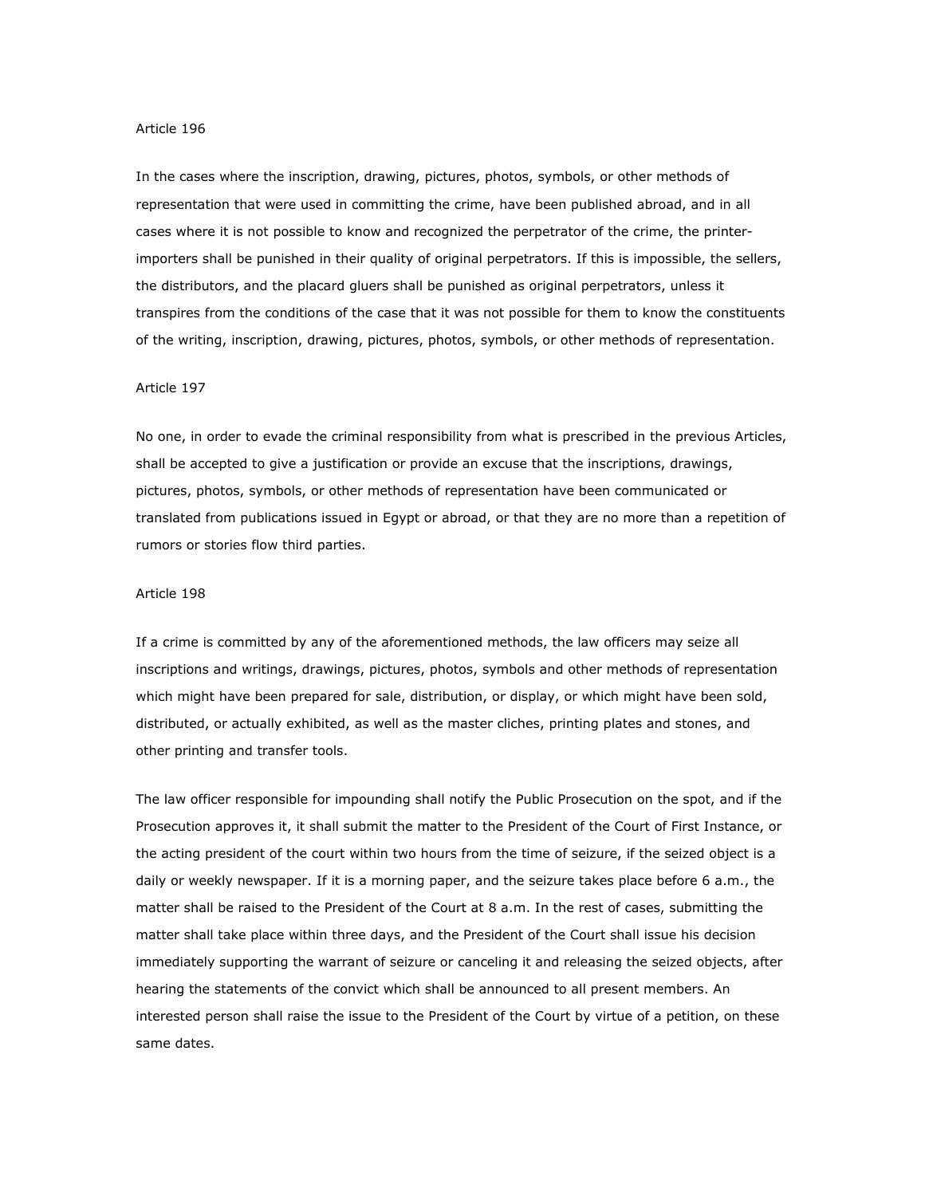In the cases where the inscription, drawing, pictures, photos, symbols, or other methods of representation that were used in committing the crime, have been published abroad, and in all cases where it is not possible to know and recognized the perpetrator of the crime, the printerimporters shall be punished in their quality of original perpetrators. If this is impossible, the sellers, the distributors, and the placard gluers shall be punished as original perpetrators, unless it transpires from the conditions of the case that it was not possible for them to know the constituents of the writing, inscription, drawing, pictures, photos, symbols, or other methods of representation.

#### Article 197

No one, in order to evade the criminal responsibility from what is prescribed in the previous Articles, shall be accepted to give a justification or provide an excuse that the inscriptions, drawings, pictures, photos, symbols, or other methods of representation have been communicated or translated from publications issued in Egypt or abroad, or that they are no more than a repetition of rumors or stories flow third parties.

#### Article 198

If a crime is committed by any of the aforementioned methods, the law officers may seize all inscriptions and writings, drawings, pictures, photos, symbols and other methods of representation which might have been prepared for sale, distribution, or display, or which might have been sold, distributed, or actually exhibited, as well as the master cliches, printing plates and stones, and other printing and transfer tools.

The law officer responsible for impounding shall notify the Public Prosecution on the spot, and if the Prosecution approves it, it shall submit the matter to the President of the Court of First Instance, or the acting president of the court within two hours from the time of seizure, if the seized object is a daily or weekly newspaper. If it is a morning paper, and the seizure takes place before 6 a.m., the matter shall be raised to the President of the Court at 8 a.m. In the rest of cases, submitting the matter shall take place within three days, and the President of the Court shall issue his decision immediately supporting the warrant of seizure or canceling it and releasing the seized objects, after hearing the statements of the convict which shall be announced to all present members. An interested person shall raise the issue to the President of the Court by virtue of a petition, on these same dates.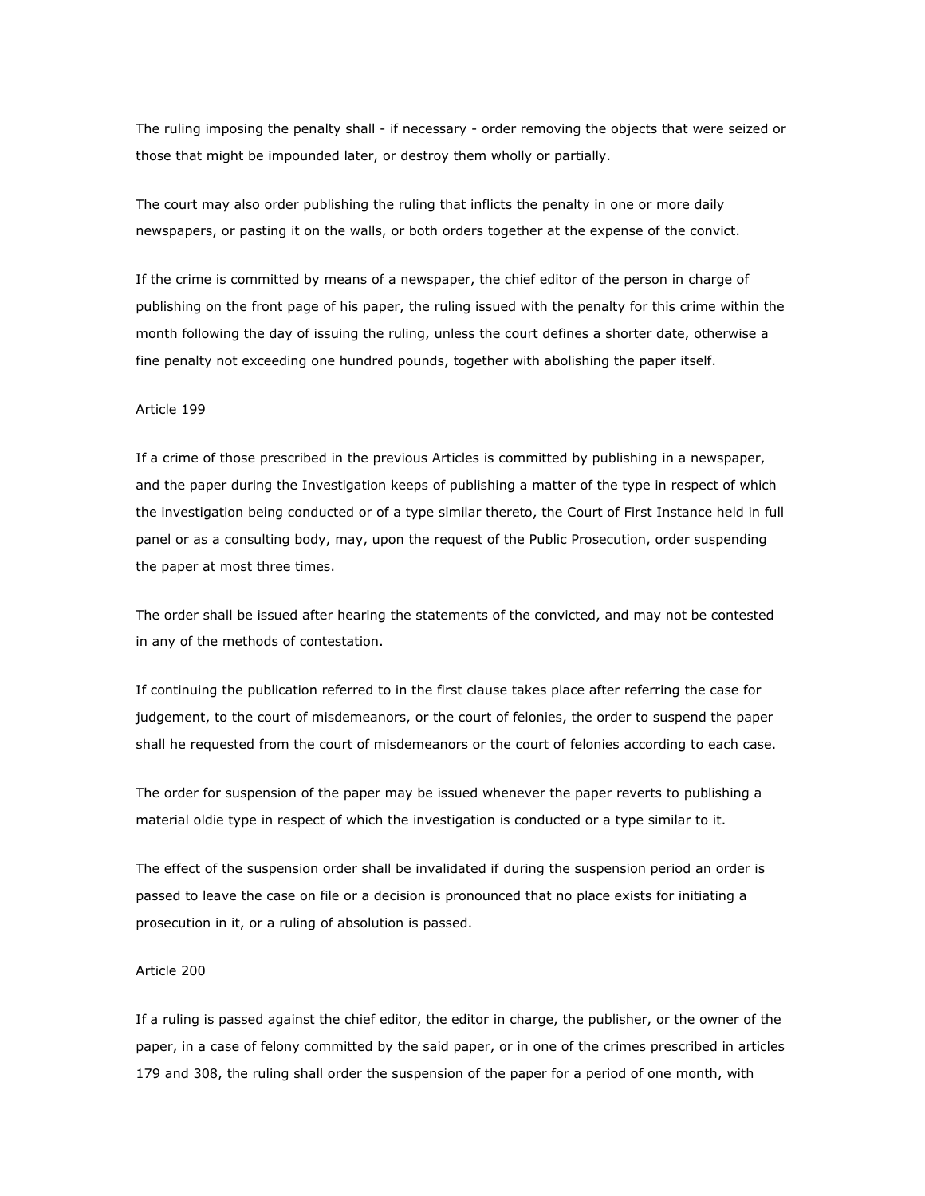The ruling imposing the penalty shall - if necessary - order removing the objects that were seized or those that might be impounded later, or destroy them wholly or partially.

The court may also order publishing the ruling that inflicts the penalty in one or more daily newspapers, or pasting it on the walls, or both orders together at the expense of the convict.

If the crime is committed by means of a newspaper, the chief editor of the person in charge of publishing on the front page of his paper, the ruling issued with the penalty for this crime within the month following the day of issuing the ruling, unless the court defines a shorter date, otherwise a fine penalty not exceeding one hundred pounds, together with abolishing the paper itself.

#### Article 199

If a crime of those prescribed in the previous Articles is committed by publishing in a newspaper, and the paper during the Investigation keeps of publishing a matter of the type in respect of which the investigation being conducted or of a type similar thereto, the Court of First Instance held in full panel or as a consulting body, may, upon the request of the Public Prosecution, order suspending the paper at most three times.

The order shall be issued after hearing the statements of the convicted, and may not be contested in any of the methods of contestation.

If continuing the publication referred to in the first clause takes place after referring the case for judgement, to the court of misdemeanors, or the court of felonies, the order to suspend the paper shall he requested from the court of misdemeanors or the court of felonies according to each case.

The order for suspension of the paper may be issued whenever the paper reverts to publishing a material oldie type in respect of which the investigation is conducted or a type similar to it.

The effect of the suspension order shall be invalidated if during the suspension period an order is passed to leave the case on file or a decision is pronounced that no place exists for initiating a prosecution in it, or a ruling of absolution is passed.

## Article 200

If a ruling is passed against the chief editor, the editor in charge, the publisher, or the owner of the paper, in a case of felony committed by the said paper, or in one of the crimes prescribed in articles 179 and 308, the ruling shall order the suspension of the paper for a period of one month, with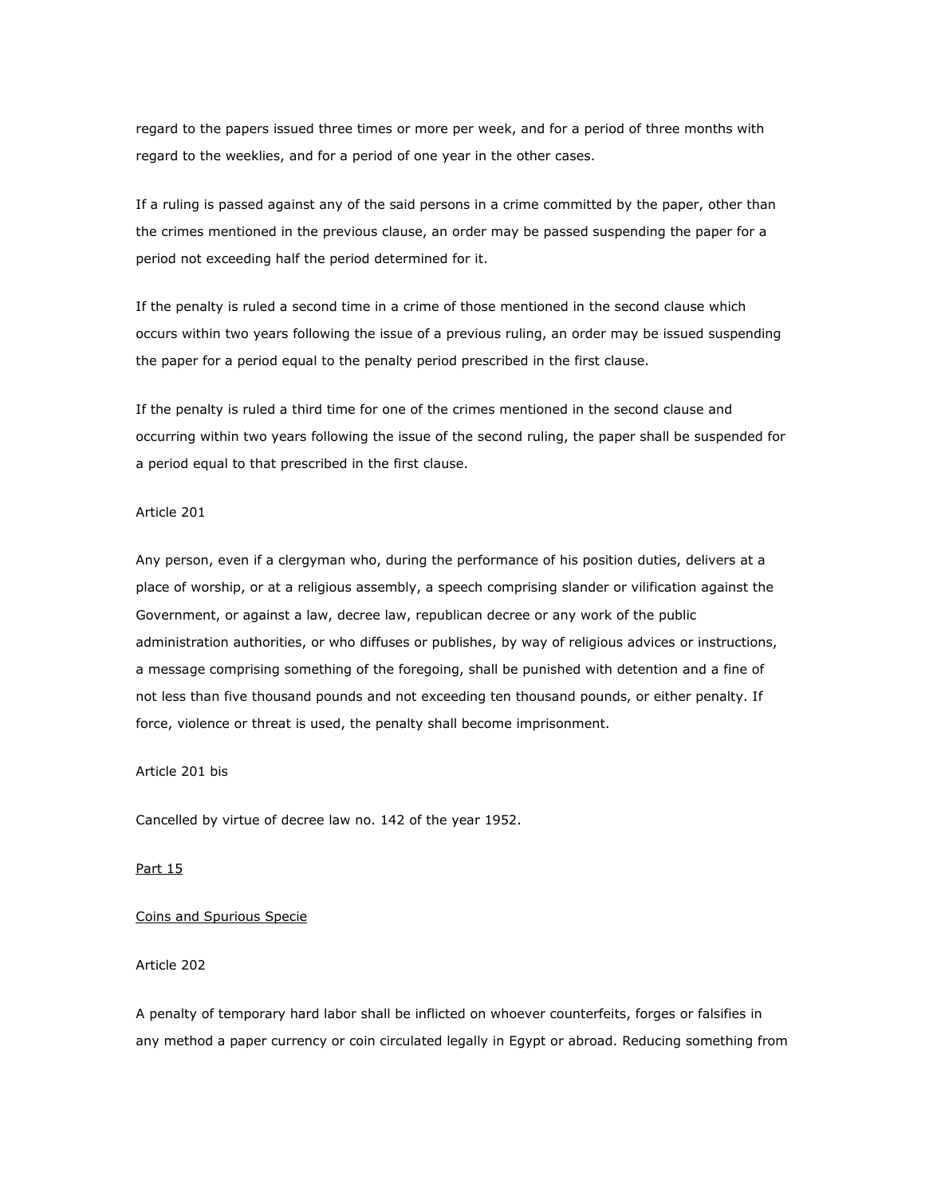regard to the papers issued three times or more per week, and for a period of three months with regard to the weeklies, and for a period of one year in the other cases.

If a ruling is passed against any of the said persons in a crime committed by the paper, other than the crimes mentioned in the previous clause, an order may be passed suspending the paper for a period not exceeding half the period determined for it.

If the penalty is ruled a second time in a crime of those mentioned in the second clause which occurs within two years following the issue of a previous ruling, an order may be issued suspending the paper for a period equal to the penalty period prescribed in the first clause.

If the penalty is ruled a third time for one of the crimes mentioned in the second clause and occurring within two years following the issue of the second ruling, the paper shall be suspended for a period equal to that prescribed in the first clause.

#### Article 201

Any person, even if a clergyman who, during the performance of his position duties, delivers at a place of worship, or at a religious assembly, a speech comprising slander or vilification against the Government, or against a law, decree law, republican decree or any work of the public administration authorities, or who diffuses or publishes, by way of religious advices or instructions, a message comprising something of the foregoing, shall be punished with detention and a fine of not less than five thousand pounds and not exceeding ten thousand pounds, or either penalty. If force, violence or threat is used, the penalty shall become imprisonment.

# Article 201 bis

Cancelled by virtue of decree law no. 142 of the year 1952.

#### Part 15

## Coins and Spurious Specie

## Article 202

A penalty of temporary hard labor shall be inflicted on whoever counterfeits, forges or falsifies in any method a paper currency or coin circulated legally in Egypt or abroad. Reducing something from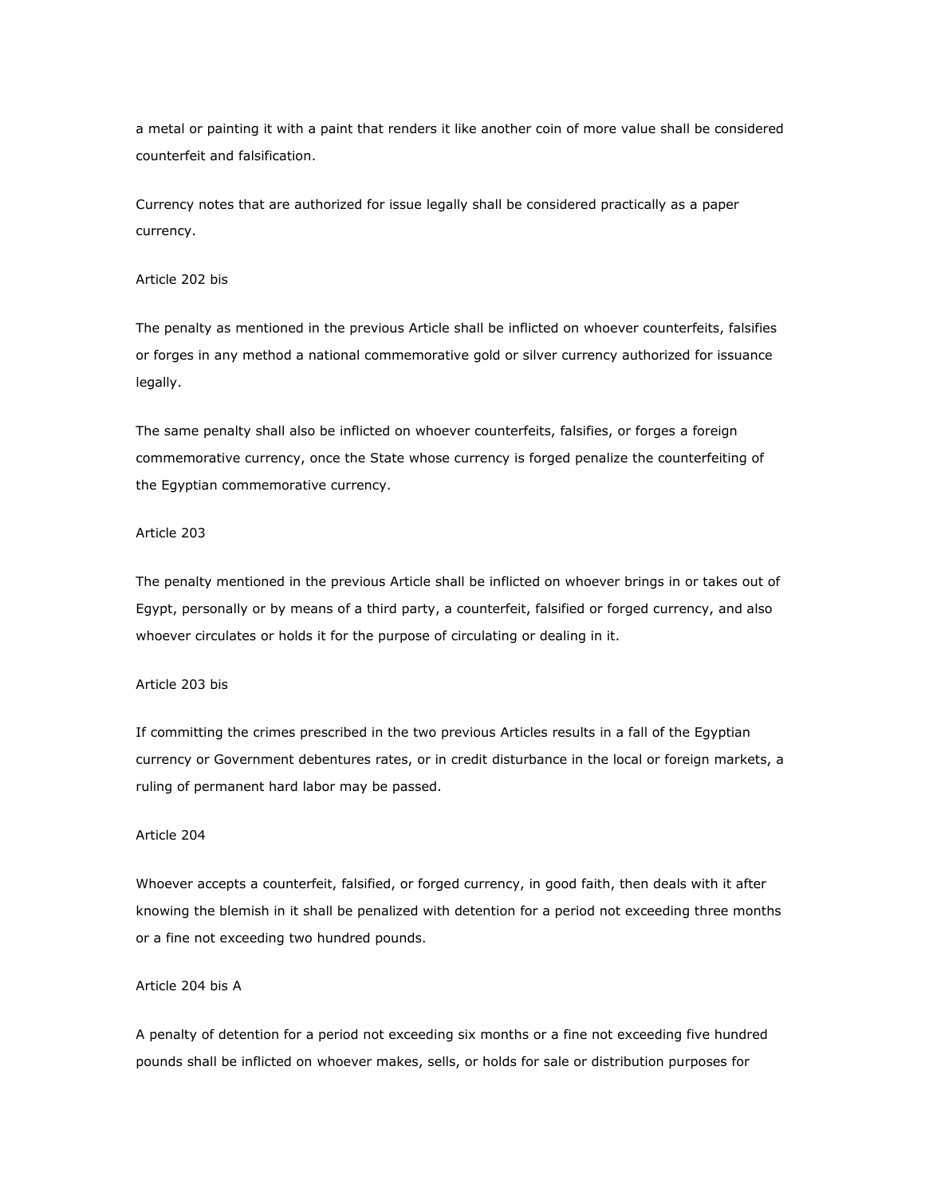a metal or painting it with a paint that renders it like another coin of more value shall be considered counterfeit and falsification.

Currency notes that are authorized for issue legally shall be considered practically as a paper currency.

## Article 202 bis

The penalty as mentioned in the previous Article shall be inflicted on whoever counterfeits, falsifies or forges in any method a national commemorative gold or silver currency authorized for issuance legally.

The same penalty shall also be inflicted on whoever counterfeits, falsifies, or forges a foreign commemorative currency, once the State whose currency is forged penalize the counterfeiting of the Egyptian commemorative currency.

# Article 203

The penalty mentioned in the previous Article shall be inflicted on whoever brings in or takes out of Egypt, personally or by means of a third party, a counterfeit, falsified or forged currency, and also whoever circulates or holds it for the purpose of circulating or dealing in it.

# Article 203 bis

If committing the crimes prescribed in the two previous Articles results in a fall of the Egyptian currency or Government debentures rates, or in credit disturbance in the local or foreign markets, a ruling of permanent hard labor may be passed.

# Article 204

Whoever accepts a counterfeit, falsified, or forged currency, in good faith, then deals with it after knowing the blemish in it shall be penalized with detention for a period not exceeding three months or a fine not exceeding two hundred pounds.

## Article 204 bis A

A penalty of detention for a period not exceeding six months or a fine not exceeding five hundred pounds shall be inflicted on whoever makes, sells, or holds for sale or distribution purposes for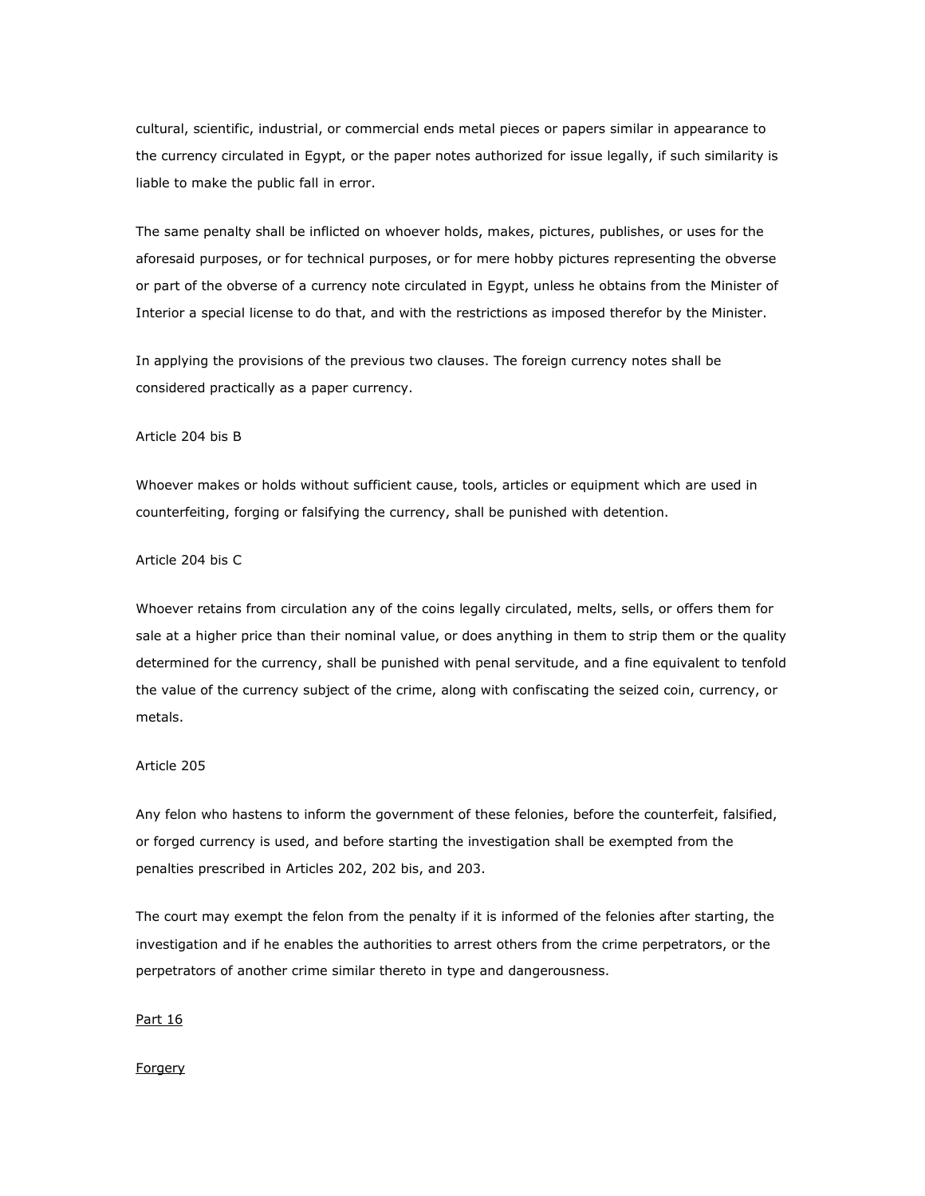cultural, scientific, industrial, or commercial ends metal pieces or papers similar in appearance to the currency circulated in Egypt, or the paper notes authorized for issue legally, if such similarity is liable to make the public fall in error.

The same penalty shall be inflicted on whoever holds, makes, pictures, publishes, or uses for the aforesaid purposes, or for technical purposes, or for mere hobby pictures representing the obverse or part of the obverse of a currency note circulated in Egypt, unless he obtains from the Minister of Interior a special license to do that, and with the restrictions as imposed therefor by the Minister.

In applying the provisions of the previous two clauses. The foreign currency notes shall be considered practically as a paper currency.

#### Article 204 bis B

Whoever makes or holds without sufficient cause, tools, articles or equipment which are used in counterfeiting, forging or falsifying the currency, shall be punished with detention.

# Article 204 bis C

Whoever retains from circulation any of the coins legally circulated, melts, sells, or offers them for sale at a higher price than their nominal value, or does anything in them to strip them or the quality determined for the currency, shall be punished with penal servitude, and a fine equivalent to tenfold the value of the currency subject of the crime, along with confiscating the seized coin, currency, or metals.

## Article 205

Any felon who hastens to inform the government of these felonies, before the counterfeit, falsified, or forged currency is used, and before starting the investigation shall be exempted from the penalties prescribed in Articles 202, 202 bis, and 203.

The court may exempt the felon from the penalty if it is informed of the felonies after starting, the investigation and if he enables the authorities to arrest others from the crime perpetrators, or the perpetrators of another crime similar thereto in type and dangerousness.

#### Part 16

#### **Forgery**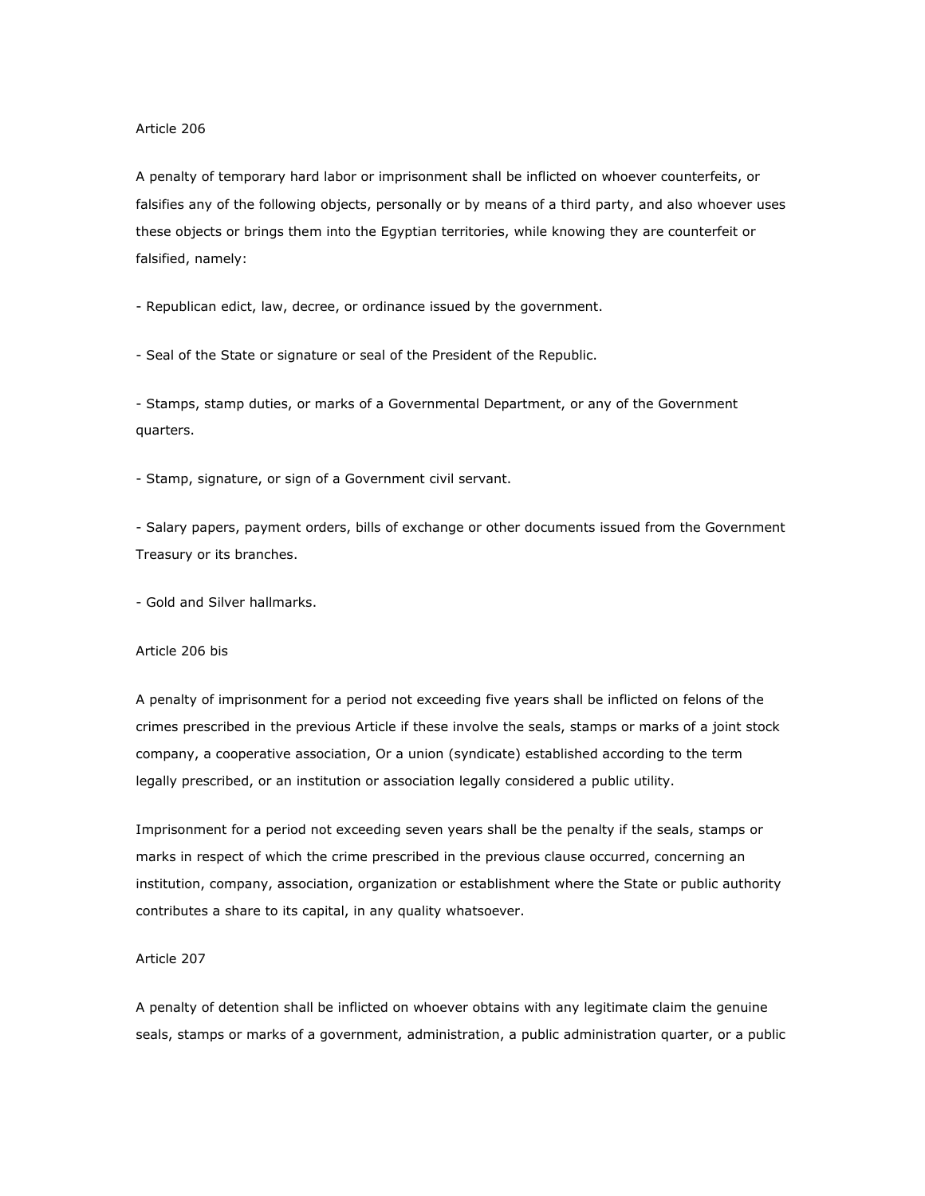A penalty of temporary hard labor or imprisonment shall be inflicted on whoever counterfeits, or falsifies any of the following objects, personally or by means of a third party, and also whoever uses these objects or brings them into the Egyptian territories, while knowing they are counterfeit or falsified, namely:

- Republican edict, law, decree, or ordinance issued by the government.

- Seal of the State or signature or seal of the President of the Republic.

- Stamps, stamp duties, or marks of a Governmental Department, or any of the Government quarters.

- Stamp, signature, or sign of a Government civil servant.

- Salary papers, payment orders, bills of exchange or other documents issued from the Government Treasury or its branches.

- Gold and Silver hallmarks.

### Article 206 bis

A penalty of imprisonment for a period not exceeding five years shall be inflicted on felons of the crimes prescribed in the previous Article if these involve the seals, stamps or marks of a joint stock company, a cooperative association, Or a union (syndicate) established according to the term legally prescribed, or an institution or association legally considered a public utility.

Imprisonment for a period not exceeding seven years shall be the penalty if the seals, stamps or marks in respect of which the crime prescribed in the previous clause occurred, concerning an institution, company, association, organization or establishment where the State or public authority contributes a share to its capital, in any quality whatsoever.

#### Article 207

A penalty of detention shall be inflicted on whoever obtains with any legitimate claim the genuine seals, stamps or marks of a government, administration, a public administration quarter, or a public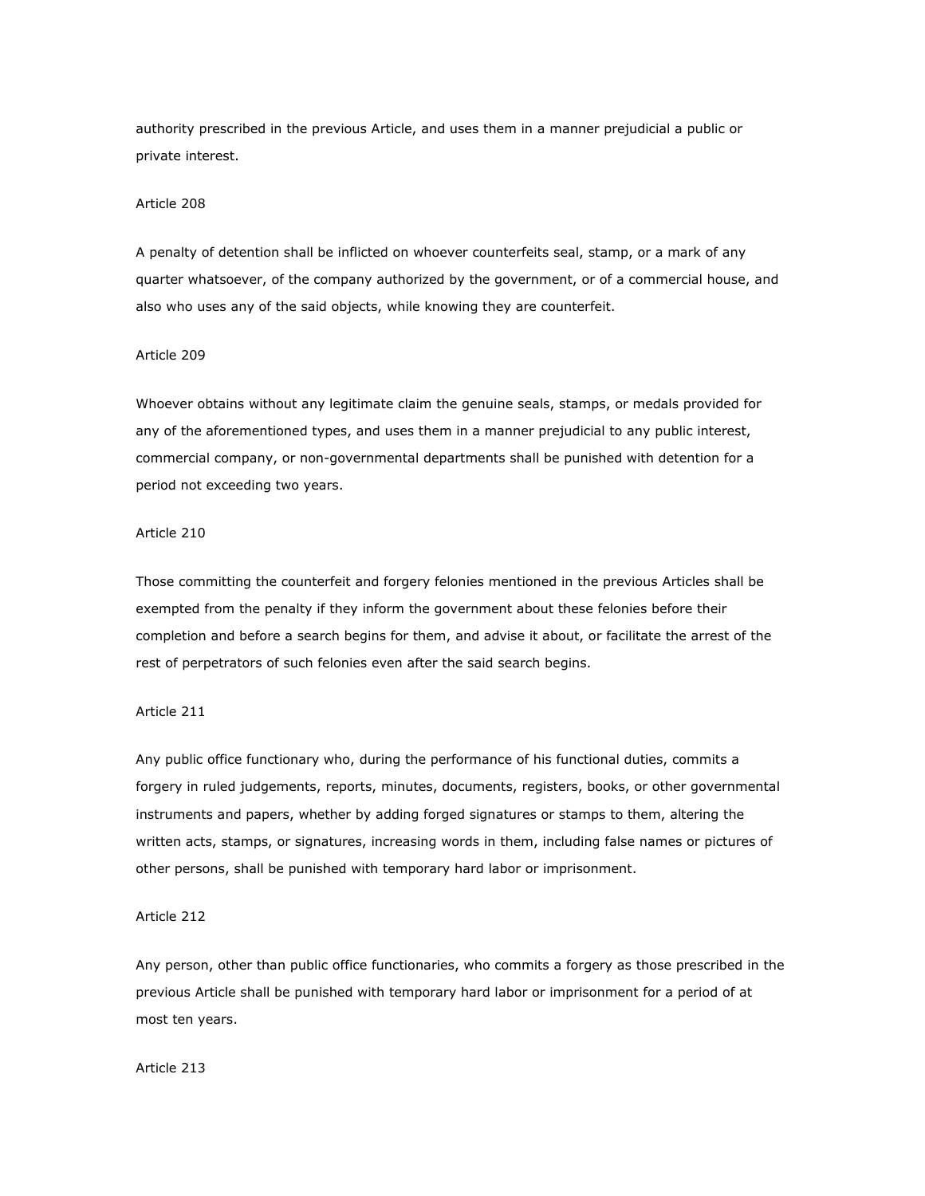authority prescribed in the previous Article, and uses them in a manner prejudicial a public or private interest.

## Article 208

A penalty of detention shall be inflicted on whoever counterfeits seal, stamp, or a mark of any quarter whatsoever, of the company authorized by the government, or of a commercial house, and also who uses any of the said objects, while knowing they are counterfeit.

#### Article 209

Whoever obtains without any legitimate claim the genuine seals, stamps, or medals provided for any of the aforementioned types, and uses them in a manner prejudicial to any public interest, commercial company, or non-governmental departments shall be punished with detention for a period not exceeding two years.

## Article 210

Those committing the counterfeit and forgery felonies mentioned in the previous Articles shall be exempted from the penalty if they inform the government about these felonies before their completion and before a search begins for them, and advise it about, or facilitate the arrest of the rest of perpetrators of such felonies even after the said search begins.

#### Article 211

Any public office functionary who, during the performance of his functional duties, commits a forgery in ruled judgements, reports, minutes, documents, registers, books, or other governmental instruments and papers, whether by adding forged signatures or stamps to them, altering the written acts, stamps, or signatures, increasing words in them, including false names or pictures of other persons, shall be punished with temporary hard labor or imprisonment.

#### Article 212

Any person, other than public office functionaries, who commits a forgery as those prescribed in the previous Article shall be punished with temporary hard labor or imprisonment for a period of at most ten years.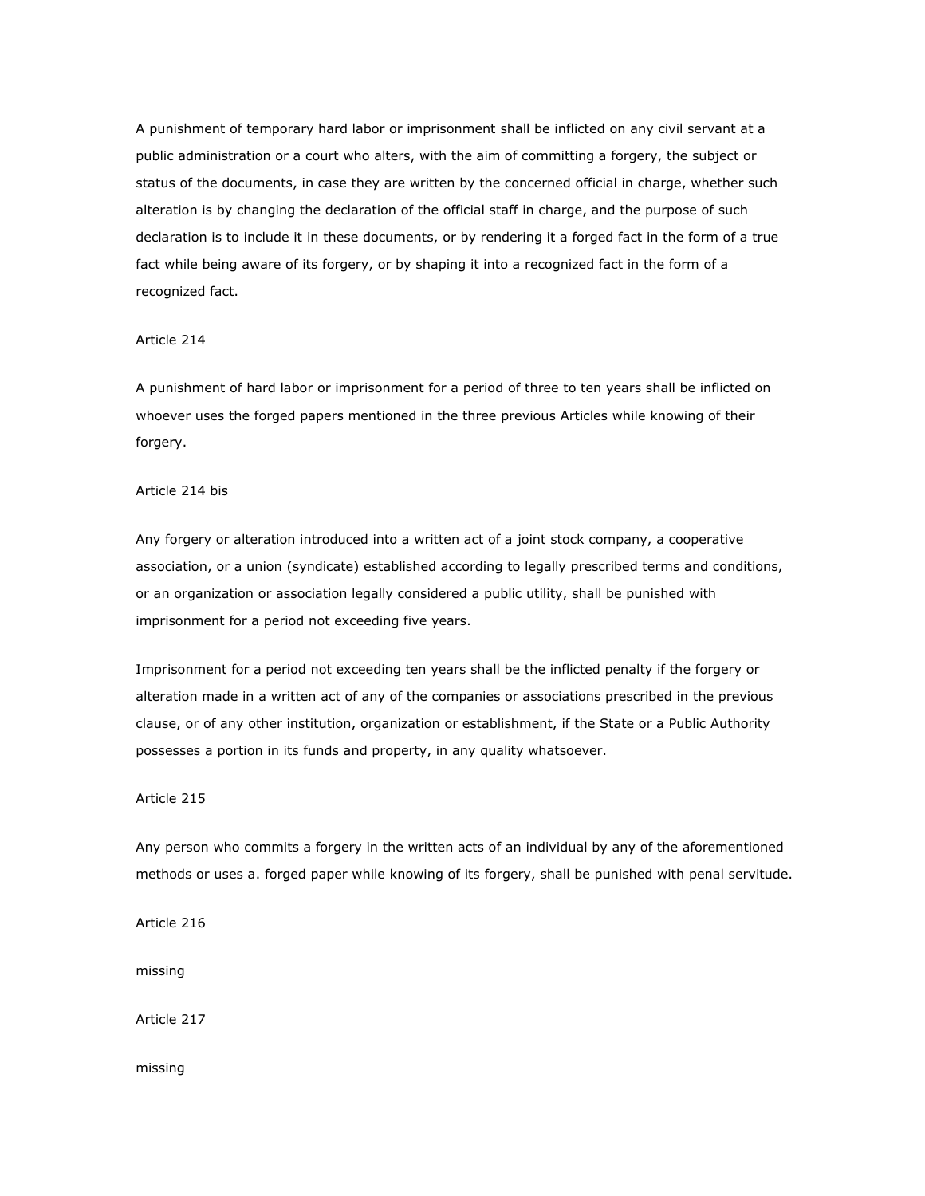A punishment of temporary hard labor or imprisonment shall be inflicted on any civil servant at a public administration or a court who alters, with the aim of committing a forgery, the subject or status of the documents, in case they are written by the concerned official in charge, whether such alteration is by changing the declaration of the official staff in charge, and the purpose of such declaration is to include it in these documents, or by rendering it a forged fact in the form of a true fact while being aware of its forgery, or by shaping it into a recognized fact in the form of a recognized fact.

# Article 214

A punishment of hard labor or imprisonment for a period of three to ten years shall be inflicted on whoever uses the forged papers mentioned in the three previous Articles while knowing of their forgery.

# Article 214 bis

Any forgery or alteration introduced into a written act of a joint stock company, a cooperative association, or a union (syndicate) established according to legally prescribed terms and conditions, or an organization or association legally considered a public utility, shall be punished with imprisonment for a period not exceeding five years.

Imprisonment for a period not exceeding ten years shall be the inflicted penalty if the forgery or alteration made in a written act of any of the companies or associations prescribed in the previous clause, or of any other institution, organization or establishment, if the State or a Public Authority possesses a portion in its funds and property, in any quality whatsoever.

# Article 215

Any person who commits a forgery in the written acts of an individual by any of the aforementioned methods or uses a. forged paper while knowing of its forgery, shall be punished with penal servitude.

Article 216

missing

Article 217

missing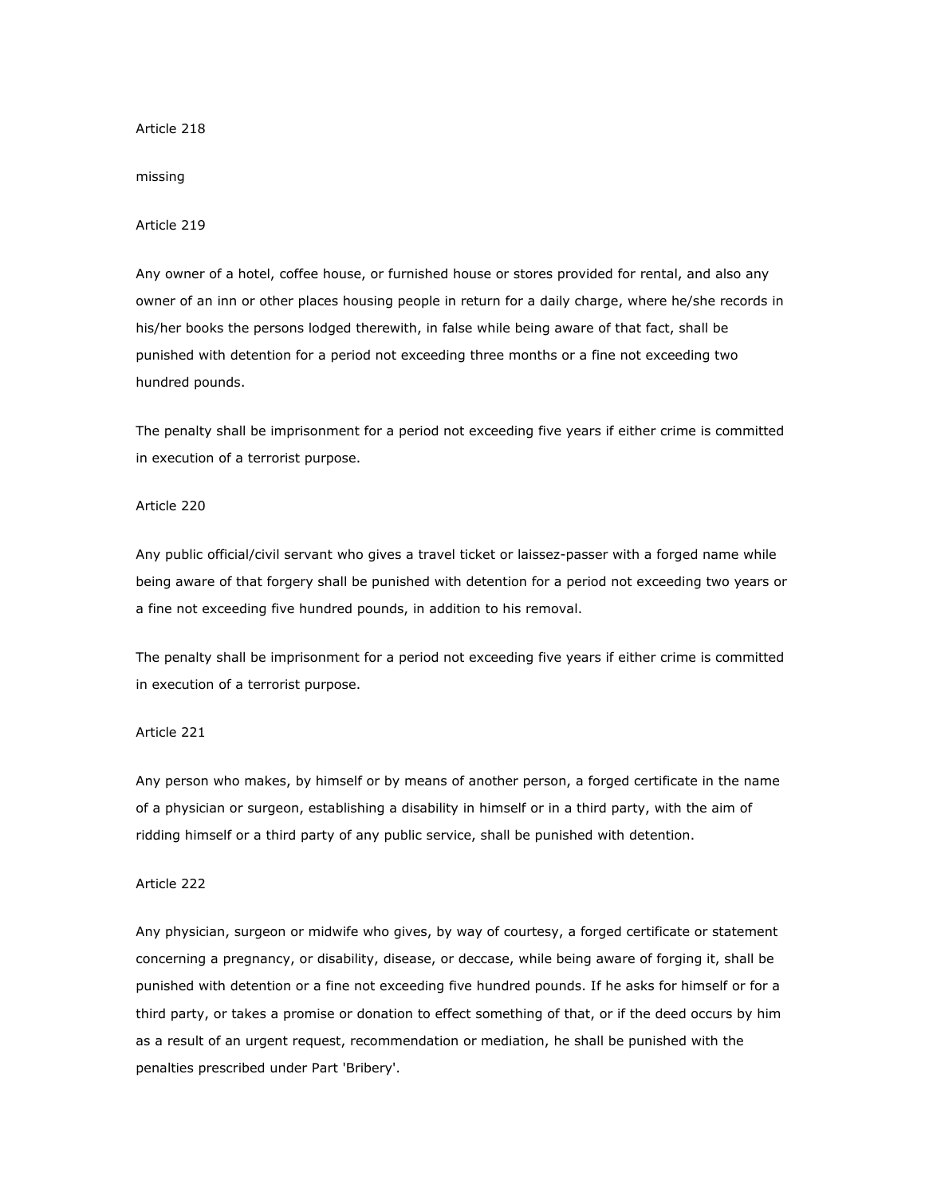## missing

# Article 219

Any owner of a hotel, coffee house, or furnished house or stores provided for rental, and also any owner of an inn or other places housing people in return for a daily charge, where he/she records in his/her books the persons lodged therewith, in false while being aware of that fact, shall be punished with detention for a period not exceeding three months or a fine not exceeding two hundred pounds.

The penalty shall be imprisonment for a period not exceeding five years if either crime is committed in execution of a terrorist purpose.

#### Article 220

Any public official/civil servant who gives a travel ticket or laissez-passer with a forged name while being aware of that forgery shall be punished with detention for a period not exceeding two years or a fine not exceeding five hundred pounds, in addition to his removal.

The penalty shall be imprisonment for a period not exceeding five years if either crime is committed in execution of a terrorist purpose.

# Article 221

Any person who makes, by himself or by means of another person, a forged certificate in the name of a physician or surgeon, establishing a disability in himself or in a third party, with the aim of ridding himself or a third party of any public service, shall be punished with detention.

# Article 222

Any physician, surgeon or midwife who gives, by way of courtesy, a forged certificate or statement concerning a pregnancy, or disability, disease, or deccase, while being aware of forging it, shall be punished with detention or a fine not exceeding five hundred pounds. If he asks for himself or for a third party, or takes a promise or donation to effect something of that, or if the deed occurs by him as a result of an urgent request, recommendation or mediation, he shall be punished with the penalties prescribed under Part 'Bribery'.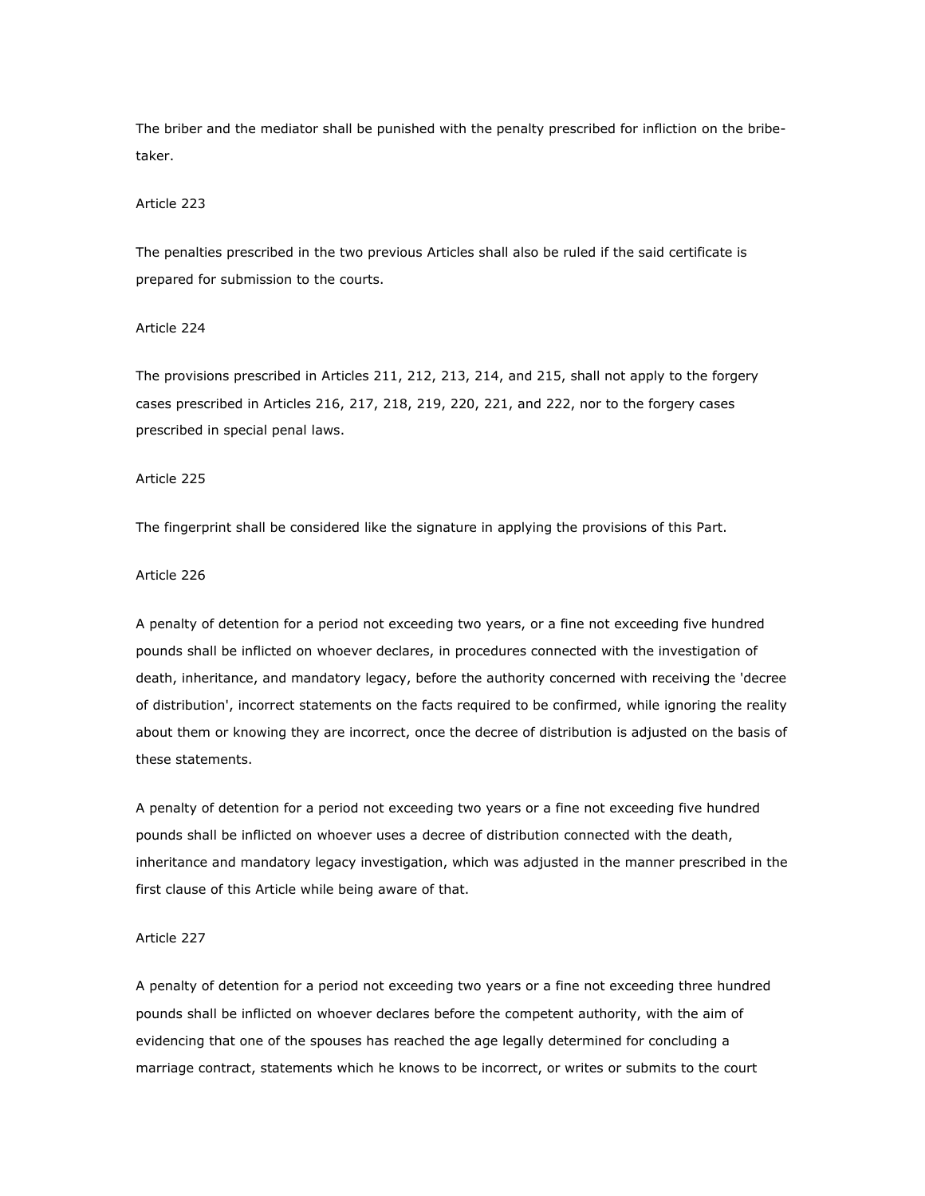The briber and the mediator shall be punished with the penalty prescribed for infliction on the bribetaker.

## Article 223

The penalties prescribed in the two previous Articles shall also be ruled if the said certificate is prepared for submission to the courts.

# Article 224

The provisions prescribed in Articles 211, 212, 213, 214, and 215, shall not apply to the forgery cases prescribed in Articles 216, 217, 218, 219, 220, 221, and 222, nor to the forgery cases prescribed in special penal laws.

## Article 225

The fingerprint shall be considered like the signature in applying the provisions of this Part.

# Article 226

A penalty of detention for a period not exceeding two years, or a fine not exceeding five hundred pounds shall be inflicted on whoever declares, in procedures connected with the investigation of death, inheritance, and mandatory legacy, before the authority concerned with receiving the 'decree of distribution', incorrect statements on the facts required to be confirmed, while ignoring the reality about them or knowing they are incorrect, once the decree of distribution is adjusted on the basis of these statements.

A penalty of detention for a period not exceeding two years or a fine not exceeding five hundred pounds shall be inflicted on whoever uses a decree of distribution connected with the death, inheritance and mandatory legacy investigation, which was adjusted in the manner prescribed in the first clause of this Article while being aware of that.

## Article 227

A penalty of detention for a period not exceeding two years or a fine not exceeding three hundred pounds shall be inflicted on whoever declares before the competent authority, with the aim of evidencing that one of the spouses has reached the age legally determined for concluding a marriage contract, statements which he knows to be incorrect, or writes or submits to the court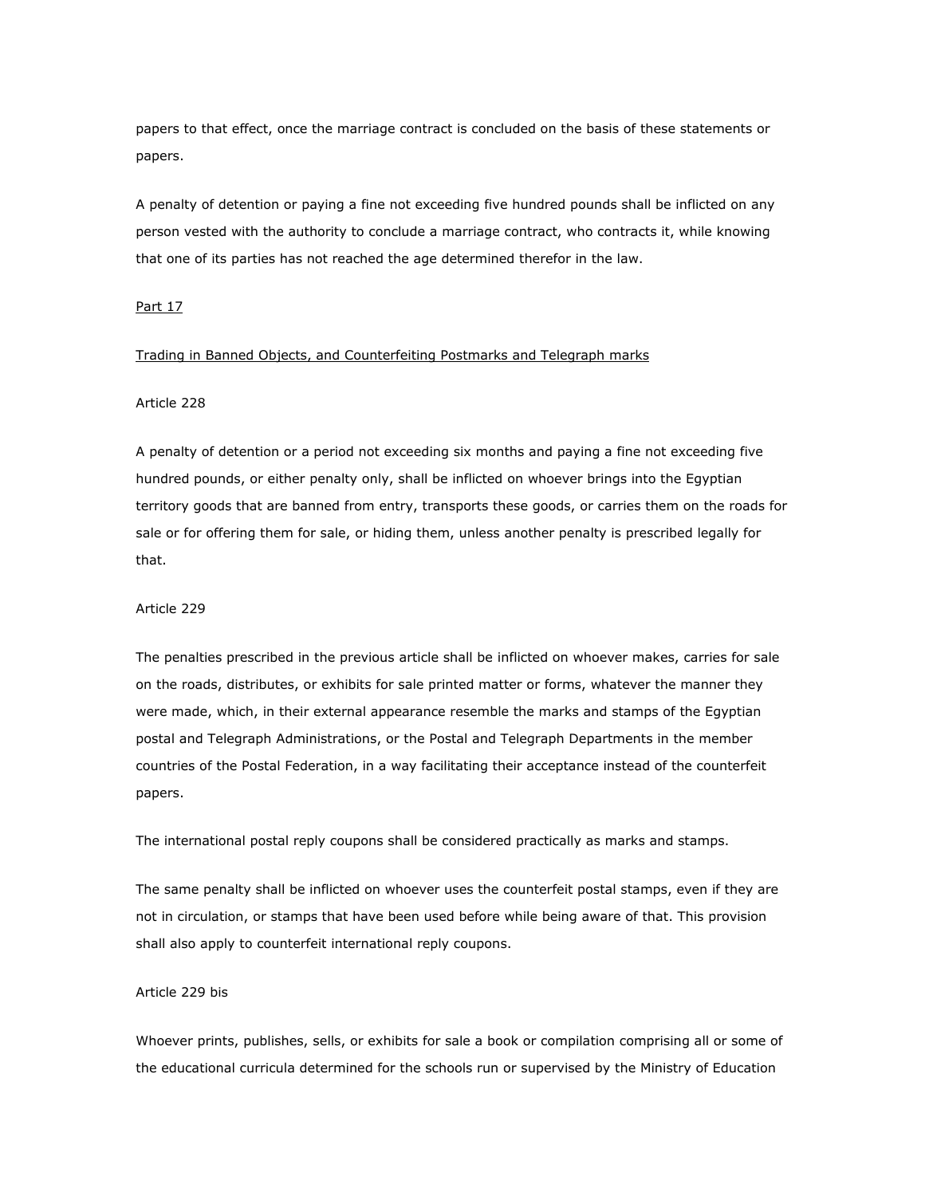papers to that effect, once the marriage contract is concluded on the basis of these statements or papers.

A penalty of detention or paying a fine not exceeding five hundred pounds shall be inflicted on any person vested with the authority to conclude a marriage contract, who contracts it, while knowing that one of its parties has not reached the age determined therefor in the law.

# Part 17

## Trading in Banned Objects, and Counterfeiting Postmarks and Telegraph marks

## Article 228

A penalty of detention or a period not exceeding six months and paying a fine not exceeding five hundred pounds, or either penalty only, shall be inflicted on whoever brings into the Egyptian territory goods that are banned from entry, transports these goods, or carries them on the roads for sale or for offering them for sale, or hiding them, unless another penalty is prescribed legally for that.

#### Article 229

The penalties prescribed in the previous article shall be inflicted on whoever makes, carries for sale on the roads, distributes, or exhibits for sale printed matter or forms, whatever the manner they were made, which, in their external appearance resemble the marks and stamps of the Egyptian postal and Telegraph Administrations, or the Postal and Telegraph Departments in the member countries of the Postal Federation, in a way facilitating their acceptance instead of the counterfeit papers.

The international postal reply coupons shall be considered practically as marks and stamps.

The same penalty shall be inflicted on whoever uses the counterfeit postal stamps, even if they are not in circulation, or stamps that have been used before while being aware of that. This provision shall also apply to counterfeit international reply coupons.

#### Article 229 bis

Whoever prints, publishes, sells, or exhibits for sale a book or compilation comprising all or some of the educational curricula determined for the schools run or supervised by the Ministry of Education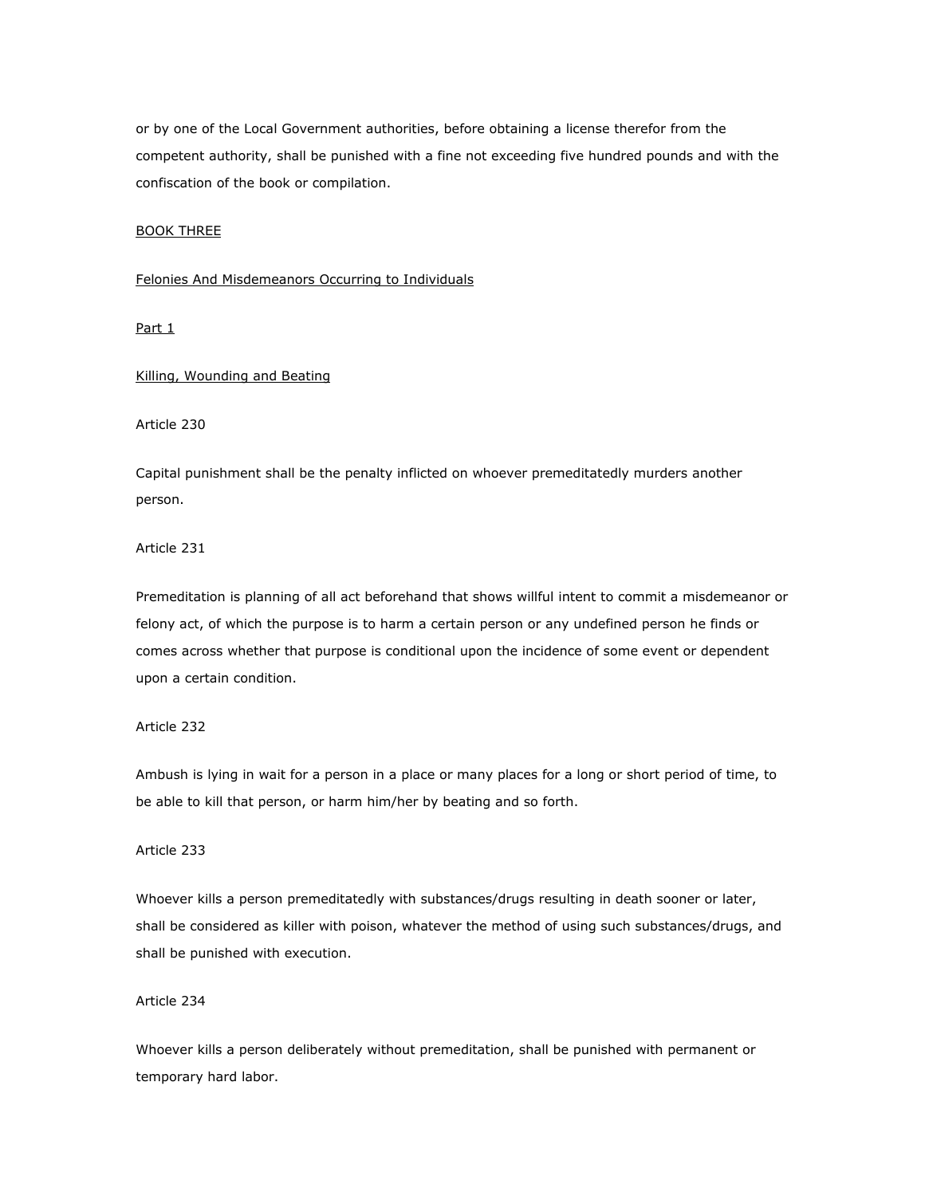or by one of the Local Government authorities, before obtaining a license therefor from the competent authority, shall be punished with a fine not exceeding five hundred pounds and with the confiscation of the book or compilation.

## BOOK THREE

# Felonies And Misdemeanors Occurring to Individuals

Part 1

Killing, Wounding and Beating

Article 230

Capital punishment shall be the penalty inflicted on whoever premeditatedly murders another person.

Article 231

Premeditation is planning of all act beforehand that shows willful intent to commit a misdemeanor or felony act, of which the purpose is to harm a certain person or any undefined person he finds or comes across whether that purpose is conditional upon the incidence of some event or dependent upon a certain condition.

# Article 232

Ambush is lying in wait for a person in a place or many places for a long or short period of time, to be able to kill that person, or harm him/her by beating and so forth.

Article 233

Whoever kills a person premeditatedly with substances/drugs resulting in death sooner or later, shall be considered as killer with poison, whatever the method of using such substances/drugs, and shall be punished with execution.

Article 234

Whoever kills a person deliberately without premeditation, shall be punished with permanent or temporary hard labor.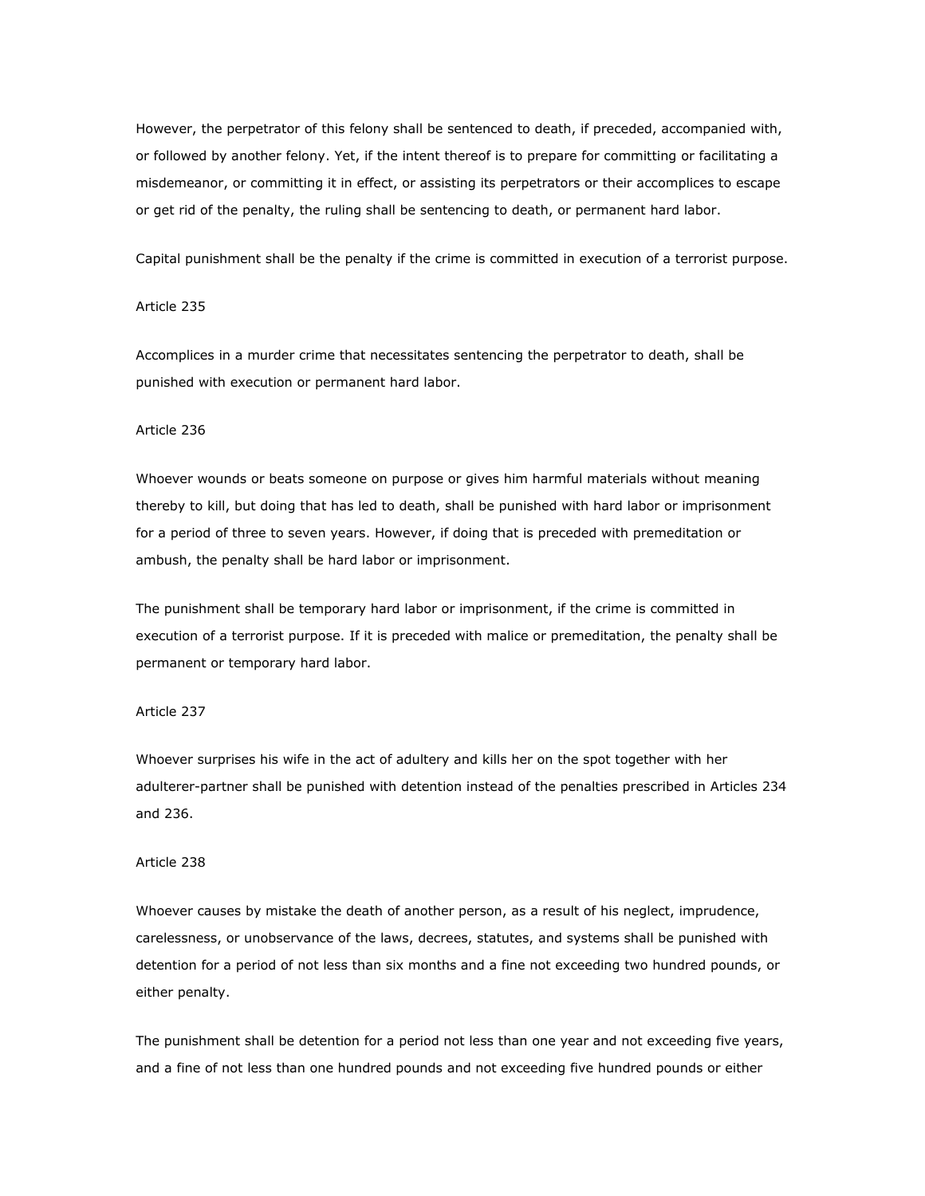However, the perpetrator of this felony shall be sentenced to death, if preceded, accompanied with, or followed by another felony. Yet, if the intent thereof is to prepare for committing or facilitating a misdemeanor, or committing it in effect, or assisting its perpetrators or their accomplices to escape or get rid of the penalty, the ruling shall be sentencing to death, or permanent hard labor.

Capital punishment shall be the penalty if the crime is committed in execution of a terrorist purpose.

## Article 235

Accomplices in a murder crime that necessitates sentencing the perpetrator to death, shall be punished with execution or permanent hard labor.

#### Article 236

Whoever wounds or beats someone on purpose or gives him harmful materials without meaning thereby to kill, but doing that has led to death, shall be punished with hard labor or imprisonment for a period of three to seven years. However, if doing that is preceded with premeditation or ambush, the penalty shall be hard labor or imprisonment.

The punishment shall be temporary hard labor or imprisonment, if the crime is committed in execution of a terrorist purpose. If it is preceded with malice or premeditation, the penalty shall be permanent or temporary hard labor.

#### Article 237

Whoever surprises his wife in the act of adultery and kills her on the spot together with her adulterer-partner shall be punished with detention instead of the penalties prescribed in Articles 234 and 236.

## Article 238

Whoever causes by mistake the death of another person, as a result of his neglect, imprudence, carelessness, or unobservance of the laws, decrees, statutes, and systems shall be punished with detention for a period of not less than six months and a fine not exceeding two hundred pounds, or either penalty.

The punishment shall be detention for a period not less than one year and not exceeding five years, and a fine of not less than one hundred pounds and not exceeding five hundred pounds or either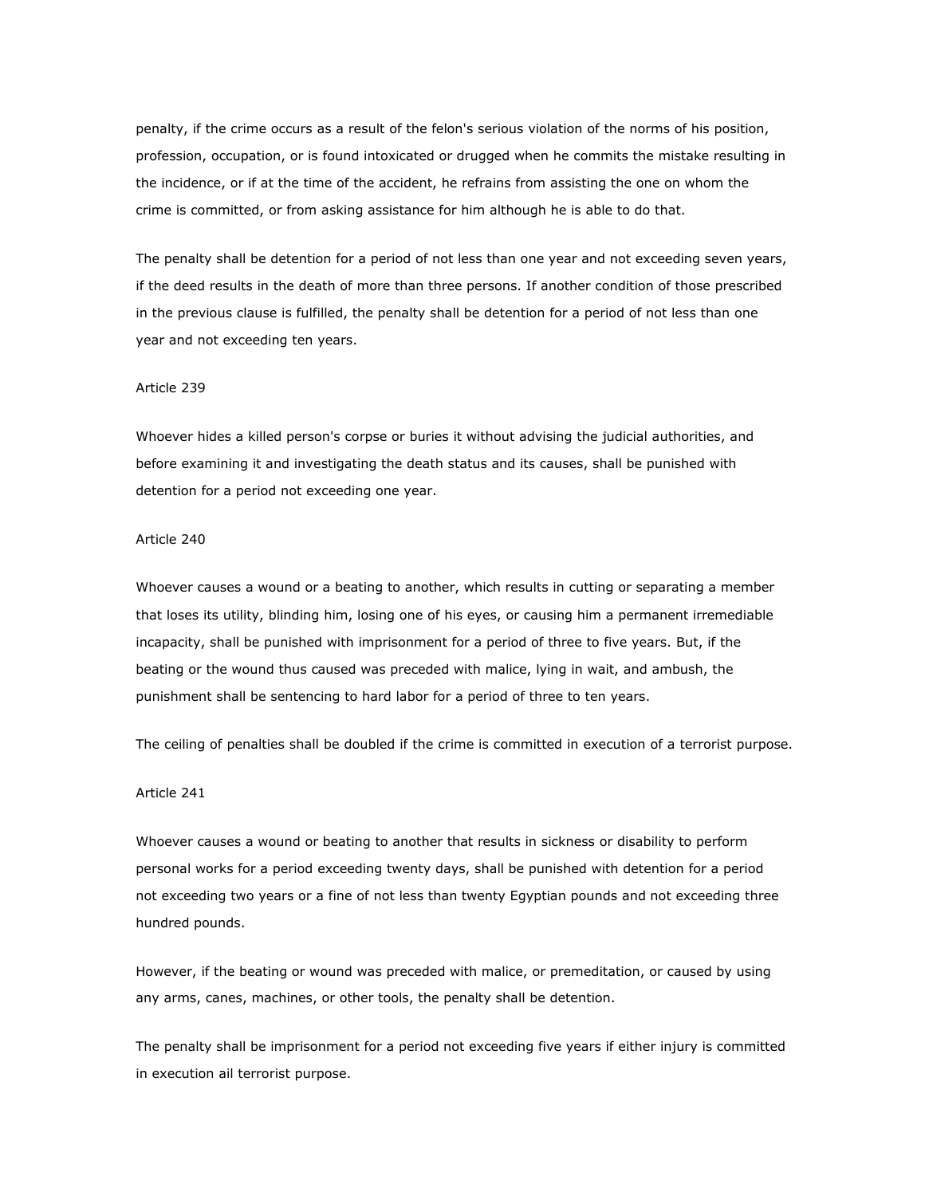penalty, if the crime occurs as a result of the felon's serious violation of the norms of his position, profession, occupation, or is found intoxicated or drugged when he commits the mistake resulting in the incidence, or if at the time of the accident, he refrains from assisting the one on whom the crime is committed, or from asking assistance for him although he is able to do that.

The penalty shall be detention for a period of not less than one year and not exceeding seven years, if the deed results in the death of more than three persons. If another condition of those prescribed in the previous clause is fulfilled, the penalty shall be detention for a period of not less than one year and not exceeding ten years.

#### Article 239

Whoever hides a killed person's corpse or buries it without advising the judicial authorities, and before examining it and investigating the death status and its causes, shall be punished with detention for a period not exceeding one year.

# Article 240

Whoever causes a wound or a beating to another, which results in cutting or separating a member that loses its utility, blinding him, losing one of his eyes, or causing him a permanent irremediable incapacity, shall be punished with imprisonment for a period of three to five years. But, if the beating or the wound thus caused was preceded with malice, lying in wait, and ambush, the punishment shall be sentencing to hard labor for a period of three to ten years.

The ceiling of penalties shall be doubled if the crime is committed in execution of a terrorist purpose.

#### Article 241

Whoever causes a wound or beating to another that results in sickness or disability to perform personal works for a period exceeding twenty days, shall be punished with detention for a period not exceeding two years or a fine of not less than twenty Egyptian pounds and not exceeding three hundred pounds.

However, if the beating or wound was preceded with malice, or premeditation, or caused by using any arms, canes, machines, or other tools, the penalty shall be detention.

The penalty shall be imprisonment for a period not exceeding five years if either injury is committed in execution ail terrorist purpose.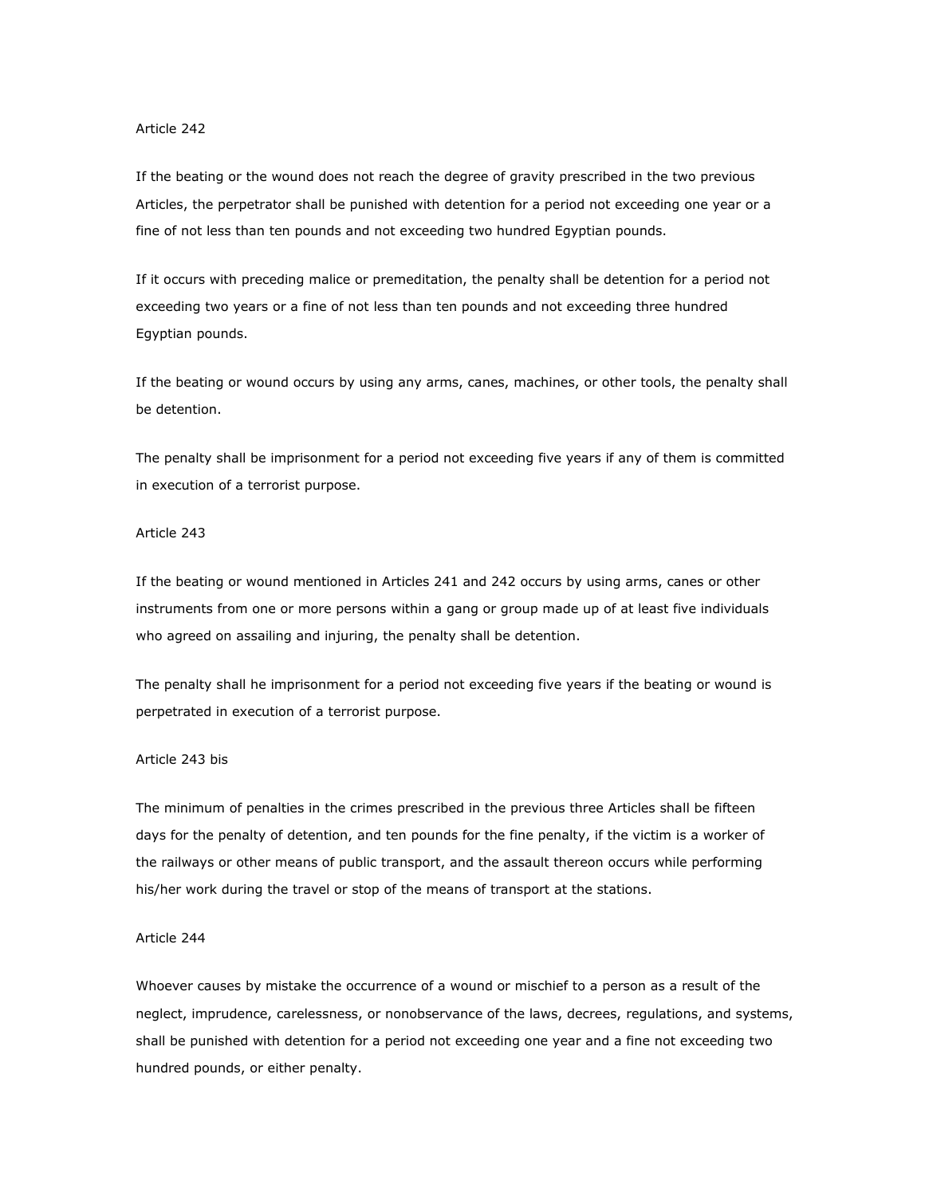If the beating or the wound does not reach the degree of gravity prescribed in the two previous Articles, the perpetrator shall be punished with detention for a period not exceeding one year or a fine of not less than ten pounds and not exceeding two hundred Egyptian pounds.

If it occurs with preceding malice or premeditation, the penalty shall be detention for a period not exceeding two years or a fine of not less than ten pounds and not exceeding three hundred Egyptian pounds.

If the beating or wound occurs by using any arms, canes, machines, or other tools, the penalty shall be detention.

The penalty shall be imprisonment for a period not exceeding five years if any of them is committed in execution of a terrorist purpose.

# Article 243

If the beating or wound mentioned in Articles 241 and 242 occurs by using arms, canes or other instruments from one or more persons within a gang or group made up of at least five individuals who agreed on assailing and injuring, the penalty shall be detention.

The penalty shall he imprisonment for a period not exceeding five years if the beating or wound is perpetrated in execution of a terrorist purpose.

### Article 243 bis

The minimum of penalties in the crimes prescribed in the previous three Articles shall be fifteen days for the penalty of detention, and ten pounds for the fine penalty, if the victim is a worker of the railways or other means of public transport, and the assault thereon occurs while performing his/her work during the travel or stop of the means of transport at the stations.

## Article 244

Whoever causes by mistake the occurrence of a wound or mischief to a person as a result of the neglect, imprudence, carelessness, or nonobservance of the laws, decrees, regulations, and systems, shall be punished with detention for a period not exceeding one year and a fine not exceeding two hundred pounds, or either penalty.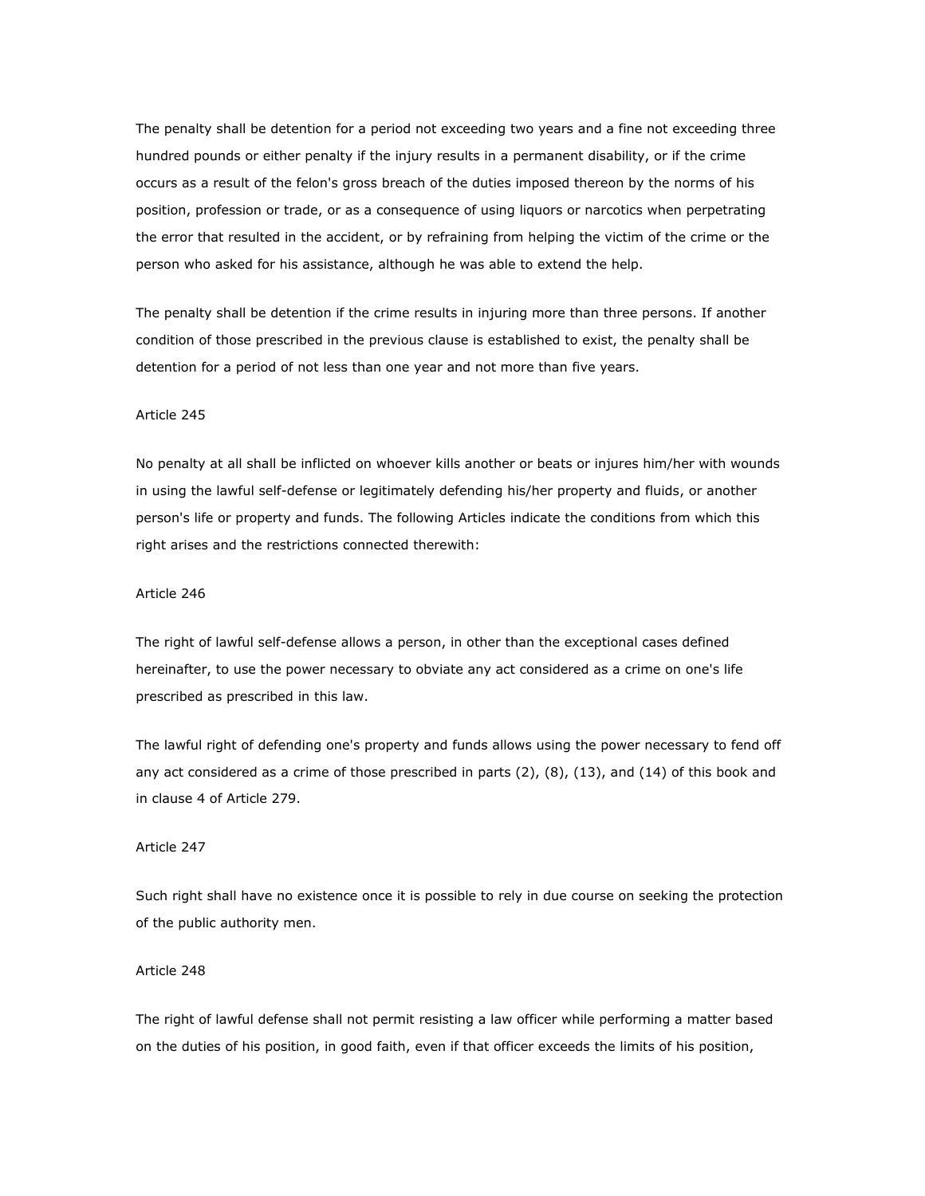The penalty shall be detention for a period not exceeding two years and a fine not exceeding three hundred pounds or either penalty if the injury results in a permanent disability, or if the crime occurs as a result of the felon's gross breach of the duties imposed thereon by the norms of his position, profession or trade, or as a consequence of using liquors or narcotics when perpetrating the error that resulted in the accident, or by refraining from helping the victim of the crime or the person who asked for his assistance, although he was able to extend the help.

The penalty shall be detention if the crime results in injuring more than three persons. If another condition of those prescribed in the previous clause is established to exist, the penalty shall be detention for a period of not less than one year and not more than five years.

#### Article 245

No penalty at all shall be inflicted on whoever kills another or beats or injures him/her with wounds in using the lawful self-defense or legitimately defending his/her property and fluids, or another person's life or property and funds. The following Articles indicate the conditions from which this right arises and the restrictions connected therewith:

#### Article 246

The right of lawful self-defense allows a person, in other than the exceptional cases defined hereinafter, to use the power necessary to obviate any act considered as a crime on one's life prescribed as prescribed in this law.

The lawful right of defending one's property and funds allows using the power necessary to fend off any act considered as a crime of those prescribed in parts (2), (8), (13), and (14) of this book and in clause 4 of Article 279.

# Article 247

Such right shall have no existence once it is possible to rely in due course on seeking the protection of the public authority men.

## Article 248

The right of lawful defense shall not permit resisting a law officer while performing a matter based on the duties of his position, in good faith, even if that officer exceeds the limits of his position,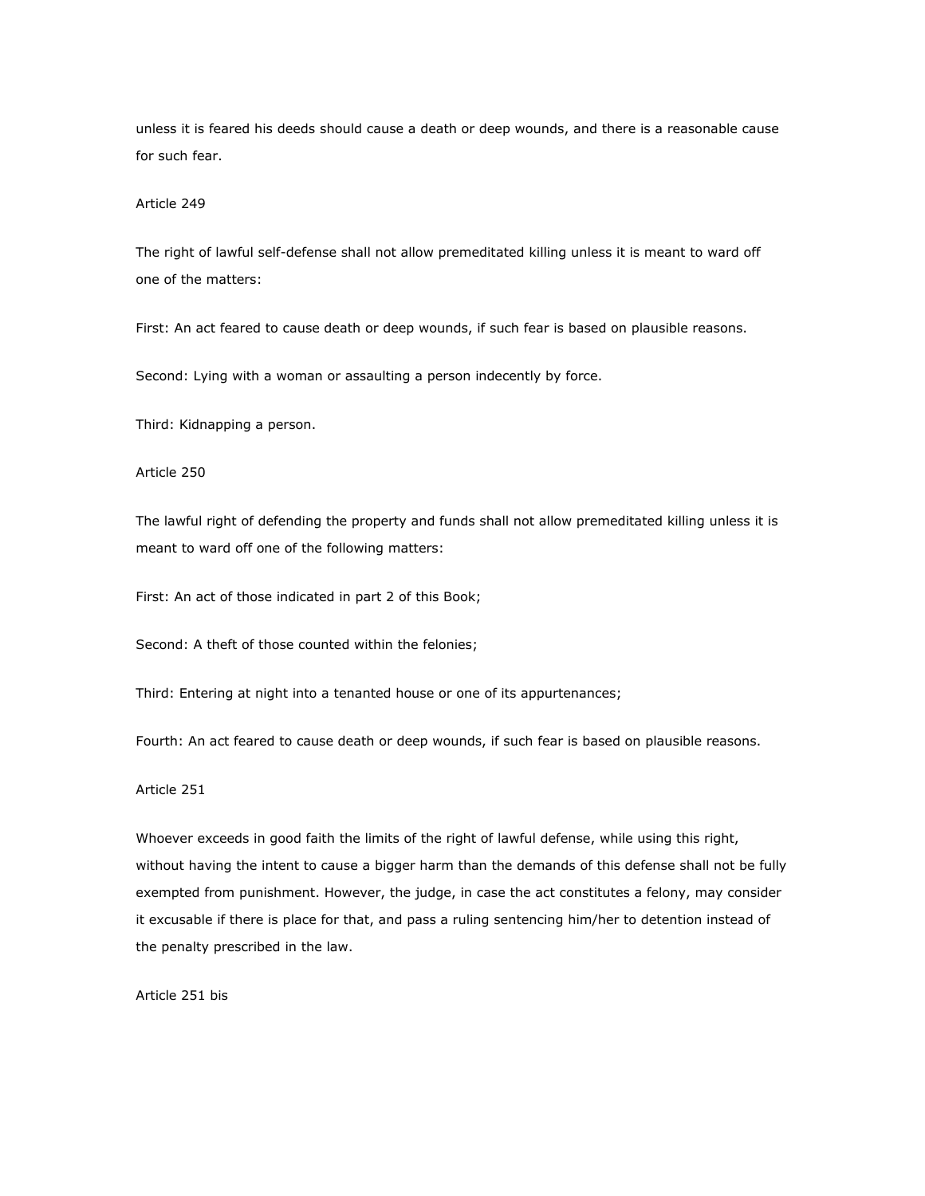unless it is feared his deeds should cause a death or deep wounds, and there is a reasonable cause for such fear.

## Article 249

The right of lawful self-defense shall not allow premeditated killing unless it is meant to ward off one of the matters:

First: An act feared to cause death or deep wounds, if such fear is based on plausible reasons.

Second: Lying with a woman or assaulting a person indecently by force.

Third: Kidnapping a person.

# Article 250

The lawful right of defending the property and funds shall not allow premeditated killing unless it is meant to ward off one of the following matters:

First: An act of those indicated in part 2 of this Book;

Second: A theft of those counted within the felonies;

Third: Entering at night into a tenanted house or one of its appurtenances;

Fourth: An act feared to cause death or deep wounds, if such fear is based on plausible reasons.

# Article 251

Whoever exceeds in good faith the limits of the right of lawful defense, while using this right, without having the intent to cause a bigger harm than the demands of this defense shall not be fully exempted from punishment. However, the judge, in case the act constitutes a felony, may consider it excusable if there is place for that, and pass a ruling sentencing him/her to detention instead of the penalty prescribed in the law.

Article 251 bis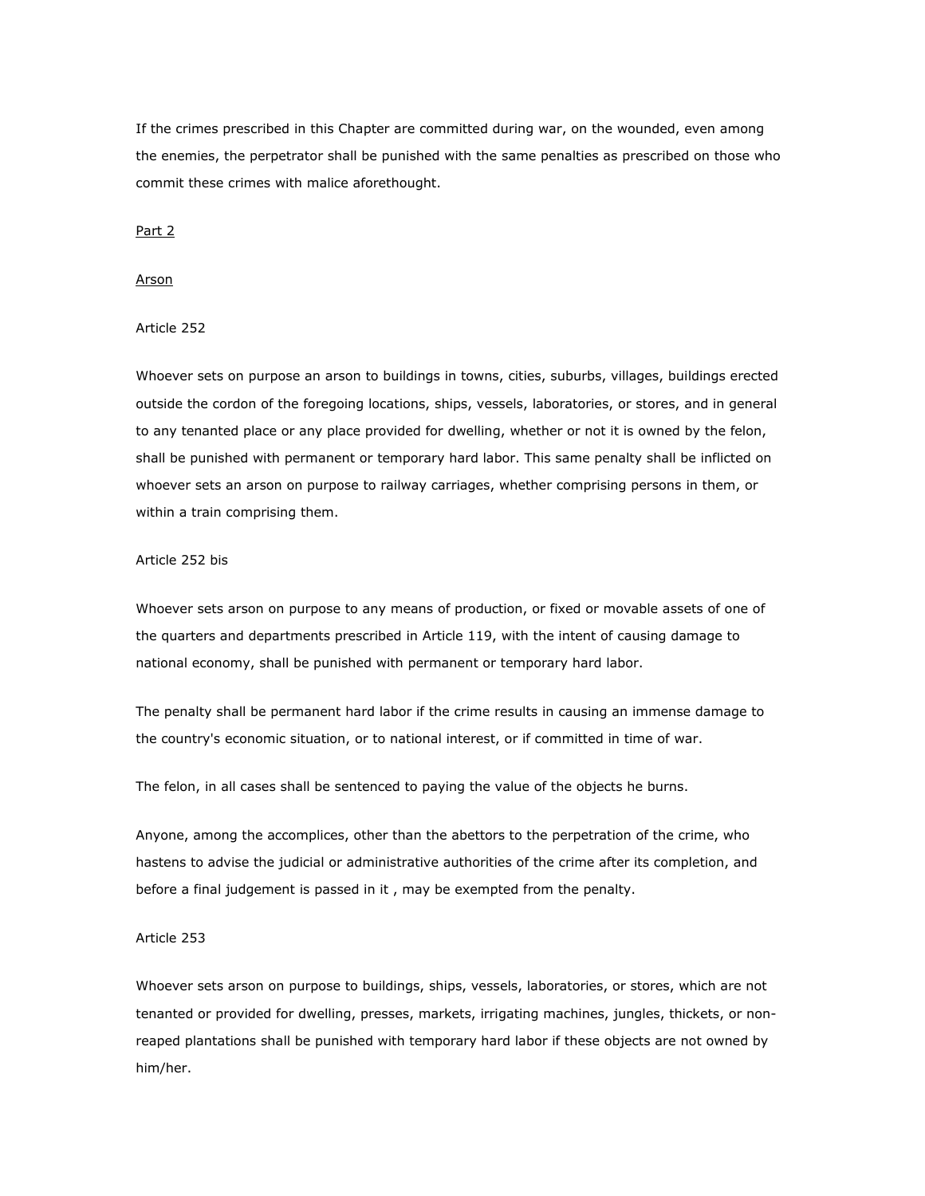If the crimes prescribed in this Chapter are committed during war, on the wounded, even among the enemies, the perpetrator shall be punished with the same penalties as prescribed on those who commit these crimes with malice aforethought.

Part 2

#### Arson

# Article 252

Whoever sets on purpose an arson to buildings in towns, cities, suburbs, villages, buildings erected outside the cordon of the foregoing locations, ships, vessels, laboratories, or stores, and in general to any tenanted place or any place provided for dwelling, whether or not it is owned by the felon, shall be punished with permanent or temporary hard labor. This same penalty shall be inflicted on whoever sets an arson on purpose to railway carriages, whether comprising persons in them, or within a train comprising them.

#### Article 252 bis

Whoever sets arson on purpose to any means of production, or fixed or movable assets of one of the quarters and departments prescribed in Article 119, with the intent of causing damage to national economy, shall be punished with permanent or temporary hard labor.

The penalty shall be permanent hard labor if the crime results in causing an immense damage to the country's economic situation, or to national interest, or if committed in time of war.

The felon, in all cases shall be sentenced to paying the value of the objects he burns.

Anyone, among the accomplices, other than the abettors to the perpetration of the crime, who hastens to advise the judicial or administrative authorities of the crime after its completion, and before a final judgement is passed in it , may be exempted from the penalty.

## Article 253

Whoever sets arson on purpose to buildings, ships, vessels, laboratories, or stores, which are not tenanted or provided for dwelling, presses, markets, irrigating machines, jungles, thickets, or nonreaped plantations shall be punished with temporary hard labor if these objects are not owned by him/her.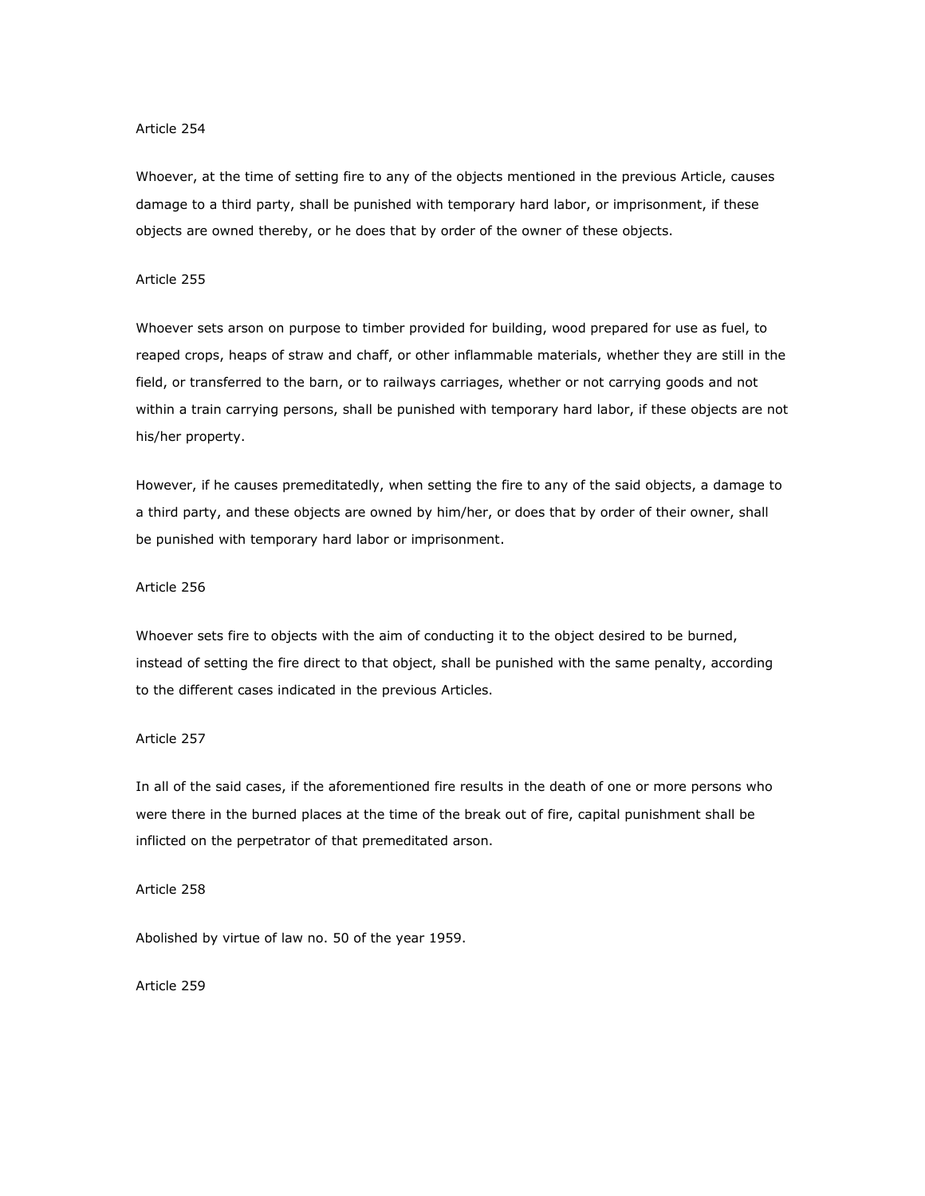Whoever, at the time of setting fire to any of the objects mentioned in the previous Article, causes damage to a third party, shall be punished with temporary hard labor, or imprisonment, if these objects are owned thereby, or he does that by order of the owner of these objects.

## Article 255

Whoever sets arson on purpose to timber provided for building, wood prepared for use as fuel, to reaped crops, heaps of straw and chaff, or other inflammable materials, whether they are still in the field, or transferred to the barn, or to railways carriages, whether or not carrying goods and not within a train carrying persons, shall be punished with temporary hard labor, if these objects are not his/her property.

However, if he causes premeditatedly, when setting the fire to any of the said objects, a damage to a third party, and these objects are owned by him/her, or does that by order of their owner, shall be punished with temporary hard labor or imprisonment.

#### Article 256

Whoever sets fire to objects with the aim of conducting it to the object desired to be burned, instead of setting the fire direct to that object, shall be punished with the same penalty, according to the different cases indicated in the previous Articles.

# Article 257

In all of the said cases, if the aforementioned fire results in the death of one or more persons who were there in the burned places at the time of the break out of fire, capital punishment shall be inflicted on the perpetrator of that premeditated arson.

# Article 258

Abolished by virtue of law no. 50 of the year 1959.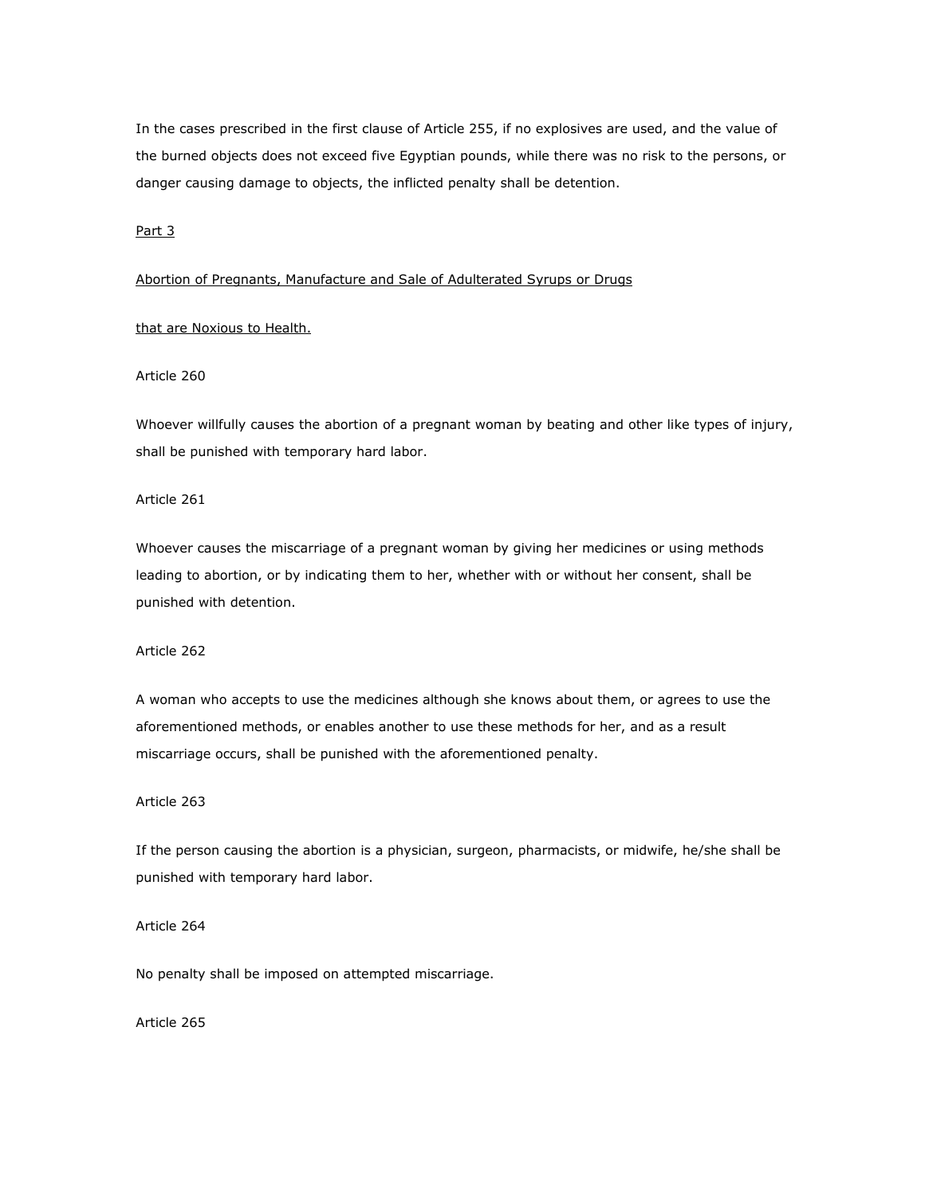In the cases prescribed in the first clause of Article 255, if no explosives are used, and the value of the burned objects does not exceed five Egyptian pounds, while there was no risk to the persons, or danger causing damage to objects, the inflicted penalty shall be detention.

Part 3

## Abortion of Pregnants, Manufacture and Sale of Adulterated Syrups or Drugs

## that are Noxious to Health.

# Article 260

Whoever willfully causes the abortion of a pregnant woman by beating and other like types of injury, shall be punished with temporary hard labor.

Article 261

Whoever causes the miscarriage of a pregnant woman by giving her medicines or using methods leading to abortion, or by indicating them to her, whether with or without her consent, shall be punished with detention.

Article 262

A woman who accepts to use the medicines although she knows about them, or agrees to use the aforementioned methods, or enables another to use these methods for her, and as a result miscarriage occurs, shall be punished with the aforementioned penalty.

Article 263

If the person causing the abortion is a physician, surgeon, pharmacists, or midwife, he/she shall be punished with temporary hard labor.

Article 264

No penalty shall be imposed on attempted miscarriage.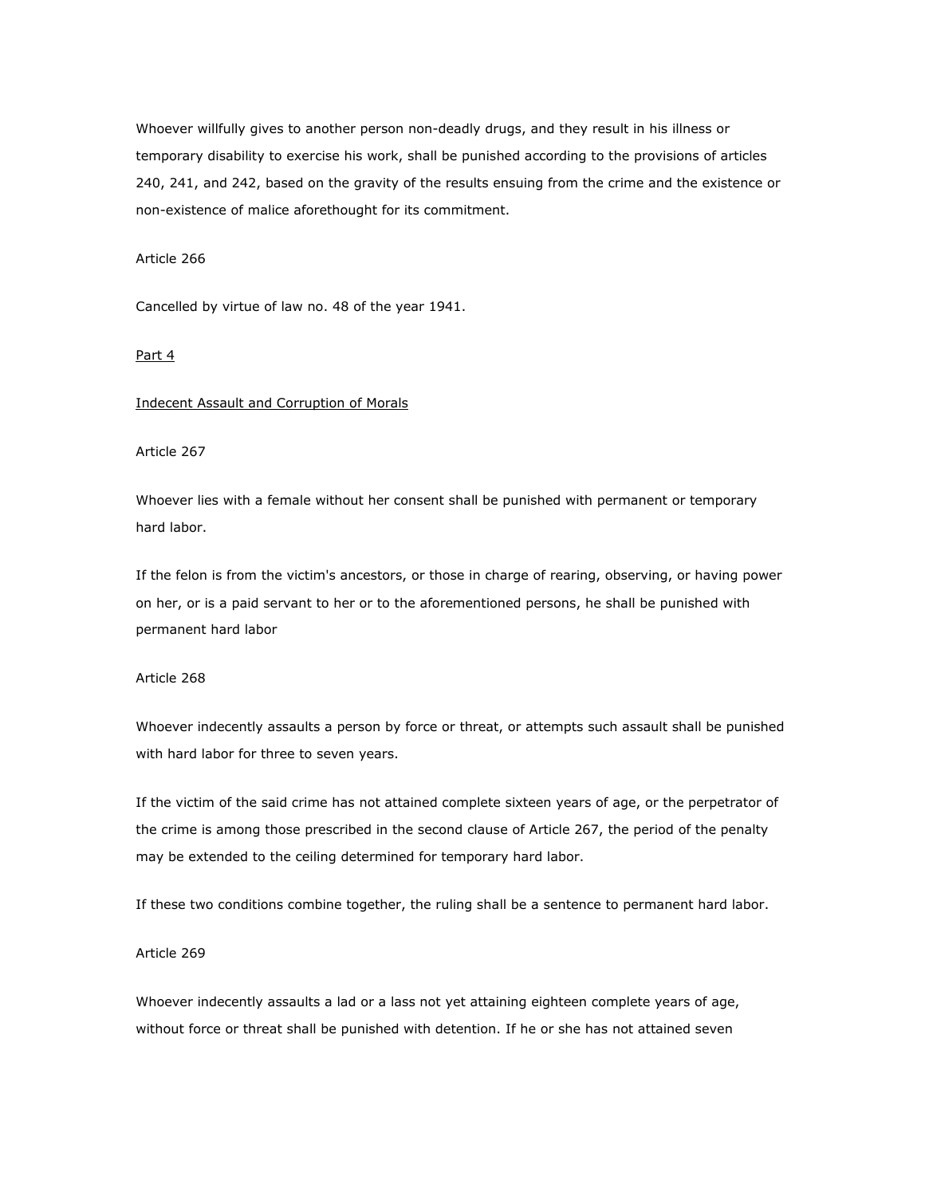Whoever willfully gives to another person non-deadly drugs, and they result in his illness or temporary disability to exercise his work, shall be punished according to the provisions of articles 240, 241, and 242, based on the gravity of the results ensuing from the crime and the existence or non-existence of malice aforethought for its commitment.

## Article 266

Cancelled by virtue of law no. 48 of the year 1941.

#### Part 4

## Indecent Assault and Corruption of Morals

Article 267

Whoever lies with a female without her consent shall be punished with permanent or temporary hard labor.

If the felon is from the victim's ancestors, or those in charge of rearing, observing, or having power on her, or is a paid servant to her or to the aforementioned persons, he shall be punished with permanent hard labor

## Article 268

Whoever indecently assaults a person by force or threat, or attempts such assault shall be punished with hard labor for three to seven years.

If the victim of the said crime has not attained complete sixteen years of age, or the perpetrator of the crime is among those prescribed in the second clause of Article 267, the period of the penalty may be extended to the ceiling determined for temporary hard labor.

If these two conditions combine together, the ruling shall be a sentence to permanent hard labor.

#### Article 269

Whoever indecently assaults a lad or a lass not yet attaining eighteen complete years of age, without force or threat shall be punished with detention. If he or she has not attained seven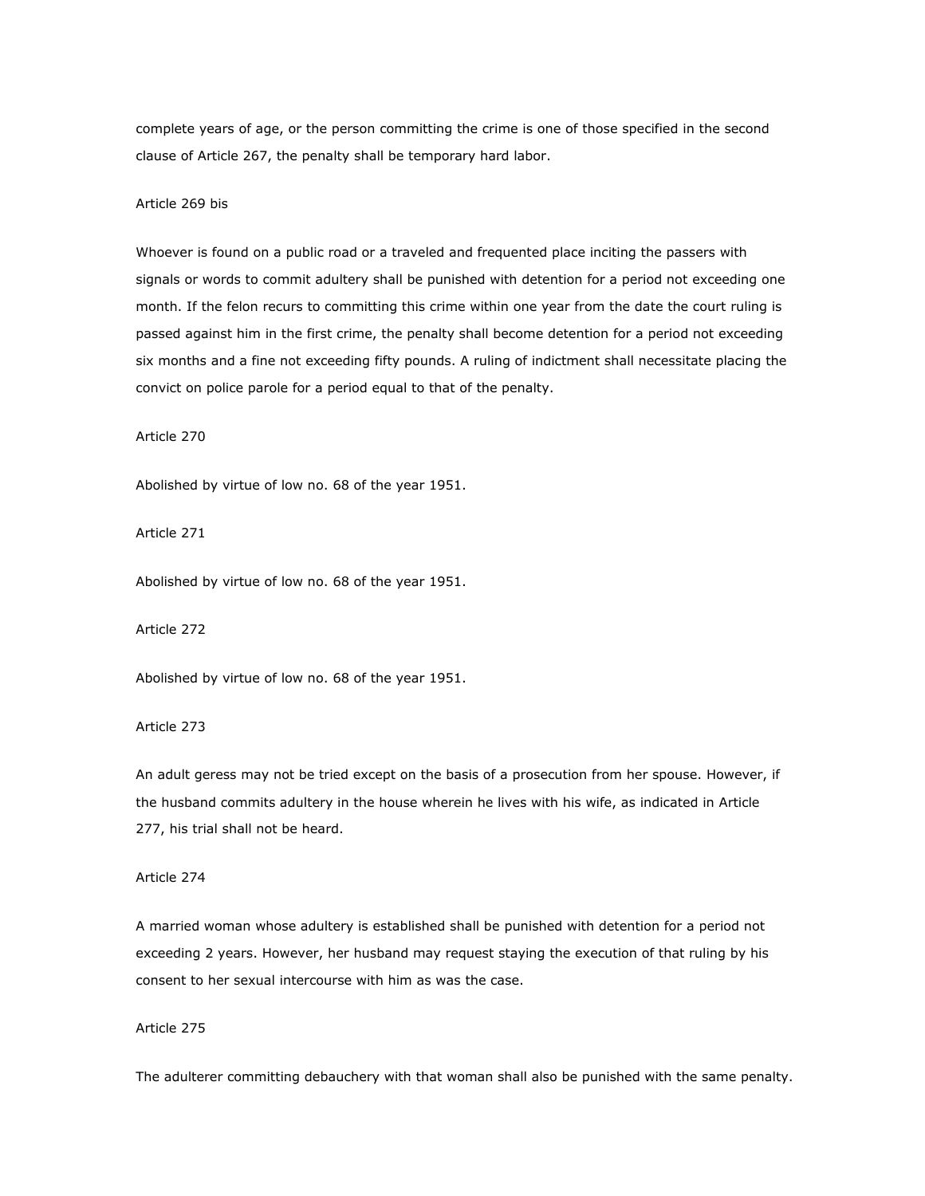complete years of age, or the person committing the crime is one of those specified in the second clause of Article 267, the penalty shall be temporary hard labor.

## Article 269 bis

Whoever is found on a public road or a traveled and frequented place inciting the passers with signals or words to commit adultery shall be punished with detention for a period not exceeding one month. If the felon recurs to committing this crime within one year from the date the court ruling is passed against him in the first crime, the penalty shall become detention for a period not exceeding six months and a fine not exceeding fifty pounds. A ruling of indictment shall necessitate placing the convict on police parole for a period equal to that of the penalty.

Article 270

Abolished by virtue of low no. 68 of the year 1951.

Article 271

Abolished by virtue of low no. 68 of the year 1951.

Article 272

Abolished by virtue of low no. 68 of the year 1951.

Article 273

An adult geress may not be tried except on the basis of a prosecution from her spouse. However, if the husband commits adultery in the house wherein he lives with his wife, as indicated in Article 277, his trial shall not be heard.

Article 274

A married woman whose adultery is established shall be punished with detention for a period not exceeding 2 years. However, her husband may request staying the execution of that ruling by his consent to her sexual intercourse with him as was the case.

Article 275

The adulterer committing debauchery with that woman shall also be punished with the same penalty.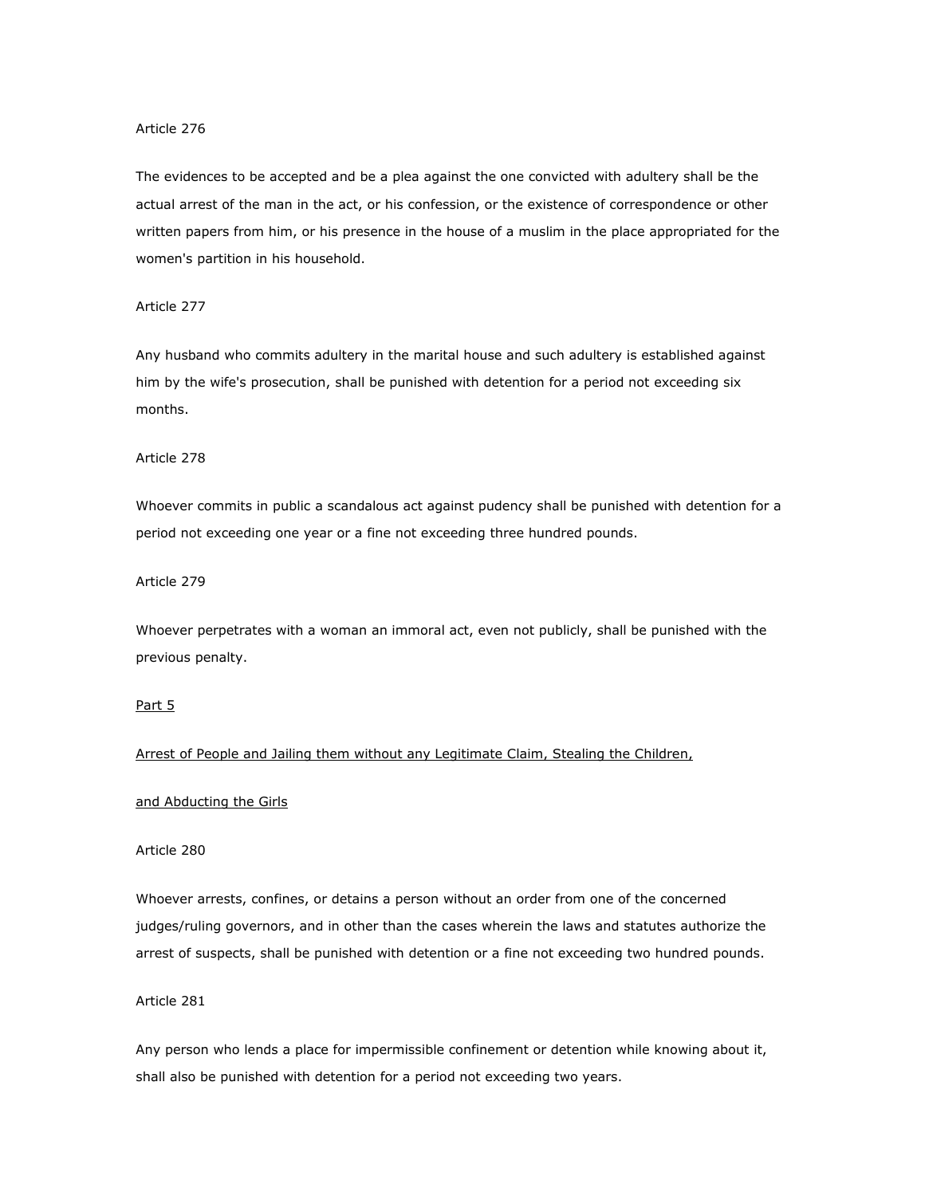The evidences to be accepted and be a plea against the one convicted with adultery shall be the actual arrest of the man in the act, or his confession, or the existence of correspondence or other written papers from him, or his presence in the house of a muslim in the place appropriated for the women's partition in his household.

## Article 277

Any husband who commits adultery in the marital house and such adultery is established against him by the wife's prosecution, shall be punished with detention for a period not exceeding six months.

# Article 278

Whoever commits in public a scandalous act against pudency shall be punished with detention for a period not exceeding one year or a fine not exceeding three hundred pounds.

## Article 279

Whoever perpetrates with a woman an immoral act, even not publicly, shall be punished with the previous penalty.

## Part 5

Arrest of People and Jailing them without any Legitimate Claim, Stealing the Children,

# and Abducting the Girls

# Article 280

Whoever arrests, confines, or detains a person without an order from one of the concerned judges/ruling governors, and in other than the cases wherein the laws and statutes authorize the arrest of suspects, shall be punished with detention or a fine not exceeding two hundred pounds.

## Article 281

Any person who lends a place for impermissible confinement or detention while knowing about it, shall also be punished with detention for a period not exceeding two years.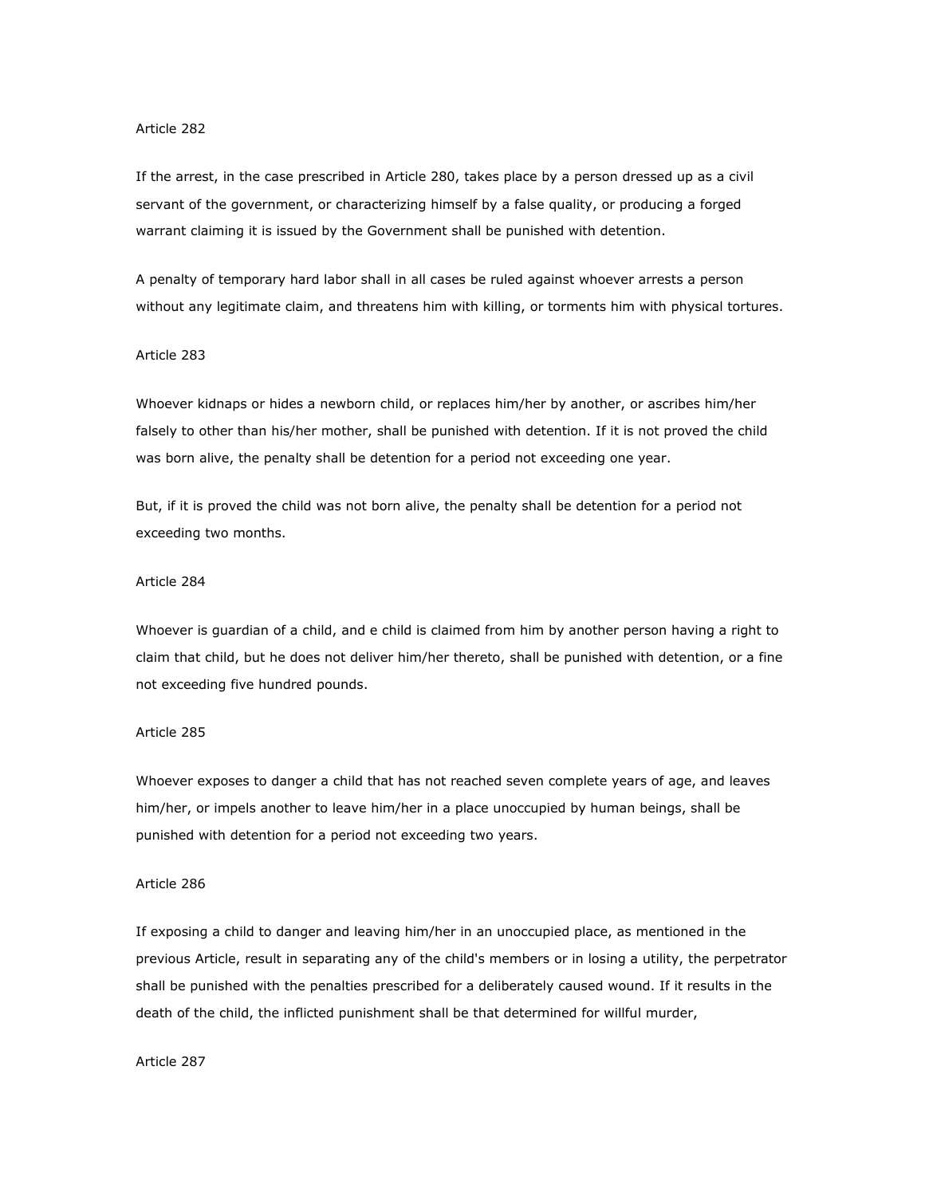If the arrest, in the case prescribed in Article 280, takes place by a person dressed up as a civil servant of the government, or characterizing himself by a false quality, or producing a forged warrant claiming it is issued by the Government shall be punished with detention.

A penalty of temporary hard labor shall in all cases be ruled against whoever arrests a person without any legitimate claim, and threatens him with killing, or torments him with physical tortures.

# Article 283

Whoever kidnaps or hides a newborn child, or replaces him/her by another, or ascribes him/her falsely to other than his/her mother, shall be punished with detention. If it is not proved the child was born alive, the penalty shall be detention for a period not exceeding one year.

But, if it is proved the child was not born alive, the penalty shall be detention for a period not exceeding two months.

## Article 284

Whoever is guardian of a child, and e child is claimed from him by another person having a right to claim that child, but he does not deliver him/her thereto, shall be punished with detention, or a fine not exceeding five hundred pounds.

## Article 285

Whoever exposes to danger a child that has not reached seven complete years of age, and leaves him/her, or impels another to leave him/her in a place unoccupied by human beings, shall be punished with detention for a period not exceeding two years.

## Article 286

If exposing a child to danger and leaving him/her in an unoccupied place, as mentioned in the previous Article, result in separating any of the child's members or in losing a utility, the perpetrator shall be punished with the penalties prescribed for a deliberately caused wound. If it results in the death of the child, the inflicted punishment shall be that determined for willful murder,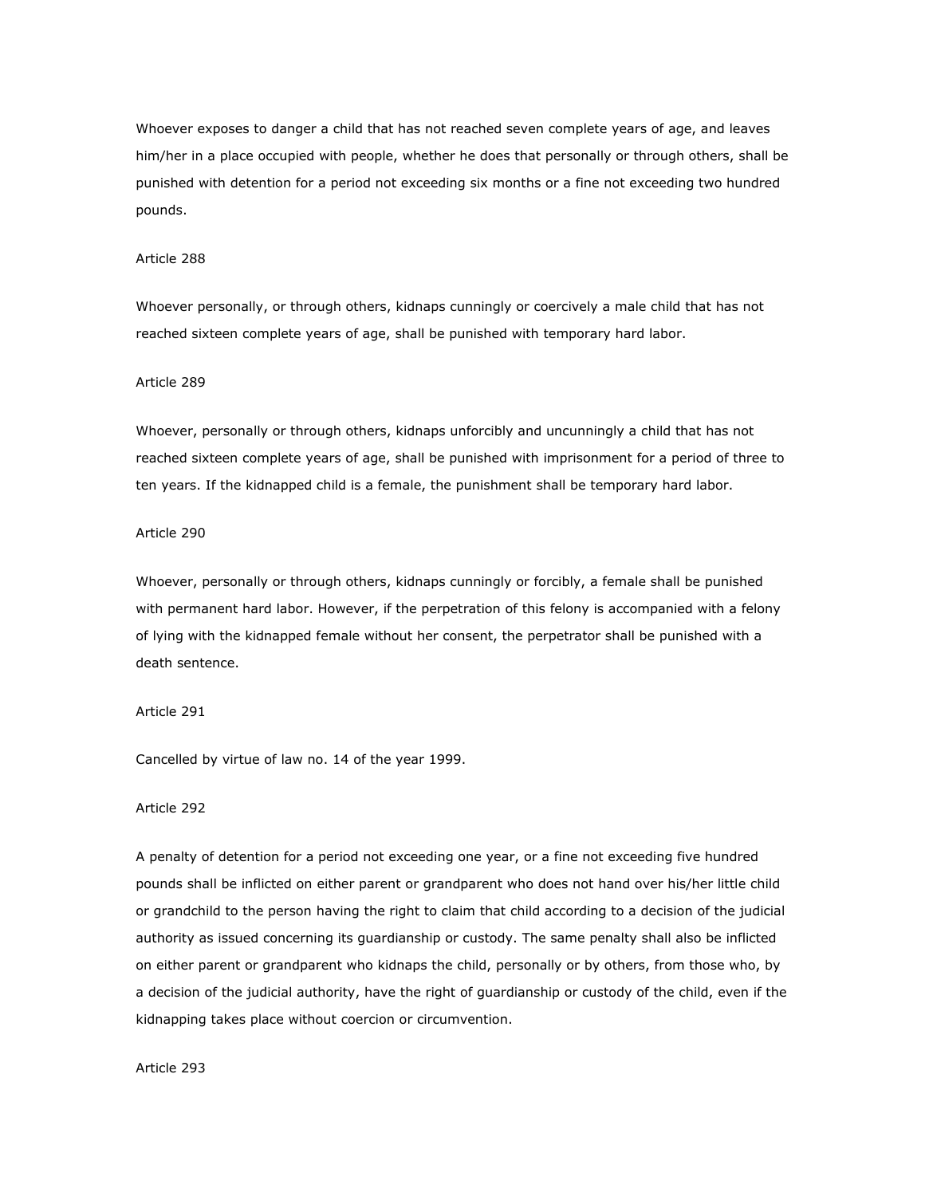Whoever exposes to danger a child that has not reached seven complete years of age, and leaves him/her in a place occupied with people, whether he does that personally or through others, shall be punished with detention for a period not exceeding six months or a fine not exceeding two hundred pounds.

## Article 288

Whoever personally, or through others, kidnaps cunningly or coercively a male child that has not reached sixteen complete years of age, shall be punished with temporary hard labor.

#### Article 289

Whoever, personally or through others, kidnaps unforcibly and uncunningly a child that has not reached sixteen complete years of age, shall be punished with imprisonment for a period of three to ten years. If the kidnapped child is a female, the punishment shall be temporary hard labor.

#### Article 290

Whoever, personally or through others, kidnaps cunningly or forcibly, a female shall be punished with permanent hard labor. However, if the perpetration of this felony is accompanied with a felony of lying with the kidnapped female without her consent, the perpetrator shall be punished with a death sentence.

## Article 291

Cancelled by virtue of law no. 14 of the year 1999.

#### Article 292

A penalty of detention for a period not exceeding one year, or a fine not exceeding five hundred pounds shall be inflicted on either parent or grandparent who does not hand over his/her little child or grandchild to the person having the right to claim that child according to a decision of the judicial authority as issued concerning its guardianship or custody. The same penalty shall also be inflicted on either parent or grandparent who kidnaps the child, personally or by others, from those who, by a decision of the judicial authority, have the right of guardianship or custody of the child, even if the kidnapping takes place without coercion or circumvention.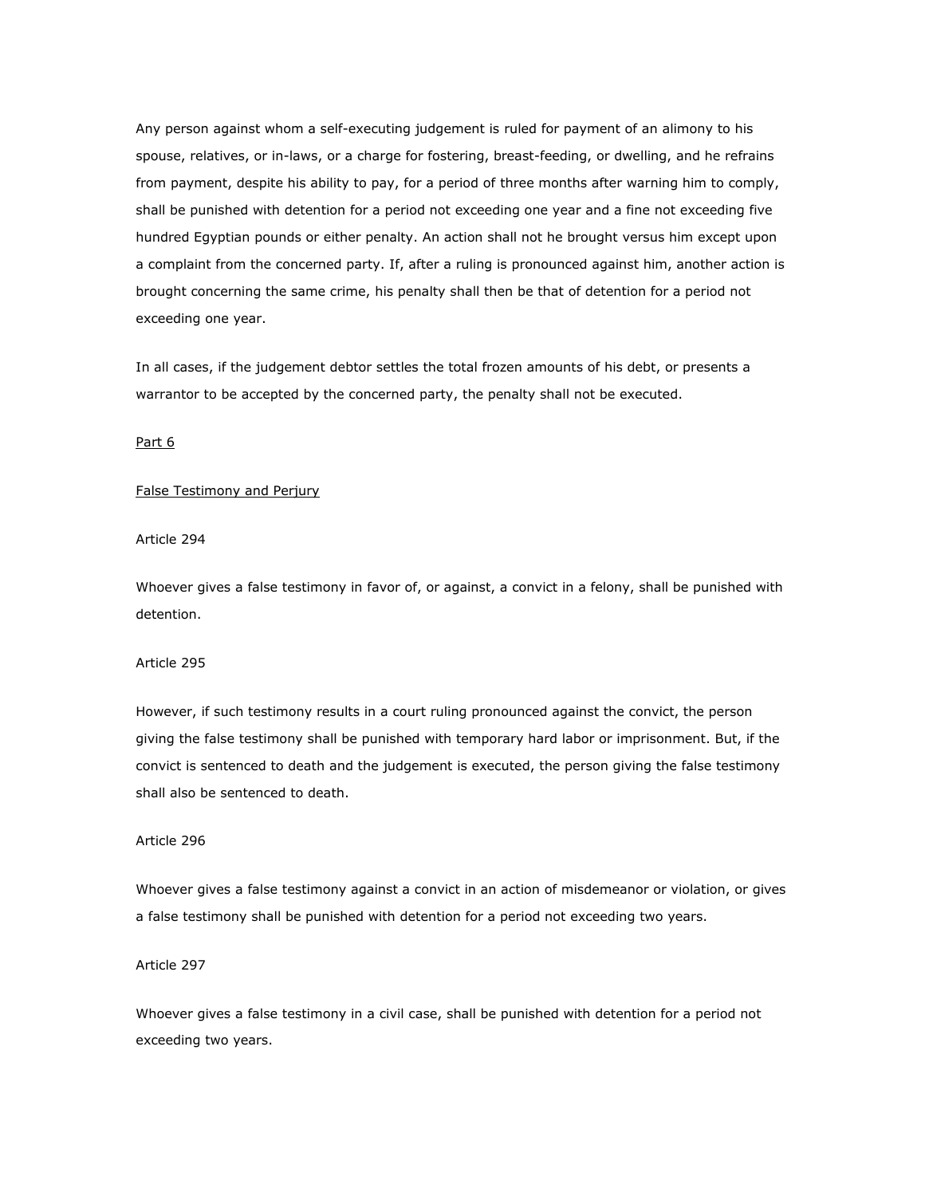Any person against whom a self-executing judgement is ruled for payment of an alimony to his spouse, relatives, or in-laws, or a charge for fostering, breast-feeding, or dwelling, and he refrains from payment, despite his ability to pay, for a period of three months after warning him to comply, shall be punished with detention for a period not exceeding one year and a fine not exceeding five hundred Egyptian pounds or either penalty. An action shall not he brought versus him except upon a complaint from the concerned party. If, after a ruling is pronounced against him, another action is brought concerning the same crime, his penalty shall then be that of detention for a period not exceeding one year.

In all cases, if the judgement debtor settles the total frozen amounts of his debt, or presents a warrantor to be accepted by the concerned party, the penalty shall not be executed.

Part 6

## False Testimony and Perjury

Article 294

Whoever gives a false testimony in favor of, or against, a convict in a felony, shall be punished with detention.

# Article 295

However, if such testimony results in a court ruling pronounced against the convict, the person giving the false testimony shall be punished with temporary hard labor or imprisonment. But, if the convict is sentenced to death and the judgement is executed, the person giving the false testimony shall also be sentenced to death.

## Article 296

Whoever gives a false testimony against a convict in an action of misdemeanor or violation, or gives a false testimony shall be punished with detention for a period not exceeding two years.

## Article 297

Whoever gives a false testimony in a civil case, shall be punished with detention for a period not exceeding two years.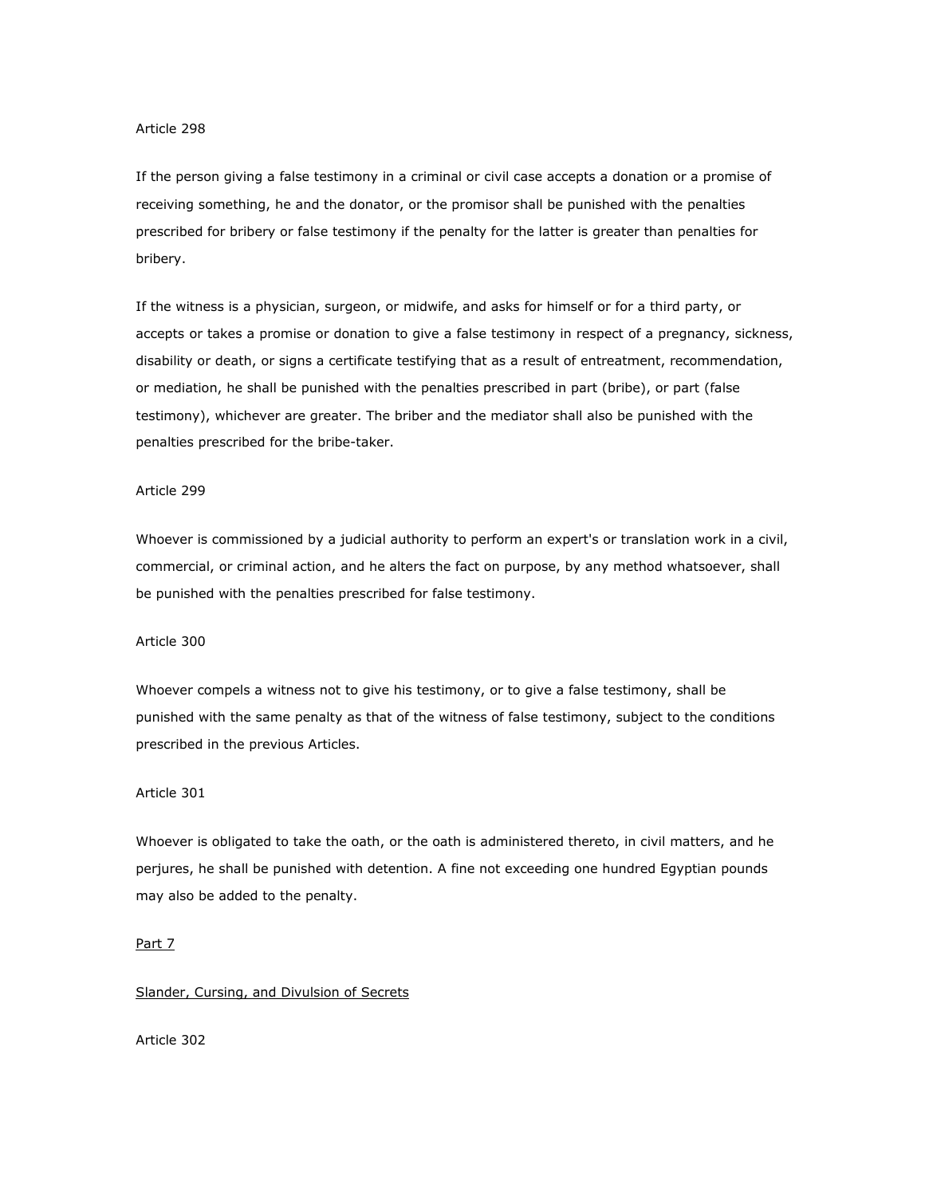If the person giving a false testimony in a criminal or civil case accepts a donation or a promise of receiving something, he and the donator, or the promisor shall be punished with the penalties prescribed for bribery or false testimony if the penalty for the latter is greater than penalties for bribery.

If the witness is a physician, surgeon, or midwife, and asks for himself or for a third party, or accepts or takes a promise or donation to give a false testimony in respect of a pregnancy, sickness, disability or death, or signs a certificate testifying that as a result of entreatment, recommendation, or mediation, he shall be punished with the penalties prescribed in part (bribe), or part (false testimony), whichever are greater. The briber and the mediator shall also be punished with the penalties prescribed for the bribe-taker.

# Article 299

Whoever is commissioned by a judicial authority to perform an expert's or translation work in a civil, commercial, or criminal action, and he alters the fact on purpose, by any method whatsoever, shall be punished with the penalties prescribed for false testimony.

#### Article 300

Whoever compels a witness not to give his testimony, or to give a false testimony, shall be punished with the same penalty as that of the witness of false testimony, subject to the conditions prescribed in the previous Articles.

#### Article 301

Whoever is obligated to take the oath, or the oath is administered thereto, in civil matters, and he perjures, he shall be punished with detention. A fine not exceeding one hundred Egyptian pounds may also be added to the penalty.

## Part 7

#### Slander, Cursing, and Divulsion of Secrets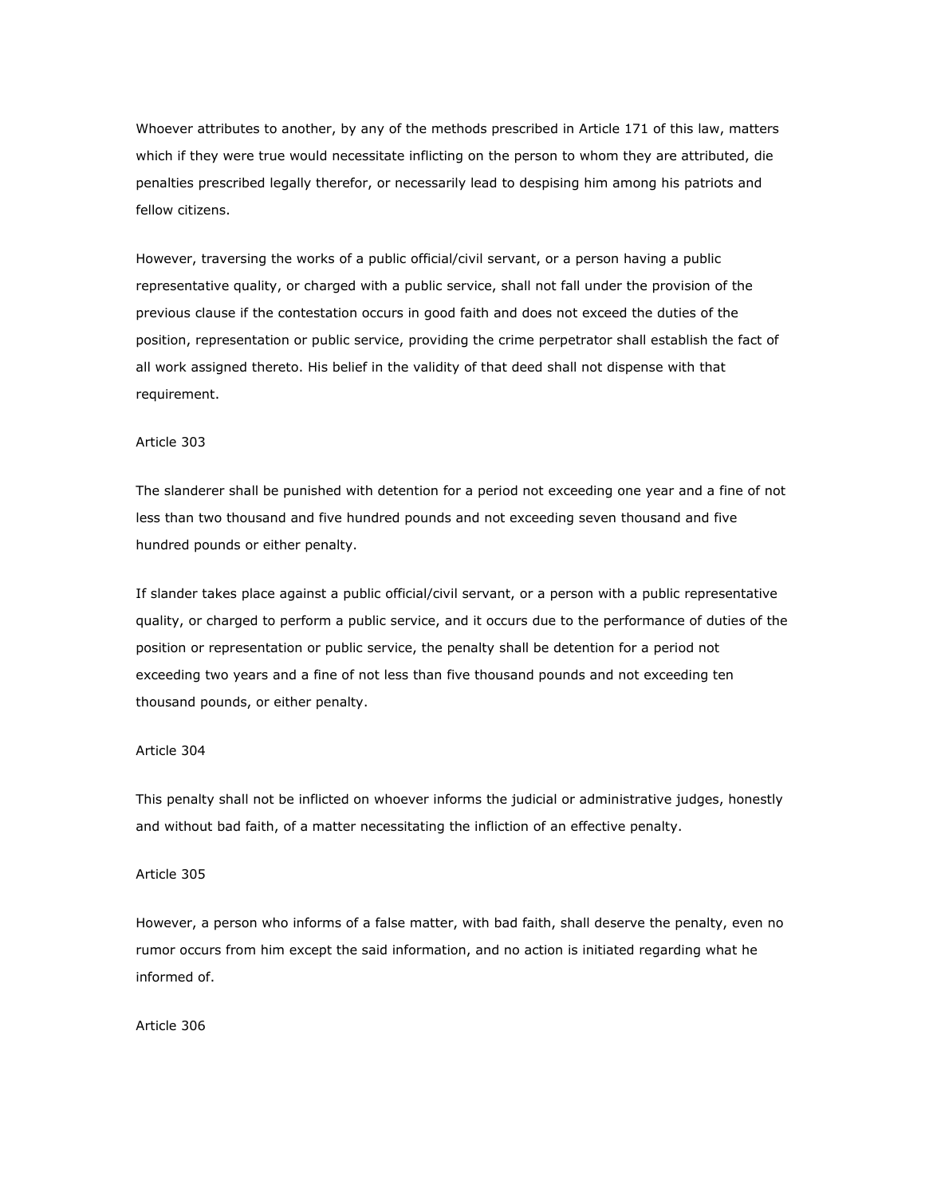Whoever attributes to another, by any of the methods prescribed in Article 171 of this law, matters which if they were true would necessitate inflicting on the person to whom they are attributed, die penalties prescribed legally therefor, or necessarily lead to despising him among his patriots and fellow citizens.

However, traversing the works of a public official/civil servant, or a person having a public representative quality, or charged with a public service, shall not fall under the provision of the previous clause if the contestation occurs in good faith and does not exceed the duties of the position, representation or public service, providing the crime perpetrator shall establish the fact of all work assigned thereto. His belief in the validity of that deed shall not dispense with that requirement.

#### Article 303

The slanderer shall be punished with detention for a period not exceeding one year and a fine of not less than two thousand and five hundred pounds and not exceeding seven thousand and five hundred pounds or either penalty.

If slander takes place against a public official/civil servant, or a person with a public representative quality, or charged to perform a public service, and it occurs due to the performance of duties of the position or representation or public service, the penalty shall be detention for a period not exceeding two years and a fine of not less than five thousand pounds and not exceeding ten thousand pounds, or either penalty.

#### Article 304

This penalty shall not be inflicted on whoever informs the judicial or administrative judges, honestly and without bad faith, of a matter necessitating the infliction of an effective penalty.

## Article 305

However, a person who informs of a false matter, with bad faith, shall deserve the penalty, even no rumor occurs from him except the said information, and no action is initiated regarding what he informed of.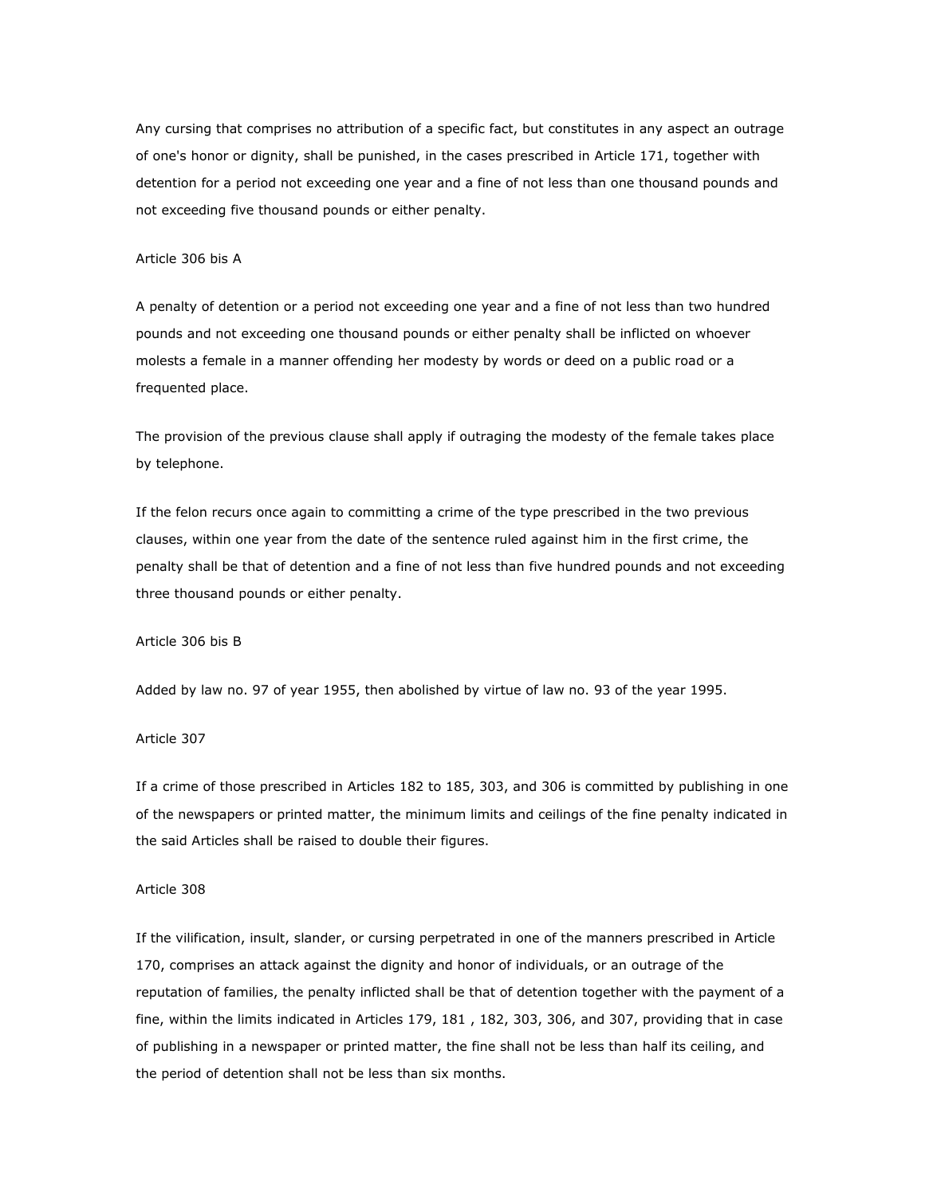Any cursing that comprises no attribution of a specific fact, but constitutes in any aspect an outrage of one's honor or dignity, shall be punished, in the cases prescribed in Article 171, together with detention for a period not exceeding one year and a fine of not less than one thousand pounds and not exceeding five thousand pounds or either penalty.

### Article 306 bis A

A penalty of detention or a period not exceeding one year and a fine of not less than two hundred pounds and not exceeding one thousand pounds or either penalty shall be inflicted on whoever molests a female in a manner offending her modesty by words or deed on a public road or a frequented place.

The provision of the previous clause shall apply if outraging the modesty of the female takes place by telephone.

If the felon recurs once again to committing a crime of the type prescribed in the two previous clauses, within one year from the date of the sentence ruled against him in the first crime, the penalty shall be that of detention and a fine of not less than five hundred pounds and not exceeding three thousand pounds or either penalty.

#### Article 306 bis B

Added by law no. 97 of year 1955, then abolished by virtue of law no. 93 of the year 1995.

### Article 307

If a crime of those prescribed in Articles 182 to 185, 303, and 306 is committed by publishing in one of the newspapers or printed matter, the minimum limits and ceilings of the fine penalty indicated in the said Articles shall be raised to double their figures.

# Article 308

If the vilification, insult, slander, or cursing perpetrated in one of the manners prescribed in Article 170, comprises an attack against the dignity and honor of individuals, or an outrage of the reputation of families, the penalty inflicted shall be that of detention together with the payment of a fine, within the limits indicated in Articles 179, 181 , 182, 303, 306, and 307, providing that in case of publishing in a newspaper or printed matter, the fine shall not be less than half its ceiling, and the period of detention shall not be less than six months.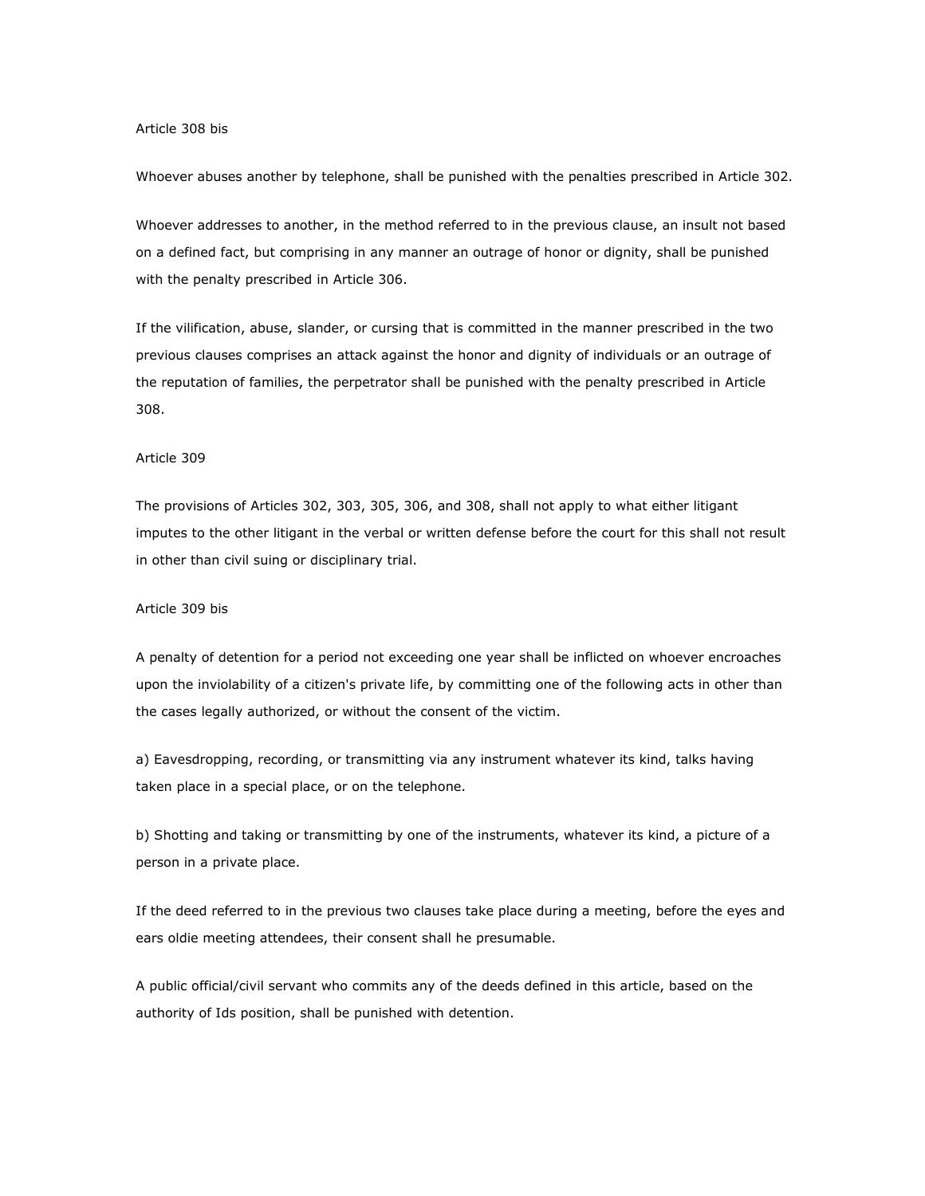#### Article 308 bis

Whoever abuses another by telephone, shall be punished with the penalties prescribed in Article 302.

Whoever addresses to another, in the method referred to in the previous clause, an insult not based on a defined fact, but comprising in any manner an outrage of honor or dignity, shall be punished with the penalty prescribed in Article 306.

If the vilification, abuse, slander, or cursing that is committed in the manner prescribed in the two previous clauses comprises an attack against the honor and dignity of individuals or an outrage of the reputation of families, the perpetrator shall be punished with the penalty prescribed in Article 308.

# Article 309

The provisions of Articles 302, 303, 305, 306, and 308, shall not apply to what either litigant imputes to the other litigant in the verbal or written defense before the court for this shall not result in other than civil suing or disciplinary trial.

#### Article 309 bis

A penalty of detention for a period not exceeding one year shall be inflicted on whoever encroaches upon the inviolability of a citizen's private life, by committing one of the following acts in other than the cases legally authorized, or without the consent of the victim.

a) Eavesdropping, recording, or transmitting via any instrument whatever its kind, talks having taken place in a special place, or on the telephone.

b) Shotting and taking or transmitting by one of the instruments, whatever its kind, a picture of a person in a private place.

If the deed referred to in the previous two clauses take place during a meeting, before the eyes and ears oldie meeting attendees, their consent shall he presumable.

A public official/civil servant who commits any of the deeds defined in this article, based on the authority of Ids position, shall be punished with detention.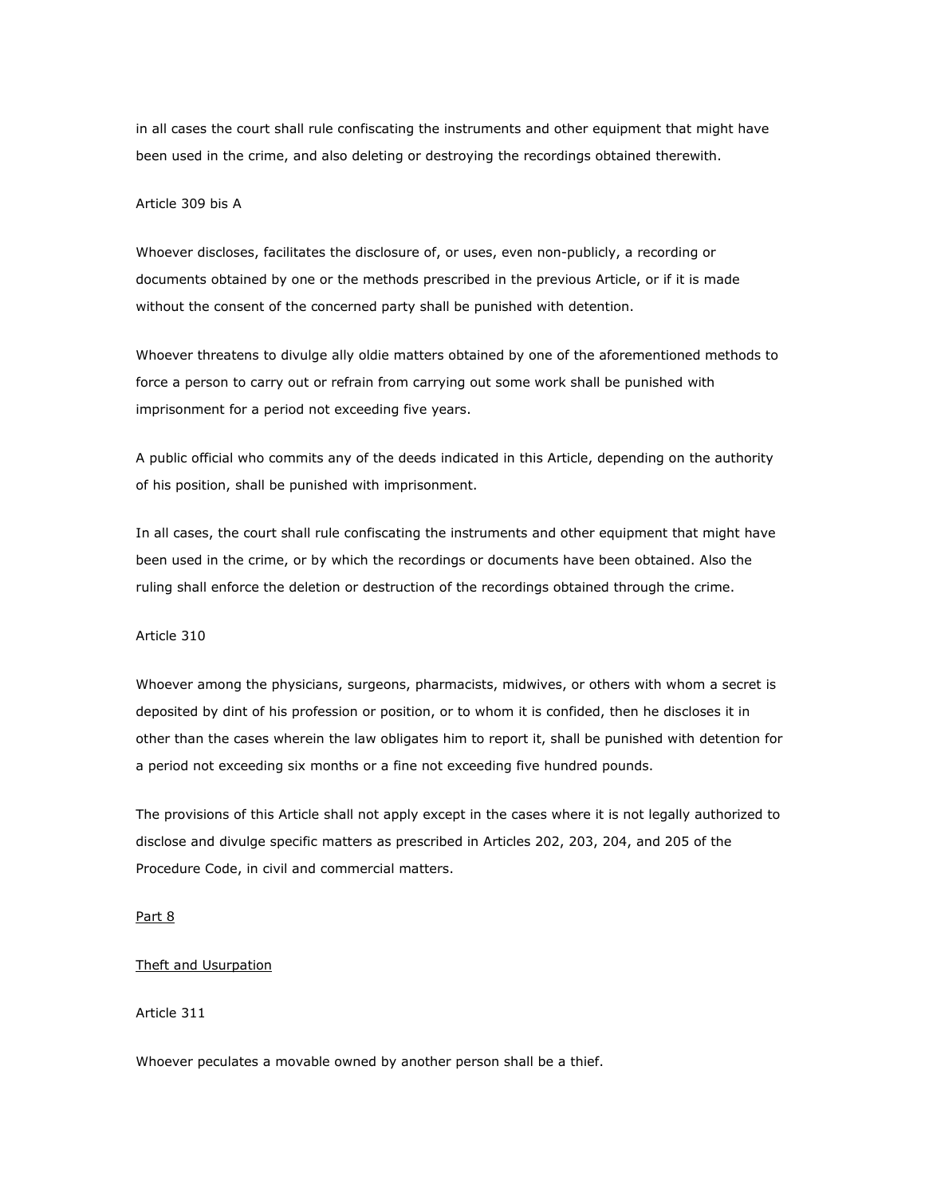in all cases the court shall rule confiscating the instruments and other equipment that might have been used in the crime, and also deleting or destroying the recordings obtained therewith.

### Article 309 bis A

Whoever discloses, facilitates the disclosure of, or uses, even non-publicly, a recording or documents obtained by one or the methods prescribed in the previous Article, or if it is made without the consent of the concerned party shall be punished with detention.

Whoever threatens to divulge ally oldie matters obtained by one of the aforementioned methods to force a person to carry out or refrain from carrying out some work shall be punished with imprisonment for a period not exceeding five years.

A public official who commits any of the deeds indicated in this Article, depending on the authority of his position, shall be punished with imprisonment.

In all cases, the court shall rule confiscating the instruments and other equipment that might have been used in the crime, or by which the recordings or documents have been obtained. Also the ruling shall enforce the deletion or destruction of the recordings obtained through the crime.

#### Article 310

Whoever among the physicians, surgeons, pharmacists, midwives, or others with whom a secret is deposited by dint of his profession or position, or to whom it is confided, then he discloses it in other than the cases wherein the law obligates him to report it, shall be punished with detention for a period not exceeding six months or a fine not exceeding five hundred pounds.

The provisions of this Article shall not apply except in the cases where it is not legally authorized to disclose and divulge specific matters as prescribed in Articles 202, 203, 204, and 205 of the Procedure Code, in civil and commercial matters.

## Part 8

### Theft and Usurpation

# Article 311

Whoever peculates a movable owned by another person shall be a thief.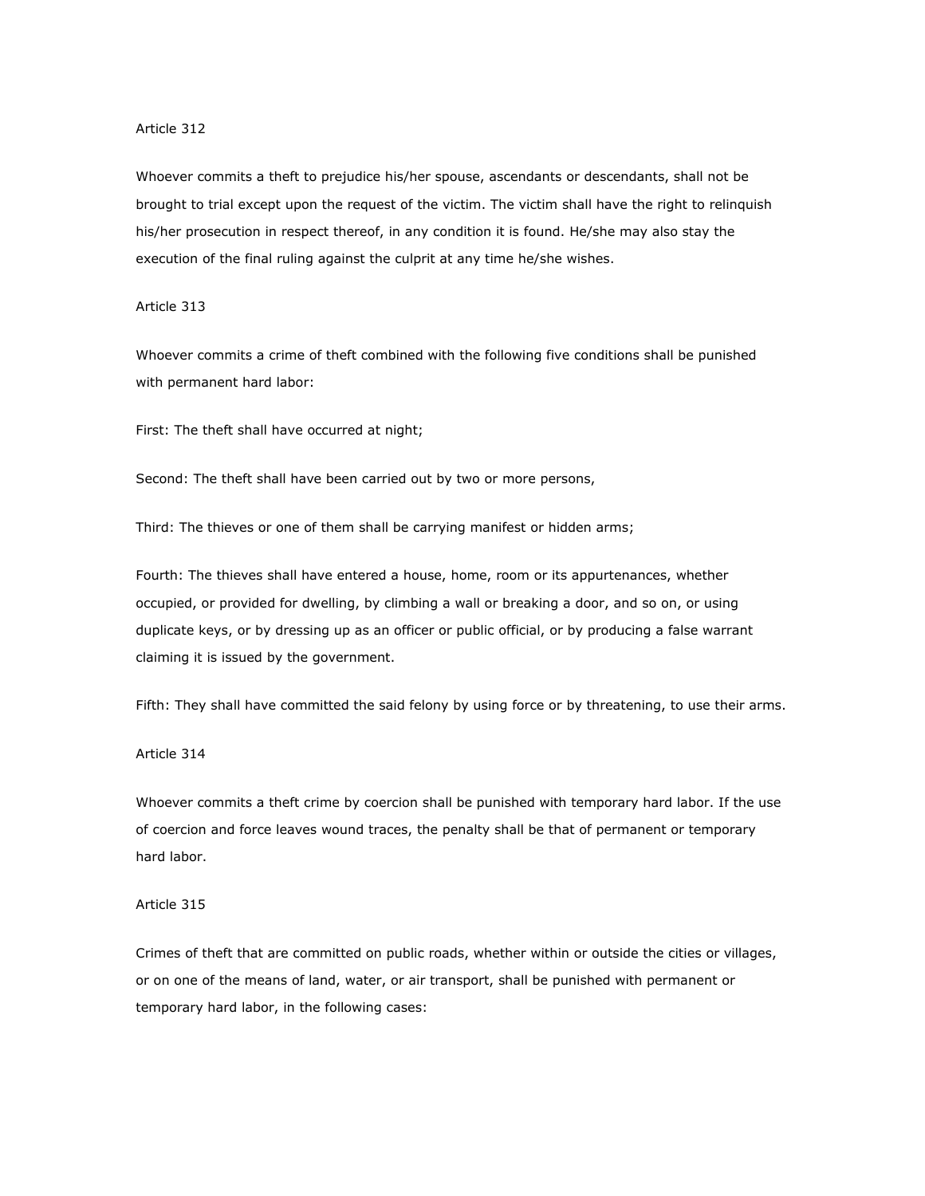#### Article 312

Whoever commits a theft to prejudice his/her spouse, ascendants or descendants, shall not be brought to trial except upon the request of the victim. The victim shall have the right to relinquish his/her prosecution in respect thereof, in any condition it is found. He/she may also stay the execution of the final ruling against the culprit at any time he/she wishes.

#### Article 313

Whoever commits a crime of theft combined with the following five conditions shall be punished with permanent hard labor:

First: The theft shall have occurred at night;

Second: The theft shall have been carried out by two or more persons,

Third: The thieves or one of them shall be carrying manifest or hidden arms;

Fourth: The thieves shall have entered a house, home, room or its appurtenances, whether occupied, or provided for dwelling, by climbing a wall or breaking a door, and so on, or using duplicate keys, or by dressing up as an officer or public official, or by producing a false warrant claiming it is issued by the government.

Fifth: They shall have committed the said felony by using force or by threatening, to use their arms.

#### Article 314

Whoever commits a theft crime by coercion shall be punished with temporary hard labor. If the use of coercion and force leaves wound traces, the penalty shall be that of permanent or temporary hard labor.

#### Article 315

Crimes of theft that are committed on public roads, whether within or outside the cities or villages, or on one of the means of land, water, or air transport, shall be punished with permanent or temporary hard labor, in the following cases: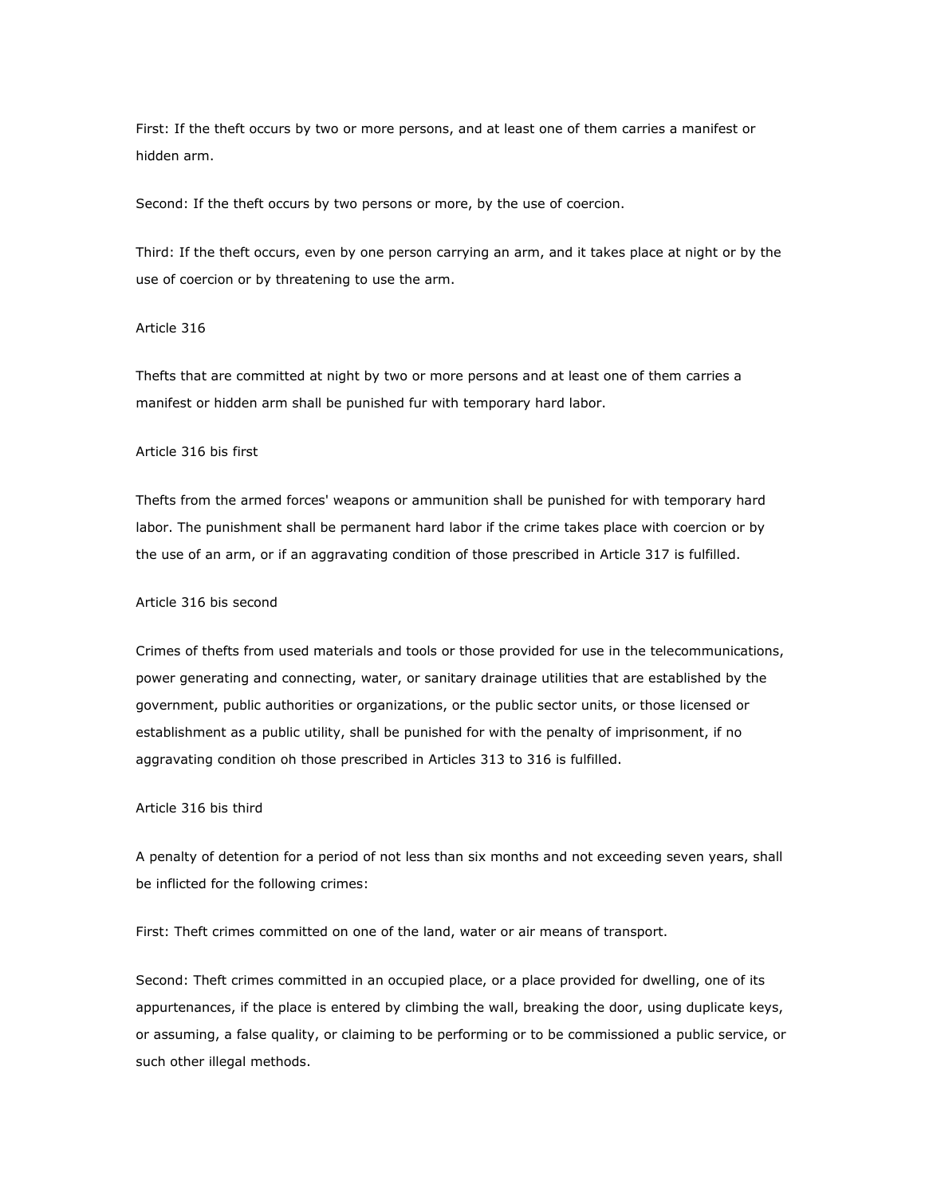First: If the theft occurs by two or more persons, and at least one of them carries a manifest or hidden arm.

Second: If the theft occurs by two persons or more, by the use of coercion.

Third: If the theft occurs, even by one person carrying an arm, and it takes place at night or by the use of coercion or by threatening to use the arm.

#### Article 316

Thefts that are committed at night by two or more persons and at least one of them carries a manifest or hidden arm shall be punished fur with temporary hard labor.

# Article 316 bis first

Thefts from the armed forces' weapons or ammunition shall be punished for with temporary hard labor. The punishment shall be permanent hard labor if the crime takes place with coercion or by the use of an arm, or if an aggravating condition of those prescribed in Article 317 is fulfilled.

#### Article 316 bis second

Crimes of thefts from used materials and tools or those provided for use in the telecommunications, power generating and connecting, water, or sanitary drainage utilities that are established by the government, public authorities or organizations, or the public sector units, or those licensed or establishment as a public utility, shall be punished for with the penalty of imprisonment, if no aggravating condition oh those prescribed in Articles 313 to 316 is fulfilled.

# Article 316 bis third

A penalty of detention for a period of not less than six months and not exceeding seven years, shall be inflicted for the following crimes:

First: Theft crimes committed on one of the land, water or air means of transport.

Second: Theft crimes committed in an occupied place, or a place provided for dwelling, one of its appurtenances, if the place is entered by climbing the wall, breaking the door, using duplicate keys, or assuming, a false quality, or claiming to be performing or to be commissioned a public service, or such other illegal methods.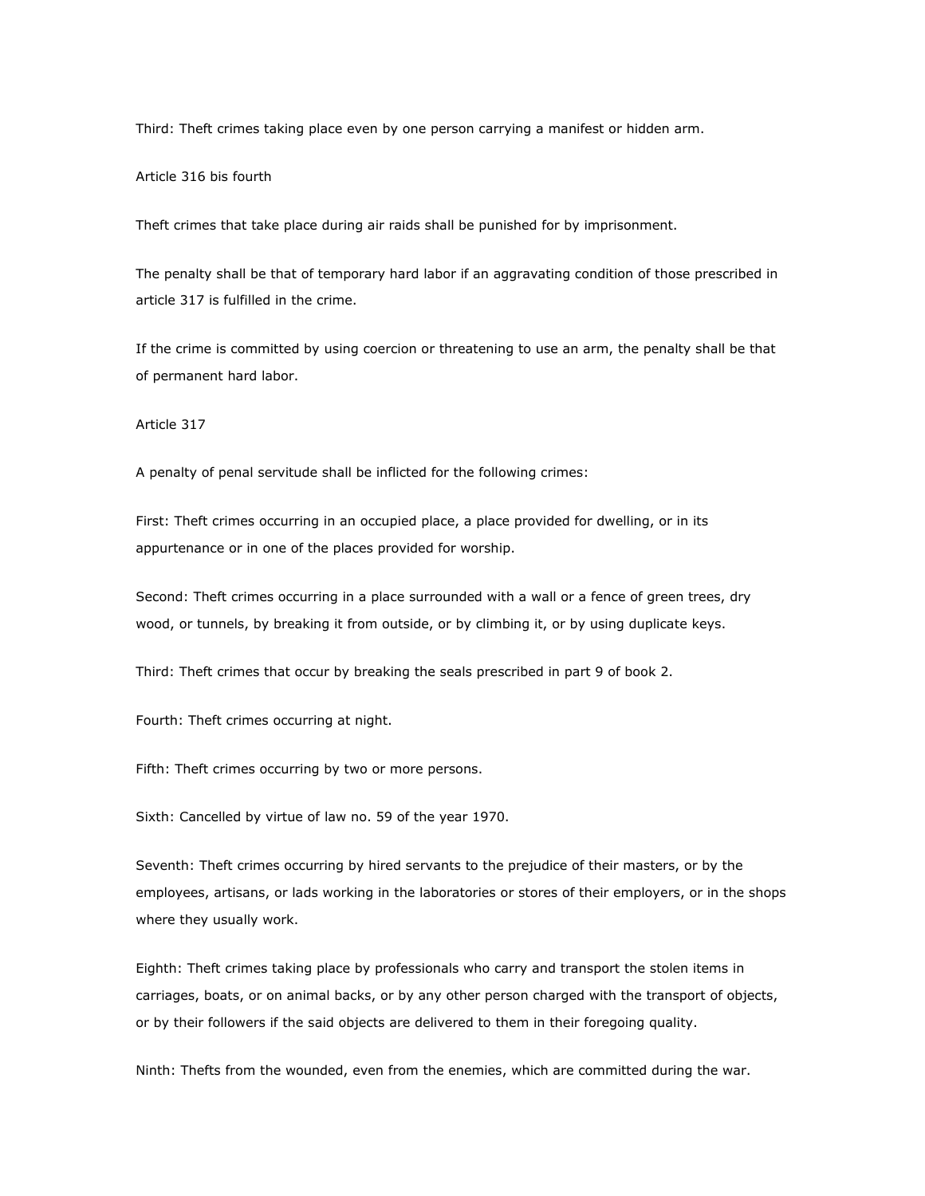Third: Theft crimes taking place even by one person carrying a manifest or hidden arm.

Article 316 bis fourth

Theft crimes that take place during air raids shall be punished for by imprisonment.

The penalty shall be that of temporary hard labor if an aggravating condition of those prescribed in article 317 is fulfilled in the crime.

If the crime is committed by using coercion or threatening to use an arm, the penalty shall be that of permanent hard labor.

Article 317

A penalty of penal servitude shall be inflicted for the following crimes:

First: Theft crimes occurring in an occupied place, a place provided for dwelling, or in its appurtenance or in one of the places provided for worship.

Second: Theft crimes occurring in a place surrounded with a wall or a fence of green trees, dry wood, or tunnels, by breaking it from outside, or by climbing it, or by using duplicate keys.

Third: Theft crimes that occur by breaking the seals prescribed in part 9 of book 2.

Fourth: Theft crimes occurring at night.

Fifth: Theft crimes occurring by two or more persons.

Sixth: Cancelled by virtue of law no. 59 of the year 1970.

Seventh: Theft crimes occurring by hired servants to the prejudice of their masters, or by the employees, artisans, or lads working in the laboratories or stores of their employers, or in the shops where they usually work.

Eighth: Theft crimes taking place by professionals who carry and transport the stolen items in carriages, boats, or on animal backs, or by any other person charged with the transport of objects, or by their followers if the said objects are delivered to them in their foregoing quality.

Ninth: Thefts from the wounded, even from the enemies, which are committed during the war.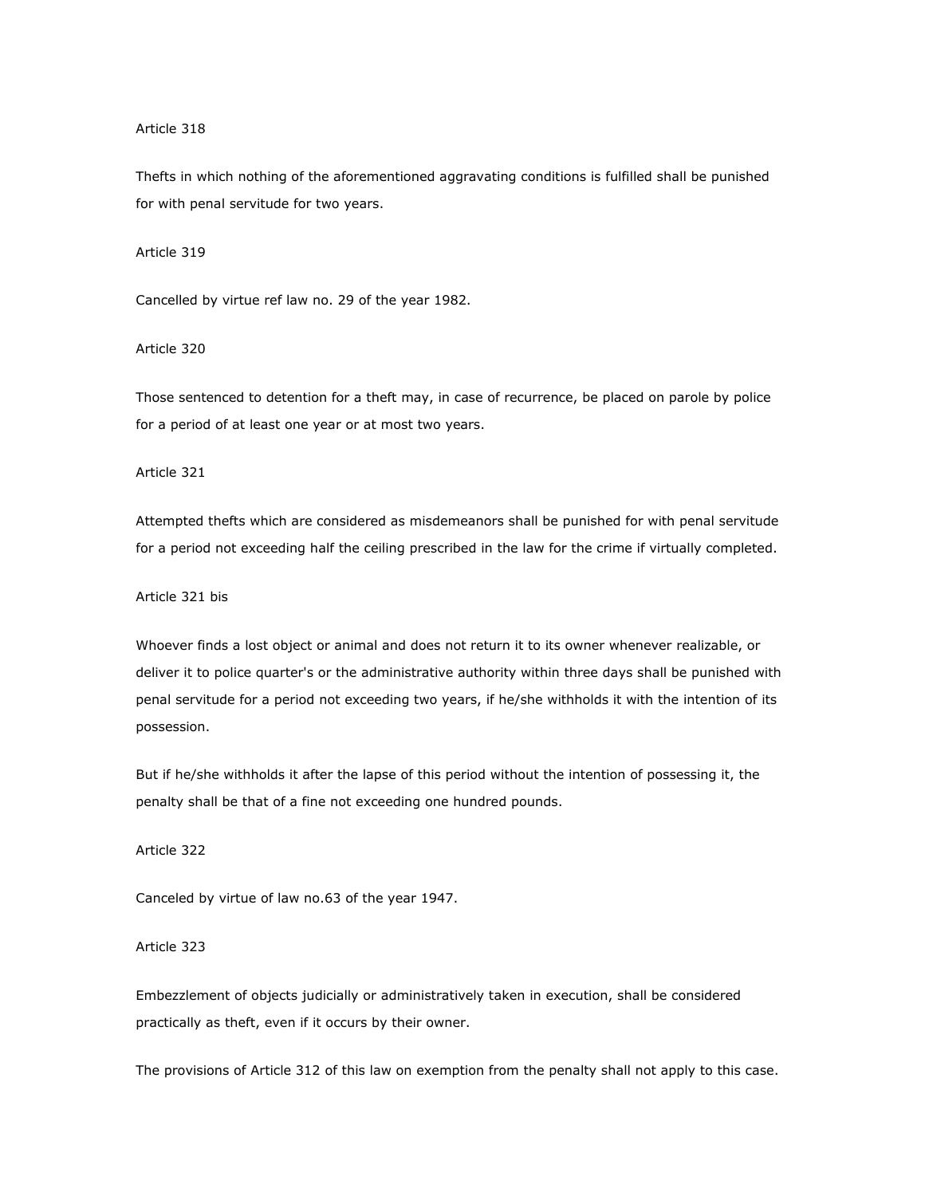#### Article 318

Thefts in which nothing of the aforementioned aggravating conditions is fulfilled shall be punished for with penal servitude for two years.

# Article 319

Cancelled by virtue ref law no. 29 of the year 1982.

# Article 320

Those sentenced to detention for a theft may, in case of recurrence, be placed on parole by police for a period of at least one year or at most two years.

# Article 321

Attempted thefts which are considered as misdemeanors shall be punished for with penal servitude for a period not exceeding half the ceiling prescribed in the law for the crime if virtually completed.

# Article 321 bis

Whoever finds a lost object or animal and does not return it to its owner whenever realizable, or deliver it to police quarter's or the administrative authority within three days shall be punished with penal servitude for a period not exceeding two years, if he/she withholds it with the intention of its possession.

But if he/she withholds it after the lapse of this period without the intention of possessing it, the penalty shall be that of a fine not exceeding one hundred pounds.

Article 322

Canceled by virtue of law no.63 of the year 1947.

# Article 323

Embezzlement of objects judicially or administratively taken in execution, shall be considered practically as theft, even if it occurs by their owner.

The provisions of Article 312 of this law on exemption from the penalty shall not apply to this case.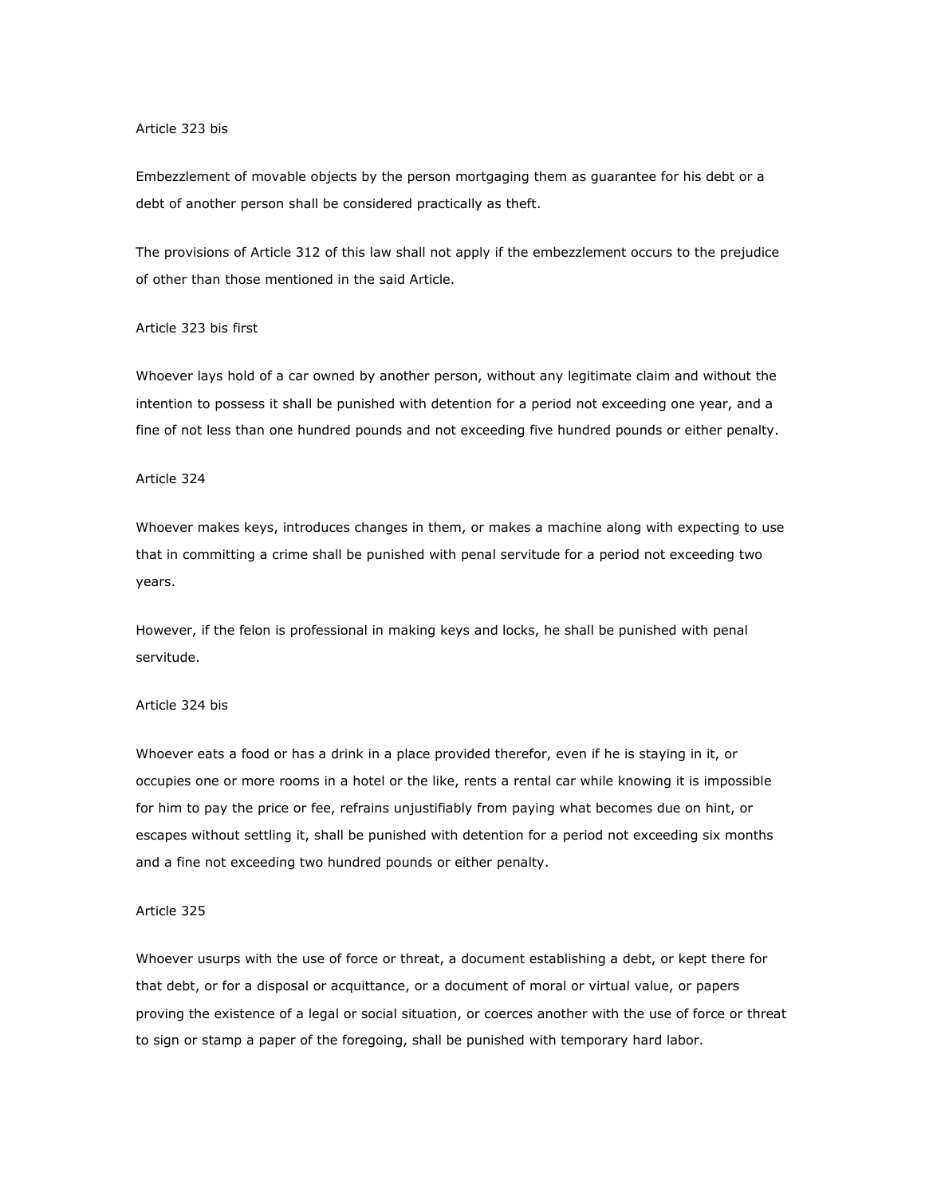#### Article 323 bis

Embezzlement of movable objects by the person mortgaging them as guarantee for his debt or a debt of another person shall be considered practically as theft.

The provisions of Article 312 of this law shall not apply if the embezzlement occurs to the prejudice of other than those mentioned in the said Article.

#### Article 323 bis first

Whoever lays hold of a car owned by another person, without any legitimate claim and without the intention to possess it shall be punished with detention for a period not exceeding one year, and a fine of not less than one hundred pounds and not exceeding five hundred pounds or either penalty.

### Article 324

Whoever makes keys, introduces changes in them, or makes a machine along with expecting to use that in committing a crime shall be punished with penal servitude for a period not exceeding two years.

However, if the felon is professional in making keys and locks, he shall be punished with penal servitude.

#### Article 324 bis

Whoever eats a food or has a drink in a place provided therefor, even if he is staying in it, or occupies one or more rooms in a hotel or the like, rents a rental car while knowing it is impossible for him to pay the price or fee, refrains unjustifiably from paying what becomes due on hint, or escapes without settling it, shall be punished with detention for a period not exceeding six months and a fine not exceeding two hundred pounds or either penalty.

#### Article 325

Whoever usurps with the use of force or threat, a document establishing a debt, or kept there for that debt, or for a disposal or acquittance, or a document of moral or virtual value, or papers proving the existence of a legal or social situation, or coerces another with the use of force or threat to sign or stamp a paper of the foregoing, shall be punished with temporary hard labor.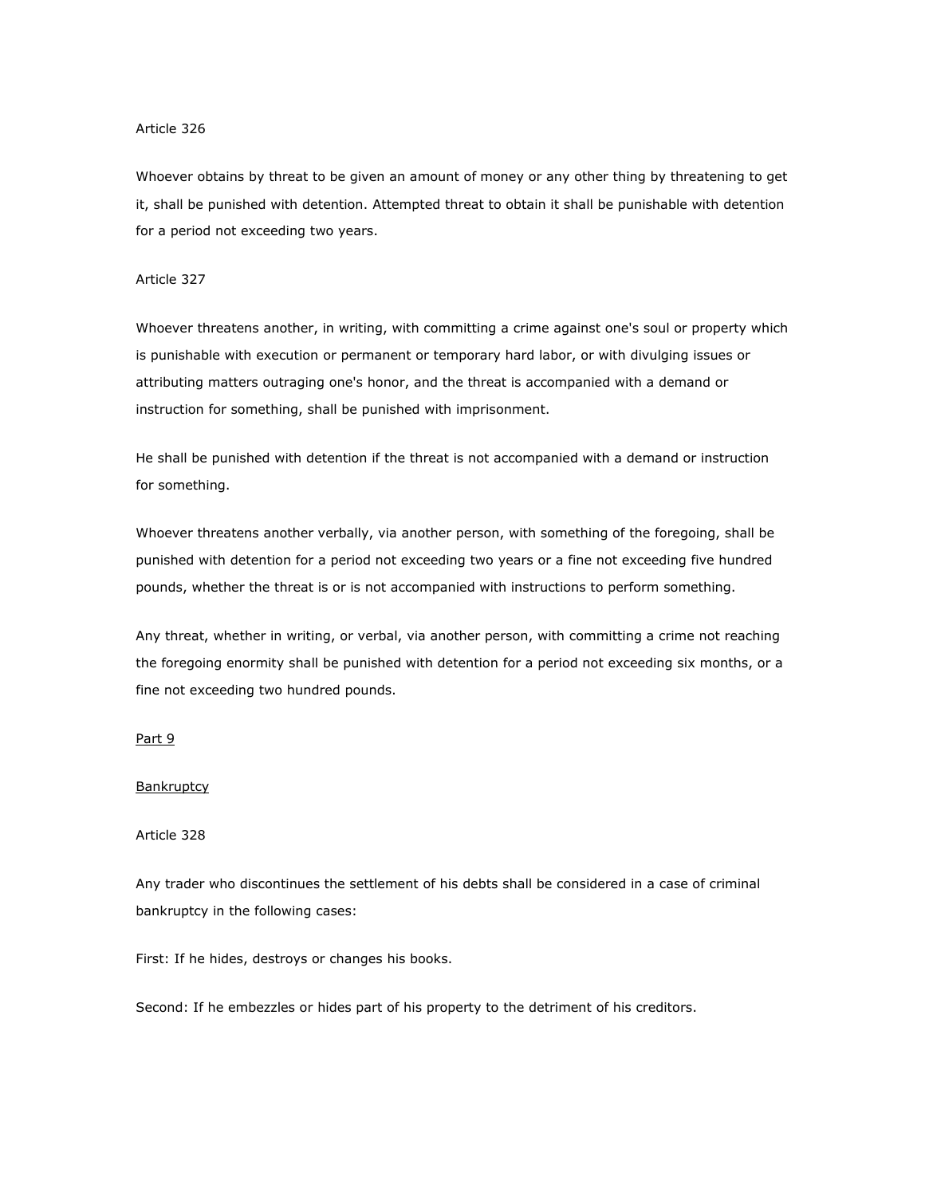#### Article 326

Whoever obtains by threat to be given an amount of money or any other thing by threatening to get it, shall be punished with detention. Attempted threat to obtain it shall be punishable with detention for a period not exceeding two years.

### Article 327

Whoever threatens another, in writing, with committing a crime against one's soul or property which is punishable with execution or permanent or temporary hard labor, or with divulging issues or attributing matters outraging one's honor, and the threat is accompanied with a demand or instruction for something, shall be punished with imprisonment.

He shall be punished with detention if the threat is not accompanied with a demand or instruction for something.

Whoever threatens another verbally, via another person, with something of the foregoing, shall be punished with detention for a period not exceeding two years or a fine not exceeding five hundred pounds, whether the threat is or is not accompanied with instructions to perform something.

Any threat, whether in writing, or verbal, via another person, with committing a crime not reaching the foregoing enormity shall be punished with detention for a period not exceeding six months, or a fine not exceeding two hundred pounds.

### Part 9

#### **Bankruptcy**

### Article 328

Any trader who discontinues the settlement of his debts shall be considered in a case of criminal bankruptcy in the following cases:

First: If he hides, destroys or changes his books.

Second: If he embezzles or hides part of his property to the detriment of his creditors.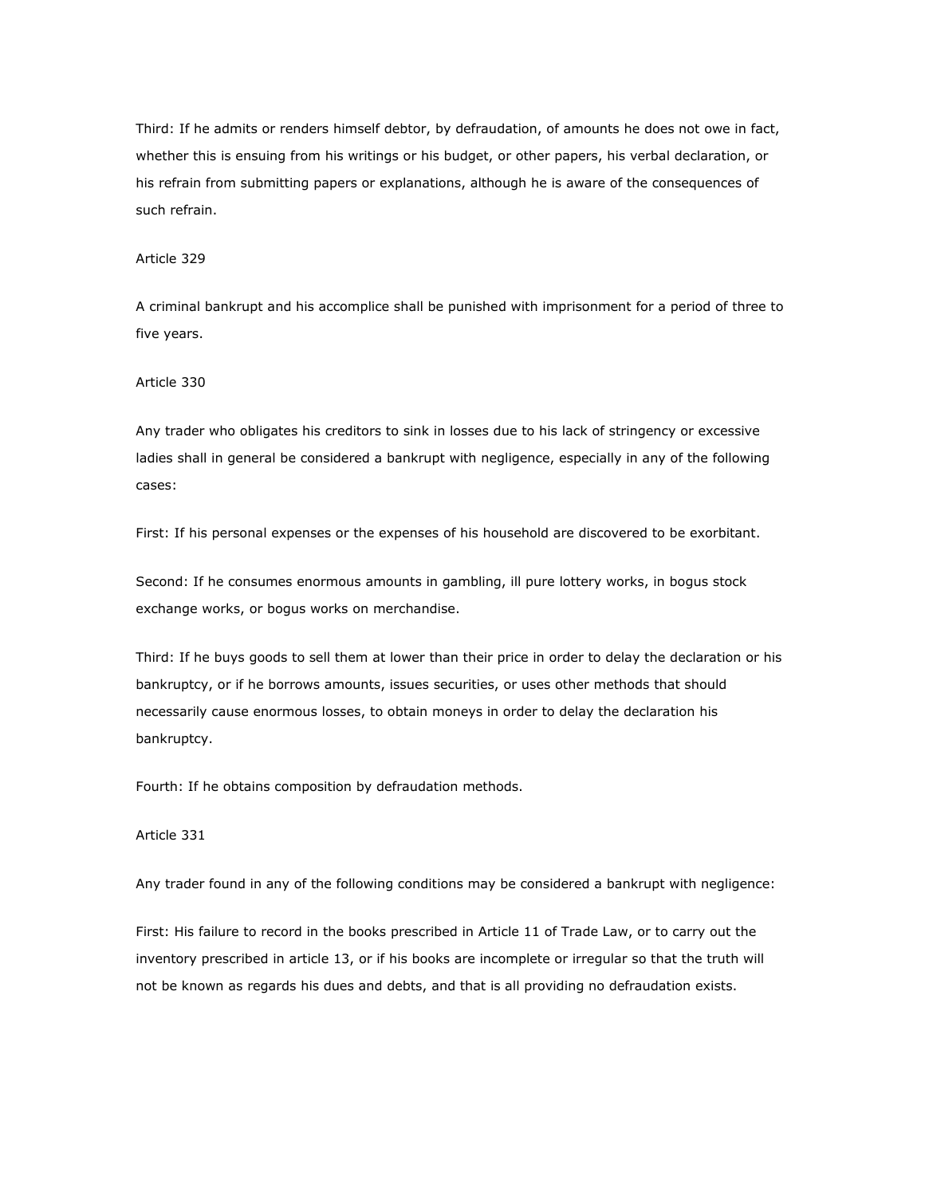Third: If he admits or renders himself debtor, by defraudation, of amounts he does not owe in fact, whether this is ensuing from his writings or his budget, or other papers, his verbal declaration, or his refrain from submitting papers or explanations, although he is aware of the consequences of such refrain.

## Article 329

A criminal bankrupt and his accomplice shall be punished with imprisonment for a period of three to five years.

### Article 330

Any trader who obligates his creditors to sink in losses due to his lack of stringency or excessive ladies shall in general be considered a bankrupt with negligence, especially in any of the following cases:

First: If his personal expenses or the expenses of his household are discovered to be exorbitant.

Second: If he consumes enormous amounts in gambling, ill pure lottery works, in bogus stock exchange works, or bogus works on merchandise.

Third: If he buys goods to sell them at lower than their price in order to delay the declaration or his bankruptcy, or if he borrows amounts, issues securities, or uses other methods that should necessarily cause enormous losses, to obtain moneys in order to delay the declaration his bankruptcy.

Fourth: If he obtains composition by defraudation methods.

### Article 331

Any trader found in any of the following conditions may be considered a bankrupt with negligence:

First: His failure to record in the books prescribed in Article 11 of Trade Law, or to carry out the inventory prescribed in article 13, or if his books are incomplete or irregular so that the truth will not be known as regards his dues and debts, and that is all providing no defraudation exists.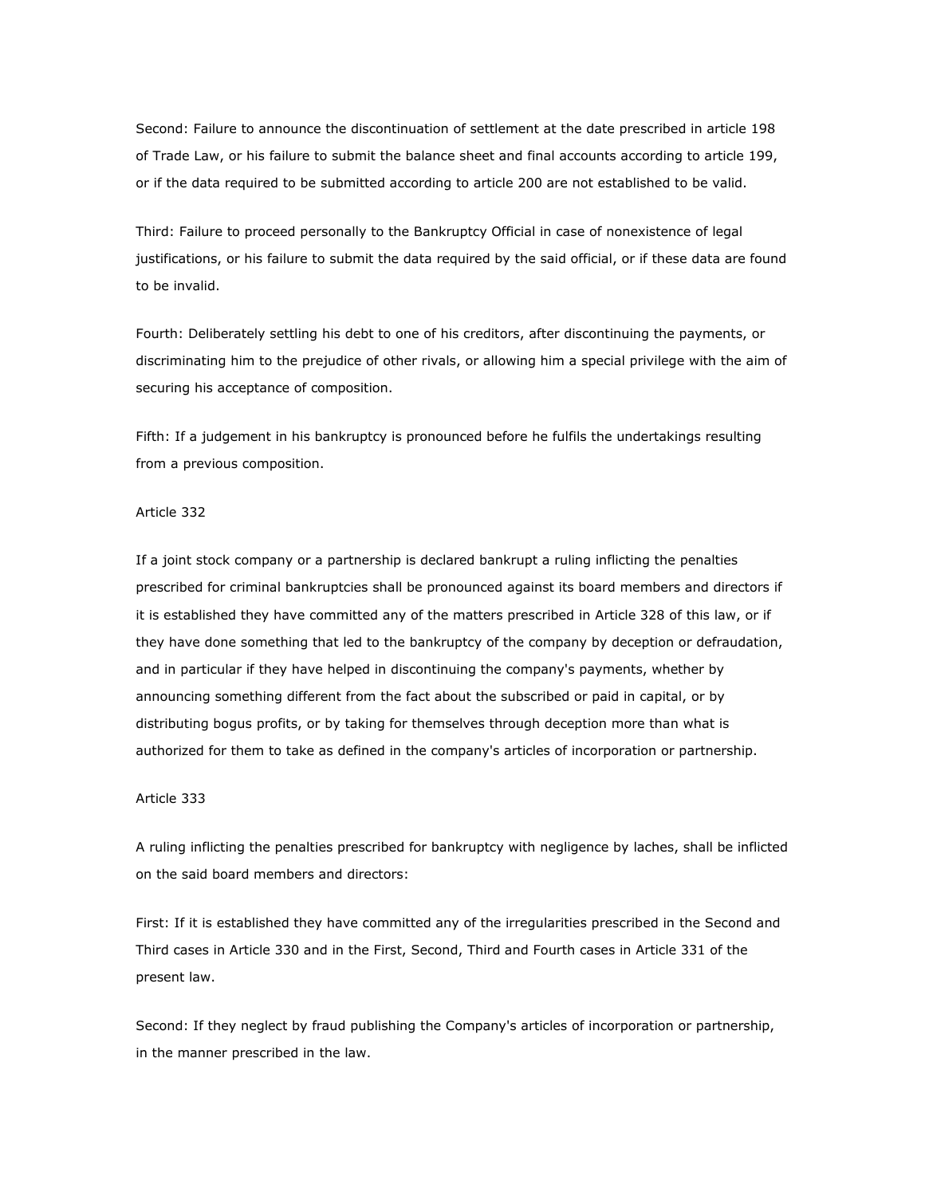Second: Failure to announce the discontinuation of settlement at the date prescribed in article 198 of Trade Law, or his failure to submit the balance sheet and final accounts according to article 199, or if the data required to be submitted according to article 200 are not established to be valid.

Third: Failure to proceed personally to the Bankruptcy Official in case of nonexistence of legal justifications, or his failure to submit the data required by the said official, or if these data are found to be invalid.

Fourth: Deliberately settling his debt to one of his creditors, after discontinuing the payments, or discriminating him to the prejudice of other rivals, or allowing him a special privilege with the aim of securing his acceptance of composition.

Fifth: If a judgement in his bankruptcy is pronounced before he fulfils the undertakings resulting from a previous composition.

#### Article 332

If a joint stock company or a partnership is declared bankrupt a ruling inflicting the penalties prescribed for criminal bankruptcies shall be pronounced against its board members and directors if it is established they have committed any of the matters prescribed in Article 328 of this law, or if they have done something that led to the bankruptcy of the company by deception or defraudation, and in particular if they have helped in discontinuing the company's payments, whether by announcing something different from the fact about the subscribed or paid in capital, or by distributing bogus profits, or by taking for themselves through deception more than what is authorized for them to take as defined in the company's articles of incorporation or partnership.

#### Article 333

A ruling inflicting the penalties prescribed for bankruptcy with negligence by laches, shall be inflicted on the said board members and directors:

First: If it is established they have committed any of the irregularities prescribed in the Second and Third cases in Article 330 and in the First, Second, Third and Fourth cases in Article 331 of the present law.

Second: If they neglect by fraud publishing the Company's articles of incorporation or partnership, in the manner prescribed in the law.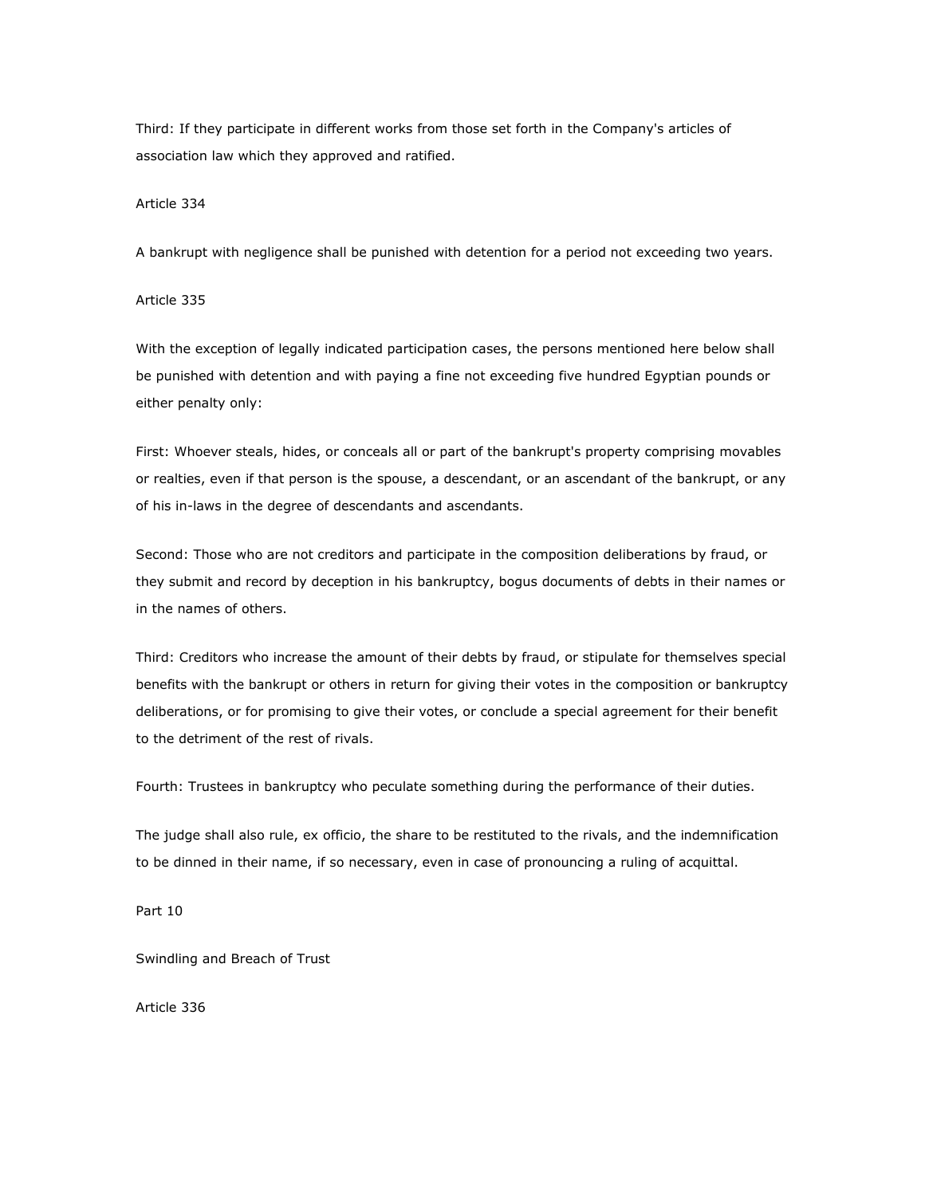Third: If they participate in different works from those set forth in the Company's articles of association law which they approved and ratified.

#### Article 334

A bankrupt with negligence shall be punished with detention for a period not exceeding two years.

# Article 335

With the exception of legally indicated participation cases, the persons mentioned here below shall be punished with detention and with paying a fine not exceeding five hundred Egyptian pounds or either penalty only:

First: Whoever steals, hides, or conceals all or part of the bankrupt's property comprising movables or realties, even if that person is the spouse, a descendant, or an ascendant of the bankrupt, or any of his in-laws in the degree of descendants and ascendants.

Second: Those who are not creditors and participate in the composition deliberations by fraud, or they submit and record by deception in his bankruptcy, bogus documents of debts in their names or in the names of others.

Third: Creditors who increase the amount of their debts by fraud, or stipulate for themselves special benefits with the bankrupt or others in return for giving their votes in the composition or bankruptcy deliberations, or for promising to give their votes, or conclude a special agreement for their benefit to the detriment of the rest of rivals.

Fourth: Trustees in bankruptcy who peculate something during the performance of their duties.

The judge shall also rule, ex officio, the share to be restituted to the rivals, and the indemnification to be dinned in their name, if so necessary, even in case of pronouncing a ruling of acquittal.

Part 10

Swindling and Breach of Trust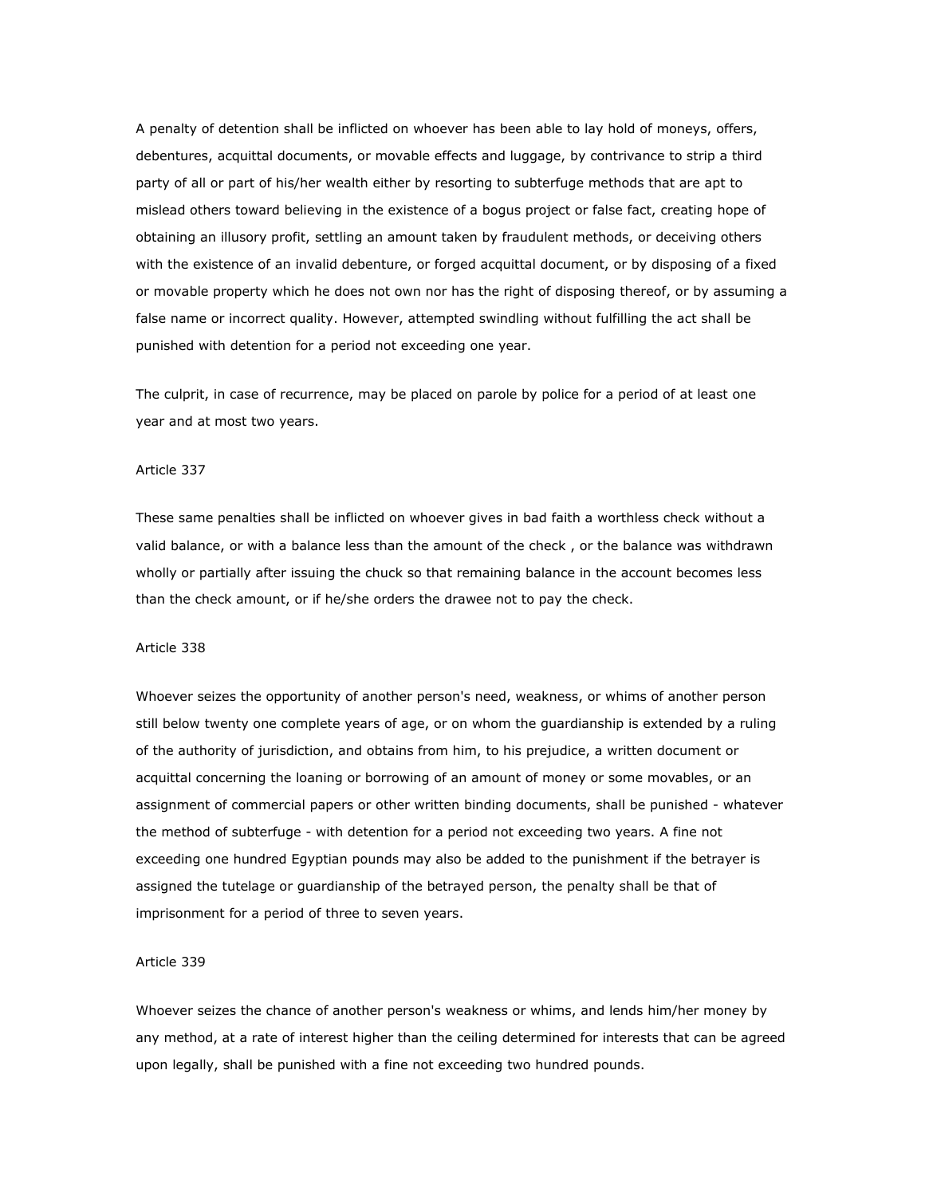A penalty of detention shall be inflicted on whoever has been able to lay hold of moneys, offers, debentures, acquittal documents, or movable effects and luggage, by contrivance to strip a third party of all or part of his/her wealth either by resorting to subterfuge methods that are apt to mislead others toward believing in the existence of a bogus project or false fact, creating hope of obtaining an illusory profit, settling an amount taken by fraudulent methods, or deceiving others with the existence of an invalid debenture, or forged acquittal document, or by disposing of a fixed or movable property which he does not own nor has the right of disposing thereof, or by assuming a false name or incorrect quality. However, attempted swindling without fulfilling the act shall be punished with detention for a period not exceeding one year.

The culprit, in case of recurrence, may be placed on parole by police for a period of at least one year and at most two years.

#### Article 337

These same penalties shall be inflicted on whoever gives in bad faith a worthless check without a valid balance, or with a balance less than the amount of the check , or the balance was withdrawn wholly or partially after issuing the chuck so that remaining balance in the account becomes less than the check amount, or if he/she orders the drawee not to pay the check.

### Article 338

Whoever seizes the opportunity of another person's need, weakness, or whims of another person still below twenty one complete years of age, or on whom the guardianship is extended by a ruling of the authority of jurisdiction, and obtains from him, to his prejudice, a written document or acquittal concerning the loaning or borrowing of an amount of money or some movables, or an assignment of commercial papers or other written binding documents, shall be punished - whatever the method of subterfuge - with detention for a period not exceeding two years. A fine not exceeding one hundred Egyptian pounds may also be added to the punishment if the betrayer is assigned the tutelage or guardianship of the betrayed person, the penalty shall be that of imprisonment for a period of three to seven years.

### Article 339

Whoever seizes the chance of another person's weakness or whims, and lends him/her money by any method, at a rate of interest higher than the ceiling determined for interests that can be agreed upon legally, shall be punished with a fine not exceeding two hundred pounds.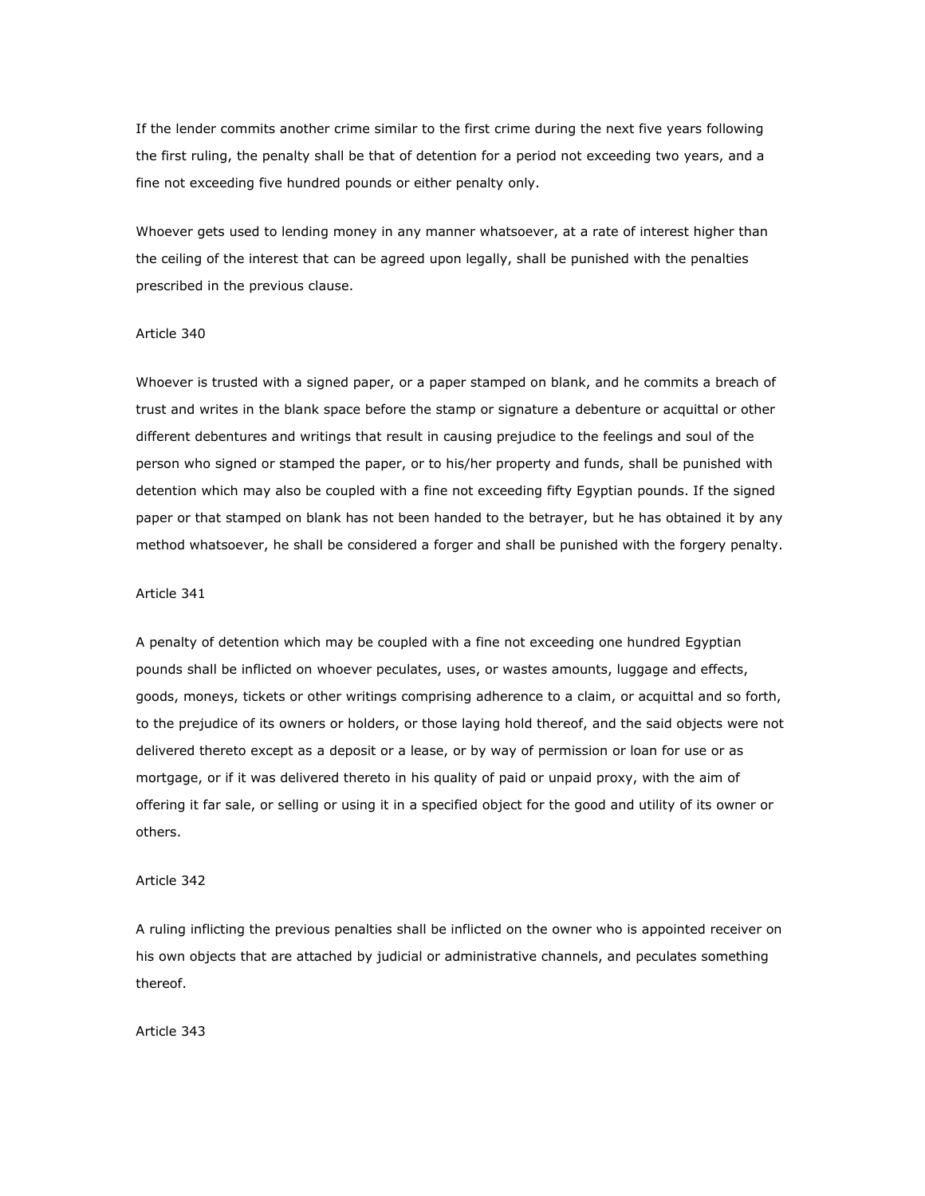If the lender commits another crime similar to the first crime during the next five years following the first ruling, the penalty shall be that of detention for a period not exceeding two years, and a fine not exceeding five hundred pounds or either penalty only.

Whoever gets used to lending money in any manner whatsoever, at a rate of interest higher than the ceiling of the interest that can be agreed upon legally, shall be punished with the penalties prescribed in the previous clause.

#### Article 340

Whoever is trusted with a signed paper, or a paper stamped on blank, and he commits a breach of trust and writes in the blank space before the stamp or signature a debenture or acquittal or other different debentures and writings that result in causing prejudice to the feelings and soul of the person who signed or stamped the paper, or to his/her property and funds, shall be punished with detention which may also be coupled with a fine not exceeding fifty Egyptian pounds. If the signed paper or that stamped on blank has not been handed to the betrayer, but he has obtained it by any method whatsoever, he shall be considered a forger and shall be punished with the forgery penalty.

#### Article 341

A penalty of detention which may be coupled with a fine not exceeding one hundred Egyptian pounds shall be inflicted on whoever peculates, uses, or wastes amounts, luggage and effects, goods, moneys, tickets or other writings comprising adherence to a claim, or acquittal and so forth, to the prejudice of its owners or holders, or those laying hold thereof, and the said objects were not delivered thereto except as a deposit or a lease, or by way of permission or loan for use or as mortgage, or if it was delivered thereto in his quality of paid or unpaid proxy, with the aim of offering it far sale, or selling or using it in a specified object for the good and utility of its owner or others.

#### Article 342

A ruling inflicting the previous penalties shall be inflicted on the owner who is appointed receiver on his own objects that are attached by judicial or administrative channels, and peculates something thereof.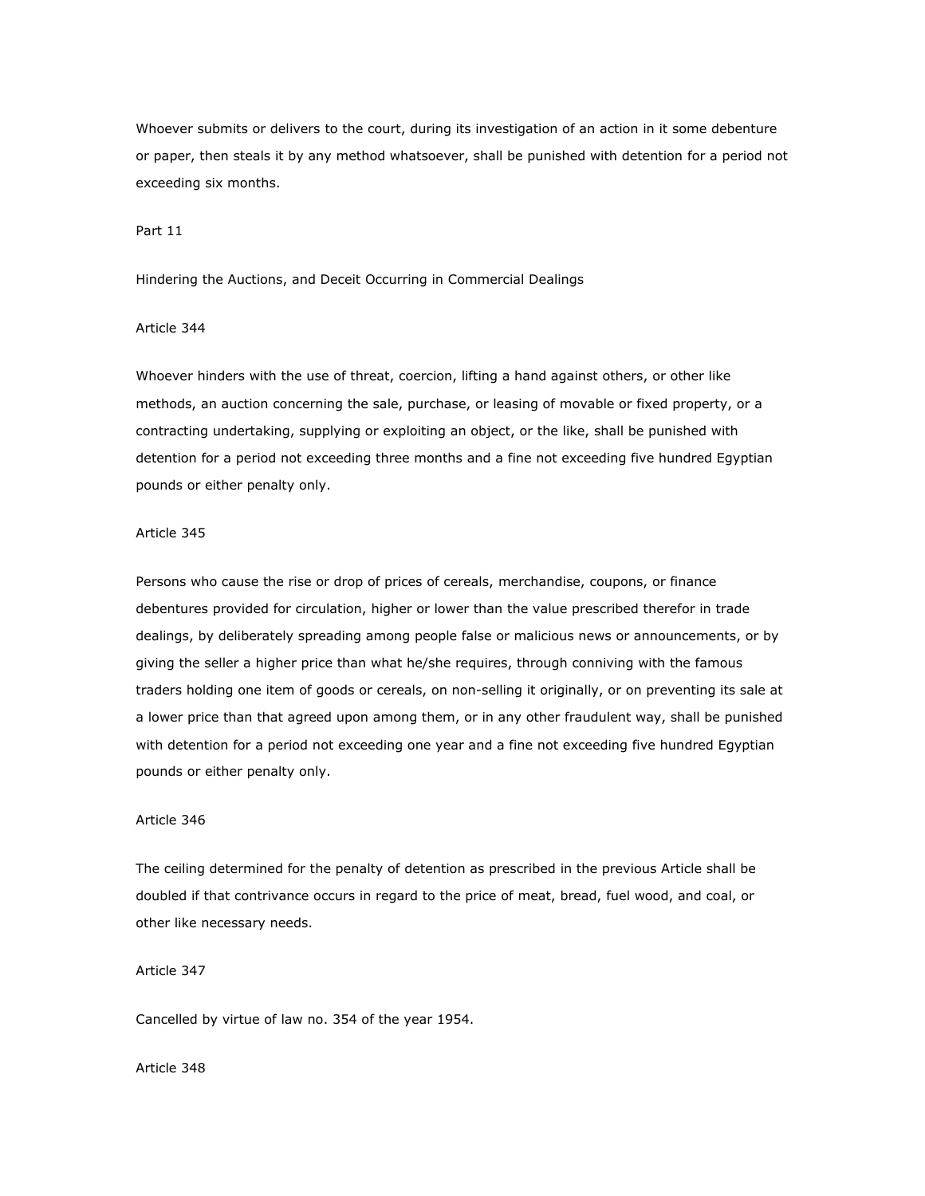Whoever submits or delivers to the court, during its investigation of an action in it some debenture or paper, then steals it by any method whatsoever, shall be punished with detention for a period not exceeding six months.

Part 11

Hindering the Auctions, and Deceit Occurring in Commercial Dealings

#### Article 344

Whoever hinders with the use of threat, coercion, lifting a hand against others, or other like methods, an auction concerning the sale, purchase, or leasing of movable or fixed property, or a contracting undertaking, supplying or exploiting an object, or the like, shall be punished with detention for a period not exceeding three months and a fine not exceeding five hundred Egyptian pounds or either penalty only.

#### Article 345

Persons who cause the rise or drop of prices of cereals, merchandise, coupons, or finance debentures provided for circulation, higher or lower than the value prescribed therefor in trade dealings, by deliberately spreading among people false or malicious news or announcements, or by giving the seller a higher price than what he/she requires, through conniving with the famous traders holding one item of goods or cereals, on non-selling it originally, or on preventing its sale at a lower price than that agreed upon among them, or in any other fraudulent way, shall be punished with detention for a period not exceeding one year and a fine not exceeding five hundred Egyptian pounds or either penalty only.

#### Article 346

The ceiling determined for the penalty of detention as prescribed in the previous Article shall be doubled if that contrivance occurs in regard to the price of meat, bread, fuel wood, and coal, or other like necessary needs.

Article 347

Cancelled by virtue of law no. 354 of the year 1954.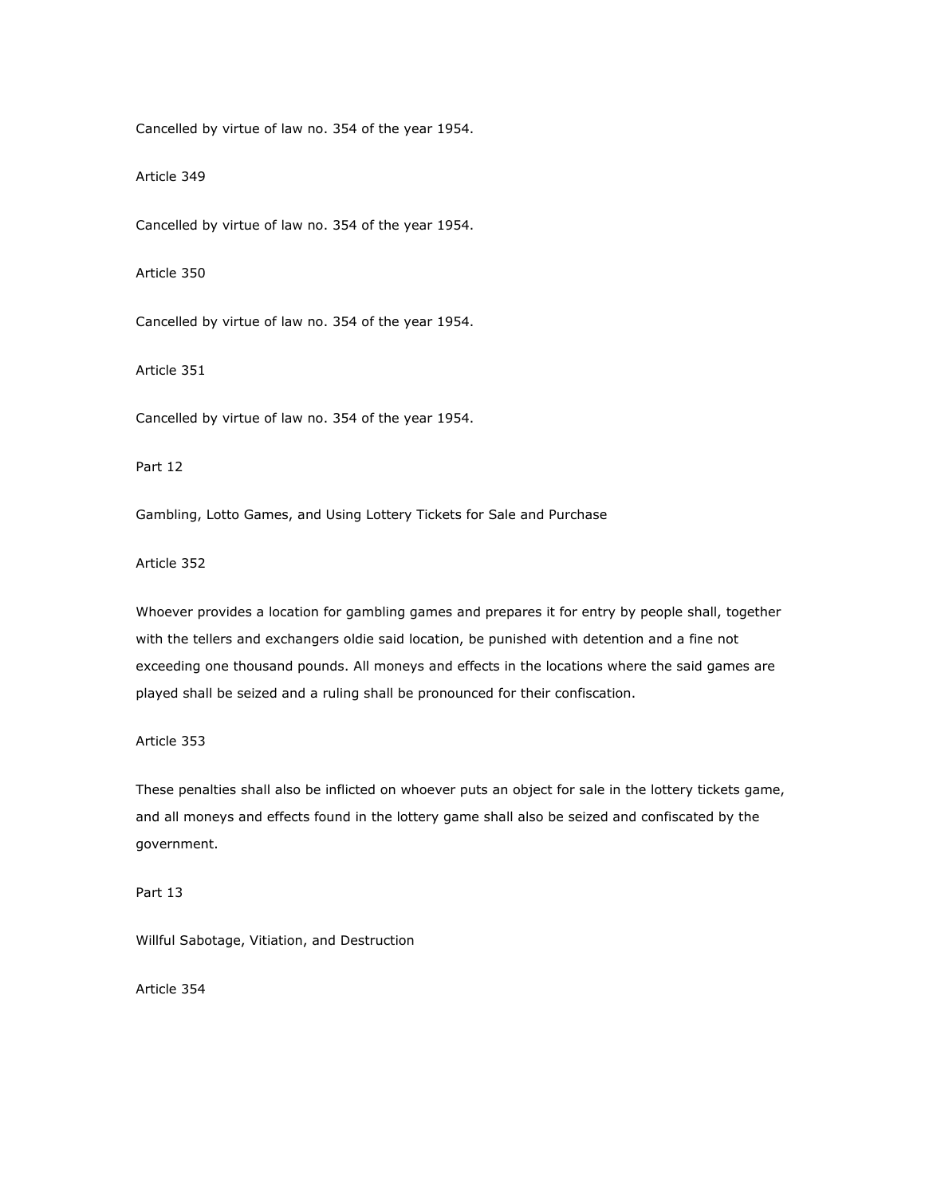Cancelled by virtue of law no. 354 of the year 1954.

Article 349

Cancelled by virtue of law no. 354 of the year 1954.

Article 350

Cancelled by virtue of law no. 354 of the year 1954.

Article 351

Cancelled by virtue of law no. 354 of the year 1954.

Part 12

Gambling, Lotto Games, and Using Lottery Tickets for Sale and Purchase

Article 352

Whoever provides a location for gambling games and prepares it for entry by people shall, together with the tellers and exchangers oldie said location, be punished with detention and a fine not exceeding one thousand pounds. All moneys and effects in the locations where the said games are played shall be seized and a ruling shall be pronounced for their confiscation.

Article 353

These penalties shall also be inflicted on whoever puts an object for sale in the lottery tickets game, and all moneys and effects found in the lottery game shall also be seized and confiscated by the government.

Part 13

Willful Sabotage, Vitiation, and Destruction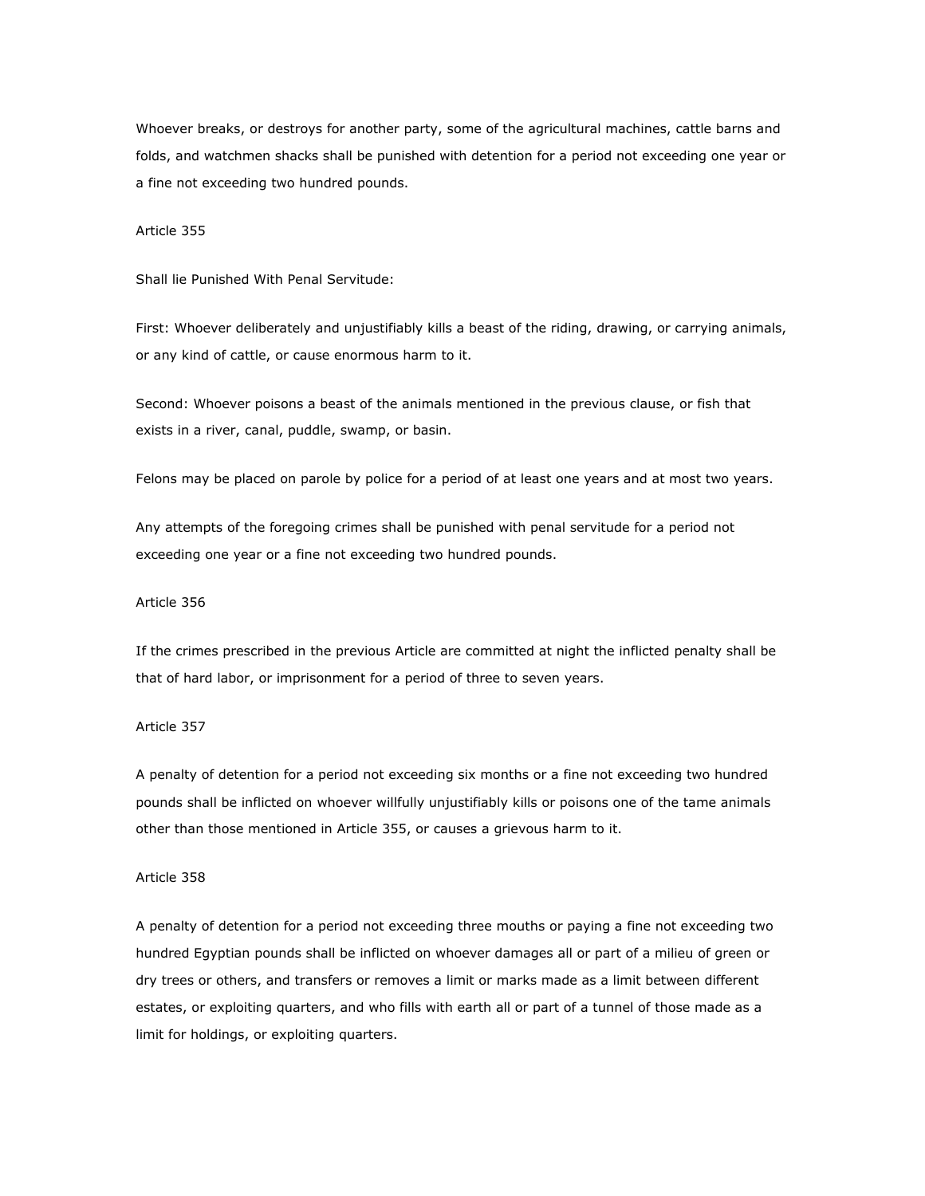Whoever breaks, or destroys for another party, some of the agricultural machines, cattle barns and folds, and watchmen shacks shall be punished with detention for a period not exceeding one year or a fine not exceeding two hundred pounds.

#### Article 355

Shall lie Punished With Penal Servitude:

First: Whoever deliberately and unjustifiably kills a beast of the riding, drawing, or carrying animals, or any kind of cattle, or cause enormous harm to it.

Second: Whoever poisons a beast of the animals mentioned in the previous clause, or fish that exists in a river, canal, puddle, swamp, or basin.

Felons may be placed on parole by police for a period of at least one years and at most two years.

Any attempts of the foregoing crimes shall be punished with penal servitude for a period not exceeding one year or a fine not exceeding two hundred pounds.

#### Article 356

If the crimes prescribed in the previous Article are committed at night the inflicted penalty shall be that of hard labor, or imprisonment for a period of three to seven years.

### Article 357

A penalty of detention for a period not exceeding six months or a fine not exceeding two hundred pounds shall be inflicted on whoever willfully unjustifiably kills or poisons one of the tame animals other than those mentioned in Article 355, or causes a grievous harm to it.

#### Article 358

A penalty of detention for a period not exceeding three mouths or paying a fine not exceeding two hundred Egyptian pounds shall be inflicted on whoever damages all or part of a milieu of green or dry trees or others, and transfers or removes a limit or marks made as a limit between different estates, or exploiting quarters, and who fills with earth all or part of a tunnel of those made as a limit for holdings, or exploiting quarters.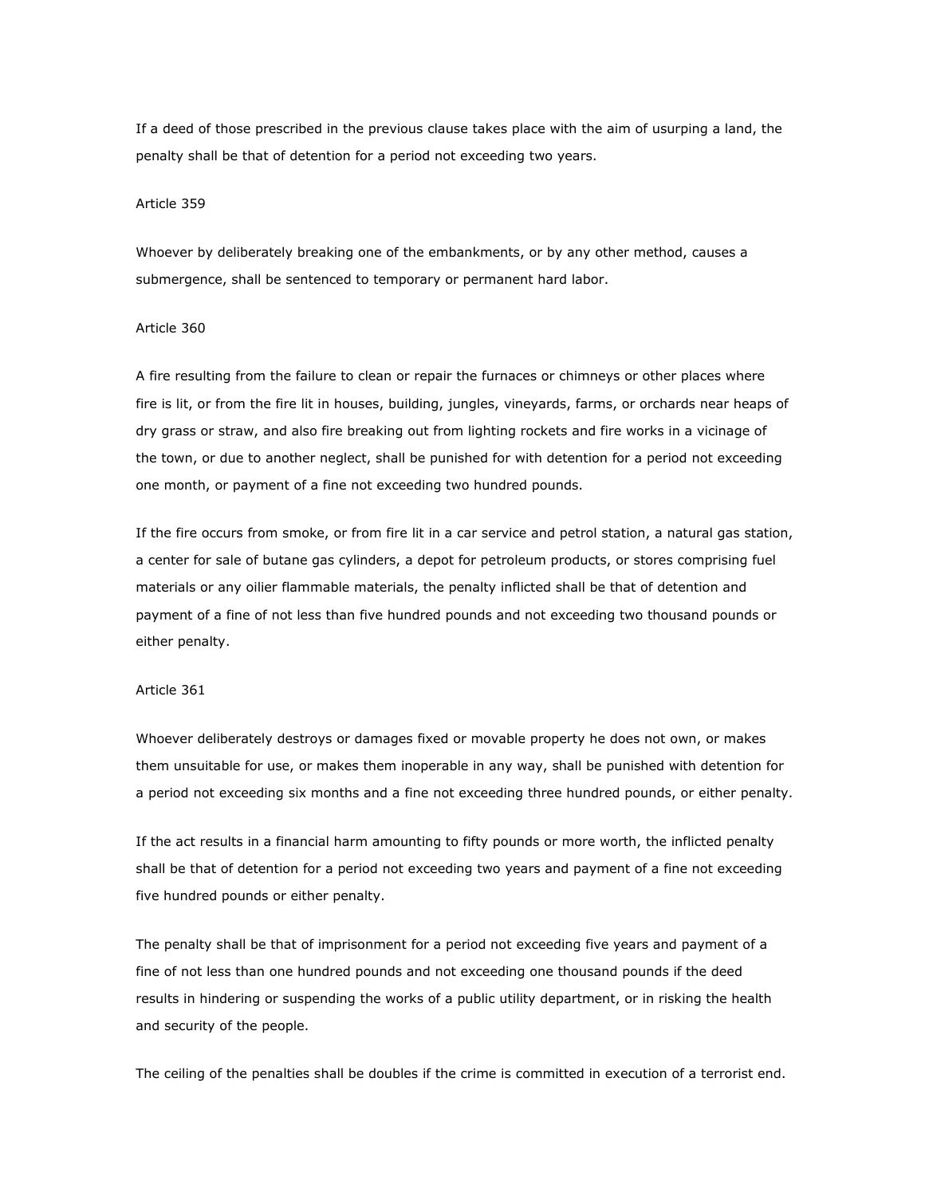If a deed of those prescribed in the previous clause takes place with the aim of usurping a land, the penalty shall be that of detention for a period not exceeding two years.

#### Article 359

Whoever by deliberately breaking one of the embankments, or by any other method, causes a submergence, shall be sentenced to temporary or permanent hard labor.

#### Article 360

A fire resulting from the failure to clean or repair the furnaces or chimneys or other places where fire is lit, or from the fire lit in houses, building, jungles, vineyards, farms, or orchards near heaps of dry grass or straw, and also fire breaking out from lighting rockets and fire works in a vicinage of the town, or due to another neglect, shall be punished for with detention for a period not exceeding one month, or payment of a fine not exceeding two hundred pounds.

If the fire occurs from smoke, or from fire lit in a car service and petrol station, a natural gas station, a center for sale of butane gas cylinders, a depot for petroleum products, or stores comprising fuel materials or any oilier flammable materials, the penalty inflicted shall be that of detention and payment of a fine of not less than five hundred pounds and not exceeding two thousand pounds or either penalty.

# Article 361

Whoever deliberately destroys or damages fixed or movable property he does not own, or makes them unsuitable for use, or makes them inoperable in any way, shall be punished with detention for a period not exceeding six months and a fine not exceeding three hundred pounds, or either penalty.

If the act results in a financial harm amounting to fifty pounds or more worth, the inflicted penalty shall be that of detention for a period not exceeding two years and payment of a fine not exceeding five hundred pounds or either penalty.

The penalty shall be that of imprisonment for a period not exceeding five years and payment of a fine of not less than one hundred pounds and not exceeding one thousand pounds if the deed results in hindering or suspending the works of a public utility department, or in risking the health and security of the people.

The ceiling of the penalties shall be doubles if the crime is committed in execution of a terrorist end.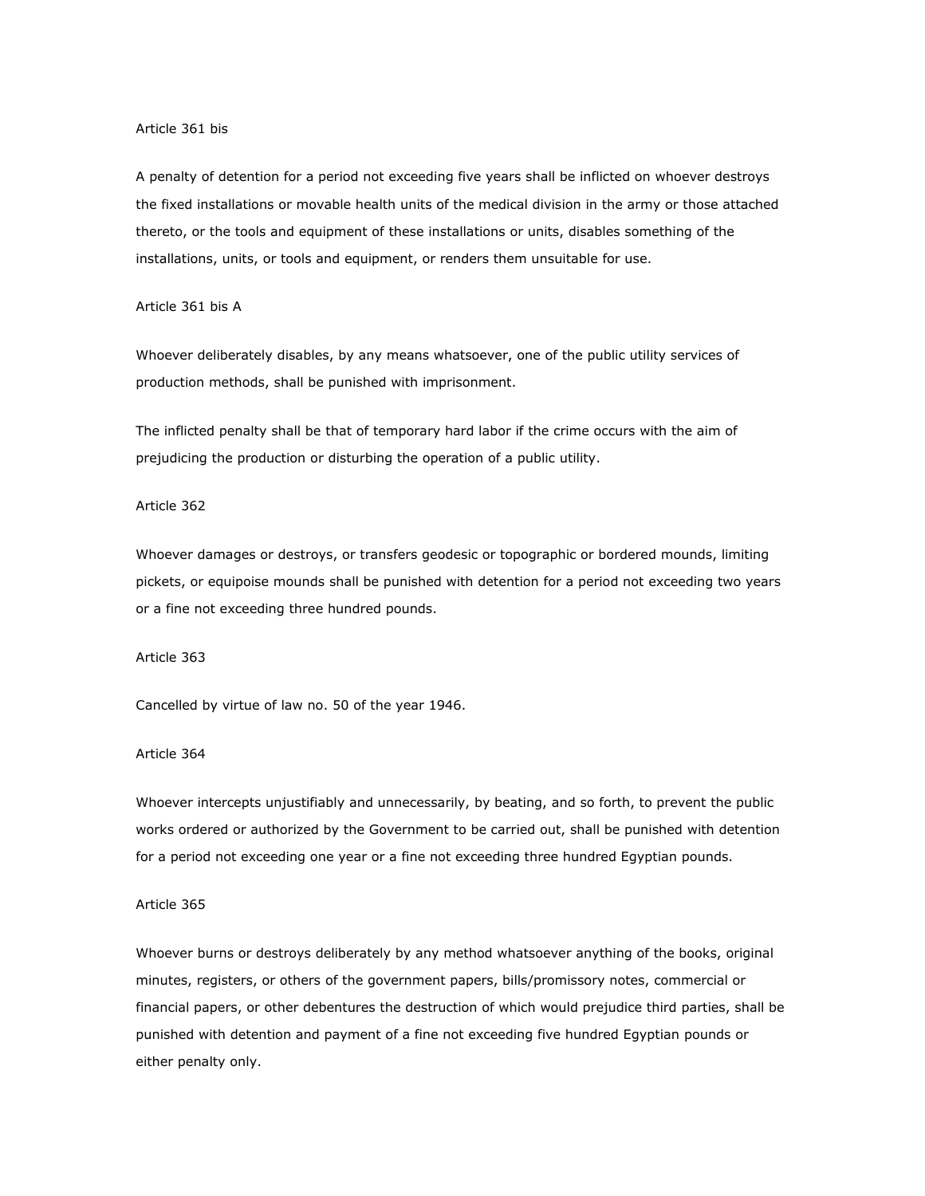#### Article 361 bis

A penalty of detention for a period not exceeding five years shall be inflicted on whoever destroys the fixed installations or movable health units of the medical division in the army or those attached thereto, or the tools and equipment of these installations or units, disables something of the installations, units, or tools and equipment, or renders them unsuitable for use.

### Article 361 bis A

Whoever deliberately disables, by any means whatsoever, one of the public utility services of production methods, shall be punished with imprisonment.

The inflicted penalty shall be that of temporary hard labor if the crime occurs with the aim of prejudicing the production or disturbing the operation of a public utility.

#### Article 362

Whoever damages or destroys, or transfers geodesic or topographic or bordered mounds, limiting pickets, or equipoise mounds shall be punished with detention for a period not exceeding two years or a fine not exceeding three hundred pounds.

#### Article 363

Cancelled by virtue of law no. 50 of the year 1946.

## Article 364

Whoever intercepts unjustifiably and unnecessarily, by beating, and so forth, to prevent the public works ordered or authorized by the Government to be carried out, shall be punished with detention for a period not exceeding one year or a fine not exceeding three hundred Egyptian pounds.

#### Article 365

Whoever burns or destroys deliberately by any method whatsoever anything of the books, original minutes, registers, or others of the government papers, bills/promissory notes, commercial or financial papers, or other debentures the destruction of which would prejudice third parties, shall be punished with detention and payment of a fine not exceeding five hundred Egyptian pounds or either penalty only.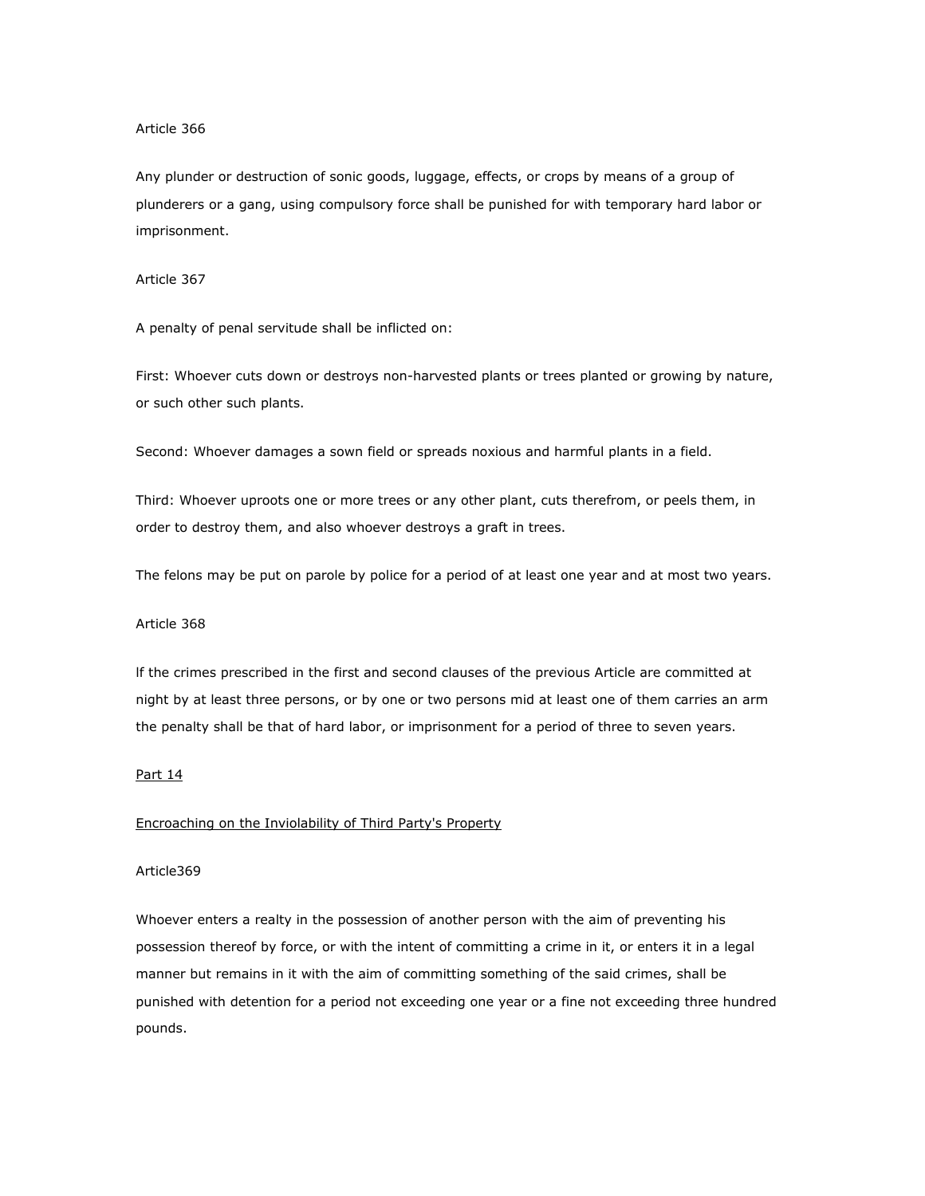#### Article 366

Any plunder or destruction of sonic goods, luggage, effects, or crops by means of a group of plunderers or a gang, using compulsory force shall be punished for with temporary hard labor or imprisonment.

#### Article 367

A penalty of penal servitude shall be inflicted on:

First: Whoever cuts down or destroys non-harvested plants or trees planted or growing by nature, or such other such plants.

Second: Whoever damages a sown field or spreads noxious and harmful plants in a field.

Third: Whoever uproots one or more trees or any other plant, cuts therefrom, or peels them, in order to destroy them, and also whoever destroys a graft in trees.

The felons may be put on parole by police for a period of at least one year and at most two years.

## Article 368

lf the crimes prescribed in the first and second clauses of the previous Article are committed at night by at least three persons, or by one or two persons mid at least one of them carries an arm the penalty shall be that of hard labor, or imprisonment for a period of three to seven years.

### Part 14

# Encroaching on the Inviolability of Third Party's Property

# Article369

Whoever enters a realty in the possession of another person with the aim of preventing his possession thereof by force, or with the intent of committing a crime in it, or enters it in a legal manner but remains in it with the aim of committing something of the said crimes, shall be punished with detention for a period not exceeding one year or a fine not exceeding three hundred pounds.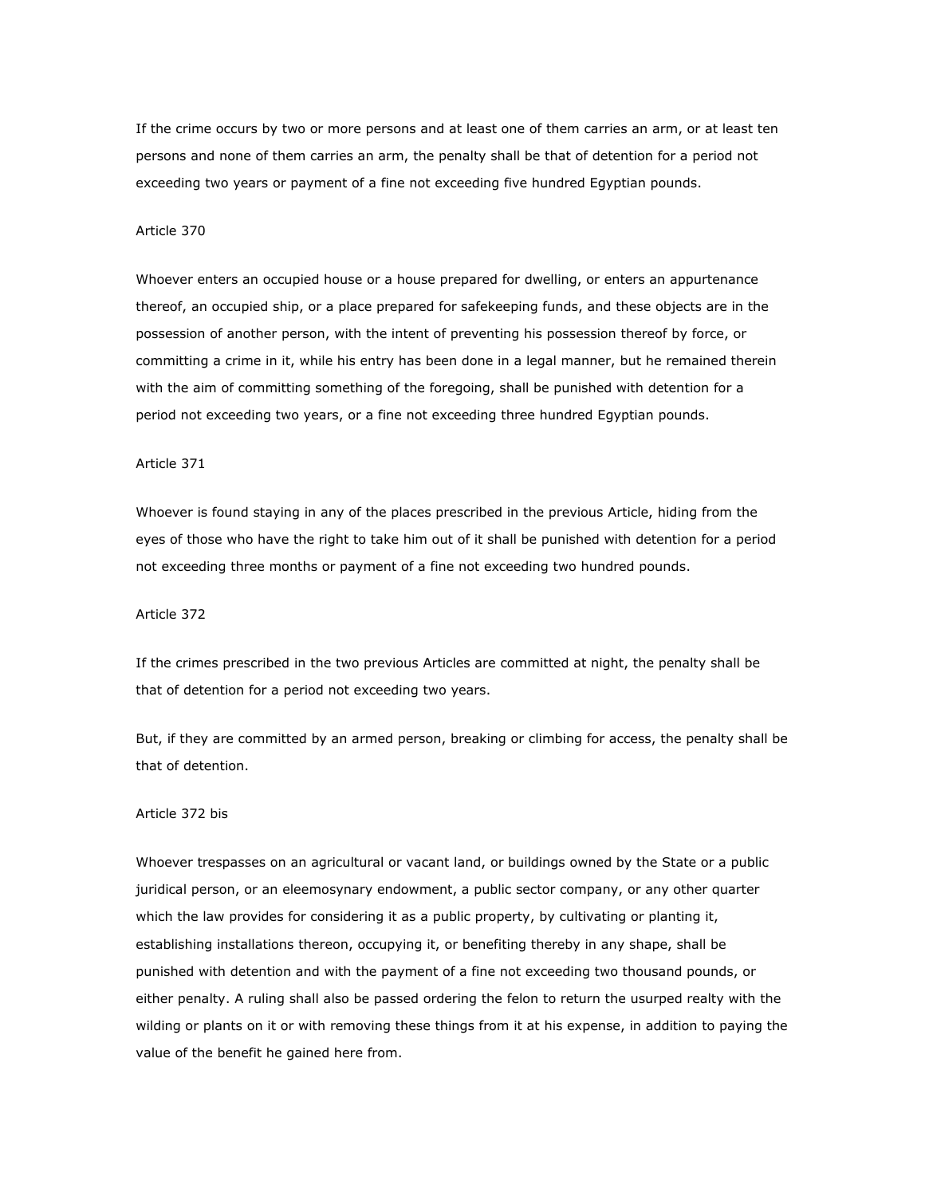If the crime occurs by two or more persons and at least one of them carries an arm, or at least ten persons and none of them carries an arm, the penalty shall be that of detention for a period not exceeding two years or payment of a fine not exceeding five hundred Egyptian pounds.

#### Article 370

Whoever enters an occupied house or a house prepared for dwelling, or enters an appurtenance thereof, an occupied ship, or a place prepared for safekeeping funds, and these objects are in the possession of another person, with the intent of preventing his possession thereof by force, or committing a crime in it, while his entry has been done in a legal manner, but he remained therein with the aim of committing something of the foregoing, shall be punished with detention for a period not exceeding two years, or a fine not exceeding three hundred Egyptian pounds.

# Article 371

Whoever is found staying in any of the places prescribed in the previous Article, hiding from the eyes of those who have the right to take him out of it shall be punished with detention for a period not exceeding three months or payment of a fine not exceeding two hundred pounds.

# Article 372

If the crimes prescribed in the two previous Articles are committed at night, the penalty shall be that of detention for a period not exceeding two years.

But, if they are committed by an armed person, breaking or climbing for access, the penalty shall be that of detention.

### Article 372 bis

Whoever trespasses on an agricultural or vacant land, or buildings owned by the State or a public juridical person, or an eleemosynary endowment, a public sector company, or any other quarter which the law provides for considering it as a public property, by cultivating or planting it, establishing installations thereon, occupying it, or benefiting thereby in any shape, shall be punished with detention and with the payment of a fine not exceeding two thousand pounds, or either penalty. A ruling shall also be passed ordering the felon to return the usurped realty with the wilding or plants on it or with removing these things from it at his expense, in addition to paying the value of the benefit he gained here from.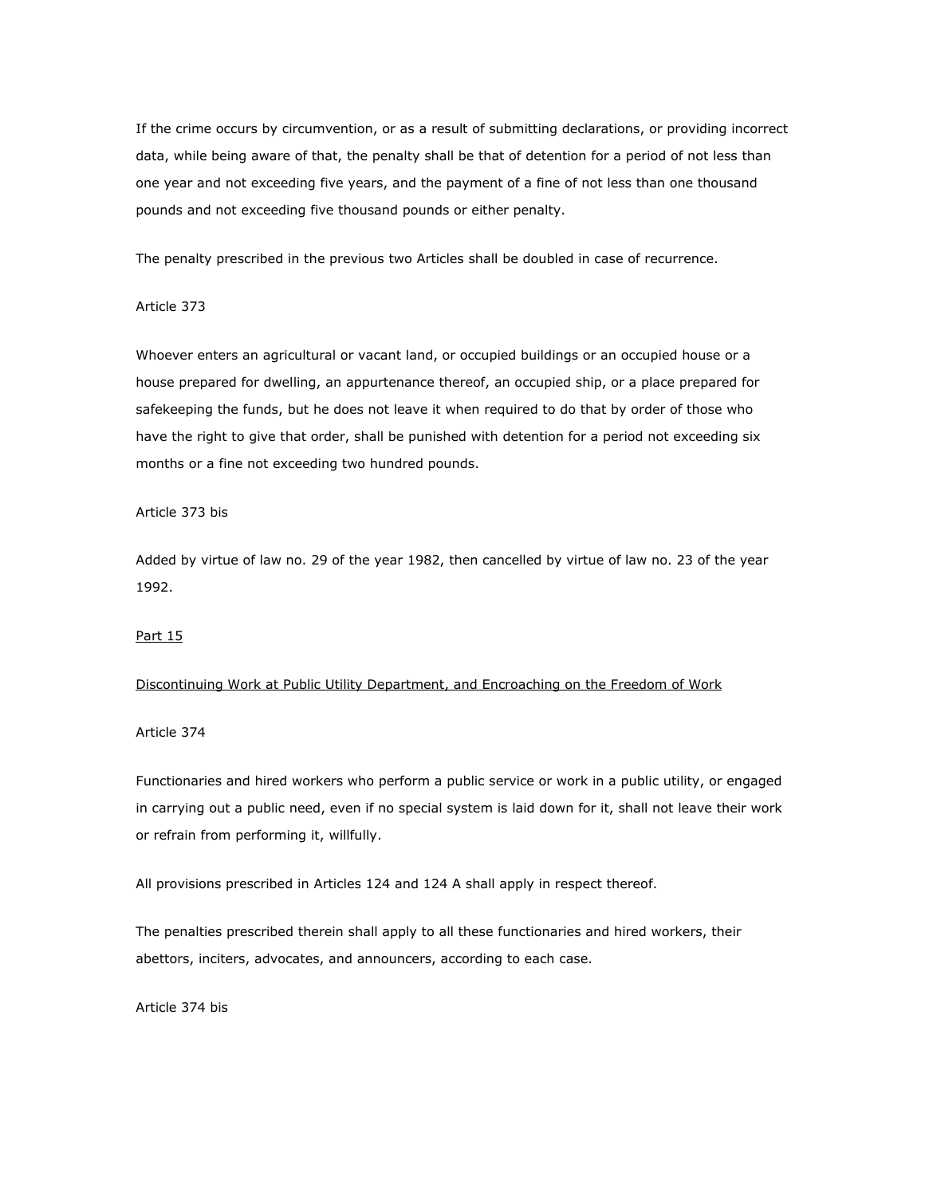If the crime occurs by circumvention, or as a result of submitting declarations, or providing incorrect data, while being aware of that, the penalty shall be that of detention for a period of not less than one year and not exceeding five years, and the payment of a fine of not less than one thousand pounds and not exceeding five thousand pounds or either penalty.

The penalty prescribed in the previous two Articles shall be doubled in case of recurrence.

#### Article 373

Whoever enters an agricultural or vacant land, or occupied buildings or an occupied house or a house prepared for dwelling, an appurtenance thereof, an occupied ship, or a place prepared for safekeeping the funds, but he does not leave it when required to do that by order of those who have the right to give that order, shall be punished with detention for a period not exceeding six months or a fine not exceeding two hundred pounds.

### Article 373 bis

Added by virtue of law no. 29 of the year 1982, then cancelled by virtue of law no. 23 of the year 1992.

#### Part 15

#### Discontinuing Work at Public Utility Department, and Encroaching on the Freedom of Work

#### Article 374

Functionaries and hired workers who perform a public service or work in a public utility, or engaged in carrying out a public need, even if no special system is laid down for it, shall not leave their work or refrain from performing it, willfully.

All provisions prescribed in Articles 124 and 124 A shall apply in respect thereof.

The penalties prescribed therein shall apply to all these functionaries and hired workers, their abettors, inciters, advocates, and announcers, according to each case.

Article 374 bis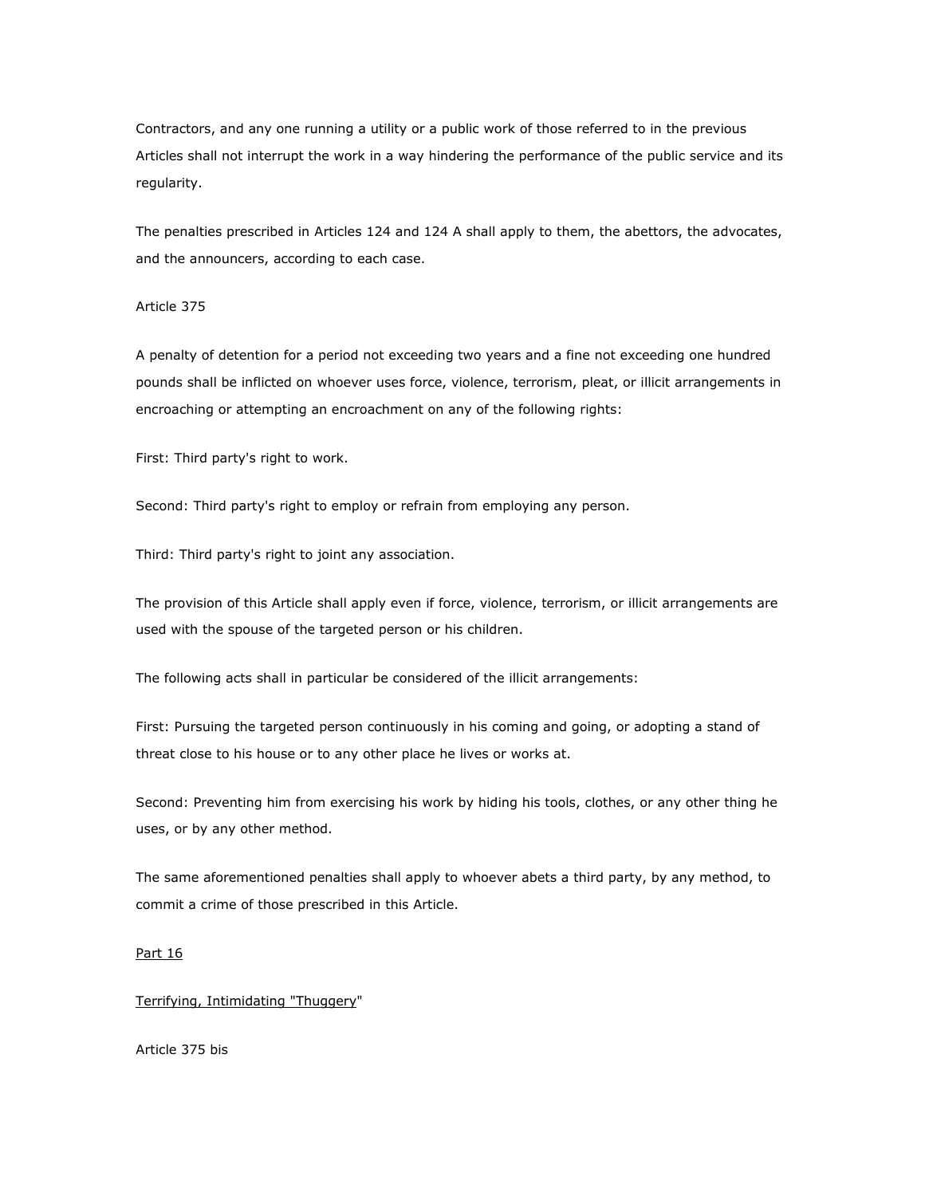Contractors, and any one running a utility or a public work of those referred to in the previous Articles shall not interrupt the work in a way hindering the performance of the public service and its regularity.

The penalties prescribed in Articles 124 and 124 A shall apply to them, the abettors, the advocates, and the announcers, according to each case.

#### Article 375

A penalty of detention for a period not exceeding two years and a fine not exceeding one hundred pounds shall be inflicted on whoever uses force, violence, terrorism, pleat, or illicit arrangements in encroaching or attempting an encroachment on any of the following rights:

First: Third party's right to work.

Second: Third party's right to employ or refrain from employing any person.

Third: Third party's right to joint any association.

The provision of this Article shall apply even if force, violence, terrorism, or illicit arrangements are used with the spouse of the targeted person or his children.

The following acts shall in particular be considered of the illicit arrangements:

First: Pursuing the targeted person continuously in his coming and going, or adopting a stand of threat close to his house or to any other place he lives or works at.

Second: Preventing him from exercising his work by hiding his tools, clothes, or any other thing he uses, or by any other method.

The same aforementioned penalties shall apply to whoever abets a third party, by any method, to commit a crime of those prescribed in this Article.

#### Part 16

### Terrifying, Intimidating "Thuggery"

Article 375 bis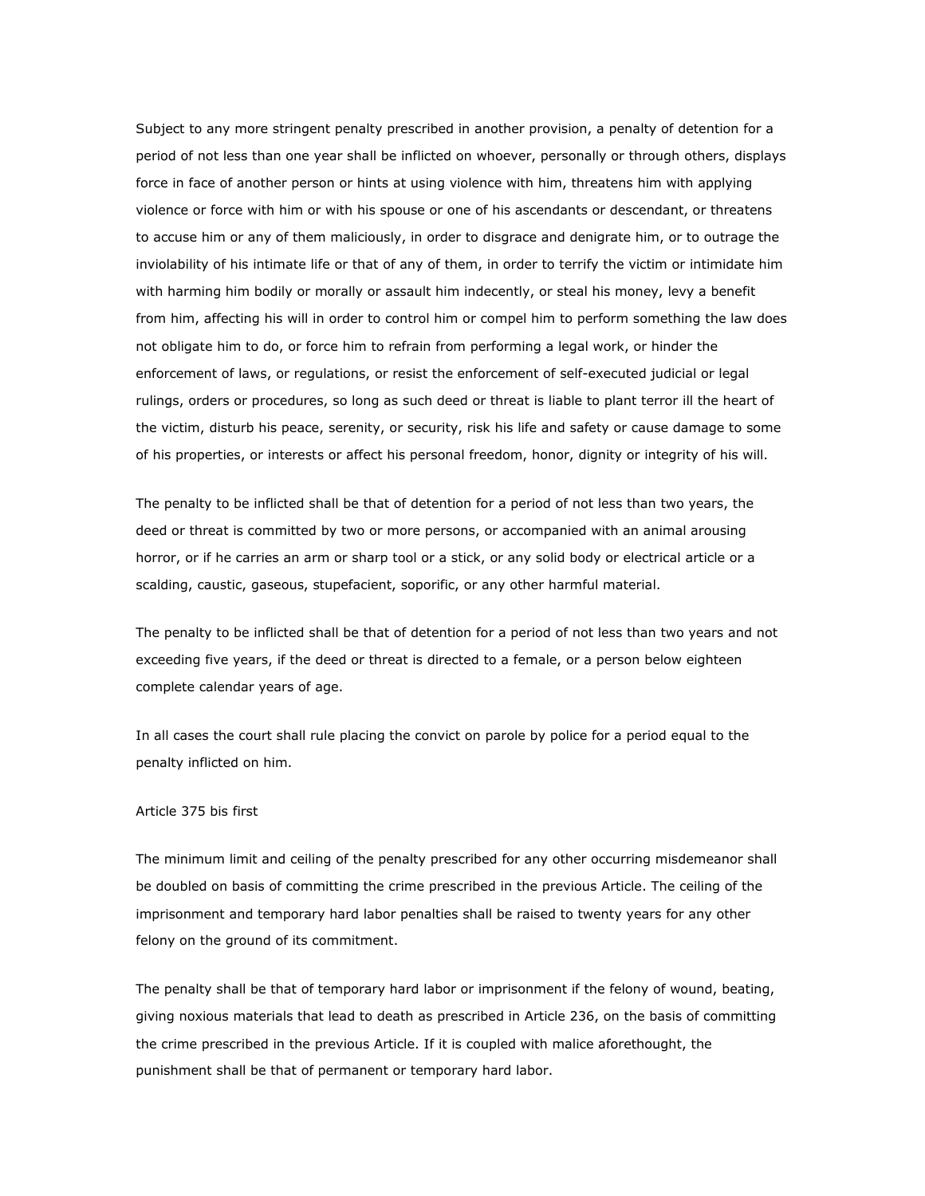Subject to any more stringent penalty prescribed in another provision, a penalty of detention for a period of not less than one year shall be inflicted on whoever, personally or through others, displays force in face of another person or hints at using violence with him, threatens him with applying violence or force with him or with his spouse or one of his ascendants or descendant, or threatens to accuse him or any of them maliciously, in order to disgrace and denigrate him, or to outrage the inviolability of his intimate life or that of any of them, in order to terrify the victim or intimidate him with harming him bodily or morally or assault him indecently, or steal his money, levy a benefit from him, affecting his will in order to control him or compel him to perform something the law does not obligate him to do, or force him to refrain from performing a legal work, or hinder the enforcement of laws, or regulations, or resist the enforcement of self-executed judicial or legal rulings, orders or procedures, so long as such deed or threat is liable to plant terror ill the heart of the victim, disturb his peace, serenity, or security, risk his life and safety or cause damage to some of his properties, or interests or affect his personal freedom, honor, dignity or integrity of his will.

The penalty to be inflicted shall be that of detention for a period of not less than two years, the deed or threat is committed by two or more persons, or accompanied with an animal arousing horror, or if he carries an arm or sharp tool or a stick, or any solid body or electrical article or a scalding, caustic, gaseous, stupefacient, soporific, or any other harmful material.

The penalty to be inflicted shall be that of detention for a period of not less than two years and not exceeding five years, if the deed or threat is directed to a female, or a person below eighteen complete calendar years of age.

In all cases the court shall rule placing the convict on parole by police for a period equal to the penalty inflicted on him.

### Article 375 bis first

The minimum limit and ceiling of the penalty prescribed for any other occurring misdemeanor shall be doubled on basis of committing the crime prescribed in the previous Article. The ceiling of the imprisonment and temporary hard labor penalties shall be raised to twenty years for any other felony on the ground of its commitment.

The penalty shall be that of temporary hard labor or imprisonment if the felony of wound, beating, giving noxious materials that lead to death as prescribed in Article 236, on the basis of committing the crime prescribed in the previous Article. If it is coupled with malice aforethought, the punishment shall be that of permanent or temporary hard labor.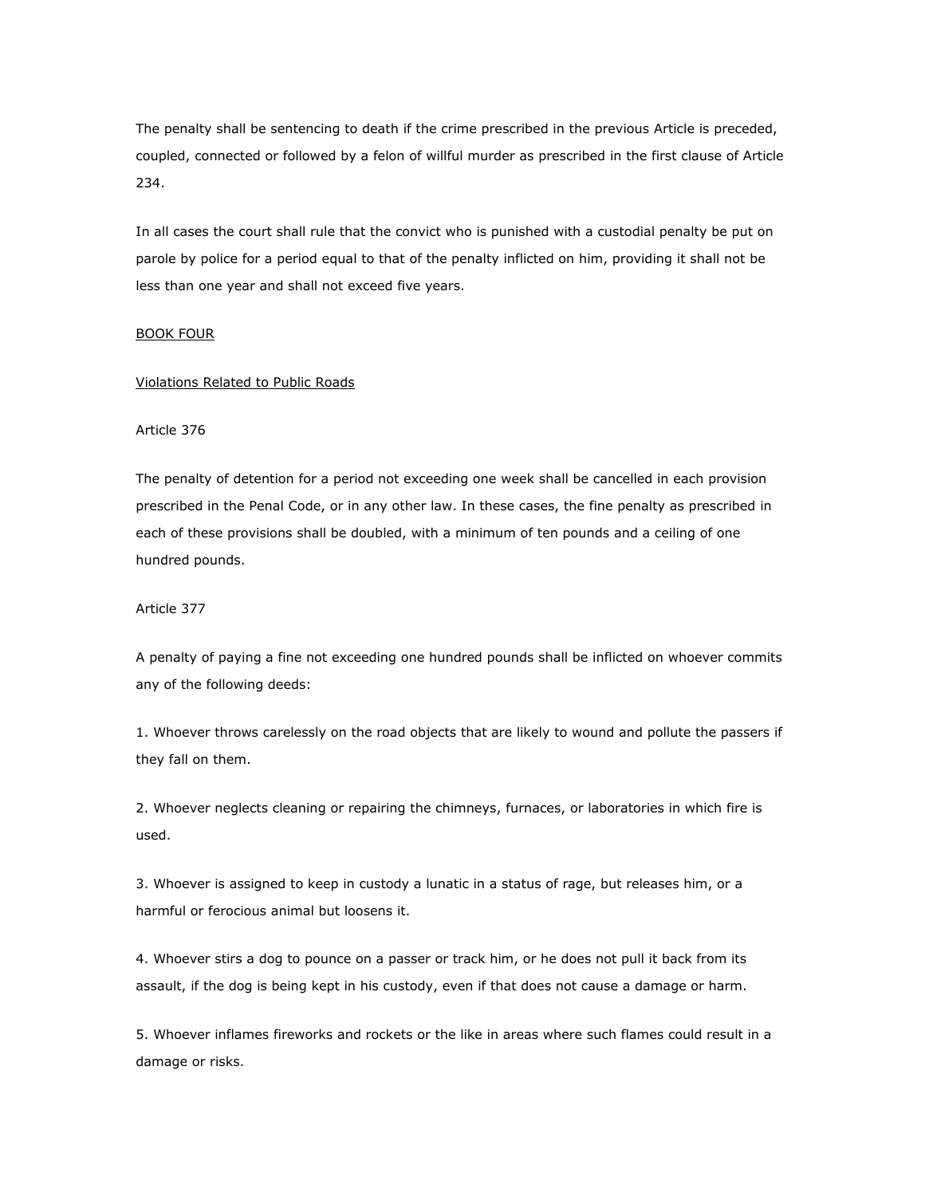The penalty shall be sentencing to death if the crime prescribed in the previous Article is preceded, coupled, connected or followed by a felon of willful murder as prescribed in the first clause of Article 234.

In all cases the court shall rule that the convict who is punished with a custodial penalty be put on parole by police for a period equal to that of the penalty inflicted on him, providing it shall not be less than one year and shall not exceed five years.

#### BOOK FOUR

#### Violations Related to Public Roads

Article 376

The penalty of detention for a period not exceeding one week shall be cancelled in each provision prescribed in the Penal Code, or in any other law. In these cases, the fine penalty as prescribed in each of these provisions shall be doubled, with a minimum of ten pounds and a ceiling of one hundred pounds.

Article 377

A penalty of paying a fine not exceeding one hundred pounds shall be inflicted on whoever commits any of the following deeds:

1. Whoever throws carelessly on the road objects that are likely to wound and pollute the passers if they fall on them.

2. Whoever neglects cleaning or repairing the chimneys, furnaces, or laboratories in which fire is used.

3. Whoever is assigned to keep in custody a lunatic in a status of rage, but releases him, or a harmful or ferocious animal but loosens it.

4. Whoever stirs a dog to pounce on a passer or track him, or he does not pull it back from its assault, if the dog is being kept in his custody, even if that does not cause a damage or harm.

5. Whoever inflames fireworks and rockets or the like in areas where such flames could result in a damage or risks.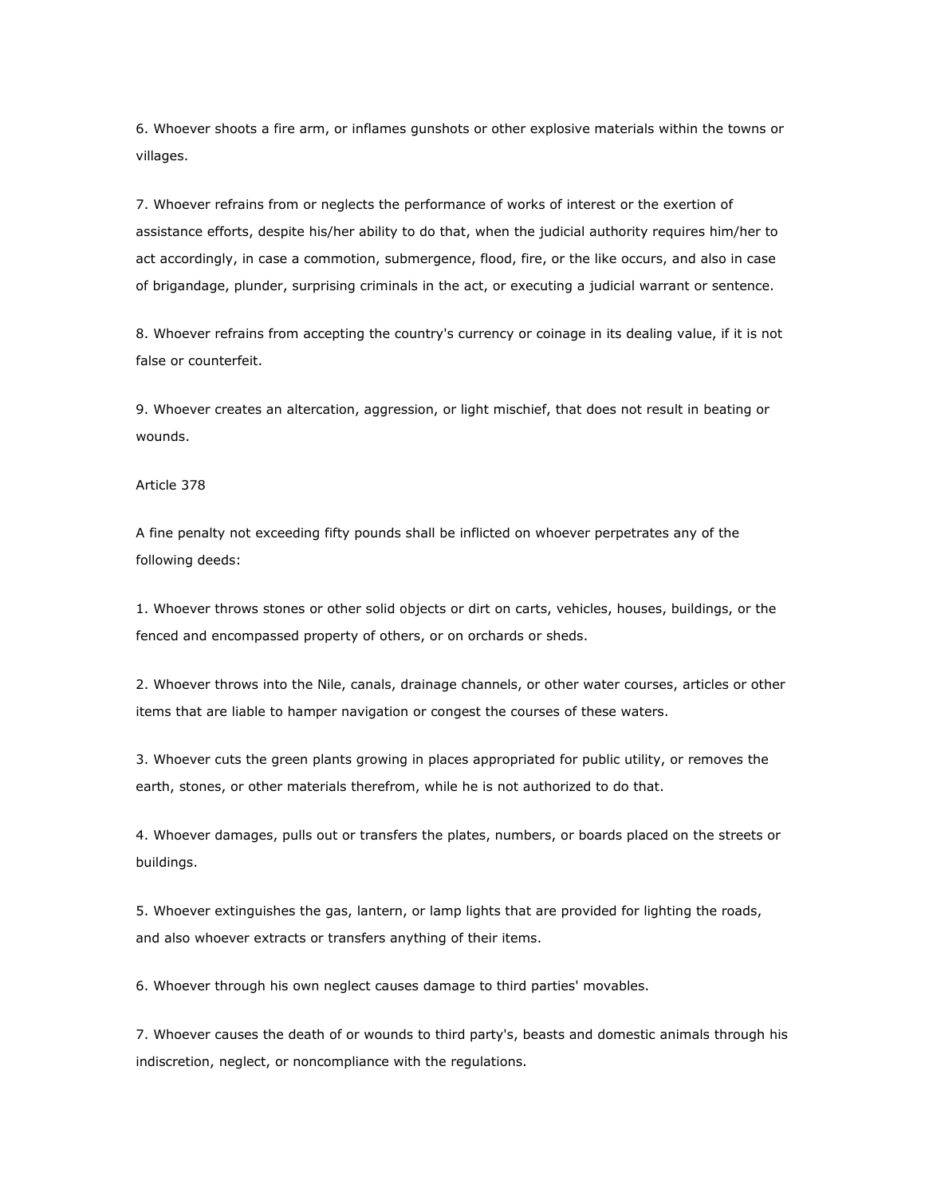6. Whoever shoots a fire arm, or inflames gunshots or other explosive materials within the towns or villages.

7. Whoever refrains from or neglects the performance of works of interest or the exertion of assistance efforts, despite his/her ability to do that, when the judicial authority requires him/her to act accordingly, in case a commotion, submergence, flood, fire, or the like occurs, and also in case of brigandage, plunder, surprising criminals in the act, or executing a judicial warrant or sentence.

8. Whoever refrains from accepting the country's currency or coinage in its dealing value, if it is not false or counterfeit.

9. Whoever creates an altercation, aggression, or light mischief, that does not result in beating or wounds.

Article 378

A fine penalty not exceeding fifty pounds shall be inflicted on whoever perpetrates any of the following deeds:

1. Whoever throws stones or other solid objects or dirt on carts, vehicles, houses, buildings, or the fenced and encompassed property of others, or on orchards or sheds.

2. Whoever throws into the Nile, canals, drainage channels, or other water courses, articles or other items that are liable to hamper navigation or congest the courses of these waters.

3. Whoever cuts the green plants growing in places appropriated for public utility, or removes the earth, stones, or other materials therefrom, while he is not authorized to do that.

4. Whoever damages, pulls out or transfers the plates, numbers, or boards placed on the streets or buildings.

5. Whoever extinguishes the gas, lantern, or lamp lights that are provided for lighting the roads, and also whoever extracts or transfers anything of their items.

6. Whoever through his own neglect causes damage to third parties' movables.

7. Whoever causes the death of or wounds to third party's, beasts and domestic animals through his indiscretion, neglect, or noncompliance with the regulations.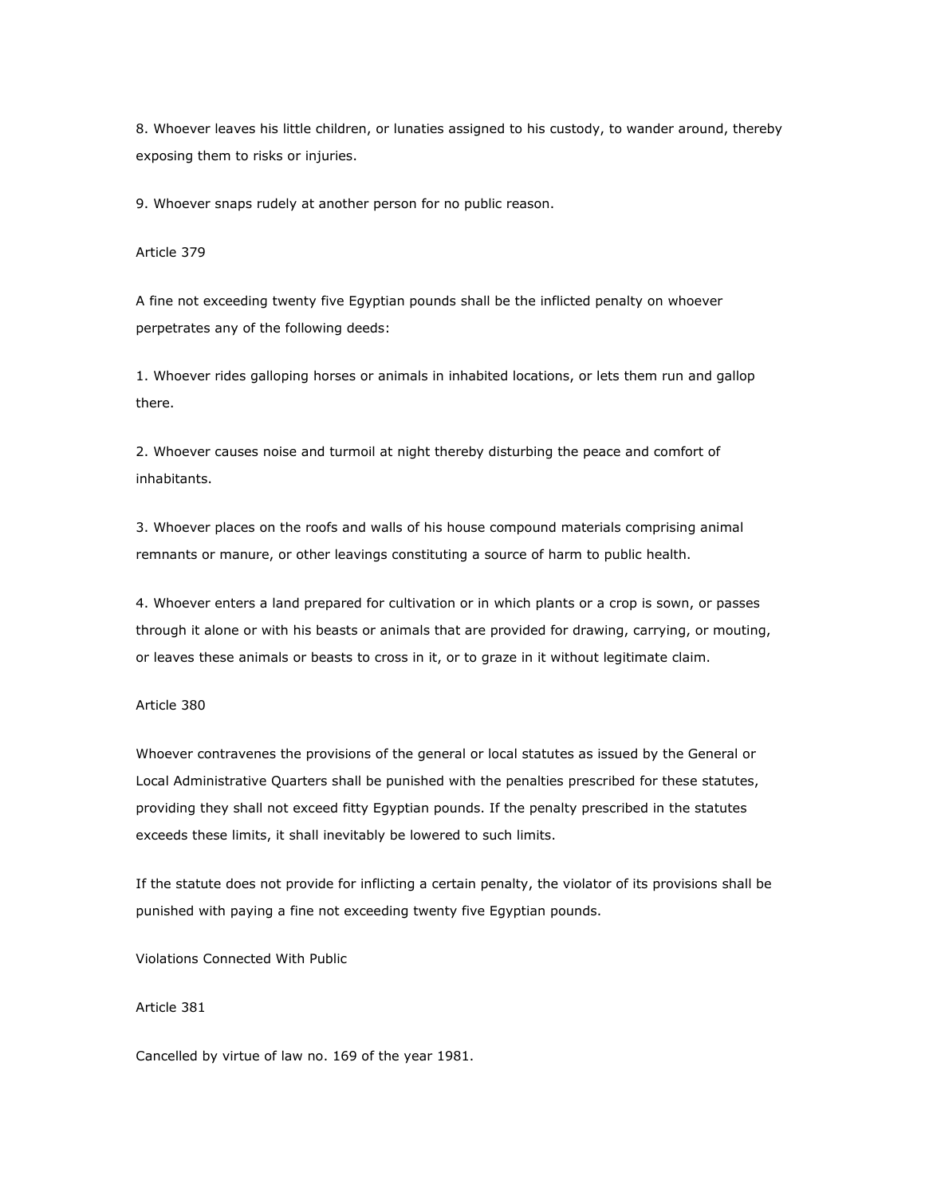8. Whoever leaves his little children, or lunaties assigned to his custody, to wander around, thereby exposing them to risks or injuries.

9. Whoever snaps rudely at another person for no public reason.

Article 379

A fine not exceeding twenty five Egyptian pounds shall be the inflicted penalty on whoever perpetrates any of the following deeds:

1. Whoever rides galloping horses or animals in inhabited locations, or lets them run and gallop there.

2. Whoever causes noise and turmoil at night thereby disturbing the peace and comfort of inhabitants.

3. Whoever places on the roofs and walls of his house compound materials comprising animal remnants or manure, or other leavings constituting a source of harm to public health.

4. Whoever enters a land prepared for cultivation or in which plants or a crop is sown, or passes through it alone or with his beasts or animals that are provided for drawing, carrying, or mouting, or leaves these animals or beasts to cross in it, or to graze in it without legitimate claim.

#### Article 380

Whoever contravenes the provisions of the general or local statutes as issued by the General or Local Administrative Quarters shall be punished with the penalties prescribed for these statutes, providing they shall not exceed fitty Egyptian pounds. If the penalty prescribed in the statutes exceeds these limits, it shall inevitably be lowered to such limits.

If the statute does not provide for inflicting a certain penalty, the violator of its provisions shall be punished with paying a fine not exceeding twenty five Egyptian pounds.

Violations Connected With Public

# Article 381

Cancelled by virtue of law no. 169 of the year 1981.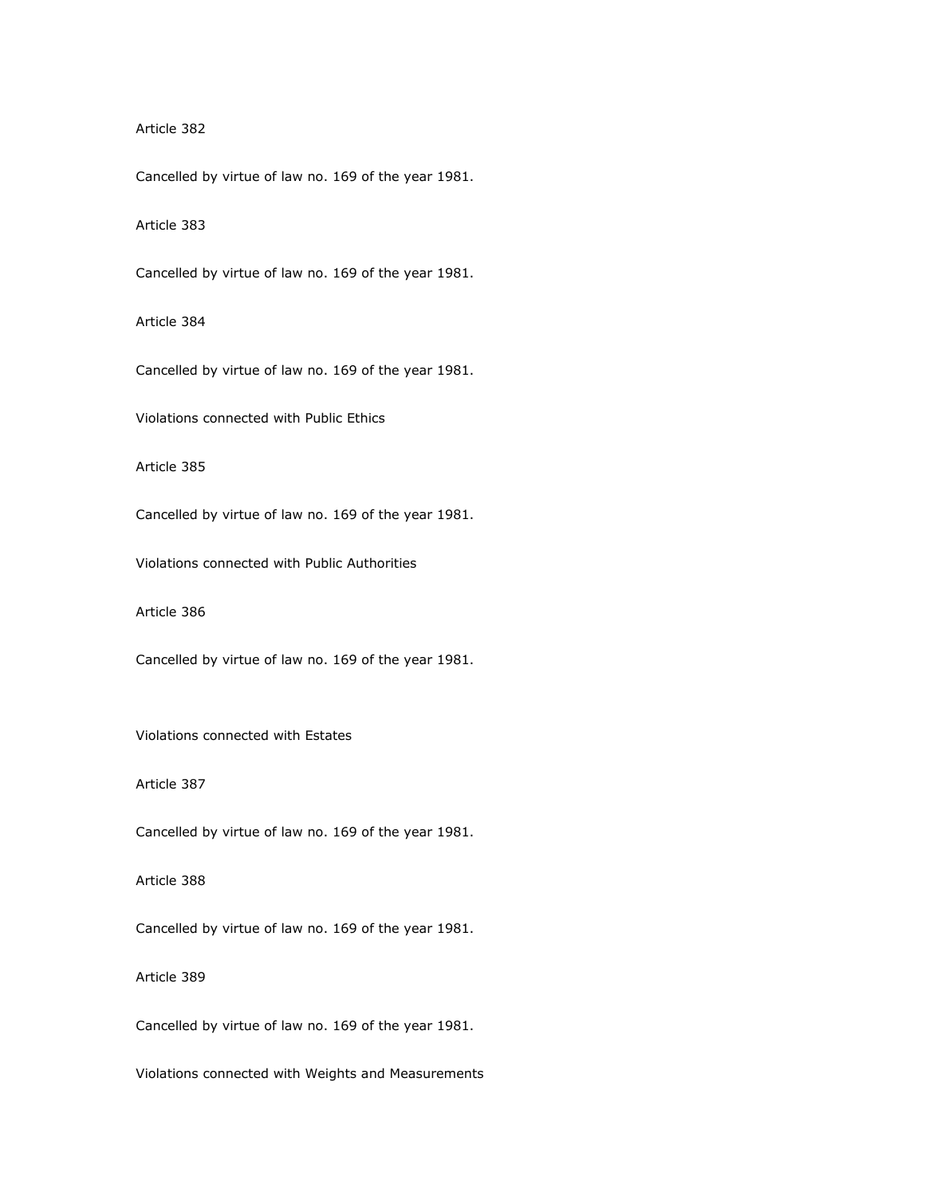## Article 382

Cancelled by virtue of law no. 169 of the year 1981.

Article 383

Cancelled by virtue of law no. 169 of the year 1981.

Article 384

Cancelled by virtue of law no. 169 of the year 1981.

Violations connected with Public Ethics

Article 385

Cancelled by virtue of law no. 169 of the year 1981.

Violations connected with Public Authorities

Article 386

Cancelled by virtue of law no. 169 of the year 1981.

Violations connected with Estates

Article 387

Cancelled by virtue of law no. 169 of the year 1981.

Article 388

Cancelled by virtue of law no. 169 of the year 1981.

Article 389

Cancelled by virtue of law no. 169 of the year 1981.

Violations connected with Weights and Measurements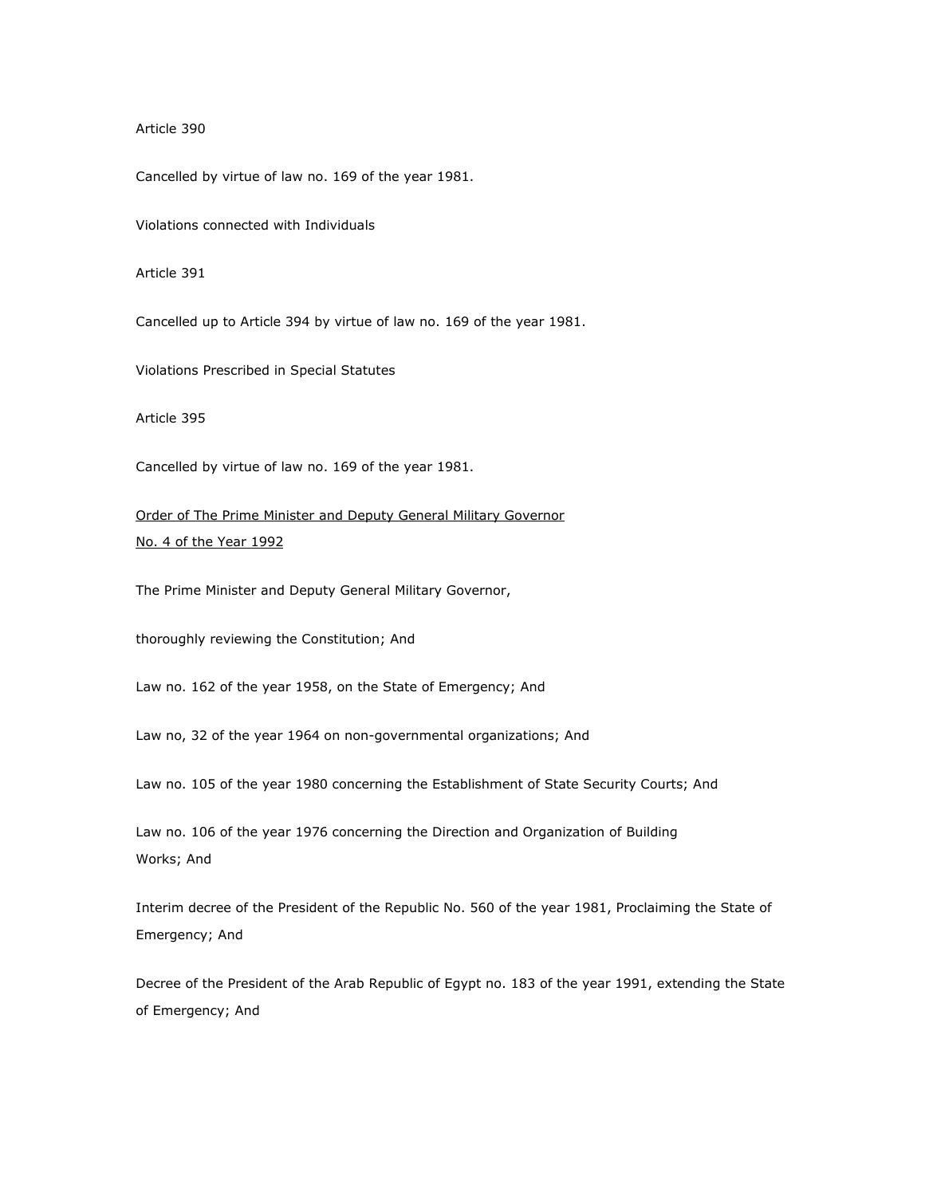Article 390

Cancelled by virtue of law no. 169 of the year 1981.

Violations connected with Individuals

Article 391

Cancelled up to Article 394 by virtue of law no. 169 of the year 1981.

Violations Prescribed in Special Statutes

Article 395

Cancelled by virtue of law no. 169 of the year 1981.

Order of The Prime Minister and Deputy General Military Governor No. 4 of the Year 1992

The Prime Minister and Deputy General Military Governor,

thoroughly reviewing the Constitution; And

Law no. 162 of the year 1958, on the State of Emergency; And

Law no, 32 of the year 1964 on non-governmental organizations; And

Law no. 105 of the year 1980 concerning the Establishment of State Security Courts; And

Law no. 106 of the year 1976 concerning the Direction and Organization of Building Works; And

Interim decree of the President of the Republic No. 560 of the year 1981, Proclaiming the State of Emergency; And

Decree of the President of the Arab Republic of Egypt no. 183 of the year 1991, extending the State of Emergency; And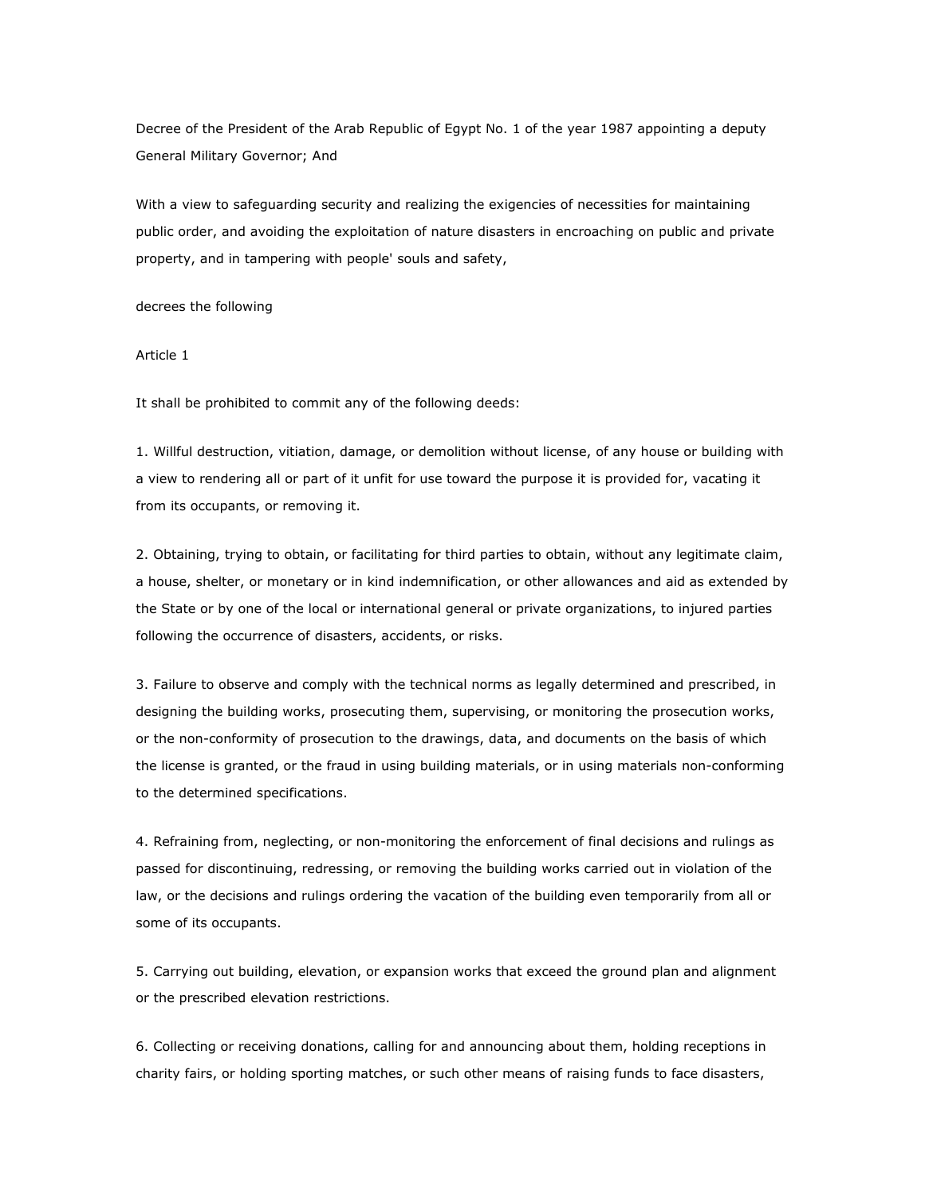Decree of the President of the Arab Republic of Egypt No. 1 of the year 1987 appointing a deputy General Military Governor; And

With a view to safeguarding security and realizing the exigencies of necessities for maintaining public order, and avoiding the exploitation of nature disasters in encroaching on public and private property, and in tampering with people' souls and safety,

decrees the following

Article 1

It shall be prohibited to commit any of the following deeds:

1. Willful destruction, vitiation, damage, or demolition without license, of any house or building with a view to rendering all or part of it unfit for use toward the purpose it is provided for, vacating it from its occupants, or removing it.

2. Obtaining, trying to obtain, or facilitating for third parties to obtain, without any legitimate claim, a house, shelter, or monetary or in kind indemnification, or other allowances and aid as extended by the State or by one of the local or international general or private organizations, to injured parties following the occurrence of disasters, accidents, or risks.

3. Failure to observe and comply with the technical norms as legally determined and prescribed, in designing the building works, prosecuting them, supervising, or monitoring the prosecution works, or the non-conformity of prosecution to the drawings, data, and documents on the basis of which the license is granted, or the fraud in using building materials, or in using materials non-conforming to the determined specifications.

4. Refraining from, neglecting, or non-monitoring the enforcement of final decisions and rulings as passed for discontinuing, redressing, or removing the building works carried out in violation of the law, or the decisions and rulings ordering the vacation of the building even temporarily from all or some of its occupants.

5. Carrying out building, elevation, or expansion works that exceed the ground plan and alignment or the prescribed elevation restrictions.

6. Collecting or receiving donations, calling for and announcing about them, holding receptions in charity fairs, or holding sporting matches, or such other means of raising funds to face disasters,